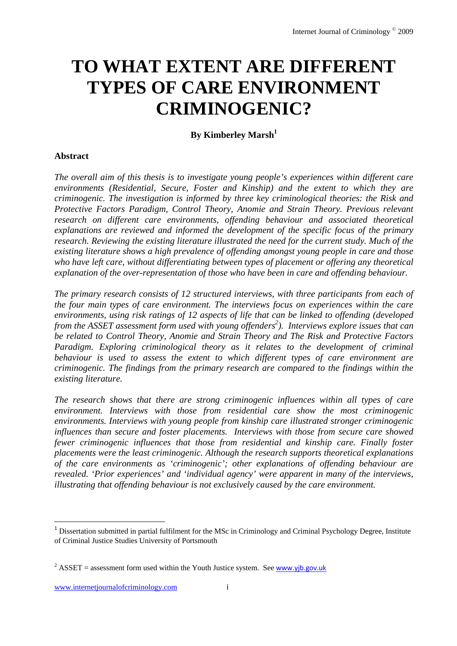# **TO WHAT EXTENT ARE DIFFERENT TYPES OF CARE ENVIRONMENT CRIMINOGENIC?**

**By Kimberley Marsh**<sup>1</sup>

#### **Abstract**

*The overall aim of this thesis is to investigate young people's experiences within different care environments (Residential, Secure, Foster and Kinship) and the extent to which they are criminogenic. The investigation is informed by three key criminological theories: the Risk and Protective Factors Paradigm, Control Theory, Anomie and Strain Theory. Previous relevant research on different care environments, offending behaviour and associated theoretical explanations are reviewed and informed the development of the specific focus of the primary research. Reviewing the existing literature illustrated the need for the current study. Much of the existing literature shows a high prevalence of offending amongst young people in care and those who have left care, without differentiating between types of placement or offering any theoretical explanation of the over-representation of those who have been in care and offending behaviour.* 

*The primary research consists of 12 structured interviews, with three participants from each of the four main types of care environment. The interviews focus on experiences within the care environments, using risk ratings of 12 aspects of life that can be linked to offending (developed from the ASSET assessment form used with young offenders<sup>2</sup>). Interviews explore issues that can be related to Control Theory, Anomie and Strain Theory and The Risk and Protective Factors Paradigm. Exploring criminological theory as it relates to the development of criminal behaviour is used to assess the extent to which different types of care environment are criminogenic. The findings from the primary research are compared to the findings within the existing literature.* 

*The research shows that there are strong criminogenic influences within all types of care environment. Interviews with those from residential care show the most criminogenic environments. Interviews with young people from kinship care illustrated stronger criminogenic influences than secure and foster placements. Interviews with those from secure care showed fewer criminogenic influences that those from residential and kinship care. Finally foster placements were the least criminogenic. Although the research supports theoretical explanations of the care environments as 'criminogenic'; other explanations of offending behaviour are revealed. 'Prior experiences' and 'individual agency' were apparent in many of the interviews, illustrating that offending behaviour is not exclusively caused by the care environment.* 

<sup>&</sup>lt;sup>1</sup> Dissertation submitted in partial fulfilment for the MSc in Criminology and Criminal Psychology Degree, Institute of Criminal Justice Studies University of Portsmouth

<sup>&</sup>lt;sup>2</sup> ASSET = assessment form used within the Youth Justice system. See **www.yjb.gov.uk**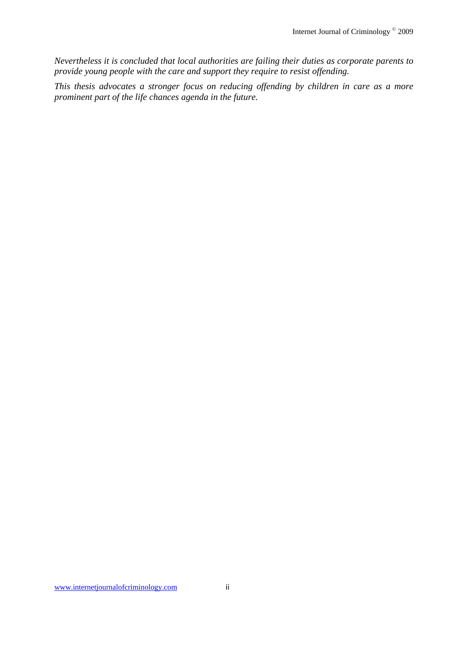*Nevertheless it is concluded that local authorities are failing their duties as corporate parents to provide young people with the care and support they require to resist offending.* 

*This thesis advocates a stronger focus on reducing offending by children in care as a more prominent part of the life chances agenda in the future.*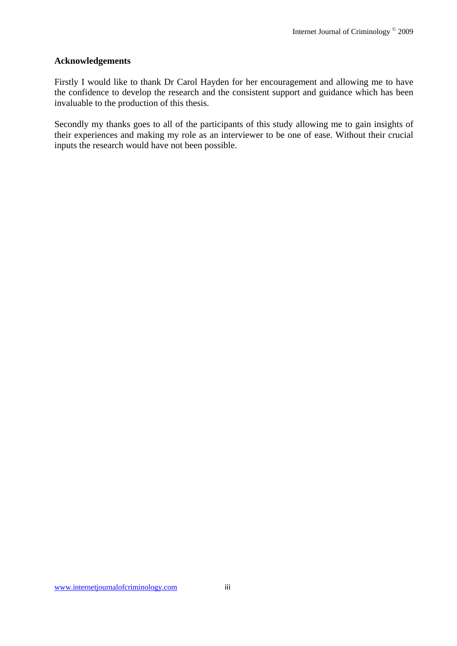#### **Acknowledgements**

Firstly I would like to thank Dr Carol Hayden for her encouragement and allowing me to have the confidence to develop the research and the consistent support and guidance which has been invaluable to the production of this thesis.

Secondly my thanks goes to all of the participants of this study allowing me to gain insights of their experiences and making my role as an interviewer to be one of ease. Without their crucial inputs the research would have not been possible.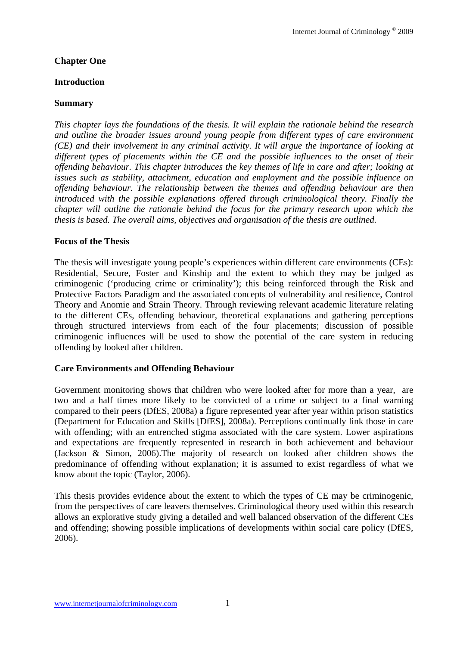#### **Chapter One**

#### **Introduction**

#### **Summary**

*This chapter lays the foundations of the thesis. It will explain the rationale behind the research and outline the broader issues around young people from different types of care environment (CE) and their involvement in any criminal activity. It will argue the importance of looking at different types of placements within the CE and the possible influences to the onset of their offending behaviour. This chapter introduces the key themes of life in care and after; looking at issues such as stability, attachment, education and employment and the possible influence on offending behaviour. The relationship between the themes and offending behaviour are then introduced with the possible explanations offered through criminological theory. Finally the chapter will outline the rationale behind the focus for the primary research upon which the thesis is based. The overall aims, objectives and organisation of the thesis are outlined.* 

#### **Focus of the Thesis**

The thesis will investigate young people's experiences within different care environments (CEs): Residential, Secure, Foster and Kinship and the extent to which they may be judged as criminogenic ('producing crime or criminality'); this being reinforced through the Risk and Protective Factors Paradigm and the associated concepts of vulnerability and resilience, Control Theory and Anomie and Strain Theory. Through reviewing relevant academic literature relating to the different CEs, offending behaviour, theoretical explanations and gathering perceptions through structured interviews from each of the four placements; discussion of possible criminogenic influences will be used to show the potential of the care system in reducing offending by looked after children.

#### **Care Environments and Offending Behaviour**

Government monitoring shows that children who were looked after for more than a year, are two and a half times more likely to be convicted of a crime or subject to a final warning compared to their peers (DfES, 2008a) a figure represented year after year within prison statistics (Department for Education and Skills [DfES], 2008a). Perceptions continually link those in care with offending; with an entrenched stigma associated with the care system. Lower aspirations and expectations are frequently represented in research in both achievement and behaviour (Jackson & Simon, 2006).The majority of research on looked after children shows the predominance of offending without explanation; it is assumed to exist regardless of what we know about the topic (Taylor, 2006).

This thesis provides evidence about the extent to which the types of CE may be criminogenic, from the perspectives of care leavers themselves. Criminological theory used within this research allows an explorative study giving a detailed and well balanced observation of the different CEs and offending; showing possible implications of developments within social care policy (DfES, 2006).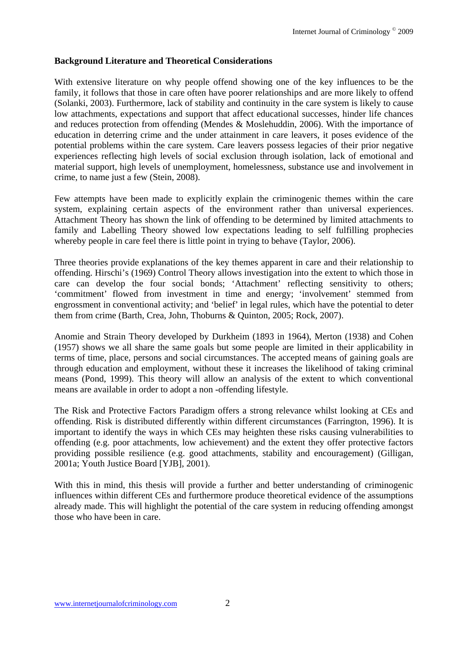## **Background Literature and Theoretical Considerations**

With extensive literature on why people offend showing one of the key influences to be the family, it follows that those in care often have poorer relationships and are more likely to offend (Solanki, 2003). Furthermore, lack of stability and continuity in the care system is likely to cause low attachments, expectations and support that affect educational successes, hinder life chances and reduces protection from offending (Mendes & Moslehuddin, 2006). With the importance of education in deterring crime and the under attainment in care leavers, it poses evidence of the potential problems within the care system. Care leavers possess legacies of their prior negative experiences reflecting high levels of social exclusion through isolation, lack of emotional and material support, high levels of unemployment, homelessness, substance use and involvement in crime, to name just a few (Stein, 2008).

Few attempts have been made to explicitly explain the criminogenic themes within the care system, explaining certain aspects of the environment rather than universal experiences. Attachment Theory has shown the link of offending to be determined by limited attachments to family and Labelling Theory showed low expectations leading to self fulfilling prophecies whereby people in care feel there is little point in trying to behave (Taylor, 2006).

Three theories provide explanations of the key themes apparent in care and their relationship to offending. Hirschi's (1969) Control Theory allows investigation into the extent to which those in care can develop the four social bonds; 'Attachment' reflecting sensitivity to others; 'commitment' flowed from investment in time and energy; 'involvement' stemmed from engrossment in conventional activity; and 'belief' in legal rules, which have the potential to deter them from crime (Barth, Crea, John, Thoburns & Quinton, 2005; Rock, 2007).

Anomie and Strain Theory developed by Durkheim (1893 in 1964), Merton (1938) and Cohen (1957) shows we all share the same goals but some people are limited in their applicability in terms of time, place, persons and social circumstances. The accepted means of gaining goals are through education and employment, without these it increases the likelihood of taking criminal means (Pond, 1999). This theory will allow an analysis of the extent to which conventional means are available in order to adopt a non -offending lifestyle.

The Risk and Protective Factors Paradigm offers a strong relevance whilst looking at CEs and offending. Risk is distributed differently within different circumstances (Farrington, 1996). It is important to identify the ways in which CEs may heighten these risks causing vulnerabilities to offending (e.g. poor attachments, low achievement) and the extent they offer protective factors providing possible resilience (e.g. good attachments, stability and encouragement) (Gilligan, 2001a; Youth Justice Board [YJB], 2001).

With this in mind, this thesis will provide a further and better understanding of criminogenic influences within different CEs and furthermore produce theoretical evidence of the assumptions already made. This will highlight the potential of the care system in reducing offending amongst those who have been in care.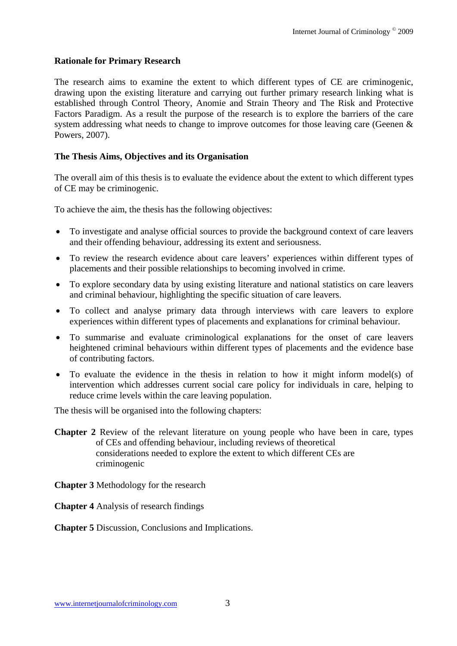#### **Rationale for Primary Research**

The research aims to examine the extent to which different types of CE are criminogenic, drawing upon the existing literature and carrying out further primary research linking what is established through Control Theory, Anomie and Strain Theory and The Risk and Protective Factors Paradigm. As a result the purpose of the research is to explore the barriers of the care system addressing what needs to change to improve outcomes for those leaving care (Geenen & Powers, 2007).

#### **The Thesis Aims, Objectives and its Organisation**

The overall aim of this thesis is to evaluate the evidence about the extent to which different types of CE may be criminogenic.

To achieve the aim, the thesis has the following objectives:

- To investigate and analyse official sources to provide the background context of care leavers and their offending behaviour, addressing its extent and seriousness.
- To review the research evidence about care leavers' experiences within different types of placements and their possible relationships to becoming involved in crime.
- To explore secondary data by using existing literature and national statistics on care leavers and criminal behaviour, highlighting the specific situation of care leavers.
- To collect and analyse primary data through interviews with care leavers to explore experiences within different types of placements and explanations for criminal behaviour.
- To summarise and evaluate criminological explanations for the onset of care leavers heightened criminal behaviours within different types of placements and the evidence base of contributing factors.
- To evaluate the evidence in the thesis in relation to how it might inform model(s) of intervention which addresses current social care policy for individuals in care, helping to reduce crime levels within the care leaving population.

The thesis will be organised into the following chapters:

- **Chapter 2** Review of the relevant literature on young people who have been in care, types of CEs and offending behaviour, including reviews of theoretical considerations needed to explore the extent to which different CEs are criminogenic
- **Chapter 3** Methodology for the research
- **Chapter 4** Analysis of research findings

#### **Chapter 5** Discussion, Conclusions and Implications.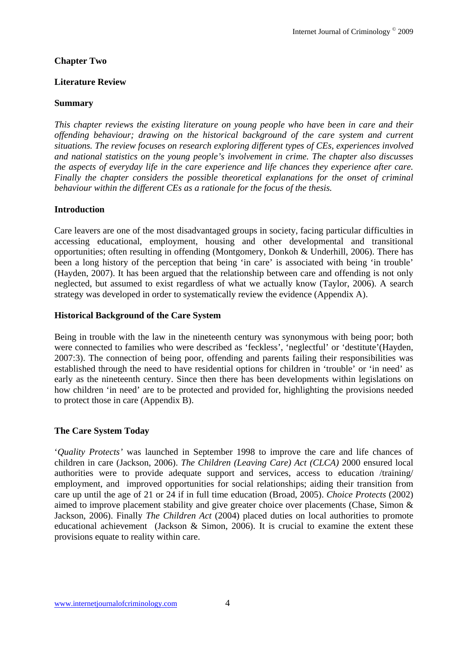### **Chapter Two**

#### **Literature Review**

#### **Summary**

*This chapter reviews the existing literature on young people who have been in care and their offending behaviour; drawing on the historical background of the care system and current situations. The review focuses on research exploring different types of CEs, experiences involved and national statistics on the young people's involvement in crime. The chapter also discusses the aspects of everyday life in the care experience and life chances they experience after care. Finally the chapter considers the possible theoretical explanations for the onset of criminal behaviour within the different CEs as a rationale for the focus of the thesis.* 

#### **Introduction**

Care leavers are one of the most disadvantaged groups in society, facing particular difficulties in accessing educational, employment, housing and other developmental and transitional opportunities; often resulting in offending (Montgomery, Donkoh & Underhill, 2006). There has been a long history of the perception that being 'in care' is associated with being 'in trouble' (Hayden, 2007). It has been argued that the relationship between care and offending is not only neglected, but assumed to exist regardless of what we actually know (Taylor, 2006). A search strategy was developed in order to systematically review the evidence (Appendix A).

#### **Historical Background of the Care System**

Being in trouble with the law in the nineteenth century was synonymous with being poor; both were connected to families who were described as 'feckless', 'neglectful' or 'destitute'(Hayden, 2007:3). The connection of being poor, offending and parents failing their responsibilities was established through the need to have residential options for children in 'trouble' or 'in need' as early as the nineteenth century. Since then there has been developments within legislations on how children 'in need' are to be protected and provided for, highlighting the provisions needed to protect those in care (Appendix B).

#### **The Care System Today**

'*Quality Protects'* was launched in September 1998 to improve the care and life chances of children in care (Jackson, 2006). *The Children (Leaving Care) Act (CLCA)* 2000 ensured local authorities were to provide adequate support and services, access to education /training/ employment, and improved opportunities for social relationships; aiding their transition from care up until the age of 21 or 24 if in full time education (Broad, 2005). *Choice Protects* (2002) aimed to improve placement stability and give greater choice over placements (Chase, Simon & Jackson, 2006). Finally *The Children Act* (2004) placed duties on local authorities to promote educational achievement (Jackson & Simon, 2006). It is crucial to examine the extent these provisions equate to reality within care.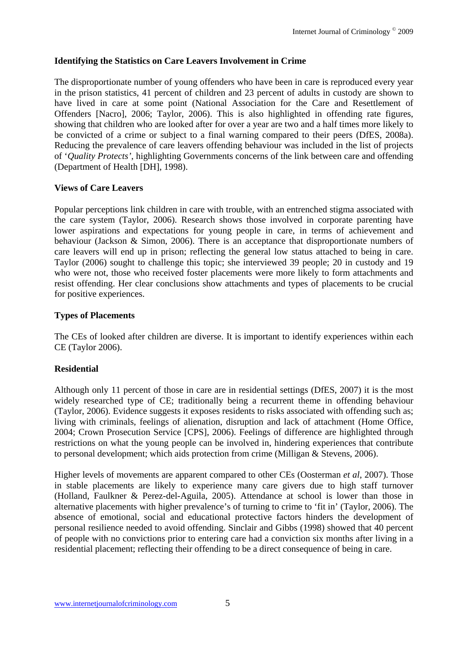## **Identifying the Statistics on Care Leavers Involvement in Crime**

The disproportionate number of young offenders who have been in care is reproduced every year in the prison statistics, 41 percent of children and 23 percent of adults in custody are shown to have lived in care at some point (National Association for the Care and Resettlement of Offenders [Nacro], 2006; Taylor, 2006). This is also highlighted in offending rate figures, showing that children who are looked after for over a year are two and a half times more likely to be convicted of a crime or subject to a final warning compared to their peers (DfES, 2008a). Reducing the prevalence of care leavers offending behaviour was included in the list of projects of '*Quality Protects'*, highlighting Governments concerns of the link between care and offending (Department of Health [DH], 1998).

## **Views of Care Leavers**

Popular perceptions link children in care with trouble, with an entrenched stigma associated with the care system (Taylor, 2006). Research shows those involved in corporate parenting have lower aspirations and expectations for young people in care, in terms of achievement and behaviour (Jackson & Simon, 2006). There is an acceptance that disproportionate numbers of care leavers will end up in prison; reflecting the general low status attached to being in care. Taylor (2006) sought to challenge this topic; she interviewed 39 people; 20 in custody and 19 who were not, those who received foster placements were more likely to form attachments and resist offending. Her clear conclusions show attachments and types of placements to be crucial for positive experiences.

## **Types of Placements**

The CEs of looked after children are diverse. It is important to identify experiences within each CE (Taylor 2006).

## **Residential**

Although only 11 percent of those in care are in residential settings (DfES, 2007) it is the most widely researched type of CE; traditionally being a recurrent theme in offending behaviour (Taylor, 2006). Evidence suggests it exposes residents to risks associated with offending such as; living with criminals, feelings of alienation, disruption and lack of attachment (Home Office, 2004; Crown Prosecution Service [CPS], 2006). Feelings of difference are highlighted through restrictions on what the young people can be involved in, hindering experiences that contribute to personal development; which aids protection from crime (Milligan & Stevens, 2006).

Higher levels of movements are apparent compared to other CEs (Oosterman *et al*, 2007). Those in stable placements are likely to experience many care givers due to high staff turnover (Holland, Faulkner & Perez-del-Aguila, 2005). Attendance at school is lower than those in alternative placements with higher prevalence's of turning to crime to 'fit in' (Taylor, 2006). The absence of emotional, social and educational protective factors hinders the development of personal resilience needed to avoid offending. Sinclair and Gibbs (1998) showed that 40 percent of people with no convictions prior to entering care had a conviction six months after living in a residential placement; reflecting their offending to be a direct consequence of being in care.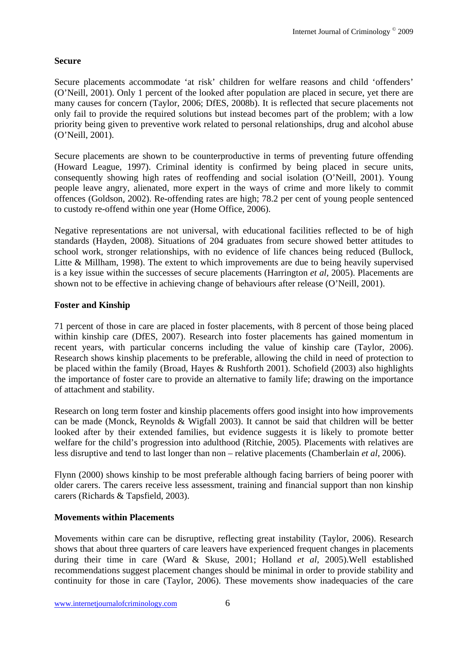### **Secure**

Secure placements accommodate 'at risk' children for welfare reasons and child 'offenders' (O'Neill, 2001). Only 1 percent of the looked after population are placed in secure, yet there are many causes for concern (Taylor, 2006; DfES, 2008b). It is reflected that secure placements not only fail to provide the required solutions but instead becomes part of the problem; with a low priority being given to preventive work related to personal relationships, drug and alcohol abuse (O'Neill, 2001).

Secure placements are shown to be counterproductive in terms of preventing future offending (Howard League, 1997). Criminal identity is confirmed by being placed in secure units, consequently showing high rates of reoffending and social isolation (O'Neill, 2001). Young people leave angry, alienated, more expert in the ways of crime and more likely to commit offences (Goldson, 2002). Re-offending rates are high; 78.2 per cent of young people sentenced to custody re-offend within one year (Home Office, 2006).

Negative representations are not universal, with educational facilities reflected to be of high standards (Hayden, 2008). Situations of 204 graduates from secure showed better attitudes to school work, stronger relationships, with no evidence of life chances being reduced (Bullock, Litte & Millham, 1998). The extent to which improvements are due to being heavily supervised is a key issue within the successes of secure placements (Harrington *et al*, 2005). Placements are shown not to be effective in achieving change of behaviours after release (O'Neill, 2001).

### **Foster and Kinship**

71 percent of those in care are placed in foster placements, with 8 percent of those being placed within kinship care (DfES, 2007). Research into foster placements has gained momentum in recent years, with particular concerns including the value of kinship care (Taylor, 2006). Research shows kinship placements to be preferable, allowing the child in need of protection to be placed within the family (Broad, Hayes & Rushforth 2001). Schofield (2003) also highlights the importance of foster care to provide an alternative to family life; drawing on the importance of attachment and stability.

Research on long term foster and kinship placements offers good insight into how improvements can be made (Monck*,* Reynolds & Wigfall 2003). It cannot be said that children will be better looked after by their extended families, but evidence suggests it is likely to promote better welfare for the child's progression into adulthood (Ritchie, 2005). Placements with relatives are less disruptive and tend to last longer than non – relative placements (Chamberlain *et al*, 2006).

Flynn (2000) shows kinship to be most preferable although facing barriers of being poorer with older carers. The carers receive less assessment, training and financial support than non kinship carers (Richards & Tapsfield, 2003).

#### **Movements within Placements**

Movements within care can be disruptive, reflecting great instability (Taylor, 2006). Research shows that about three quarters of care leavers have experienced frequent changes in placements during their time in care (Ward & Skuse, 2001; Holland *et al,* 2005).Well established recommendations suggest placement changes should be minimal in order to provide stability and continuity for those in care (Taylor, 2006). These movements show inadequacies of the care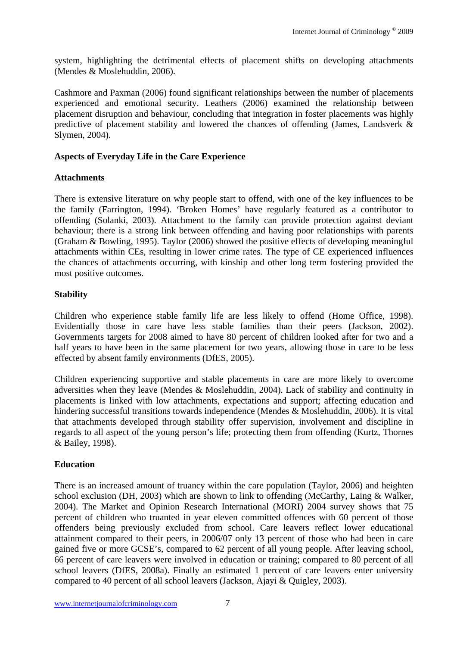system, highlighting the detrimental effects of placement shifts on developing attachments (Mendes & Moslehuddin, 2006).

Cashmore and Paxman (2006) found significant relationships between the number of placements experienced and emotional security. Leathers (2006) examined the relationship between placement disruption and behaviour, concluding that integration in foster placements was highly predictive of placement stability and lowered the chances of offending (James, Landsverk & Slymen, 2004).

## **Aspects of Everyday Life in the Care Experience**

### **Attachments**

There is extensive literature on why people start to offend, with one of the key influences to be the family (Farrington, 1994). 'Broken Homes' have regularly featured as a contributor to offending (Solanki, 2003). Attachment to the family can provide protection against deviant behaviour; there is a strong link between offending and having poor relationships with parents (Graham & Bowling, 1995). Taylor (2006) showed the positive effects of developing meaningful attachments within CEs, resulting in lower crime rates. The type of CE experienced influences the chances of attachments occurring, with kinship and other long term fostering provided the most positive outcomes.

### **Stability**

Children who experience stable family life are less likely to offend (Home Office, 1998). Evidentially those in care have less stable families than their peers (Jackson, 2002). Governments targets for 2008 aimed to have 80 percent of children looked after for two and a half years to have been in the same placement for two years, allowing those in care to be less effected by absent family environments (DfES, 2005).

Children experiencing supportive and stable placements in care are more likely to overcome adversities when they leave (Mendes & Moslehuddin, 2004). Lack of stability and continuity in placements is linked with low attachments, expectations and support; affecting education and hindering successful transitions towards independence (Mendes & Moslehuddin, 2006). It is vital that attachments developed through stability offer supervision, involvement and discipline in regards to all aspect of the young person's life; protecting them from offending (Kurtz, Thornes & Bailey, 1998).

## **Education**

There is an increased amount of truancy within the care population (Taylor, 2006) and heighten school exclusion (DH, 2003) which are shown to link to offending (McCarthy, Laing & Walker, 2004). The Market and Opinion Research International (MORI) 2004 survey shows that 75 percent of children who truanted in year eleven committed offences with 60 percent of those offenders being previously excluded from school. Care leavers reflect lower educational attainment compared to their peers, in 2006/07 only 13 percent of those who had been in care gained five or more GCSE's, compared to 62 percent of all young people. After leaving school, 66 percent of care leavers were involved in education or training; compared to 80 percent of all school leavers (DfES, 2008a). Finally an estimated 1 percent of care leavers enter university compared to 40 percent of all school leavers (Jackson, Ajayi & Quigley, 2003).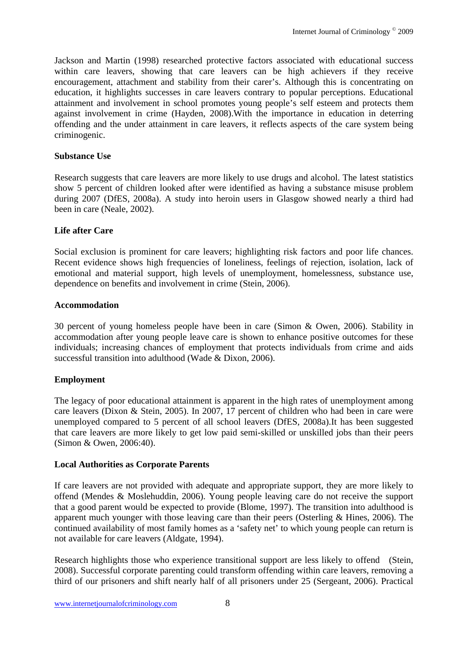Jackson and Martin (1998) researched protective factors associated with educational success within care leavers, showing that care leavers can be high achievers if they receive encouragement, attachment and stability from their carer's. Although this is concentrating on education, it highlights successes in care leavers contrary to popular perceptions. Educational attainment and involvement in school promotes young people's self esteem and protects them against involvement in crime (Hayden, 2008).With the importance in education in deterring offending and the under attainment in care leavers, it reflects aspects of the care system being criminogenic.

#### **Substance Use**

Research suggests that care leavers are more likely to use drugs and alcohol. The latest statistics show 5 percent of children looked after were identified as having a substance misuse problem during 2007 (DfES, 2008a). A study into heroin users in Glasgow showed nearly a third had been in care (Neale, 2002).

## **Life after Care**

Social exclusion is prominent for care leavers; highlighting risk factors and poor life chances. Recent evidence shows high frequencies of loneliness, feelings of rejection, isolation, lack of emotional and material support, high levels of unemployment, homelessness, substance use, dependence on benefits and involvement in crime (Stein, 2006).

### **Accommodation**

30 percent of young homeless people have been in care (Simon & Owen, 2006). Stability in accommodation after young people leave care is shown to enhance positive outcomes for these individuals; increasing chances of employment that protects individuals from crime and aids successful transition into adulthood (Wade & Dixon, 2006).

## **Employment**

The legacy of poor educational attainment is apparent in the high rates of unemployment among care leavers (Dixon & Stein, 2005). In 2007, 17 percent of children who had been in care were unemployed compared to 5 percent of all school leavers (DfES, 2008a).It has been suggested that care leavers are more likely to get low paid semi-skilled or unskilled jobs than their peers (Simon & Owen, 2006:40).

#### **Local Authorities as Corporate Parents**

If care leavers are not provided with adequate and appropriate support, they are more likely to offend (Mendes & Moslehuddin, 2006). Young people leaving care do not receive the support that a good parent would be expected to provide (Blome, 1997). The transition into adulthood is apparent much younger with those leaving care than their peers (Osterling & Hines, 2006). The continued availability of most family homes as a 'safety net' to which young people can return is not available for care leavers (Aldgate, 1994).

Research highlights those who experience transitional support are less likely to offend (Stein, 2008). Successful corporate parenting could transform offending within care leavers, removing a third of our prisoners and shift nearly half of all prisoners under 25 (Sergeant, 2006). Practical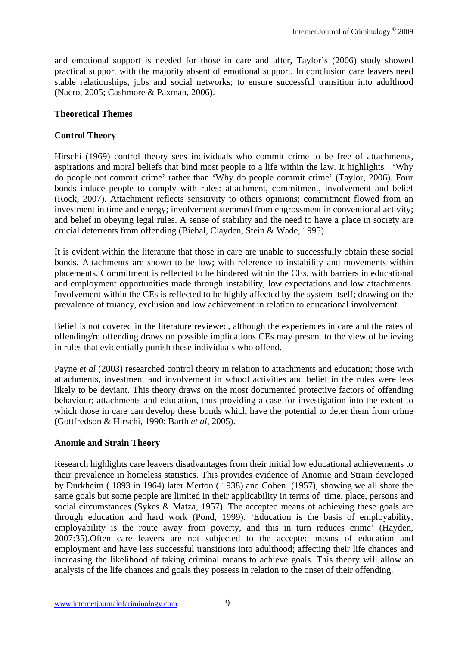and emotional support is needed for those in care and after, Taylor's (2006) study showed practical support with the majority absent of emotional support. In conclusion care leavers need stable relationships, jobs and social networks; to ensure successful transition into adulthood (Nacro, 2005; Cashmore & Paxman, 2006).

## **Theoretical Themes**

### **Control Theory**

Hirschi (1969) control theory sees individuals who commit crime to be free of attachments, aspirations and moral beliefs that bind most people to a life within the law. It highlights 'Why do people not commit crime' rather than 'Why do people commit crime' (Taylor, 2006). Four bonds induce people to comply with rules: attachment, commitment, involvement and belief (Rock, 2007). Attachment reflects sensitivity to others opinions; commitment flowed from an investment in time and energy; involvement stemmed from engrossment in conventional activity; and belief in obeying legal rules. A sense of stability and the need to have a place in society are crucial deterrents from offending (Biehal, Clayden, Stein & Wade, 1995).

It is evident within the literature that those in care are unable to successfully obtain these social bonds. Attachments are shown to be low; with reference to instability and movements within placements. Commitment is reflected to be hindered within the CEs, with barriers in educational and employment opportunities made through instability, low expectations and low attachments. Involvement within the CEs is reflected to be highly affected by the system itself; drawing on the prevalence of truancy, exclusion and low achievement in relation to educational involvement.

Belief is not covered in the literature reviewed, although the experiences in care and the rates of offending/re offending draws on possible implications CEs may present to the view of believing in rules that evidentially punish these individuals who offend.

Payne *et al* (2003) researched control theory in relation to attachments and education; those with attachments, investment and involvement in school activities and belief in the rules were less likely to be deviant. This theory draws on the most documented protective factors of offending behaviour; attachments and education, thus providing a case for investigation into the extent to which those in care can develop these bonds which have the potential to deter them from crime (Gottfredson & Hirschi, 1990; Barth *et al*, 2005).

#### **Anomie and Strain Theory**

Research highlights care leavers disadvantages from their initial low educational achievements to their prevalence in homeless statistics. This provides evidence of Anomie and Strain developed by Durkheim ( 1893 in 1964) later Merton ( 1938) and Cohen (1957), showing we all share the same goals but some people are limited in their applicability in terms of time, place, persons and social circumstances (Sykes & Matza, 1957). The accepted means of achieving these goals are through education and hard work (Pond, 1999). 'Education is the basis of employability, employability is the route away from poverty, and this in turn reduces crime' (Hayden, 2007:35).Often care leavers are not subjected to the accepted means of education and employment and have less successful transitions into adulthood; affecting their life chances and increasing the likelihood of taking criminal means to achieve goals. This theory will allow an analysis of the life chances and goals they possess in relation to the onset of their offending.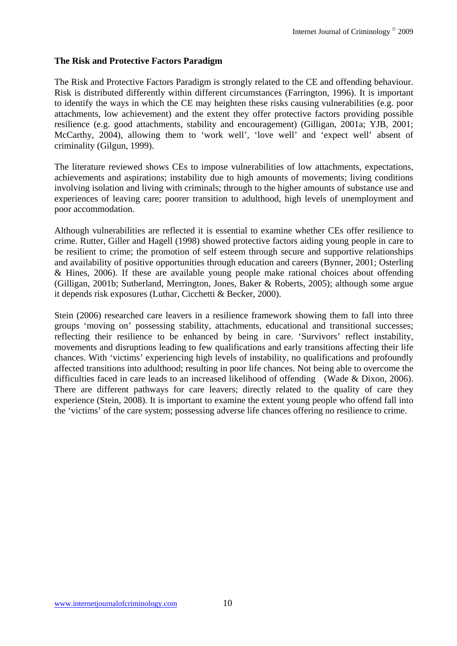#### **The Risk and Protective Factors Paradigm**

The Risk and Protective Factors Paradigm is strongly related to the CE and offending behaviour. Risk is distributed differently within different circumstances (Farrington, 1996). It is important to identify the ways in which the CE may heighten these risks causing vulnerabilities (e.g. poor attachments, low achievement) and the extent they offer protective factors providing possible resilience (e.g. good attachments, stability and encouragement) (Gilligan, 2001a; YJB, 2001; McCarthy, 2004), allowing them to 'work well', 'love well' and 'expect well' absent of criminality (Gilgun, 1999).

The literature reviewed shows CEs to impose vulnerabilities of low attachments, expectations, achievements and aspirations; instability due to high amounts of movements; living conditions involving isolation and living with criminals; through to the higher amounts of substance use and experiences of leaving care; poorer transition to adulthood, high levels of unemployment and poor accommodation.

Although vulnerabilities are reflected it is essential to examine whether CEs offer resilience to crime. Rutter, Giller and Hagell (1998) showed protective factors aiding young people in care to be resilient to crime; the promotion of self esteem through secure and supportive relationships and availability of positive opportunities through education and careers (Bynner, 2001; Osterling & Hines, 2006). If these are available young people make rational choices about offending (Gilligan, 2001b; Sutherland, Merrington, Jones, Baker & Roberts, 2005); although some argue it depends risk exposures (Luthar, Cicchetti & Becker, 2000).

Stein (2006) researched care leavers in a resilience framework showing them to fall into three groups 'moving on' possessing stability, attachments, educational and transitional successes; reflecting their resilience to be enhanced by being in care. 'Survivors' reflect instability, movements and disruptions leading to few qualifications and early transitions affecting their life chances. With 'victims' experiencing high levels of instability, no qualifications and profoundly affected transitions into adulthood; resulting in poor life chances. Not being able to overcome the difficulties faced in care leads to an increased likelihood of offending (Wade & Dixon, 2006). There are different pathways for care leavers; directly related to the quality of care they experience (Stein, 2008). It is important to examine the extent young people who offend fall into the 'victims' of the care system; possessing adverse life chances offering no resilience to crime.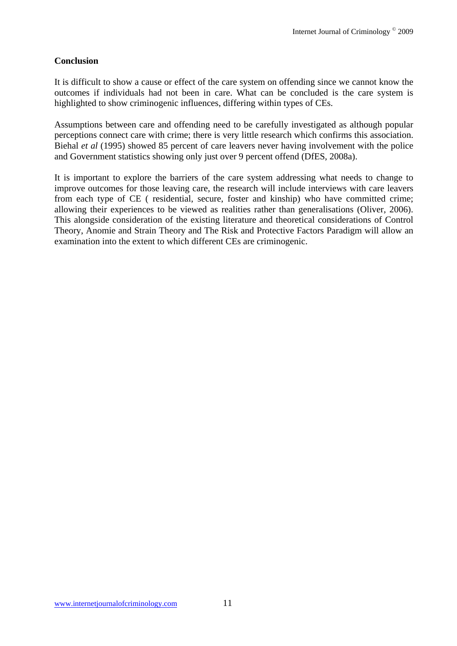## **Conclusion**

It is difficult to show a cause or effect of the care system on offending since we cannot know the outcomes if individuals had not been in care. What can be concluded is the care system is highlighted to show criminogenic influences, differing within types of CEs.

Assumptions between care and offending need to be carefully investigated as although popular perceptions connect care with crime; there is very little research which confirms this association. Biehal *et al* (1995) showed 85 percent of care leavers never having involvement with the police and Government statistics showing only just over 9 percent offend (DfES, 2008a).

It is important to explore the barriers of the care system addressing what needs to change to improve outcomes for those leaving care, the research will include interviews with care leavers from each type of CE ( residential, secure, foster and kinship) who have committed crime; allowing their experiences to be viewed as realities rather than generalisations (Oliver, 2006). This alongside consideration of the existing literature and theoretical considerations of Control Theory, Anomie and Strain Theory and The Risk and Protective Factors Paradigm will allow an examination into the extent to which different CEs are criminogenic.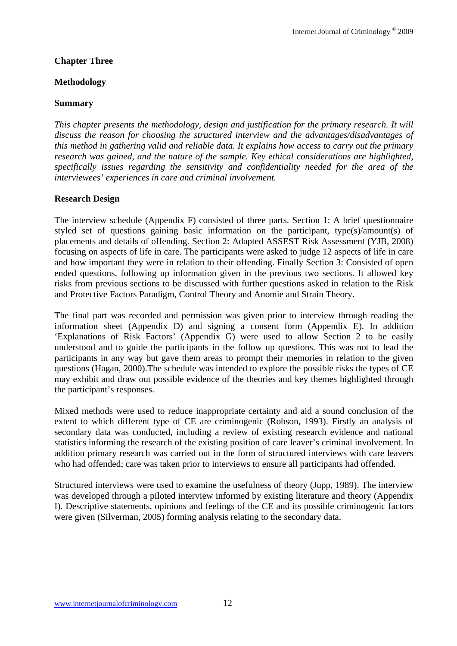### **Chapter Three**

#### **Methodology**

#### **Summary**

*This chapter presents the methodology, design and justification for the primary research. It will discuss the reason for choosing the structured interview and the advantages/disadvantages of this method in gathering valid and reliable data. It explains how access to carry out the primary research was gained, and the nature of the sample. Key ethical considerations are highlighted, specifically issues regarding the sensitivity and confidentiality needed for the area of the interviewees' experiences in care and criminal involvement.*

#### **Research Design**

The interview schedule (Appendix F) consisted of three parts. Section 1: A brief questionnaire styled set of questions gaining basic information on the participant, type(s)/amount(s) of placements and details of offending. Section 2: Adapted ASSEST Risk Assessment (YJB, 2008) focusing on aspects of life in care. The participants were asked to judge 12 aspects of life in care and how important they were in relation to their offending. Finally Section 3: Consisted of open ended questions, following up information given in the previous two sections. It allowed key risks from previous sections to be discussed with further questions asked in relation to the Risk and Protective Factors Paradigm, Control Theory and Anomie and Strain Theory.

The final part was recorded and permission was given prior to interview through reading the information sheet (Appendix D) and signing a consent form (Appendix E). In addition 'Explanations of Risk Factors' (Appendix G) were used to allow Section 2 to be easily understood and to guide the participants in the follow up questions. This was not to lead the participants in any way but gave them areas to prompt their memories in relation to the given questions (Hagan, 2000).The schedule was intended to explore the possible risks the types of CE may exhibit and draw out possible evidence of the theories and key themes highlighted through the participant's responses.

Mixed methods were used to reduce inappropriate certainty and aid a sound conclusion of the extent to which different type of CE are criminogenic (Robson, 1993). Firstly an analysis of secondary data was conducted, including a review of existing research evidence and national statistics informing the research of the existing position of care leaver's criminal involvement. In addition primary research was carried out in the form of structured interviews with care leavers who had offended; care was taken prior to interviews to ensure all participants had offended.

Structured interviews were used to examine the usefulness of theory (Jupp, 1989). The interview was developed through a piloted interview informed by existing literature and theory (Appendix I). Descriptive statements, opinions and feelings of the CE and its possible criminogenic factors were given (Silverman, 2005) forming analysis relating to the secondary data.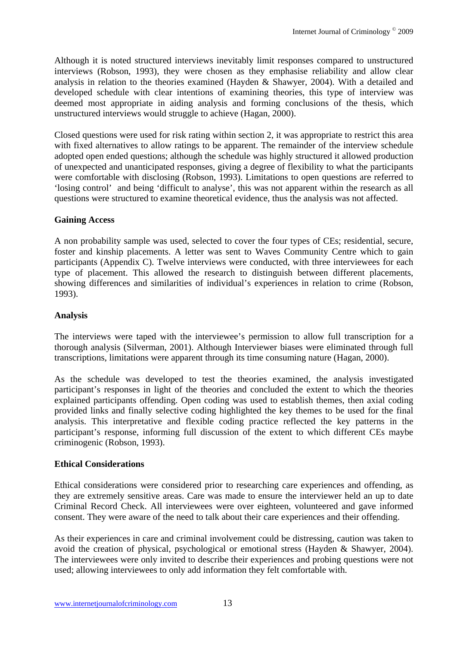Although it is noted structured interviews inevitably limit responses compared to unstructured interviews (Robson, 1993), they were chosen as they emphasise reliability and allow clear analysis in relation to the theories examined (Hayden & Shawyer, 2004). With a detailed and developed schedule with clear intentions of examining theories, this type of interview was deemed most appropriate in aiding analysis and forming conclusions of the thesis, which unstructured interviews would struggle to achieve (Hagan, 2000).

Closed questions were used for risk rating within section 2, it was appropriate to restrict this area with fixed alternatives to allow ratings to be apparent. The remainder of the interview schedule adopted open ended questions; although the schedule was highly structured it allowed production of unexpected and unanticipated responses, giving a degree of flexibility to what the participants were comfortable with disclosing (Robson, 1993). Limitations to open questions are referred to 'losing control' and being 'difficult to analyse', this was not apparent within the research as all questions were structured to examine theoretical evidence, thus the analysis was not affected.

## **Gaining Access**

A non probability sample was used, selected to cover the four types of CEs; residential, secure, foster and kinship placements. A letter was sent to Waves Community Centre which to gain participants (Appendix C). Twelve interviews were conducted, with three interviewees for each type of placement. This allowed the research to distinguish between different placements, showing differences and similarities of individual's experiences in relation to crime (Robson, 1993).

# **Analysis**

The interviews were taped with the interviewee's permission to allow full transcription for a thorough analysis (Silverman, 2001). Although Interviewer biases were eliminated through full transcriptions, limitations were apparent through its time consuming nature (Hagan, 2000).

As the schedule was developed to test the theories examined, the analysis investigated participant's responses in light of the theories and concluded the extent to which the theories explained participants offending. Open coding was used to establish themes, then axial coding provided links and finally selective coding highlighted the key themes to be used for the final analysis. This interpretative and flexible coding practice reflected the key patterns in the participant's response, informing full discussion of the extent to which different CEs maybe criminogenic (Robson, 1993).

## **Ethical Considerations**

Ethical considerations were considered prior to researching care experiences and offending, as they are extremely sensitive areas. Care was made to ensure the interviewer held an up to date Criminal Record Check. All interviewees were over eighteen, volunteered and gave informed consent. They were aware of the need to talk about their care experiences and their offending.

As their experiences in care and criminal involvement could be distressing, caution was taken to avoid the creation of physical, psychological or emotional stress (Hayden & Shawyer, 2004). The interviewees were only invited to describe their experiences and probing questions were not used; allowing interviewees to only add information they felt comfortable with.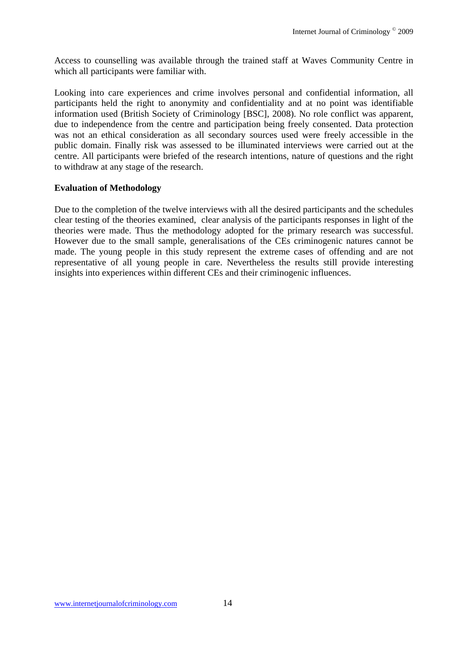Access to counselling was available through the trained staff at Waves Community Centre in which all participants were familiar with.

Looking into care experiences and crime involves personal and confidential information, all participants held the right to anonymity and confidentiality and at no point was identifiable information used (British Society of Criminology [BSC], 2008). No role conflict was apparent, due to independence from the centre and participation being freely consented. Data protection was not an ethical consideration as all secondary sources used were freely accessible in the public domain. Finally risk was assessed to be illuminated interviews were carried out at the centre. All participants were briefed of the research intentions, nature of questions and the right to withdraw at any stage of the research.

#### **Evaluation of Methodology**

Due to the completion of the twelve interviews with all the desired participants and the schedules clear testing of the theories examined, clear analysis of the participants responses in light of the theories were made. Thus the methodology adopted for the primary research was successful. However due to the small sample, generalisations of the CEs criminogenic natures cannot be made. The young people in this study represent the extreme cases of offending and are not representative of all young people in care. Nevertheless the results still provide interesting insights into experiences within different CEs and their criminogenic influences.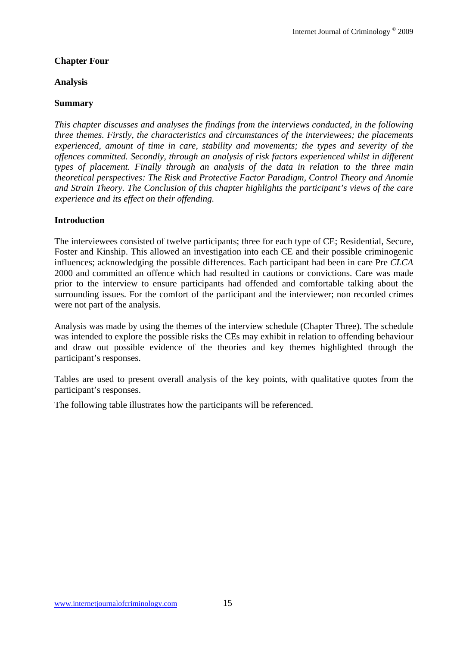### **Chapter Four**

#### **Analysis**

### **Summary**

*This chapter discusses and analyses the findings from the interviews conducted, in the following three themes. Firstly, the characteristics and circumstances of the interviewees; the placements experienced, amount of time in care, stability and movements; the types and severity of the offences committed. Secondly, through an analysis of risk factors experienced whilst in different types of placement. Finally through an analysis of the data in relation to the three main theoretical perspectives: The Risk and Protective Factor Paradigm, Control Theory and Anomie and Strain Theory. The Conclusion of this chapter highlights the participant's views of the care experience and its effect on their offending.*

### **Introduction**

The interviewees consisted of twelve participants; three for each type of CE; Residential, Secure, Foster and Kinship. This allowed an investigation into each CE and their possible criminogenic influences; acknowledging the possible differences. Each participant had been in care Pre *CLCA* 2000 and committed an offence which had resulted in cautions or convictions. Care was made prior to the interview to ensure participants had offended and comfortable talking about the surrounding issues. For the comfort of the participant and the interviewer; non recorded crimes were not part of the analysis.

Analysis was made by using the themes of the interview schedule (Chapter Three). The schedule was intended to explore the possible risks the CEs may exhibit in relation to offending behaviour and draw out possible evidence of the theories and key themes highlighted through the participant's responses.

Tables are used to present overall analysis of the key points, with qualitative quotes from the participant's responses.

The following table illustrates how the participants will be referenced.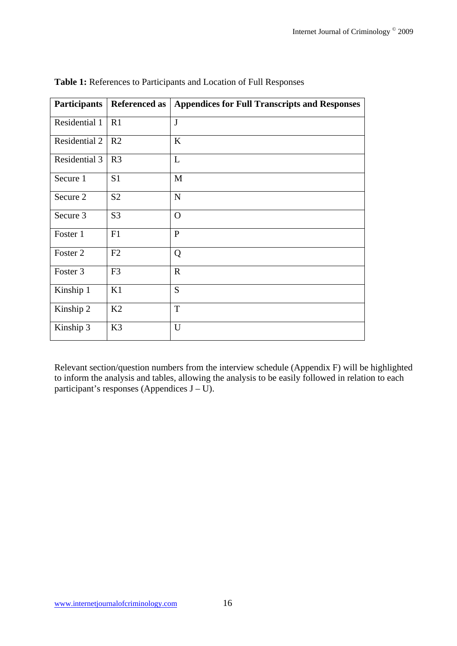| <b>Participants</b> | <b>Referenced as</b> | <b>Appendices for Full Transcripts and Responses</b> |
|---------------------|----------------------|------------------------------------------------------|
| Residential 1       | R1                   | $\mathbf{J}$                                         |
| Residential 2       | R <sub>2</sub>       | $\bf K$                                              |
| Residential 3       | R <sub>3</sub>       | L                                                    |
| Secure 1            | S <sub>1</sub>       | M                                                    |
| Secure 2            | S <sub>2</sub>       | $\mathbf N$                                          |
| Secure 3            | S <sub>3</sub>       | $\Omega$                                             |
| Foster 1            | F1                   | $\mathbf{P}$                                         |
| Foster 2            | F2                   | Q                                                    |
| Foster 3            | F <sub>3</sub>       | $\mathbf R$                                          |
| Kinship 1           | K1                   | S                                                    |
| Kinship 2           | K2                   | T                                                    |
| Kinship 3           | K <sub>3</sub>       | U                                                    |

**Table 1:** References to Participants and Location of Full Responses

Relevant section/question numbers from the interview schedule (Appendix F) will be highlighted to inform the analysis and tables, allowing the analysis to be easily followed in relation to each participant's responses (Appendices J – U).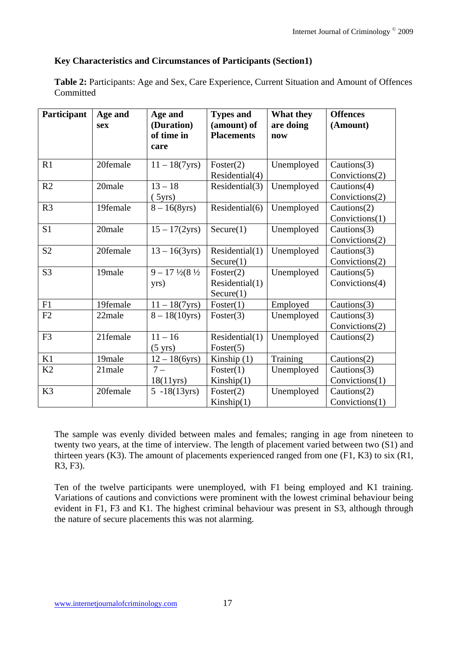## **Key Characteristics and Circumstances of Participants (Section1)**

**Table 2:** Participants: Age and Sex, Care Experience, Current Situation and Amount of Offences **Committed** 

| Participant    | Age and<br>sex | Age and<br>(Duration)<br>of time in<br>care | <b>Types and</b><br>(amount) of<br><b>Placements</b> | What they<br>are doing<br>now | <b>Offences</b><br>(Amount)         |
|----------------|----------------|---------------------------------------------|------------------------------------------------------|-------------------------------|-------------------------------------|
| R1             | 20female       | $11 - 18(7yrs)$                             | Foster(2)<br>Residential(4)                          | Unemployed                    | Cautions $(3)$<br>Convictions(2)    |
| R2             | 20male         | $13 - 18$<br>(5yrs)                         | Residential(3)                                       | Unemployed                    | Cautions(4)<br>Convictions(2)       |
| R <sub>3</sub> | 19female       | $8 - 16(8yrs)$                              | Residential(6)                                       | Unemployed                    | Cautions(2)<br>Convictions(1)       |
| S <sub>1</sub> | 20male         | $15 - 17(2yrs)$                             | Secure(1)                                            | Unemployed                    | Cautions $(3)$<br>Convictions(2)    |
| S <sub>2</sub> | 20female       | $13 - 16(3yrs)$                             | Residential(1)<br>Secure(1)                          | Unemployed                    | Cautions $(3)$<br>Convictions(2)    |
| S <sub>3</sub> | 19male         | $9 - 17\frac{1}{2}(8\frac{1}{2})$<br>yrs)   | Foster(2)<br>Residential(1)<br>Secure(1)             | Unemployed                    | Cautions $(5)$<br>Convictions(4)    |
| F1             | 19female       | $11 - 18(7yrs)$                             | Foster(1)                                            | Employed                      | Cautions $(3)$                      |
| F2             | 22male         | $8 - 18(10yrs)$                             | Foster $(3)$                                         | Unemployed                    | Cautions $(3)$<br>Convictions $(2)$ |
| F <sub>3</sub> | 21female       | $11 - 16$<br>$(5 \text{ yrs})$              | Residential(1)<br>Foster $(5)$                       | Unemployed                    | Cautions $(2)$                      |
| K1             | 19male         | $12 - 18(6yrs)$                             | Kinship $(1)$                                        | Training                      | Cautions(2)                         |
| K <sub>2</sub> | 21male         | $7-$<br>18(11yrs)                           | Foster(1)<br>Kinship(1)                              | Unemployed                    | Cautions $(3)$<br>Convictions(1)    |
| K <sub>3</sub> | 20female       | $5 - 18(13yrs)$                             | Foster(2)<br>Kinship(1)                              | Unemployed                    | Cautions $(2)$<br>Convictions(1)    |

The sample was evenly divided between males and females; ranging in age from nineteen to twenty two years, at the time of interview. The length of placement varied between two (S1) and thirteen years (K3). The amount of placements experienced ranged from one (F1, K3) to six (R1, R3, F3).

Ten of the twelve participants were unemployed, with F1 being employed and K1 training. Variations of cautions and convictions were prominent with the lowest criminal behaviour being evident in F1, F3 and K1. The highest criminal behaviour was present in S3, although through the nature of secure placements this was not alarming.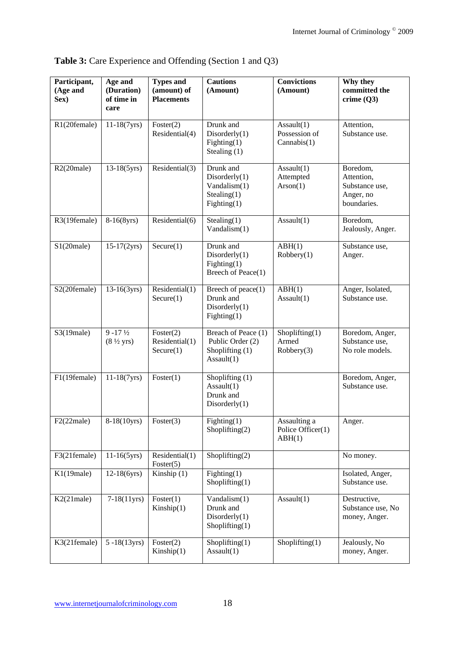| Participant,<br>(Age and<br>Sex) | Age and<br>(Duration)<br>of time in<br>care          | <b>Types and</b><br>(amount) of<br><b>Placements</b> | <b>Cautions</b><br>(Amount)                                                    | <b>Convictions</b><br>(Amount)              | Why they<br>committed the<br>crime $(Q3)$                            |
|----------------------------------|------------------------------------------------------|------------------------------------------------------|--------------------------------------------------------------------------------|---------------------------------------------|----------------------------------------------------------------------|
| R1(20female)                     | $11-18(7yrs)$                                        | Foster(2)<br>Residential(4)                          | Drunk and<br>Disorderly(1)<br>${\rm Figure (1)}$<br>Stealing (1)               | Assault(1)<br>Possession of<br>Cannabis(1)  | Attention,<br>Substance use.                                         |
| $R2(20)$ male)                   | $13-18(5yrs)$                                        | Residential(3)                                       | Drunk and<br>Disorderly(1)<br>Vandalism(1)<br>Stealing(1)<br>${\rm Figure 1)}$ | Assault(1)<br>Attempted<br>A rson(1)        | Boredom,<br>Attention,<br>Substance use,<br>Anger, no<br>boundaries. |
| R3(19female)                     | $8-16(8yrs)$                                         | Residential(6)                                       | Stealing(1)<br>Vandalism(1)                                                    | Assault(1)                                  | Boredom,<br>Jealously, Anger.                                        |
| S1(20male)                       | $15-17(2yrs)$                                        | Secure(1)                                            | Drunk and<br>Disorderly(1)<br>Figure(1)<br>Breech of Peace(1)                  | ABH(1)<br>Robbery(1)                        | Substance use,<br>Anger.                                             |
| S2(20female)                     | $13-16(3yrs)$                                        | Residential(1)<br>Secure(1)                          | Breech of $peace(1)$<br>Drunk and<br>Disorderly(1)<br>${\rm Figure 1)}$        | ABH(1)<br>Assault(1)                        | Anger, Isolated,<br>Substance use.                                   |
| $S3(19)$ male)                   | $9 - 17\frac{1}{2}$<br>$(8 \frac{1}{2} \text{ yrs})$ | Foster(2)<br>Residential(1)<br>Secure(1)             | Breach of Peace (1)<br>Public Order (2)<br>Shoplifting (1)<br>Assault(1)       | Shoplifting(1)<br>Armed<br>Robbery(3)       | Boredom, Anger,<br>Substance use,<br>No role models.                 |
| F1(19female)                     | $11-18(7yrs)$                                        | Foster(1)                                            | Shoplifting (1)<br>Assault(1)<br>Drunk and<br>Disorderly(1)                    |                                             | Boredom, Anger,<br>Substance use.                                    |
| F2(22<br>male)                   | $8-18(10yrs)$                                        | Foster $(3)$                                         | ${\rm Figure 1)}$<br>Shoplifting(2)                                            | Assaulting a<br>Police Officer(1)<br>ABH(1) | Anger.                                                               |
| F3(21female)                     | $11-16(5yrs)$                                        | Residential(1)<br>Foster(5)                          | $\overline{\text{Shoplifting}}(2)$                                             |                                             | No money.                                                            |
| K1(19male)                       | $12-18(6yrs)$                                        | Kinship (1)                                          | ${\rm Figure 1)}$<br>$\text{Shoplifting}(1)$                                   |                                             | Isolated, Anger,<br>Substance use.                                   |
| $K2(21)$ male)                   | $7-18(11yrs)$                                        | Foster(1)<br>Kinship(1)                              | Vandalism(1)<br>Drunk and<br>Disorderly(1)<br>$\text{Shoplifting}(1)$          | Assault(1)                                  | Destructive,<br>Substance use, No<br>money, Anger.                   |
| K3(21female)                     | $5 - 18(13yrs)$                                      | Foster(2)<br>Kinship(1)                              | $\text{Shoplifting}(1)$<br>Assault(1)                                          | $\text{Shoplifting}(1)$                     | Jealously, No<br>money, Anger.                                       |

**Table 3:** Care Experience and Offending (Section 1 and Q3)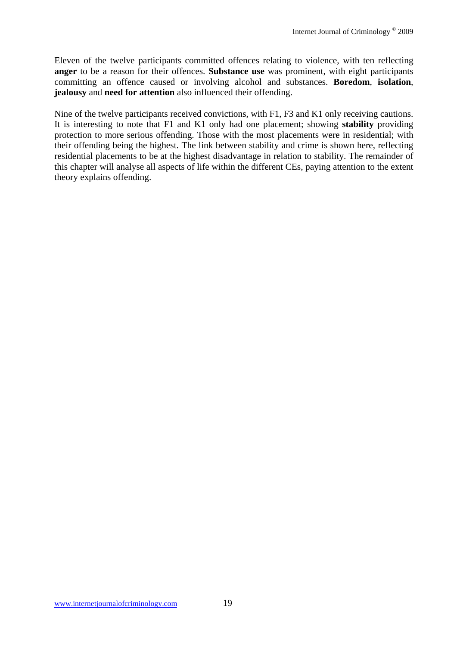Eleven of the twelve participants committed offences relating to violence, with ten reflecting **anger** to be a reason for their offences. **Substance use** was prominent, with eight participants committing an offence caused or involving alcohol and substances. **Boredom**, **isolation**, **jealousy** and **need for attention** also influenced their offending.

Nine of the twelve participants received convictions, with F1, F3 and K1 only receiving cautions. It is interesting to note that F1 and K1 only had one placement; showing **stability** providing protection to more serious offending. Those with the most placements were in residential; with their offending being the highest. The link between stability and crime is shown here, reflecting residential placements to be at the highest disadvantage in relation to stability. The remainder of this chapter will analyse all aspects of life within the different CEs, paying attention to the extent theory explains offending.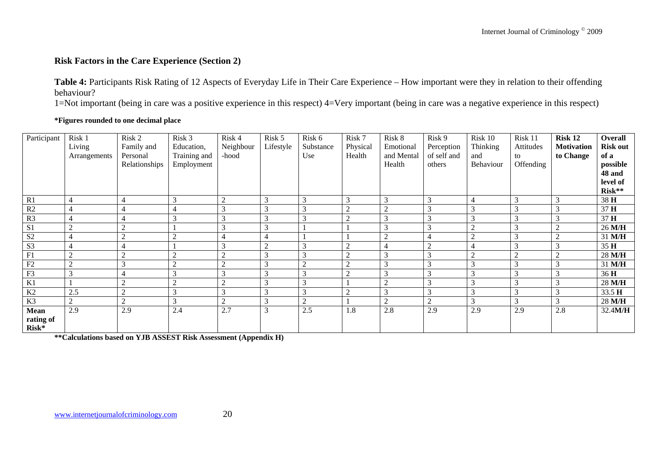#### **Risk Factors in the Care Experience (Section 2)**

**Table 4:** Participants Risk Rating of 12 Aspects of Everyday Life in Their Care Experience – How important were they in relation to their offending behaviour?

1=Not important (being in care was a positive experience in this respect) 4=Very important (being in care was a negative experience in this respect)

#### **\*Figures rounded to one decimal place**

| Participant                       | Risk 1<br>Living<br>Arrangements | Risk 2<br>Family and<br>Personal<br>Relationships | Risk 3<br>Education,<br>Training and<br>Employment | Risk 4<br>Neighbour<br>-hood | Risk 5<br>Lifestyle | Risk 6<br>Substance<br>Use | Risk 7<br>Physical<br>Health | Risk 8<br>Emotional<br>and Mental<br>Health | Risk 9<br>Perception<br>of self and<br>others | Risk 10<br>Thinking<br>and<br>Behaviour | Risk 11<br>Attitudes<br>to<br>Offending | Risk 12<br><b>Motivation</b><br>to Change | Overall<br><b>Risk out</b><br>of a<br>possible<br>48 and<br>level of<br>Risk** |
|-----------------------------------|----------------------------------|---------------------------------------------------|----------------------------------------------------|------------------------------|---------------------|----------------------------|------------------------------|---------------------------------------------|-----------------------------------------------|-----------------------------------------|-----------------------------------------|-------------------------------------------|--------------------------------------------------------------------------------|
| R <sub>1</sub>                    |                                  |                                                   | 3                                                  | $\sim$                       | 3                   | 3                          | 3                            | 3                                           | 3                                             |                                         | 3                                       | 3                                         | 38 H                                                                           |
| R2                                |                                  | 4                                                 | $\overline{\mathcal{L}}$                           | 3                            | 3                   | 3                          | $\overline{2}$               | $\sim$                                      | 3                                             | 3                                       | 3                                       | 3                                         | 37 H                                                                           |
| R <sub>3</sub>                    |                                  | 4                                                 | 3                                                  | 3                            | 3                   | 3                          | $\overline{2}$               | $\sim$                                      | 3                                             | 3                                       | 3                                       | 3                                         | 37 H                                                                           |
| S <sub>1</sub>                    |                                  | $\sim$                                            |                                                    | 3                            |                     |                            |                              | $\sim$                                      | 3                                             |                                         | 3                                       |                                           | 26 M/H                                                                         |
| S <sub>2</sub>                    |                                  | $\sim$                                            | $\overline{2}$                                     |                              |                     |                            |                              | $\bigcap$                                   | $\overline{4}$                                |                                         | 3                                       | $\bigcap$                                 | 31 M/H                                                                         |
| S <sub>3</sub>                    |                                  |                                                   |                                                    | 3                            |                     | 3                          | $\overline{c}$               |                                             | $\mathcal{D}$                                 |                                         | 3                                       | 3                                         | 35 H                                                                           |
| F1                                | $\sim$                           | $\sim$<br>∠                                       | $\overline{2}$                                     | $\bigcap$                    | 3                   | 3                          | $\overline{2}$               | 3                                           | 3                                             | $\bigcap$                               | $\gamma$                                | $\sim$                                    | 28 M/H                                                                         |
| ${\rm F2}$                        |                                  | 3                                                 | $\overline{2}$                                     | $\sim$                       | 3                   | $\overline{2}$             | $\overline{2}$               | 3                                           | 3                                             | 3                                       | 3                                       | 3                                         | 31 M/H                                                                         |
| F <sub>3</sub>                    | $\sim$                           | 4                                                 | 3                                                  | 3                            | 3                   | 3                          | $\overline{2}$               | 3                                           | 3                                             | 3                                       | 3                                       | $\sim$                                    | 36 H                                                                           |
| K1                                |                                  | $\sim$                                            | $\overline{2}$                                     | $\bigcap$                    | 3                   | 3                          |                              | $\sim$                                      | 3                                             | 3                                       | 3                                       | 3                                         | 28 M/H                                                                         |
| K2                                | 2.5                              | $\sim$                                            | 3                                                  | 3                            | 3                   | 3                          | $\overline{2}$               | 3                                           | 3                                             | 3                                       | 3                                       | 3                                         | 33.5 H                                                                         |
| K3                                | $\overline{2}$                   | $\overline{2}$                                    | 3                                                  | $\overline{2}$               | 3                   | $\overline{2}$             |                              | $\bigcap$                                   | $\overline{2}$                                | 3                                       | 3                                       | 3                                         | 28 M/H                                                                         |
| <b>Mean</b><br>rating of<br>Risk* | 2.9                              | 2.9                                               | 2.4                                                | 2.7                          | 3                   | 2.5                        | 1.8                          | 2.8                                         | 2.9                                           | 2.9                                     | 2.9                                     | 2.8                                       | 32.4M/H                                                                        |

**\*\*Calculations based on YJB ASSEST Risk Assessment (Appendix H)**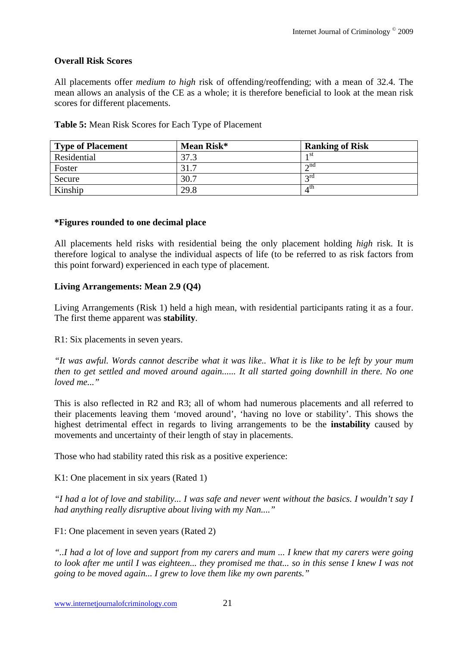### **Overall Risk Scores**

All placements offer *medium to high* risk of offending/reoffending; with a mean of 32.4. The mean allows an analysis of the CE as a whole; it is therefore beneficial to look at the mean risk scores for different placements.

| <b>Type of Placement</b> | Mean Risk* | <b>Ranking of Risk</b>    |
|--------------------------|------------|---------------------------|
| Residential              | 37.3       | 1 St                      |
| Foster                   | 31.        | $\sim$ nd                 |
| Secure                   | 30.7       | $\gamma$ rd               |
| Kinship                  | 29.8       | $\varDelta$ <sup>th</sup> |

#### **Table 5:** Mean Risk Scores for Each Type of Placement

#### **\*Figures rounded to one decimal place**

All placements held risks with residential being the only placement holding *high* risk*.* It is therefore logical to analyse the individual aspects of life (to be referred to as risk factors from this point forward) experienced in each type of placement.

### **Living Arrangements: Mean 2.9 (Q4)**

Living Arrangements (Risk 1) held a high mean, with residential participants rating it as a four. The first theme apparent was **stability**.

R1: Six placements in seven years.

*"It was awful. Words cannot describe what it was like.. What it is like to be left by your mum then to get settled and moved around again...... It all started going downhill in there. No one loved me..."* 

This is also reflected in R2 and R3; all of whom had numerous placements and all referred to their placements leaving them 'moved around', 'having no love or stability'. This shows the highest detrimental effect in regards to living arrangements to be the **instability** caused by movements and uncertainty of their length of stay in placements.

Those who had stability rated this risk as a positive experience:

K1: One placement in six years (Rated 1)

*"I had a lot of love and stability... I was safe and never went without the basics. I wouldn't say I had anything really disruptive about living with my Nan...."* 

F1: One placement in seven years (Rated 2)

*"..I had a lot of love and support from my carers and mum ... I knew that my carers were going to look after me until I was eighteen... they promised me that... so in this sense I knew I was not going to be moved again... I grew to love them like my own parents."*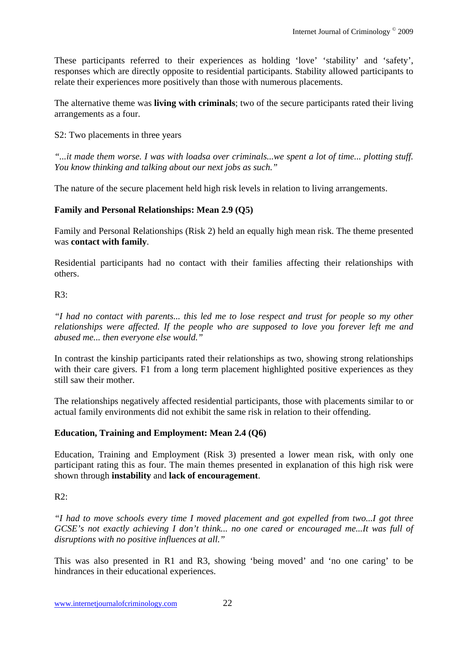These participants referred to their experiences as holding 'love' 'stability' and 'safety', responses which are directly opposite to residential participants. Stability allowed participants to relate their experiences more positively than those with numerous placements.

The alternative theme was **living with criminals**; two of the secure participants rated their living arrangements as a four.

S2: Two placements in three years

*"...it made them worse. I was with loadsa over criminals...we spent a lot of time... plotting stuff. You know thinking and talking about our next jobs as such."* 

The nature of the secure placement held high risk levels in relation to living arrangements.

## **Family and Personal Relationships: Mean 2.9 (Q5)**

Family and Personal Relationships (Risk 2) held an equally high mean risk. The theme presented was **contact with family**.

Residential participants had no contact with their families affecting their relationships with others.

### $R3$ :

*"I had no contact with parents... this led me to lose respect and trust for people so my other relationships were affected. If the people who are supposed to love you forever left me and abused me... then everyone else would."* 

In contrast the kinship participants rated their relationships as two, showing strong relationships with their care givers. F1 from a long term placement highlighted positive experiences as they still saw their mother.

The relationships negatively affected residential participants, those with placements similar to or actual family environments did not exhibit the same risk in relation to their offending.

## **Education, Training and Employment: Mean 2.4 (Q6)**

Education, Training and Employment (Risk 3) presented a lower mean risk, with only one participant rating this as four. The main themes presented in explanation of this high risk were shown through **instability** and **lack of encouragement**.

 $R2$ :

*"I had to move schools every time I moved placement and got expelled from two...I got three GCSE's not exactly achieving I don't think... no one cared or encouraged me...It was full of disruptions with no positive influences at all."* 

This was also presented in R1 and R3, showing 'being moved' and 'no one caring' to be hindrances in their educational experiences.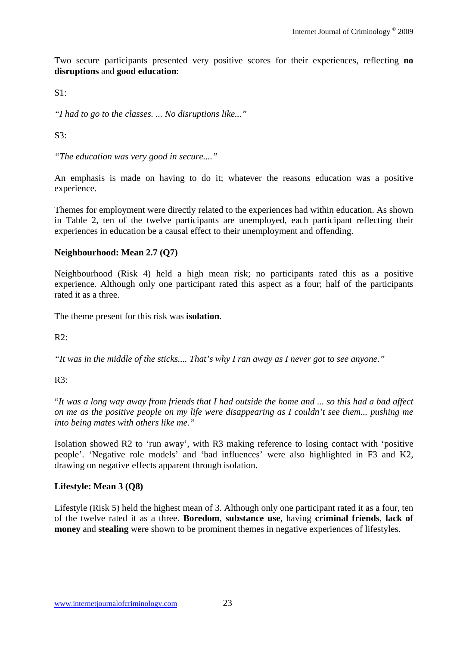Two secure participants presented very positive scores for their experiences, reflecting **no disruptions** and **good education**:

 $S1$ 

*"I had to go to the classes. ... No disruptions like..."* 

 $S3$ :

*"The education was very good in secure...."* 

An emphasis is made on having to do it; whatever the reasons education was a positive experience.

Themes for employment were directly related to the experiences had within education. As shown in Table 2, ten of the twelve participants are unemployed, each participant reflecting their experiences in education be a causal effect to their unemployment and offending.

#### **Neighbourhood: Mean 2.7 (Q7)**

Neighbourhood (Risk 4) held a high mean risk; no participants rated this as a positive experience. Although only one participant rated this aspect as a four; half of the participants rated it as a three.

The theme present for this risk was **isolation**.

 $R2$ :

*"It was in the middle of the sticks.... That's why I ran away as I never got to see anyone."* 

 $R3$ :

"*It was a long way away from friends that I had outside the home and ... so this had a bad affect on me as the positive people on my life were disappearing as I couldn't see them... pushing me into being mates with others like me."*

Isolation showed R2 to 'run away', with R3 making reference to losing contact with 'positive people'. 'Negative role models' and 'bad influences' were also highlighted in F3 and K2, drawing on negative effects apparent through isolation.

#### **Lifestyle: Mean 3 (Q8)**

Lifestyle (Risk 5) held the highest mean of 3. Although only one participant rated it as a four, ten of the twelve rated it as a three. **Boredom**, **substance use**, having **criminal friends**, **lack of money** and **stealing** were shown to be prominent themes in negative experiences of lifestyles.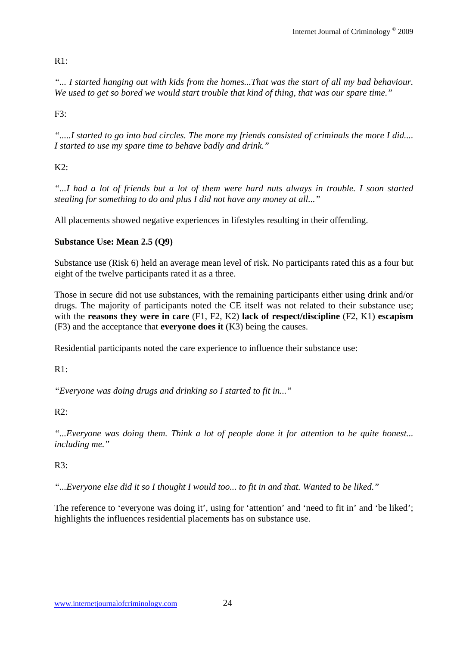## R1:

*"... I started hanging out with kids from the homes...That was the start of all my bad behaviour. We used to get so bored we would start trouble that kind of thing, that was our spare time."* 

 $F3:$ 

*".....I started to go into bad circles. The more my friends consisted of criminals the more I did.... I started to use my spare time to behave badly and drink."* 

# $K2$ :

*"...I had a lot of friends but a lot of them were hard nuts always in trouble. I soon started stealing for something to do and plus I did not have any money at all..."* 

All placements showed negative experiences in lifestyles resulting in their offending.

# **Substance Use: Mean 2.5 (Q9)**

Substance use (Risk 6) held an average mean level of risk. No participants rated this as a four but eight of the twelve participants rated it as a three.

Those in secure did not use substances, with the remaining participants either using drink and/or drugs. The majority of participants noted the CE itself was not related to their substance use; with the **reasons they were in care** (F1, F2, K2) **lack of respect/discipline** (F2, K1) **escapism**  (F3) and the acceptance that **everyone does it** (K3) being the causes.

Residential participants noted the care experience to influence their substance use:

 $R1$ 

*"Everyone was doing drugs and drinking so I started to fit in..."* 

R2:

*"...Everyone was doing them. Think a lot of people done it for attention to be quite honest... including me."* 

# $R3:$

*"...Everyone else did it so I thought I would too... to fit in and that. Wanted to be liked."* 

The reference to 'everyone was doing it', using for 'attention' and 'need to fit in' and 'be liked'; highlights the influences residential placements has on substance use.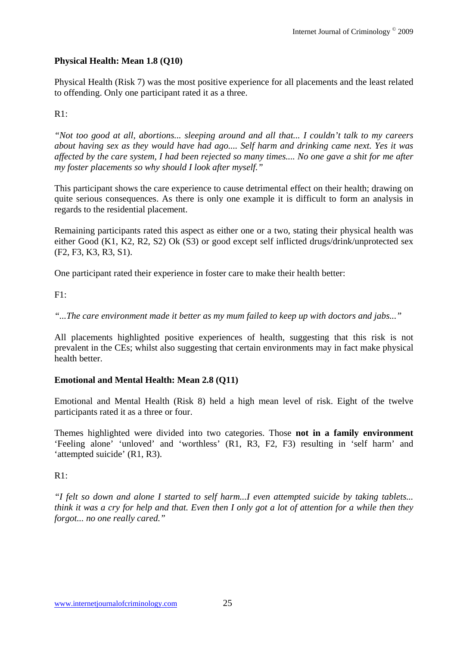## **Physical Health: Mean 1.8 (Q10)**

Physical Health (Risk 7) was the most positive experience for all placements and the least related to offending. Only one participant rated it as a three.

## $R1:$

*"Not too good at all, abortions... sleeping around and all that... I couldn't talk to my careers about having sex as they would have had ago.... Self harm and drinking came next. Yes it was affected by the care system, I had been rejected so many times.... No one gave a shit for me after my foster placements so why should I look after myself."* 

This participant shows the care experience to cause detrimental effect on their health; drawing on quite serious consequences. As there is only one example it is difficult to form an analysis in regards to the residential placement.

Remaining participants rated this aspect as either one or a two, stating their physical health was either Good (K1, K2, R2, S2) Ok (S3) or good except self inflicted drugs/drink/unprotected sex (F2, F3, K3, R3, S1).

One participant rated their experience in foster care to make their health better:

 $F1:$ 

*"...The care environment made it better as my mum failed to keep up with doctors and jabs..."* 

All placements highlighted positive experiences of health, suggesting that this risk is not prevalent in the CEs; whilst also suggesting that certain environments may in fact make physical health better.

## **Emotional and Mental Health: Mean 2.8 (Q11)**

Emotional and Mental Health (Risk 8) held a high mean level of risk. Eight of the twelve participants rated it as a three or four.

Themes highlighted were divided into two categories. Those **not in a family environment** 'Feeling alone' 'unloved' and 'worthless' (R1, R3, F2, F3) resulting in 'self harm' and 'attempted suicide' (R1, R3).

## $R1:$

*"I felt so down and alone I started to self harm...I even attempted suicide by taking tablets... think it was a cry for help and that. Even then I only got a lot of attention for a while then they forgot... no one really cared."*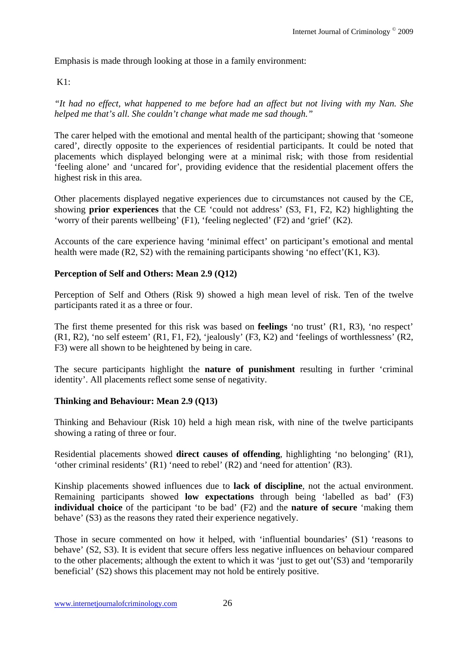Emphasis is made through looking at those in a family environment:

## $K1$ :

*"It had no effect, what happened to me before had an affect but not living with my Nan. She helped me that's all. She couldn't change what made me sad though."* 

The carer helped with the emotional and mental health of the participant; showing that 'someone cared', directly opposite to the experiences of residential participants. It could be noted that placements which displayed belonging were at a minimal risk; with those from residential 'feeling alone' and 'uncared for', providing evidence that the residential placement offers the highest risk in this area.

Other placements displayed negative experiences due to circumstances not caused by the CE, showing **prior experiences** that the CE 'could not address' (S3, F1, F2, K2) highlighting the 'worry of their parents wellbeing' (F1), 'feeling neglected' (F2) and 'grief' (K2).

Accounts of the care experience having 'minimal effect' on participant's emotional and mental health were made (R2, S2) with the remaining participants showing 'no effect'(K1, K3).

### **Perception of Self and Others: Mean 2.9 (Q12)**

Perception of Self and Others (Risk 9) showed a high mean level of risk. Ten of the twelve participants rated it as a three or four.

The first theme presented for this risk was based on **feelings** 'no trust' (R1, R3), 'no respect' (R1, R2), 'no self esteem' (R1, F1, F2), 'jealously' (F3, K2) and 'feelings of worthlessness' (R2, F3) were all shown to be heightened by being in care.

The secure participants highlight the **nature of punishment** resulting in further 'criminal identity'. All placements reflect some sense of negativity.

#### **Thinking and Behaviour: Mean 2.9 (Q13)**

Thinking and Behaviour (Risk 10) held a high mean risk, with nine of the twelve participants showing a rating of three or four.

Residential placements showed **direct causes of offending**, highlighting 'no belonging' (R1), 'other criminal residents' (R1) 'need to rebel' (R2) and 'need for attention' (R3).

Kinship placements showed influences due to **lack of discipline**, not the actual environment. Remaining participants showed **low expectations** through being 'labelled as bad' (F3) **individual choice** of the participant 'to be bad' (F2) and the **nature of secure** 'making them behave' (S3) as the reasons they rated their experience negatively.

Those in secure commented on how it helped, with 'influential boundaries' (S1) 'reasons to behave' (S2, S3). It is evident that secure offers less negative influences on behaviour compared to the other placements; although the extent to which it was 'just to get out'(S3) and 'temporarily beneficial' (S2) shows this placement may not hold be entirely positive.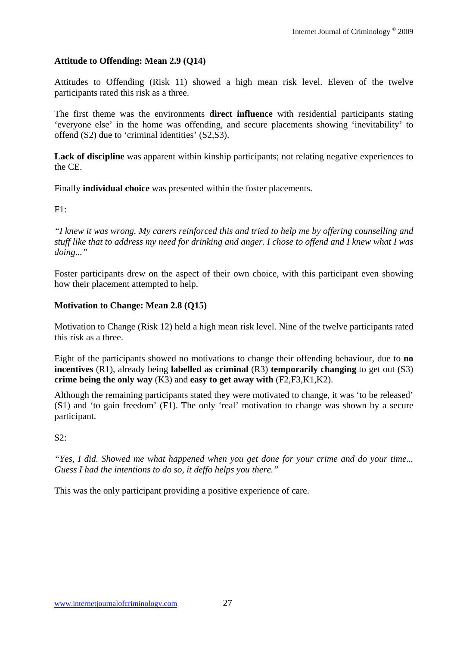## **Attitude to Offending: Mean 2.9 (Q14)**

Attitudes to Offending (Risk 11) showed a high mean risk level. Eleven of the twelve participants rated this risk as a three.

The first theme was the environments **direct influence** with residential participants stating 'everyone else' in the home was offending, and secure placements showing 'inevitability' to offend (S2) due to 'criminal identities' (S2,S3).

Lack of discipline was apparent within kinship participants; not relating negative experiences to the CE.

Finally **individual choice** was presented within the foster placements.

 $F1:$ 

*"I knew it was wrong. My carers reinforced this and tried to help me by offering counselling and stuff like that to address my need for drinking and anger. I chose to offend and I knew what I was doing..."* 

Foster participants drew on the aspect of their own choice, with this participant even showing how their placement attempted to help.

## **Motivation to Change: Mean 2.8 (Q15)**

Motivation to Change (Risk 12) held a high mean risk level. Nine of the twelve participants rated this risk as a three.

Eight of the participants showed no motivations to change their offending behaviour, due to **no incentives** (R1), already being **labelled as criminal** (R3) **temporarily changing** to get out (S3) **crime being the only way** (K3) and **easy to get away with** (F2,F3,K1,K2).

Although the remaining participants stated they were motivated to change, it was 'to be released' (S1) and 'to gain freedom' (F1). The only 'real' motivation to change was shown by a secure participant.

 $S2$ :

*"Yes, I did. Showed me what happened when you get done for your crime and do your time... Guess I had the intentions to do so, it deffo helps you there."* 

This was the only participant providing a positive experience of care.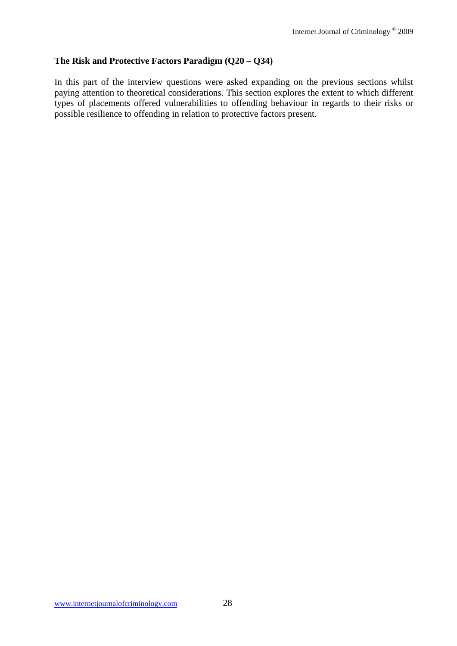#### **The Risk and Protective Factors Paradigm (Q20 – Q34)**

In this part of the interview questions were asked expanding on the previous sections whilst paying attention to theoretical considerations. This section explores the extent to which different types of placements offered vulnerabilities to offending behaviour in regards to their risks or possible resilience to offending in relation to protective factors present.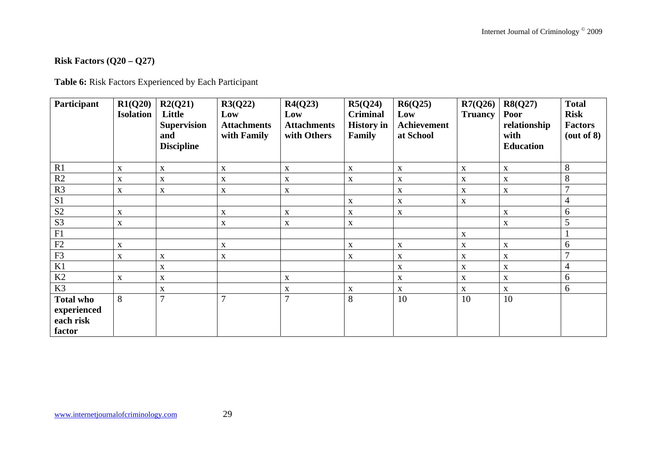## **Risk Factors (Q20 – Q27)**

**Table 6:** Risk Factors Experienced by Each Participant

| Participant                                            | R1(Q20)<br><b>Isolation</b> | R2(Q21)<br>Little<br><b>Supervision</b><br>and<br><b>Discipline</b> | R3(Q22)<br>Low<br><b>Attachments</b><br>with Family | R4(Q23)<br>Low<br><b>Attachments</b><br>with Others | R5(Q24)<br><b>Criminal</b><br><b>History</b> in<br>Family | R6(Q25)<br>Low<br>Achievement<br>at School | R7(Q26)<br><b>Truancy</b> | R8(Q27)<br>Poor<br>relationship<br>with<br><b>Education</b> | <b>Total</b><br><b>Risk</b><br><b>Factors</b><br>(out of 8) |
|--------------------------------------------------------|-----------------------------|---------------------------------------------------------------------|-----------------------------------------------------|-----------------------------------------------------|-----------------------------------------------------------|--------------------------------------------|---------------------------|-------------------------------------------------------------|-------------------------------------------------------------|
| R1                                                     | X                           | $\mathbf X$                                                         | X                                                   | $\mathbf{X}$                                        | $\mathbf X$                                               | $\mathbf X$                                | $\mathbf{X}$              | $\mathbf X$                                                 | 8                                                           |
| R2                                                     | $\mathbf X$                 | $\mathbf X$                                                         | X                                                   | $\mathbf X$                                         | $\mathbf X$                                               | $\mathbf X$                                | X                         | $\mathbf X$                                                 | 8                                                           |
| R3                                                     | $\mathbf X$                 | $\mathbf X$                                                         | $\mathbf X$                                         | $\mathbf X$                                         |                                                           | $\mathbf X$                                | $\mathbf X$               | $\mathbf X$                                                 | $\mathcal{I}$                                               |
| S1                                                     |                             |                                                                     |                                                     |                                                     | $\mathbf X$                                               | $\mathbf X$                                | $\mathbf X$               |                                                             | $\overline{4}$                                              |
| S <sub>2</sub>                                         | $\mathbf X$                 |                                                                     | X                                                   | $\mathbf X$                                         | $\mathbf X$                                               | $\mathbf X$                                |                           | $\mathbf X$                                                 | 6                                                           |
| S <sub>3</sub>                                         | $\mathbf X$                 |                                                                     | $\mathbf X$                                         | $\mathbf{X}$                                        | $\mathbf X$                                               |                                            |                           | $\mathbf X$                                                 | 5                                                           |
| F1                                                     |                             |                                                                     |                                                     |                                                     |                                                           |                                            | X                         |                                                             |                                                             |
| F2                                                     | $\mathbf X$                 |                                                                     | X                                                   |                                                     | $\mathbf X$                                               | $\mathbf X$                                | $\mathbf X$               | $\boldsymbol{\mathrm{X}}$                                   | 6                                                           |
| F3                                                     | $\mathbf X$                 | X                                                                   | X                                                   |                                                     | $\mathbf X$                                               | X                                          | $\mathbf{X}$              | X                                                           | $\overline{7}$                                              |
| K1                                                     |                             | X                                                                   |                                                     |                                                     |                                                           | X                                          | X                         | $\mathbf X$                                                 | $\overline{4}$                                              |
| K2                                                     | $\mathbf X$                 | $\mathbf X$                                                         |                                                     | $\mathbf X$                                         |                                                           | $\mathbf X$                                | $\mathbf X$               | $\mathbf X$                                                 | 6                                                           |
| K3                                                     |                             | X                                                                   |                                                     | X                                                   | $\mathbf X$                                               | $\mathbf{X}$                               | $\mathbf{X}$              | $\mathbf{X}$                                                | 6                                                           |
| <b>Total who</b><br>experienced<br>each risk<br>factor | 8                           | $\overline{7}$                                                      | $\mathbf{r}$                                        | 7                                                   | 8                                                         | 10                                         | 10                        | 10                                                          |                                                             |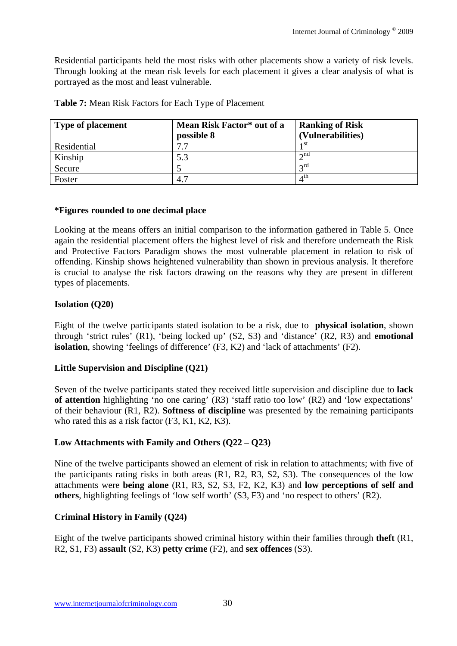Residential participants held the most risks with other placements show a variety of risk levels. Through looking at the mean risk levels for each placement it gives a clear analysis of what is portrayed as the most and least vulnerable.

| <b>Type of placement</b> | Mean Risk Factor* out of a | <b>Ranking of Risk</b> |
|--------------------------|----------------------------|------------------------|
|                          | possible 8                 | (Vulnerabilities)      |
| Residential              | די                         | 1 St                   |
| Kinship                  | 5.3                        | $\lambda$ nd           |
| Secure                   |                            | $\sigma$ rd            |
| Foster                   | 4.7                        | 4th                    |

**Table 7:** Mean Risk Factors for Each Type of Placement

### **\*Figures rounded to one decimal place**

Looking at the means offers an initial comparison to the information gathered in Table 5. Once again the residential placement offers the highest level of risk and therefore underneath the Risk and Protective Factors Paradigm shows the most vulnerable placement in relation to risk of offending. Kinship shows heightened vulnerability than shown in previous analysis. It therefore is crucial to analyse the risk factors drawing on the reasons why they are present in different types of placements.

### **Isolation (Q20)**

Eight of the twelve participants stated isolation to be a risk, due to **physical isolation**, shown through 'strict rules' (R1), 'being locked up' (S2, S3) and 'distance' (R2, R3) and **emotional isolation**, showing 'feelings of difference' (F3, K2) and 'lack of attachments' (F2).

#### **Little Supervision and Discipline (Q21)**

Seven of the twelve participants stated they received little supervision and discipline due to **lack of attention** highlighting 'no one caring' (R3) 'staff ratio too low' (R2) and 'low expectations' of their behaviour (R1, R2). **Softness of discipline** was presented by the remaining participants who rated this as a risk factor (F3, K1, K2, K3).

## **Low Attachments with Family and Others (Q22 – Q23)**

Nine of the twelve participants showed an element of risk in relation to attachments; with five of the participants rating risks in both areas (R1, R2, R3, S2, S3). The consequences of the low attachments were **being alone** (R1, R3, S2, S3, F2, K2, K3) and **low perceptions of self and others**, highlighting feelings of 'low self worth' (S3, F3) and 'no respect to others' (R2).

#### **Criminal History in Family (Q24)**

Eight of the twelve participants showed criminal history within their families through **theft** (R1, R2, S1, F3) **assault** (S2, K3) **petty crime** (F2), and **sex offences** (S3).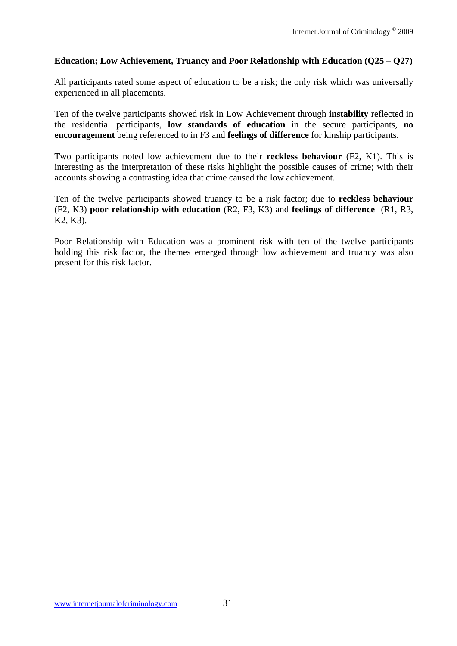## Education; Low Achievement, Truancy and Poor Relationship with Education (Q25 – Q27)

All participants rated some aspect of education to be a risk; the only risk which was universally experienced in all placements.

Ten of the twelve participants showed risk in Low Achievement through **instability** reflected in the residential participants, **low standards of education** in the secure participants, **no encouragement** being referenced to in F3 and **feelings of difference** for kinship participants.

Two participants noted low achievement due to their **reckless behaviour** (F2, K1). This is interesting as the interpretation of these risks highlight the possible causes of crime; with their accounts showing a contrasting idea that crime caused the low achievement.

Ten of the twelve participants showed truancy to be a risk factor; due to **reckless behaviour**  (F2, K3) **poor relationship with education** (R2, F3, K3) and **feelings of difference** (R1, R3, K2, K3).

Poor Relationship with Education was a prominent risk with ten of the twelve participants holding this risk factor, the themes emerged through low achievement and truancy was also present for this risk factor.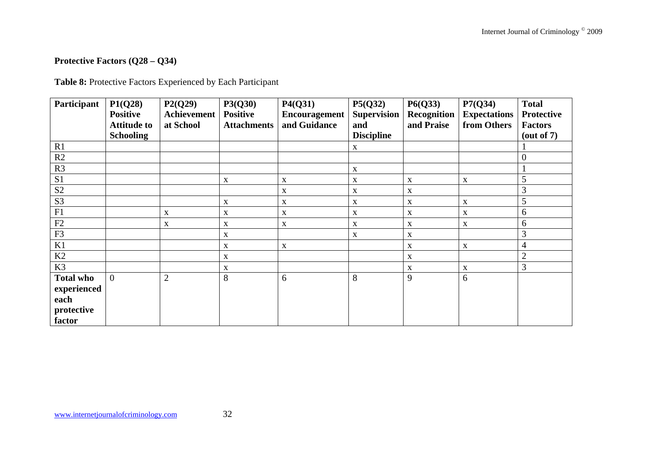# **Protective Factors (Q28 – Q34)**

**Table 8:** Protective Factors Experienced by Each Participant

| Participant      | P1(Q28)<br><b>Positive</b><br><b>Attitude to</b><br><b>Schooling</b> | P2(Q29)<br><b>Achievement</b><br>at School | P3(Q30)<br><b>Positive</b><br><b>Attachments</b> | P4(Q31)<br>Encouragement<br>and Guidance | P5(Q32)<br><b>Supervision</b><br>and<br><b>Discipline</b> | P6(Q33)<br>Recognition<br>and Praise | P7(Q34)<br><b>Expectations</b><br>from Others | <b>Total</b><br><b>Protective</b><br><b>Factors</b><br>$(\text{out of } 7)$ |
|------------------|----------------------------------------------------------------------|--------------------------------------------|--------------------------------------------------|------------------------------------------|-----------------------------------------------------------|--------------------------------------|-----------------------------------------------|-----------------------------------------------------------------------------|
| R1               |                                                                      |                                            |                                                  |                                          | $\mathbf{X}$                                              |                                      |                                               |                                                                             |
| R2               |                                                                      |                                            |                                                  |                                          |                                                           |                                      |                                               | $\overline{0}$                                                              |
| R3               |                                                                      |                                            |                                                  |                                          | $\boldsymbol{\mathrm{X}}$                                 |                                      |                                               |                                                                             |
| S1               |                                                                      |                                            | $\mathbf X$                                      | $\mathbf X$                              | X                                                         | $\mathbf X$                          | $\mathbf X$                                   | 5                                                                           |
| $\mathbf{S2}$    |                                                                      |                                            |                                                  | X                                        | X                                                         | $\mathbf X$                          |                                               | 3                                                                           |
| S <sub>3</sub>   |                                                                      |                                            | X                                                | X                                        | X                                                         | X                                    | $\mathbf{X}$                                  | 5                                                                           |
| F1               |                                                                      | $\mathbf X$                                | $\mathbf X$                                      | $\mathbf X$                              | X                                                         | $\boldsymbol{\mathrm{X}}$            | $\mathbf X$                                   | 6                                                                           |
| F2               |                                                                      | $\mathbf X$                                | $\mathbf X$                                      | $\mathbf X$                              | X                                                         | X                                    | $\mathbf{X}$                                  | 6                                                                           |
| F3               |                                                                      |                                            | $\mathbf X$                                      |                                          | $\mathbf X$                                               | X                                    |                                               | 3                                                                           |
| K1               |                                                                      |                                            | X                                                | X                                        |                                                           | $\mathbf X$                          | $\mathbf X$                                   | 4                                                                           |
| K2               |                                                                      |                                            | $\mathbf X$                                      |                                          |                                                           | X                                    |                                               | $\overline{2}$                                                              |
| K3               |                                                                      |                                            | $\mathbf X$                                      |                                          |                                                           | $\mathbf X$                          | $\mathbf X$                                   | 3                                                                           |
| <b>Total who</b> | $\overline{0}$                                                       | $\overline{2}$                             | 8                                                | 6                                        | 8                                                         | 9                                    | 6                                             |                                                                             |
| experienced      |                                                                      |                                            |                                                  |                                          |                                                           |                                      |                                               |                                                                             |
| each             |                                                                      |                                            |                                                  |                                          |                                                           |                                      |                                               |                                                                             |
| protective       |                                                                      |                                            |                                                  |                                          |                                                           |                                      |                                               |                                                                             |
| factor           |                                                                      |                                            |                                                  |                                          |                                                           |                                      |                                               |                                                                             |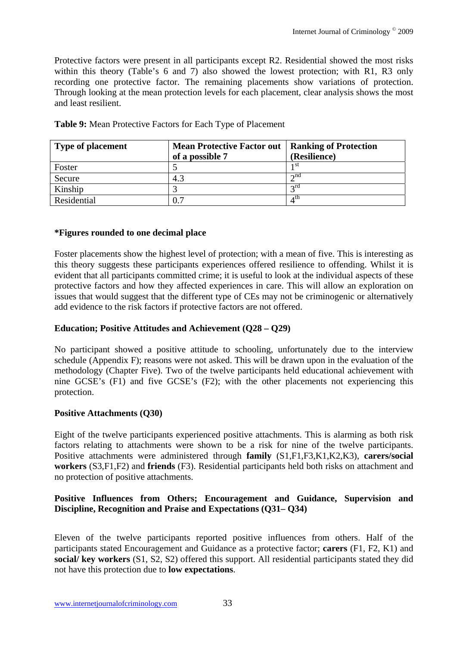Protective factors were present in all participants except R2. Residential showed the most risks within this theory (Table's 6 and 7) also showed the lowest protection; with R1, R3 only recording one protective factor. The remaining placements show variations of protection. Through looking at the mean protection levels for each placement, clear analysis shows the most and least resilient.

| <b>Type of placement</b> | <b>Mean Protective Factor out</b> | <b>Ranking of Protection</b> |
|--------------------------|-----------------------------------|------------------------------|
|                          | of a possible 7                   | (Resilience)                 |
| Foster                   |                                   | 1 SU                         |
| Secure                   | 4.3                               | $\lambda$ nd                 |
| Kinship                  |                                   | $\sigma$ rd                  |
| Residential              | 0.7                               | 4 <sup>th</sup>              |

**Table 9:** Mean Protective Factors for Each Type of Placement

### **\*Figures rounded to one decimal place**

Foster placements show the highest level of protection; with a mean of five. This is interesting as this theory suggests these participants experiences offered resilience to offending. Whilst it is evident that all participants committed crime; it is useful to look at the individual aspects of these protective factors and how they affected experiences in care. This will allow an exploration on issues that would suggest that the different type of CEs may not be criminogenic or alternatively add evidence to the risk factors if protective factors are not offered.

## **Education; Positive Attitudes and Achievement (Q28 – Q29)**

No participant showed a positive attitude to schooling, unfortunately due to the interview schedule (Appendix F); reasons were not asked. This will be drawn upon in the evaluation of the methodology (Chapter Five). Two of the twelve participants held educational achievement with nine GCSE's (F1) and five GCSE's (F2); with the other placements not experiencing this protection.

#### **Positive Attachments (Q30)**

Eight of the twelve participants experienced positive attachments. This is alarming as both risk factors relating to attachments were shown to be a risk for nine of the twelve participants. Positive attachments were administered through **family** (S1,F1,F3,K1,K2,K3), **carers/social workers** (S3,F1,F2) and **friends** (F3). Residential participants held both risks on attachment and no protection of positive attachments.

#### **Positive Influences from Others; Encouragement and Guidance, Supervision and Discipline, Recognition and Praise and Expectations (Q31– Q34)**

Eleven of the twelve participants reported positive influences from others. Half of the participants stated Encouragement and Guidance as a protective factor; **carers** (F1, F2, K1) and **social/ key workers** (S1, S2, S2) offered this support. All residential participants stated they did not have this protection due to **low expectations**.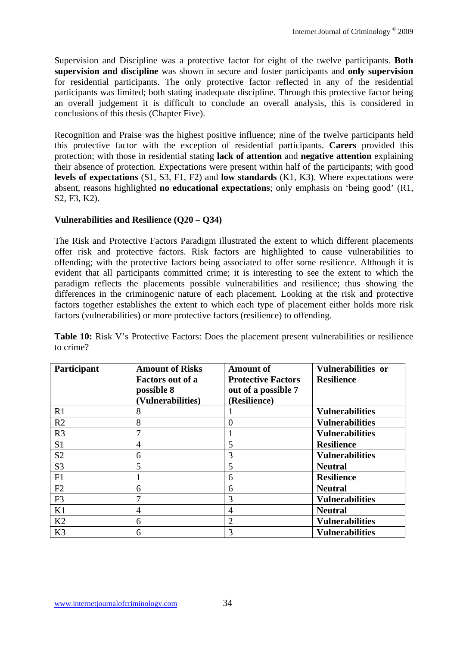Supervision and Discipline was a protective factor for eight of the twelve participants. **Both supervision and discipline** was shown in secure and foster participants and **only supervision** for residential participants. The only protective factor reflected in any of the residential participants was limited; both stating inadequate discipline. Through this protective factor being an overall judgement it is difficult to conclude an overall analysis, this is considered in conclusions of this thesis (Chapter Five).

Recognition and Praise was the highest positive influence; nine of the twelve participants held this protective factor with the exception of residential participants. **Carers** provided this protection; with those in residential stating **lack of attention** and **negative attention** explaining their absence of protection. Expectations were present within half of the participants; with good **levels of expectations** (S1, S3, F1, F2) and **low standards** (K1, K3). Where expectations were absent, reasons highlighted **no educational expectations**; only emphasis on 'being good' (R1, S2, F3, K2).

## **Vulnerabilities and Resilience (Q20 – Q34)**

The Risk and Protective Factors Paradigm illustrated the extent to which different placements offer risk and protective factors. Risk factors are highlighted to cause vulnerabilities to offending; with the protective factors being associated to offer some resilience. Although it is evident that all participants committed crime; it is interesting to see the extent to which the paradigm reflects the placements possible vulnerabilities and resilience; thus showing the differences in the criminogenic nature of each placement. Looking at the risk and protective factors together establishes the extent to which each type of placement either holds more risk factors (vulnerabilities) or more protective factors (resilience) to offending.

| Table 10: Risk V's Protective Factors: Does the placement present vulnerabilities or resilience |  |  |  |
|-------------------------------------------------------------------------------------------------|--|--|--|
| to crime?                                                                                       |  |  |  |

| Participant    | <b>Amount of Risks</b><br><b>Factors out of a</b> | <b>Amount of</b><br><b>Protective Factors</b> | Vulnerabilities or<br><b>Resilience</b> |
|----------------|---------------------------------------------------|-----------------------------------------------|-----------------------------------------|
|                | possible 8<br>(Vulnerabilities)                   | out of a possible 7<br>(Resilience)           |                                         |
| R1             | 8                                                 |                                               | <b>Vulnerabilities</b>                  |
| R2             | 8                                                 | $\Omega$                                      | <b>Vulnerabilities</b>                  |
| R <sub>3</sub> | 7                                                 |                                               | <b>Vulnerabilities</b>                  |
| S <sub>1</sub> | 4                                                 | 5                                             | <b>Resilience</b>                       |
| S <sub>2</sub> | 6                                                 | 3                                             | <b>Vulnerabilities</b>                  |
| S <sub>3</sub> | 5                                                 | 5                                             | <b>Neutral</b>                          |
| F1             |                                                   | 6                                             | <b>Resilience</b>                       |
| F2             | 6                                                 | 6                                             | <b>Neutral</b>                          |
| F <sub>3</sub> | 7                                                 | 3                                             | <b>Vulnerabilities</b>                  |
| K1             | 4                                                 | 4                                             | <b>Neutral</b>                          |
| K2             | 6                                                 | 2                                             | <b>Vulnerabilities</b>                  |
| K3             | 6                                                 | 3                                             | <b>Vulnerabilities</b>                  |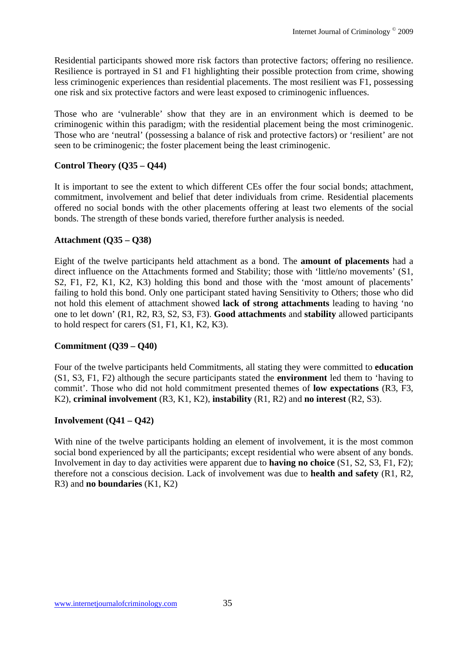Residential participants showed more risk factors than protective factors; offering no resilience. Resilience is portrayed in S1 and F1 highlighting their possible protection from crime, showing less criminogenic experiences than residential placements. The most resilient was F1, possessing one risk and six protective factors and were least exposed to criminogenic influences.

Those who are 'vulnerable' show that they are in an environment which is deemed to be criminogenic within this paradigm; with the residential placement being the most criminogenic. Those who are 'neutral' (possessing a balance of risk and protective factors) or 'resilient' are not seen to be criminogenic; the foster placement being the least criminogenic.

# **Control Theory (Q35 – Q44)**

It is important to see the extent to which different CEs offer the four social bonds; attachment, commitment, involvement and belief that deter individuals from crime. Residential placements offered no social bonds with the other placements offering at least two elements of the social bonds. The strength of these bonds varied, therefore further analysis is needed.

# **Attachment (Q35 – Q38)**

Eight of the twelve participants held attachment as a bond. The **amount of placements** had a direct influence on the Attachments formed and Stability; those with 'little/no movements' (S1, S2, F1, F2, K1, K2, K3) holding this bond and those with the 'most amount of placements' failing to hold this bond. Only one participant stated having Sensitivity to Others; those who did not hold this element of attachment showed **lack of strong attachments** leading to having 'no one to let down' (R1, R2, R3, S2, S3, F3). **Good attachments** and **stability** allowed participants to hold respect for carers (S1, F1, K1, K2, K3).

## **Commitment (Q39 – Q40)**

Four of the twelve participants held Commitments, all stating they were committed to **education**  (S1, S3, F1, F2) although the secure participants stated the **environment** led them to 'having to commit'. Those who did not hold commitment presented themes of **low expectations** (R3, F3, K2), **criminal involvement** (R3, K1, K2), **instability** (R1, R2) and **no interest** (R2, S3).

## **Involvement (Q41 – Q42)**

With nine of the twelve participants holding an element of involvement, it is the most common social bond experienced by all the participants; except residential who were absent of any bonds. Involvement in day to day activities were apparent due to **having no choice** (S1, S2, S3, F1, F2); therefore not a conscious decision. Lack of involvement was due to **health and safety** (R1, R2, R3) and **no boundaries** (K1, K2)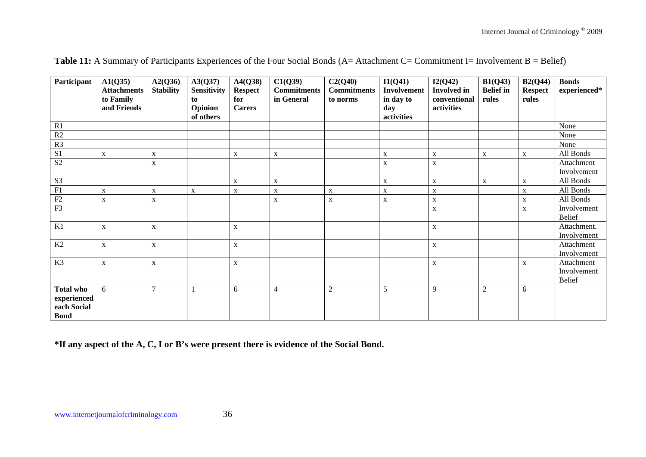| Participant                                                   | A1(Q35)<br><b>Attachments</b> | A2(Q36)<br><b>Stability</b> | A3(Q37)<br><b>Sensitivity</b> | A4(Q38)<br><b>Respect</b> | C1(Q39)<br><b>Commitments</b> | C2(Q40)<br><b>Commitments</b> | I1(Q41)<br>Involvement         | I2(Q42)<br><b>Involved</b> in | B1(Q43)<br><b>Belief</b> in | B2(Q44)<br><b>Respect</b> | <b>Bonds</b><br>experienced*               |
|---------------------------------------------------------------|-------------------------------|-----------------------------|-------------------------------|---------------------------|-------------------------------|-------------------------------|--------------------------------|-------------------------------|-----------------------------|---------------------------|--------------------------------------------|
|                                                               | to Family<br>and Friends      |                             | to<br>Opinion<br>of others    | for<br><b>Carers</b>      | in General                    | to norms                      | in day to<br>day<br>activities | conventional<br>activities    | rules                       | rules                     |                                            |
| R1                                                            |                               |                             |                               |                           |                               |                               |                                |                               |                             |                           | None                                       |
| $\overline{R2}$                                               |                               |                             |                               |                           |                               |                               |                                |                               |                             |                           | None                                       |
| R <sub>3</sub>                                                |                               |                             |                               |                           |                               |                               |                                |                               |                             |                           | None                                       |
| S <sub>1</sub>                                                | $\mathbf X$                   | $\mathbf X$                 |                               | X                         | $\mathbf X$                   |                               | $\mathbf X$                    | X                             | $\mathbf{X}$                | $\mathbf X$               | All Bonds                                  |
| $\mathbf{S2}$                                                 |                               | $\mathbf X$                 |                               |                           |                               |                               | $\mathbf X$                    | $\mathbf X$                   |                             |                           | Attachment<br>Involvement                  |
| S <sub>3</sub>                                                |                               |                             |                               | $\mathbf X$               | $\mathbf X$                   |                               | $\mathbf X$                    | $\mathbf X$                   | $\mathbf{X}$                | $\mathbf X$               | All Bonds                                  |
| F1                                                            | $\mathbf X$                   | $\mathbf X$                 | $\mathbf X$                   | X                         | $\mathbf X$                   | $\mathbf X$                   | $\mathbf X$                    | $\mathbf X$                   |                             | $\mathbf X$               | All Bonds                                  |
| F2                                                            | $\mathbf X$                   | $\mathbf X$                 |                               |                           | $\mathbf X$                   | $\mathbf X$                   | $\mathbf{X}$                   | $\mathbf X$                   |                             | $\mathbf X$               | All Bonds                                  |
| F3                                                            |                               |                             |                               |                           |                               |                               |                                | $\mathbf X$                   |                             | $\mathbf{X}$              | Involvement<br><b>Belief</b>               |
| K1                                                            | $\mathbf X$                   | $\mathbf X$                 |                               | $\mathbf X$               |                               |                               |                                | $\mathbf X$                   |                             |                           | Attachment.<br>Involvement                 |
| K2                                                            | $\mathbf X$                   | $\mathbf X$                 |                               | X                         |                               |                               |                                | $\mathbf X$                   |                             |                           | Attachment<br>Involvement                  |
| K3                                                            | $\mathbf X$                   | $\mathbf X$                 |                               | X                         |                               |                               |                                | $\mathbf X$                   |                             | $\mathbf X$               | Attachment<br>Involvement<br><b>Belief</b> |
| <b>Total who</b><br>experienced<br>each Social<br><b>Bond</b> | 6                             | $\tau$                      |                               | 6                         | $\overline{4}$                | $\overline{2}$                | 5                              | 9                             | $\overline{2}$              | 6                         |                                            |

|  |  |  | <b>Table 11:</b> A Summary of Participants Experiences of the Four Social Bonds ( $A$ = Attachment C= Commitment I= Involvement B = Belief) |  |
|--|--|--|---------------------------------------------------------------------------------------------------------------------------------------------|--|
|--|--|--|---------------------------------------------------------------------------------------------------------------------------------------------|--|

**\*If any aspect of the A, C, I or B's were present there is evidence of the Social Bond.**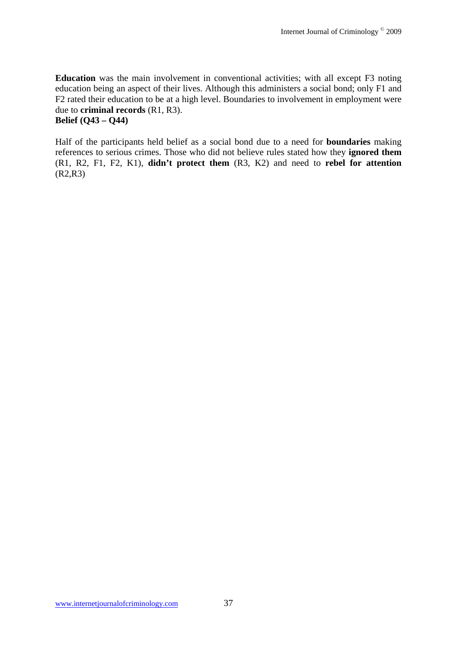**Education** was the main involvement in conventional activities; with all except F3 noting education being an aspect of their lives. Although this administers a social bond; only F1 and F2 rated their education to be at a high level. Boundaries to involvement in employment were due to **criminal records** (R1, R3). **Belief (Q43 – Q44)**

Half of the participants held belief as a social bond due to a need for **boundaries** making references to serious crimes. Those who did not believe rules stated how they **ignored them** (R1, R2, F1, F2, K1), **didn't protect them** (R3, K2) and need to **rebel for attention**  (R2,R3)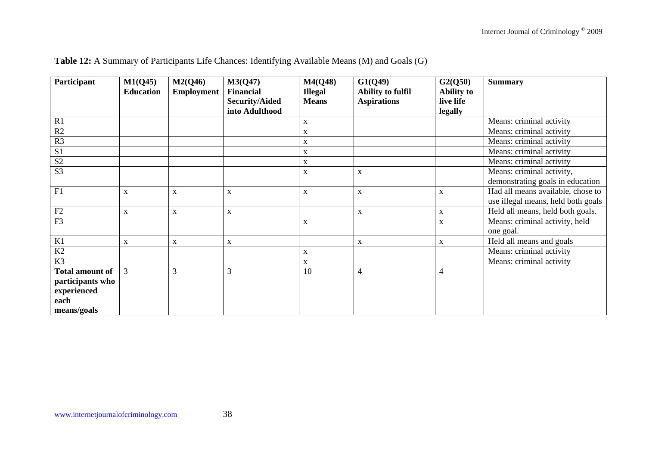| Participant            | M1(Q45)          | M2(Q46)           | M3(Q47)               | M4(Q48)        | G1(Q49)                  | G2(Q50)           | <b>Summary</b>                     |
|------------------------|------------------|-------------------|-----------------------|----------------|--------------------------|-------------------|------------------------------------|
|                        | <b>Education</b> | <b>Employment</b> | <b>Financial</b>      | <b>Illegal</b> | <b>Ability to fulfil</b> | <b>Ability to</b> |                                    |
|                        |                  |                   | <b>Security/Aided</b> | <b>Means</b>   | <b>Aspirations</b>       | live life         |                                    |
|                        |                  |                   | into Adulthood        |                |                          | legally           |                                    |
| R1                     |                  |                   |                       | $\mathbf X$    |                          |                   | Means: criminal activity           |
| R2                     |                  |                   |                       | $\mathbf X$    |                          |                   | Means: criminal activity           |
| R <sub>3</sub>         |                  |                   |                       | $\mathbf X$    |                          |                   | Means: criminal activity           |
| S <sub>1</sub>         |                  |                   |                       | $\mathbf X$    |                          |                   | Means: criminal activity           |
| S <sub>2</sub>         |                  |                   |                       | $\mathbf X$    |                          |                   | Means: criminal activity           |
| S <sub>3</sub>         |                  |                   |                       | $\mathbf X$    | $\mathbf X$              |                   | Means: criminal activity,          |
|                        |                  |                   |                       |                |                          |                   | demonstrating goals in education   |
| F1                     | $\mathbf X$      | $\mathbf X$       | $\mathbf X$           | $\mathbf X$    | $\mathbf X$              | $\mathbf X$       | Had all means available, chose to  |
|                        |                  |                   |                       |                |                          |                   | use illegal means, held both goals |
| F2                     | $\mathbf X$      | $\mathbf X$       | $\mathbf X$           |                | $\mathbf X$              | $\mathbf X$       | Held all means, held both goals.   |
| F <sub>3</sub>         |                  |                   |                       | $\mathbf X$    |                          | $\mathbf X$       | Means: criminal activity, held     |
|                        |                  |                   |                       |                |                          |                   | one goal.                          |
| K1                     | $\mathbf X$      | $\mathbf X$       | $\mathbf{X}$          |                | X                        | $\mathbf X$       | Held all means and goals           |
| K <sub>2</sub>         |                  |                   |                       | $\mathbf X$    |                          |                   | Means: criminal activity           |
| K <sub>3</sub>         |                  |                   |                       | $\mathbf X$    |                          |                   | Means: criminal activity           |
| <b>Total amount of</b> | 3                | 3                 | 3                     | 10             | 4                        | $\overline{4}$    |                                    |
| participants who       |                  |                   |                       |                |                          |                   |                                    |
| experienced            |                  |                   |                       |                |                          |                   |                                    |
| each                   |                  |                   |                       |                |                          |                   |                                    |
| means/goals            |                  |                   |                       |                |                          |                   |                                    |

# **Table 12:** A Summary of Participants Life Chances: Identifying Available Means (M) and Goals (G)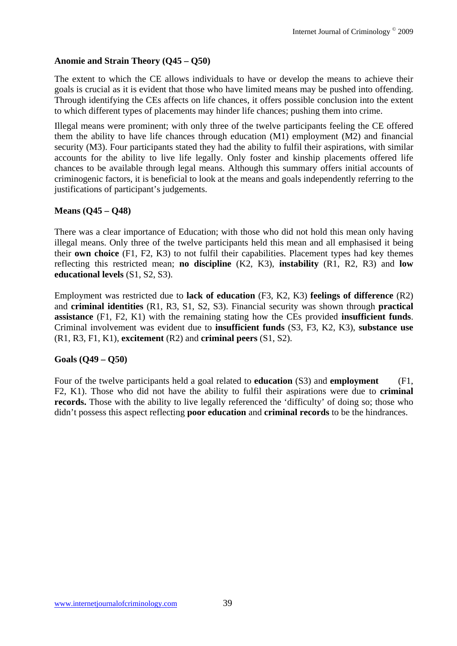## **Anomie and Strain Theory (Q45 – Q50)**

The extent to which the CE allows individuals to have or develop the means to achieve their goals is crucial as it is evident that those who have limited means may be pushed into offending. Through identifying the CEs affects on life chances, it offers possible conclusion into the extent to which different types of placements may hinder life chances; pushing them into crime.

Illegal means were prominent; with only three of the twelve participants feeling the CE offered them the ability to have life chances through education (M1) employment (M2) and financial security (M3). Four participants stated they had the ability to fulfil their aspirations, with similar accounts for the ability to live life legally. Only foster and kinship placements offered life chances to be available through legal means. Although this summary offers initial accounts of criminogenic factors, it is beneficial to look at the means and goals independently referring to the justifications of participant's judgements.

## **Means (Q45 – Q48)**

There was a clear importance of Education; with those who did not hold this mean only having illegal means. Only three of the twelve participants held this mean and all emphasised it being their **own choice** (F1, F2, K3) to not fulfil their capabilities. Placement types had key themes reflecting this restricted mean; **no discipline** (K2, K3), **instability** (R1, R2, R3) and **low educational levels** (S1, S2, S3).

Employment was restricted due to **lack of education** (F3, K2, K3) **feelings of difference** (R2) and **criminal identities** (R1, R3, S1, S2, S3). Financial security was shown through **practical assistance** (F1, F2, K1) with the remaining stating how the CEs provided **insufficient funds**. Criminal involvement was evident due to **insufficient funds** (S3, F3, K2, K3), **substance use**  (R1, R3, F1, K1), **excitement** (R2) and **criminal peers** (S1, S2).

### **Goals (Q49 – Q50)**

Four of the twelve participants held a goal related to **education** (S3) and **employment** (F1, F2, K1). Those who did not have the ability to fulfil their aspirations were due to **criminal records.** Those with the ability to live legally referenced the 'difficulty' of doing so; those who didn't possess this aspect reflecting **poor education** and **criminal records** to be the hindrances.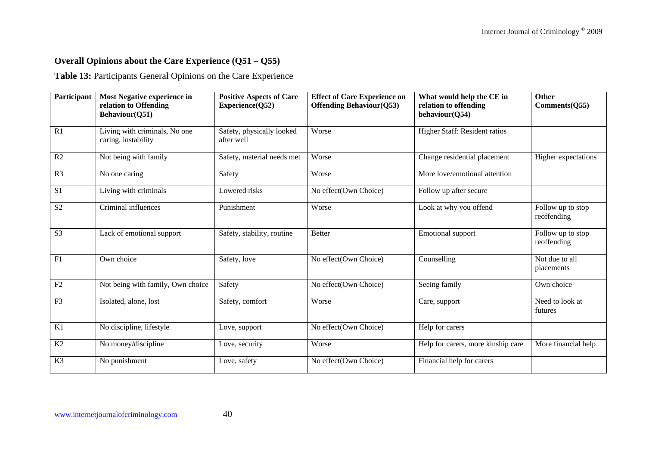# **Overall Opinions about the Care Experience (Q51 – Q55)**

**Table 13:** Participants General Opinions on the Care Experience

| Participant    | Most Negative experience in<br>relation to Offending<br>Behaviour(Q51) | <b>Positive Aspects of Care</b><br>Experience(Q52) | <b>Effect of Care Experience on</b><br><b>Offending Behaviour (Q53)</b> | What would help the CE in<br>relation to offending<br>behaviour(Q54) | Other<br>Comments(Q55)           |  |
|----------------|------------------------------------------------------------------------|----------------------------------------------------|-------------------------------------------------------------------------|----------------------------------------------------------------------|----------------------------------|--|
| R1             | Living with criminals, No one<br>caring, instability                   | Safety, physically looked<br>after well            | Worse                                                                   | Higher Staff: Resident ratios                                        |                                  |  |
| R2             | Not being with family                                                  | Safety, material needs met                         | Worse                                                                   | Change residential placement                                         | Higher expectations              |  |
| R <sub>3</sub> | No one caring                                                          | Safety                                             | Worse                                                                   | More love/emotional attention                                        |                                  |  |
| S <sub>1</sub> | Living with criminals                                                  | Lowered risks                                      | No effect(Own Choice)                                                   | Follow up after secure                                               |                                  |  |
| S <sub>2</sub> | Criminal influences                                                    | Punishment                                         | Worse                                                                   | Look at why you offend                                               | Follow up to stop<br>reoffending |  |
| S <sub>3</sub> | Lack of emotional support                                              | Safety, stability, routine                         | <b>Better</b>                                                           | <b>Emotional</b> support                                             | Follow up to stop<br>reoffending |  |
| F1             | Own choice                                                             | Safety, love                                       | No effect(Own Choice)                                                   | Counselling                                                          | Not due to all<br>placements     |  |
| F2             | Not being with family, Own choice                                      | Safety                                             | No effect(Own Choice)                                                   | Seeing family                                                        | Own choice                       |  |
| F <sub>3</sub> | Isolated, alone, lost                                                  | Safety, comfort                                    | Worse                                                                   | Care, support                                                        | Need to look at<br>futures       |  |
| K1             | No discipline, lifestyle                                               | Love, support                                      | No effect(Own Choice)                                                   | Help for carers                                                      |                                  |  |
| K2             | No money/discipline                                                    | Love, security                                     | Worse                                                                   | Help for carers, more kinship care                                   | More financial help              |  |
| K <sub>3</sub> | No punishment                                                          | Love, safety                                       | No effect(Own Choice)                                                   | Financial help for carers                                            |                                  |  |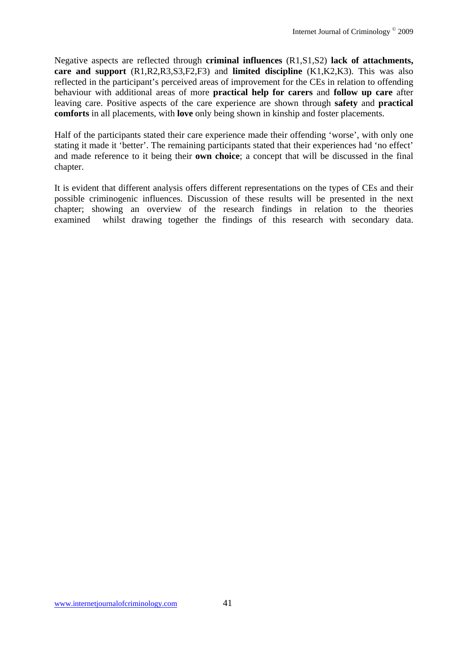Negative aspects are reflected through **criminal influences** (R1,S1,S2) **lack of attachments, care and support** (R1,R2,R3,S3,F2,F3) and **limited discipline** (K1,K2,K3). This was also reflected in the participant's perceived areas of improvement for the CEs in relation to offending behaviour with additional areas of more **practical help for carers** and **follow up care** after leaving care. Positive aspects of the care experience are shown through **safety** and **practical comforts** in all placements, with **love** only being shown in kinship and foster placements.

Half of the participants stated their care experience made their offending 'worse', with only one stating it made it 'better'. The remaining participants stated that their experiences had 'no effect' and made reference to it being their **own choice**; a concept that will be discussed in the final chapter.

It is evident that different analysis offers different representations on the types of CEs and their possible criminogenic influences. Discussion of these results will be presented in the next chapter; showing an overview of the research findings in relation to the theories examined whilst drawing together the findings of this research with secondary data.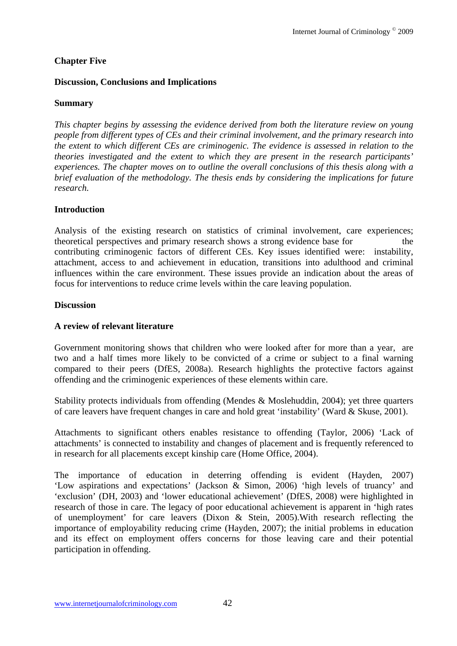## **Chapter Five**

### **Discussion, Conclusions and Implications**

### **Summary**

*This chapter begins by assessing the evidence derived from both the literature review on young people from different types of CEs and their criminal involvement, and the primary research into the extent to which different CEs are criminogenic. The evidence is assessed in relation to the theories investigated and the extent to which they are present in the research participants' experiences. The chapter moves on to outline the overall conclusions of this thesis along with a brief evaluation of the methodology. The thesis ends by considering the implications for future research.* 

### **Introduction**

Analysis of the existing research on statistics of criminal involvement, care experiences; theoretical perspectives and primary research shows a strong evidence base for the contributing criminogenic factors of different CEs. Key issues identified were: instability, attachment, access to and achievement in education, transitions into adulthood and criminal influences within the care environment. These issues provide an indication about the areas of focus for interventions to reduce crime levels within the care leaving population.

### **Discussion**

### **A review of relevant literature**

Government monitoring shows that children who were looked after for more than a year, are two and a half times more likely to be convicted of a crime or subject to a final warning compared to their peers (DfES, 2008a). Research highlights the protective factors against offending and the criminogenic experiences of these elements within care.

Stability protects individuals from offending (Mendes & Moslehuddin, 2004); yet three quarters of care leavers have frequent changes in care and hold great 'instability' (Ward & Skuse, 2001).

Attachments to significant others enables resistance to offending (Taylor, 2006) 'Lack of attachments' is connected to instability and changes of placement and is frequently referenced to in research for all placements except kinship care (Home Office, 2004).

The importance of education in deterring offending is evident (Hayden, 2007) 'Low aspirations and expectations' (Jackson & Simon, 2006) 'high levels of truancy' and 'exclusion' (DH, 2003) and 'lower educational achievement' (DfES, 2008) were highlighted in research of those in care. The legacy of poor educational achievement is apparent in 'high rates of unemployment' for care leavers (Dixon & Stein, 2005).With research reflecting the importance of employability reducing crime (Hayden, 2007); the initial problems in education and its effect on employment offers concerns for those leaving care and their potential participation in offending.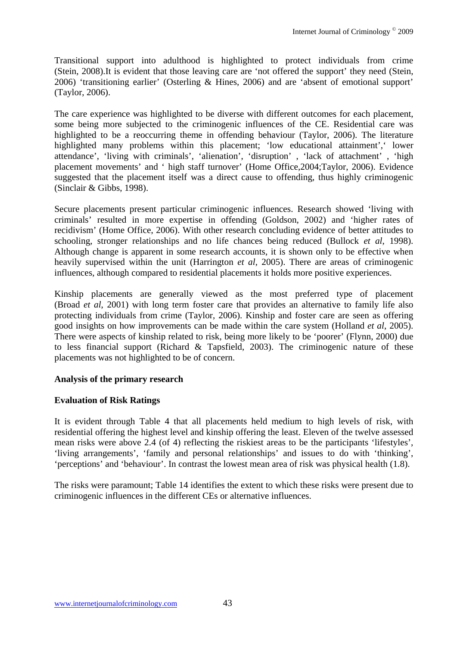Transitional support into adulthood is highlighted to protect individuals from crime (Stein, 2008).It is evident that those leaving care are 'not offered the support' they need (Stein, 2006) 'transitioning earlier' (Osterling & Hines, 2006) and are 'absent of emotional support' (Taylor, 2006).

The care experience was highlighted to be diverse with different outcomes for each placement, some being more subjected to the criminogenic influences of the CE. Residential care was highlighted to be a reoccurring theme in offending behaviour (Taylor, 2006). The literature highlighted many problems within this placement; 'low educational attainment',' lower attendance', 'living with criminals', 'alienation', 'disruption' , 'lack of attachment' , 'high placement movements' and ' high staff turnover' (Home Office,2004;Taylor, 2006). Evidence suggested that the placement itself was a direct cause to offending, thus highly criminogenic (Sinclair & Gibbs, 1998).

Secure placements present particular criminogenic influences. Research showed 'living with criminals' resulted in more expertise in offending (Goldson, 2002) and 'higher rates of recidivism' (Home Office, 2006). With other research concluding evidence of better attitudes to schooling, stronger relationships and no life chances being reduced (Bullock *et al*, 1998). Although change is apparent in some research accounts, it is shown only to be effective when heavily supervised within the unit (Harrington *et al*, 2005). There are areas of criminogenic influences, although compared to residential placements it holds more positive experiences.

Kinship placements are generally viewed as the most preferred type of placement (Broad *et al*, 2001) with long term foster care that provides an alternative to family life also protecting individuals from crime (Taylor, 2006). Kinship and foster care are seen as offering good insights on how improvements can be made within the care system (Holland *et al*, 2005). There were aspects of kinship related to risk, being more likely to be 'poorer' (Flynn, 2000) due to less financial support (Richard & Tapsfield, 2003). The criminogenic nature of these placements was not highlighted to be of concern.

### **Analysis of the primary research**

### **Evaluation of Risk Ratings**

It is evident through Table 4 that all placements held medium to high levels of risk, with residential offering the highest level and kinship offering the least. Eleven of the twelve assessed mean risks were above 2.4 (of 4) reflecting the riskiest areas to be the participants 'lifestyles', 'living arrangements', 'family and personal relationships' and issues to do with 'thinking', 'perceptions' and 'behaviour'. In contrast the lowest mean area of risk was physical health (1.8).

The risks were paramount; Table 14 identifies the extent to which these risks were present due to criminogenic influences in the different CEs or alternative influences.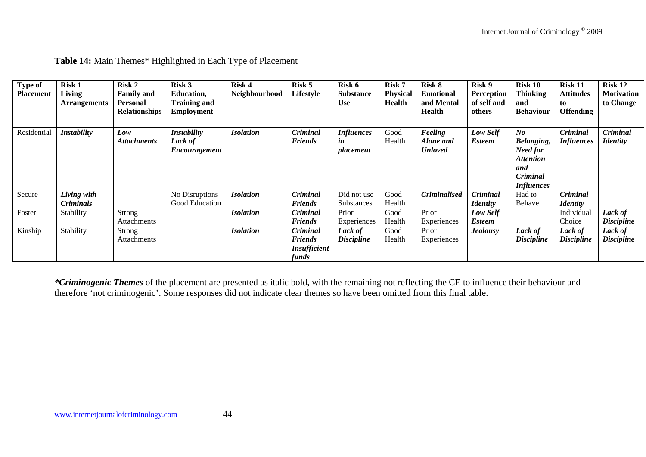| <b>Type of</b><br><b>Placement</b> | <b>Risk 1</b><br>Living | <b>Risk 2</b><br><b>Family and</b> | Risk 3<br><b>Education,</b> | Risk 4<br>Neighbourhood | Risk 5<br>Lifestyle | Risk 6<br><b>Substance</b> | <b>Risk 7</b><br><b>Physical</b> | <b>Risk 8</b><br><b>Emotional</b> | Risk 9<br><b>Perception</b> | <b>Risk 10</b><br><b>Thinking</b> | <b>Risk 11</b><br><b>Attitudes</b> | Risk 12<br><b>Motivation</b> |
|------------------------------------|-------------------------|------------------------------------|-----------------------------|-------------------------|---------------------|----------------------------|----------------------------------|-----------------------------------|-----------------------------|-----------------------------------|------------------------------------|------------------------------|
|                                    | <b>Arrangements</b>     | <b>Personal</b>                    | <b>Training and</b>         |                         |                     | <b>Use</b>                 | <b>Health</b>                    | and Mental                        | of self and                 | and                               | to                                 | to Change                    |
|                                    |                         | <b>Relationships</b>               | <b>Employment</b>           |                         |                     |                            |                                  | <b>Health</b>                     | others                      | <b>Behaviour</b>                  | <b>Offending</b>                   |                              |
|                                    |                         |                                    |                             |                         |                     |                            |                                  |                                   |                             |                                   |                                    |                              |
| Residential                        | <b>Instability</b>      | Low                                | <b>Instability</b>          | <b>Isolation</b>        | <b>Criminal</b>     | <i>Influences</i>          | Good                             | Feeling                           | Low Self                    | $N_{0}$                           | Criminal                           | Criminal                     |
|                                    |                         | <b>Attachments</b>                 | Lack of                     |                         | <b>Friends</b>      | in                         | Health                           | Alone and                         | <b>Esteem</b>               | <b>Belonging,</b>                 | <b>Influences</b>                  | <b>Identity</b>              |
|                                    |                         |                                    | Encouragement               |                         |                     | placement                  |                                  | <b>Unloved</b>                    |                             | Need for                          |                                    |                              |
|                                    |                         |                                    |                             |                         |                     |                            |                                  |                                   |                             | <i><b>Attention</b></i>           |                                    |                              |
|                                    |                         |                                    |                             |                         |                     |                            |                                  |                                   |                             | and                               |                                    |                              |
|                                    |                         |                                    |                             |                         |                     |                            |                                  |                                   |                             | Criminal                          |                                    |                              |
|                                    |                         |                                    |                             |                         |                     |                            |                                  |                                   |                             | <b>Influences</b>                 |                                    |                              |
| Secure                             | Living with             |                                    | No Disruptions              | <b>Isolation</b>        | <b>Criminal</b>     | Did not use                | Good                             | <b>Criminalised</b>               | <b>Criminal</b>             | Had to                            | <b>Criminal</b>                    |                              |
|                                    | <i>Criminals</i>        |                                    | Good Education              |                         | <b>Friends</b>      | <b>Substances</b>          | Health                           |                                   | <i>Identity</i>             | Behave                            | <i>Identity</i>                    |                              |
| Foster                             | Stability               | Strong                             |                             | <b>Isolation</b>        | Criminal            | Prior                      | Good                             | Prior                             | Low Self                    |                                   | Individual                         | Lack of                      |
|                                    |                         | <b>Attachments</b>                 |                             |                         | <i>Friends</i>      | Experiences                | Health                           | Experiences                       | <b>Esteem</b>               |                                   | Choice                             | <b>Discipline</b>            |
| Kinship                            | Stability               | Strong                             |                             | <b>Isolation</b>        | Criminal            | Lack of                    | Good                             | Prior                             | <b>Jealousy</b>             | Lack of                           | Lack of                            | Lack of                      |
|                                    |                         | Attachments                        |                             |                         | <b>Friends</b>      | <b>Discipline</b>          | Health                           | Experiences                       |                             | <b>Discipline</b>                 | <b>Discipline</b>                  | <b>Discipline</b>            |
|                                    |                         |                                    |                             |                         | Insufficient        |                            |                                  |                                   |                             |                                   |                                    |                              |
|                                    |                         |                                    |                             |                         | funds               |                            |                                  |                                   |                             |                                   |                                    |                              |

**Table 14:** Main Themes\* Highlighted in Each Type of Placement

*\*Criminogenic Themes* of the placement are presented as italic bold, with the remaining not reflecting the CE to influence their behaviour and therefore 'not criminogenic'. Some responses did not indicate clear themes so have been omitted from this final table.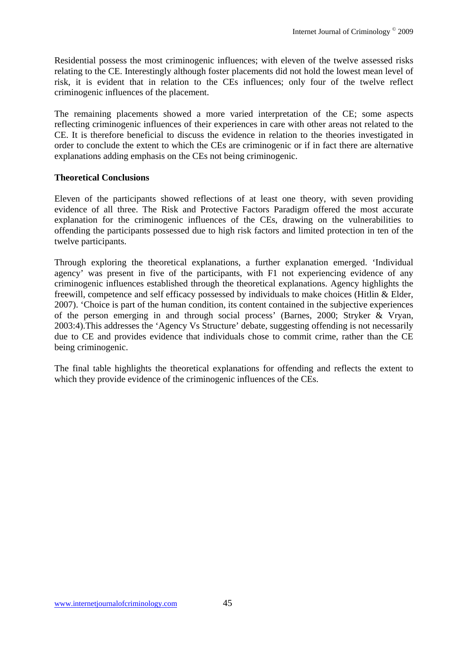Residential possess the most criminogenic influences; with eleven of the twelve assessed risks relating to the CE. Interestingly although foster placements did not hold the lowest mean level of risk, it is evident that in relation to the CEs influences; only four of the twelve reflect criminogenic influences of the placement.

The remaining placements showed a more varied interpretation of the CE; some aspects reflecting criminogenic influences of their experiences in care with other areas not related to the CE. It is therefore beneficial to discuss the evidence in relation to the theories investigated in order to conclude the extent to which the CEs are criminogenic or if in fact there are alternative explanations adding emphasis on the CEs not being criminogenic.

### **Theoretical Conclusions**

Eleven of the participants showed reflections of at least one theory, with seven providing evidence of all three. The Risk and Protective Factors Paradigm offered the most accurate explanation for the criminogenic influences of the CEs, drawing on the vulnerabilities to offending the participants possessed due to high risk factors and limited protection in ten of the twelve participants.

Through exploring the theoretical explanations, a further explanation emerged. 'Individual agency' was present in five of the participants, with F1 not experiencing evidence of any criminogenic influences established through the theoretical explanations. Agency highlights the freewill, competence and self efficacy possessed by individuals to make choices (Hitlin & Elder, 2007). 'Choice is part of the human condition, its content contained in the subjective experiences of the person emerging in and through social process' (Barnes, 2000; Stryker & Vryan, 2003:4).This addresses the 'Agency Vs Structure' debate, suggesting offending is not necessarily due to CE and provides evidence that individuals chose to commit crime, rather than the CE being criminogenic.

The final table highlights the theoretical explanations for offending and reflects the extent to which they provide evidence of the criminogenic influences of the CEs.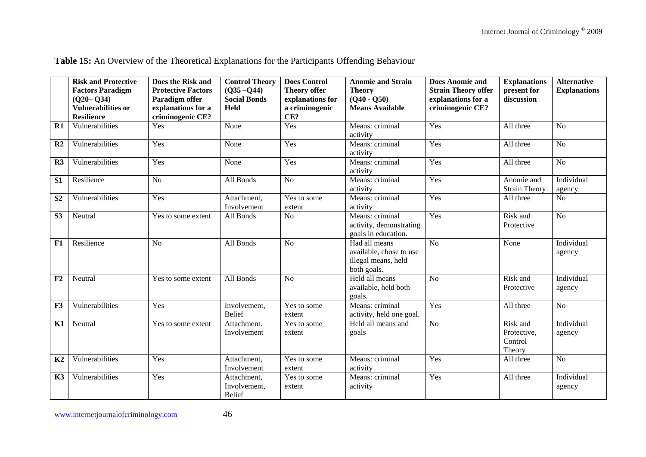|                | <b>Risk and Protective</b> | Does the Risk and         | <b>Control Theory</b> | <b>Does Control</b> | <b>Anomie and Strain</b> | <b>Does Anomie and</b>     | <b>Explanations</b>  | <b>Alternative</b>  |
|----------------|----------------------------|---------------------------|-----------------------|---------------------|--------------------------|----------------------------|----------------------|---------------------|
|                | <b>Factors Paradigm</b>    | <b>Protective Factors</b> | $(Q35 - Q44)$         | <b>Theory offer</b> | <b>Theory</b>            | <b>Strain Theory offer</b> | present for          | <b>Explanations</b> |
|                | $(Q20 - Q34)$              | Paradigm offer            | <b>Social Bonds</b>   | explanations for    | $(Q40 - Q50)$            | explanations for a         | discussion           |                     |
|                | <b>Vulnerabilities or</b>  | explanations for a        | Held                  | a criminogenic      | <b>Means Available</b>   | criminogenic CE?           |                      |                     |
|                | <b>Resilience</b>          | criminogenic CE?          |                       | CE?                 |                          |                            |                      |                     |
| R1             | Vulnerabilities            | Yes                       | None                  | Yes                 | Means: criminal          | Yes                        | All three            | N <sub>o</sub>      |
|                |                            |                           |                       |                     | activity                 |                            |                      |                     |
| R <sub>2</sub> | Vulnerabilities            | Yes                       | None                  | Yes                 | Means: criminal          | Yes                        | All three            | N <sub>o</sub>      |
|                |                            |                           |                       |                     | activity                 |                            |                      |                     |
| R3             | Vulnerabilities            | Yes                       | None                  | Yes                 | Means: criminal          | Yes                        | All three            | N <sub>o</sub>      |
|                |                            |                           |                       |                     | activity                 |                            |                      |                     |
| S1             | Resilience                 | N <sub>o</sub>            | All Bonds             | N <sub>o</sub>      | Means: criminal          | Yes                        | Anomie and           | Individual          |
|                |                            |                           |                       |                     | activity                 |                            | <b>Strain Theory</b> | agency              |
| S <sub>2</sub> | Vulnerabilities            | Yes                       | Attachment,           | Yes to some         | Means: criminal          | Yes                        | All three            | N <sub>o</sub>      |
|                |                            |                           | Involvement           | extent              | activity                 |                            |                      |                     |
| S3             | Neutral                    | Yes to some extent        | All Bonds             | N <sub>o</sub>      | Means: criminal          | Yes                        | Risk and             | N <sub>o</sub>      |
|                |                            |                           |                       |                     | activity, demonstrating  |                            | Protective           |                     |
|                |                            |                           |                       |                     | goals in education.      |                            |                      |                     |
| F1             | Resilience                 | N <sub>o</sub>            | All Bonds             | No                  | Had all means            | N <sub>o</sub>             | None                 | Individual          |
|                |                            |                           |                       |                     | available, chose to use  |                            |                      | agency              |
|                |                            |                           |                       |                     | illegal means, held      |                            |                      |                     |
|                |                            |                           |                       |                     | both goals.              |                            |                      |                     |
| F2             | Neutral                    | Yes to some extent        | All Bonds             | N <sub>o</sub>      | Held all means           | N <sub>o</sub>             | Risk and             | Individual          |
|                |                            |                           |                       |                     | available, held both     |                            | Protective           | agency              |
|                |                            |                           |                       |                     | goals.                   |                            |                      |                     |
| F3             | Vulnerabilities            | Yes                       | Involvement,          | Yes to some         | Means: criminal          | Yes                        | All three            | No                  |
|                |                            |                           | <b>Belief</b>         | extent              | activity, held one goal. |                            |                      |                     |
| K1             | Neutral                    | Yes to some extent        | Attachment.           | Yes to some         | Held all means and       | N <sub>o</sub>             | Risk and             | Individual          |
|                |                            |                           | Involvement           | extent              | goals                    |                            | Protective,          | agency              |
|                |                            |                           |                       |                     |                          |                            | Control              |                     |
|                |                            |                           |                       |                     |                          |                            | Theory               |                     |
| K2             | Vulnerabilities            | Yes                       | Attachment,           | Yes to some         | Means: criminal          | Yes                        | All three            | N <sub>o</sub>      |
|                |                            |                           | Involvement           | extent              | activity                 |                            |                      |                     |
| K3             | Vulnerabilities            | Yes                       | Attachment,           | Yes to some         | Means: criminal          | Yes                        | All three            | Individual          |
|                |                            |                           | Involvement,          | extent              | activity                 |                            |                      | agency              |
|                |                            |                           | <b>Belief</b>         |                     |                          |                            |                      |                     |

**Table 15:** An Overview of the Theoretical Explanations for the Participants Offending Behaviour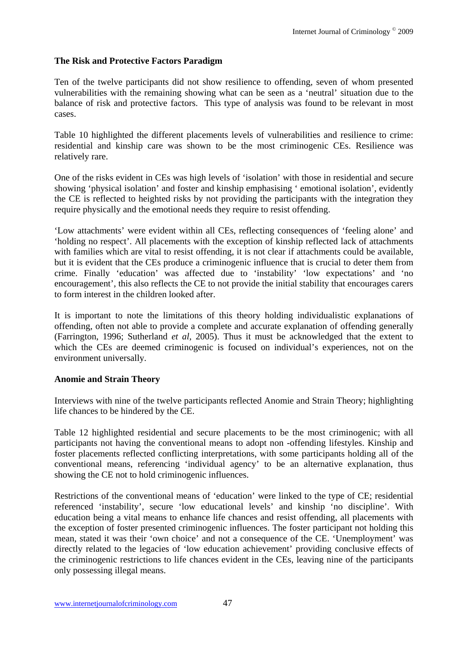## **The Risk and Protective Factors Paradigm**

Ten of the twelve participants did not show resilience to offending, seven of whom presented vulnerabilities with the remaining showing what can be seen as a 'neutral' situation due to the balance of risk and protective factors. This type of analysis was found to be relevant in most cases.

Table 10 highlighted the different placements levels of vulnerabilities and resilience to crime: residential and kinship care was shown to be the most criminogenic CEs. Resilience was relatively rare.

One of the risks evident in CEs was high levels of 'isolation' with those in residential and secure showing 'physical isolation' and foster and kinship emphasising ' emotional isolation', evidently the CE is reflected to heighted risks by not providing the participants with the integration they require physically and the emotional needs they require to resist offending.

'Low attachments' were evident within all CEs, reflecting consequences of 'feeling alone' and 'holding no respect'. All placements with the exception of kinship reflected lack of attachments with families which are vital to resist offending, it is not clear if attachments could be available, but it is evident that the CEs produce a criminogenic influence that is crucial to deter them from crime. Finally 'education' was affected due to 'instability' 'low expectations' and 'no encouragement', this also reflects the CE to not provide the initial stability that encourages carers to form interest in the children looked after.

It is important to note the limitations of this theory holding individualistic explanations of offending, often not able to provide a complete and accurate explanation of offending generally (Farrington, 1996; Sutherland *et al*, 2005). Thus it must be acknowledged that the extent to which the CEs are deemed criminogenic is focused on individual's experiences, not on the environment universally.

### **Anomie and Strain Theory**

Interviews with nine of the twelve participants reflected Anomie and Strain Theory; highlighting life chances to be hindered by the CE.

Table 12 highlighted residential and secure placements to be the most criminogenic; with all participants not having the conventional means to adopt non -offending lifestyles. Kinship and foster placements reflected conflicting interpretations, with some participants holding all of the conventional means, referencing 'individual agency' to be an alternative explanation, thus showing the CE not to hold criminogenic influences.

Restrictions of the conventional means of 'education' were linked to the type of CE; residential referenced 'instability', secure 'low educational levels' and kinship 'no discipline'. With education being a vital means to enhance life chances and resist offending, all placements with the exception of foster presented criminogenic influences. The foster participant not holding this mean, stated it was their 'own choice' and not a consequence of the CE. 'Unemployment' was directly related to the legacies of 'low education achievement' providing conclusive effects of the criminogenic restrictions to life chances evident in the CEs, leaving nine of the participants only possessing illegal means.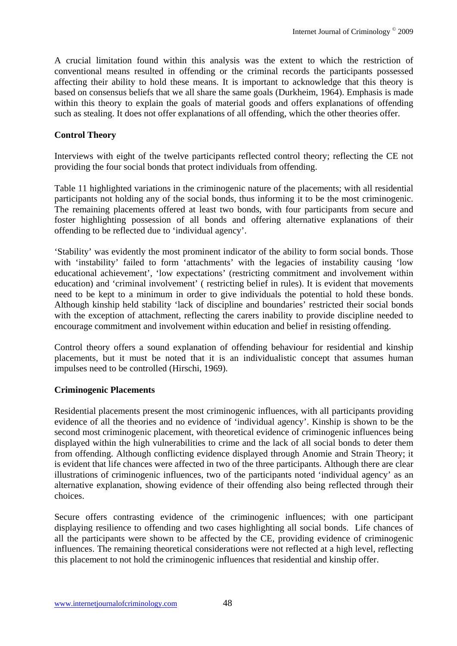A crucial limitation found within this analysis was the extent to which the restriction of conventional means resulted in offending or the criminal records the participants possessed affecting their ability to hold these means. It is important to acknowledge that this theory is based on consensus beliefs that we all share the same goals (Durkheim, 1964). Emphasis is made within this theory to explain the goals of material goods and offers explanations of offending such as stealing. It does not offer explanations of all offending, which the other theories offer.

### **Control Theory**

Interviews with eight of the twelve participants reflected control theory; reflecting the CE not providing the four social bonds that protect individuals from offending.

Table 11 highlighted variations in the criminogenic nature of the placements; with all residential participants not holding any of the social bonds, thus informing it to be the most criminogenic. The remaining placements offered at least two bonds, with four participants from secure and foster highlighting possession of all bonds and offering alternative explanations of their offending to be reflected due to 'individual agency'.

'Stability' was evidently the most prominent indicator of the ability to form social bonds. Those with 'instability' failed to form 'attachments' with the legacies of instability causing 'low educational achievement', 'low expectations' (restricting commitment and involvement within education) and 'criminal involvement' ( restricting belief in rules). It is evident that movements need to be kept to a minimum in order to give individuals the potential to hold these bonds. Although kinship held stability 'lack of discipline and boundaries' restricted their social bonds with the exception of attachment, reflecting the carers inability to provide discipline needed to encourage commitment and involvement within education and belief in resisting offending.

Control theory offers a sound explanation of offending behaviour for residential and kinship placements, but it must be noted that it is an individualistic concept that assumes human impulses need to be controlled (Hirschi, 1969).

#### **Criminogenic Placements**

Residential placements present the most criminogenic influences, with all participants providing evidence of all the theories and no evidence of 'individual agency'. Kinship is shown to be the second most criminogenic placement, with theoretical evidence of criminogenic influences being displayed within the high vulnerabilities to crime and the lack of all social bonds to deter them from offending. Although conflicting evidence displayed through Anomie and Strain Theory; it is evident that life chances were affected in two of the three participants. Although there are clear illustrations of criminogenic influences, two of the participants noted 'individual agency' as an alternative explanation, showing evidence of their offending also being reflected through their choices.

Secure offers contrasting evidence of the criminogenic influences; with one participant displaying resilience to offending and two cases highlighting all social bonds. Life chances of all the participants were shown to be affected by the CE, providing evidence of criminogenic influences. The remaining theoretical considerations were not reflected at a high level, reflecting this placement to not hold the criminogenic influences that residential and kinship offer.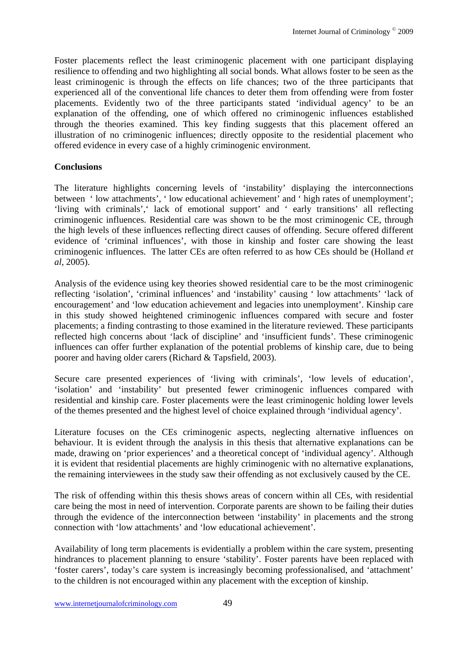Foster placements reflect the least criminogenic placement with one participant displaying resilience to offending and two highlighting all social bonds. What allows foster to be seen as the least criminogenic is through the effects on life chances; two of the three participants that experienced all of the conventional life chances to deter them from offending were from foster placements. Evidently two of the three participants stated 'individual agency' to be an explanation of the offending, one of which offered no criminogenic influences established through the theories examined. This key finding suggests that this placement offered an illustration of no criminogenic influences; directly opposite to the residential placement who offered evidence in every case of a highly criminogenic environment.

### **Conclusions**

The literature highlights concerning levels of 'instability' displaying the interconnections between ' low attachments', ' low educational achievement' and ' high rates of unemployment'; 'living with criminals',' lack of emotional support' and ' early transitions' all reflecting criminogenic influences. Residential care was shown to be the most criminogenic CE, through the high levels of these influences reflecting direct causes of offending. Secure offered different evidence of 'criminal influences', with those in kinship and foster care showing the least criminogenic influences. The latter CEs are often referred to as how CEs should be (Holland *et al*, 2005).

Analysis of the evidence using key theories showed residential care to be the most criminogenic reflecting 'isolation', 'criminal influences' and 'instability' causing ' low attachments' 'lack of encouragement' and 'low education achievement and legacies into unemployment'. Kinship care in this study showed heightened criminogenic influences compared with secure and foster placements; a finding contrasting to those examined in the literature reviewed. These participants reflected high concerns about 'lack of discipline' and 'insufficient funds'. These criminogenic influences can offer further explanation of the potential problems of kinship care, due to being poorer and having older carers (Richard & Tapsfield, 2003).

Secure care presented experiences of 'living with criminals', 'low levels of education', 'isolation' and 'instability' but presented fewer criminogenic influences compared with residential and kinship care. Foster placements were the least criminogenic holding lower levels of the themes presented and the highest level of choice explained through 'individual agency'.

Literature focuses on the CEs criminogenic aspects, neglecting alternative influences on behaviour. It is evident through the analysis in this thesis that alternative explanations can be made, drawing on 'prior experiences' and a theoretical concept of 'individual agency'. Although it is evident that residential placements are highly criminogenic with no alternative explanations, the remaining interviewees in the study saw their offending as not exclusively caused by the CE.

The risk of offending within this thesis shows areas of concern within all CEs, with residential care being the most in need of intervention. Corporate parents are shown to be failing their duties through the evidence of the interconnection between 'instability' in placements and the strong connection with 'low attachments' and 'low educational achievement'.

Availability of long term placements is evidentially a problem within the care system, presenting hindrances to placement planning to ensure 'stability'. Foster parents have been replaced with 'foster carers', today's care system is increasingly becoming professionalised, and 'attachment' to the children is not encouraged within any placement with the exception of kinship.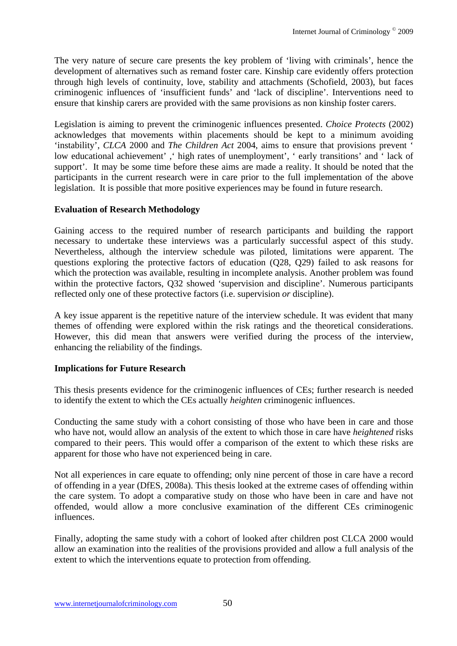The very nature of secure care presents the key problem of 'living with criminals', hence the development of alternatives such as remand foster care. Kinship care evidently offers protection through high levels of continuity, love, stability and attachments (Schofield, 2003), but faces criminogenic influences of 'insufficient funds' and 'lack of discipline'. Interventions need to ensure that kinship carers are provided with the same provisions as non kinship foster carers.

Legislation is aiming to prevent the criminogenic influences presented. *Choice Protects* (2002) acknowledges that movements within placements should be kept to a minimum avoiding 'instability', *CLCA* 2000 and *The Children Act* 2004, aims to ensure that provisions prevent ' low educational achievement' ,' high rates of unemployment', ' early transitions' and ' lack of support'. It may be some time before these aims are made a reality. It should be noted that the participants in the current research were in care prior to the full implementation of the above legislation. It is possible that more positive experiences may be found in future research.

## **Evaluation of Research Methodology**

Gaining access to the required number of research participants and building the rapport necessary to undertake these interviews was a particularly successful aspect of this study. Nevertheless, although the interview schedule was piloted, limitations were apparent. The questions exploring the protective factors of education (Q28, Q29) failed to ask reasons for which the protection was available, resulting in incomplete analysis. Another problem was found within the protective factors, Q32 showed 'supervision and discipline'. Numerous participants reflected only one of these protective factors (i.e. supervision *or* discipline).

A key issue apparent is the repetitive nature of the interview schedule. It was evident that many themes of offending were explored within the risk ratings and the theoretical considerations. However, this did mean that answers were verified during the process of the interview, enhancing the reliability of the findings.

## **Implications for Future Research**

This thesis presents evidence for the criminogenic influences of CEs; further research is needed to identify the extent to which the CEs actually *heighten* criminogenic influences.

Conducting the same study with a cohort consisting of those who have been in care and those who have not, would allow an analysis of the extent to which those in care have *heightened* risks compared to their peers. This would offer a comparison of the extent to which these risks are apparent for those who have not experienced being in care.

Not all experiences in care equate to offending; only nine percent of those in care have a record of offending in a year (DfES, 2008a). This thesis looked at the extreme cases of offending within the care system. To adopt a comparative study on those who have been in care and have not offended, would allow a more conclusive examination of the different CEs criminogenic influences.

Finally, adopting the same study with a cohort of looked after children post CLCA 2000 would allow an examination into the realities of the provisions provided and allow a full analysis of the extent to which the interventions equate to protection from offending.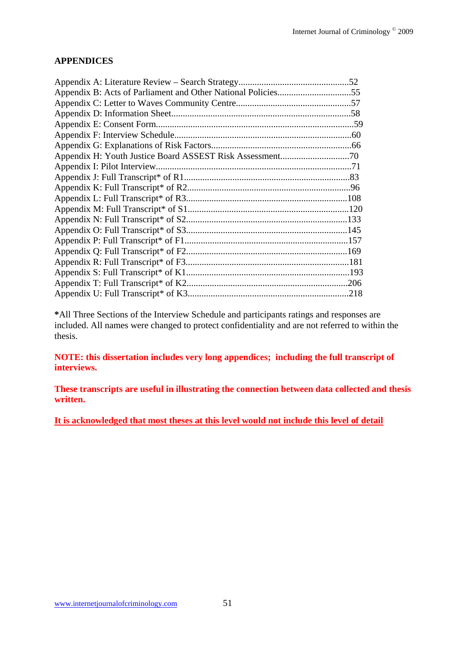### **APPENDICES**

| Appendix B: Acts of Parliament and Other National Policies55 |  |
|--------------------------------------------------------------|--|
|                                                              |  |
|                                                              |  |
|                                                              |  |
|                                                              |  |
|                                                              |  |
|                                                              |  |
|                                                              |  |
|                                                              |  |
|                                                              |  |
|                                                              |  |
|                                                              |  |
|                                                              |  |
|                                                              |  |
|                                                              |  |
|                                                              |  |
|                                                              |  |
|                                                              |  |
|                                                              |  |
|                                                              |  |

**\***All Three Sections of the Interview Schedule and participants ratings and responses are included. All names were changed to protect confidentiality and are not referred to within the thesis.

**NOTE: this dissertation includes very long appendices; including the full transcript of interviews.** 

**These transcripts are useful in illustrating the connection between data collected and thesis written.** 

**It is acknowledged that most theses at this level would not include this level of detail**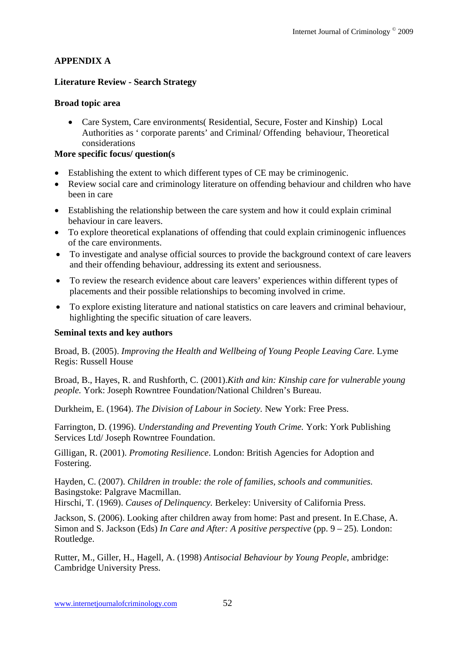# **APPENDIX A**

## **Literature Review - Search Strategy**

## **Broad topic area**

 Care System, Care environments( Residential, Secure, Foster and Kinship) Local Authorities as ' corporate parents' and Criminal/ Offending behaviour, Theoretical considerations

## **More specific focus/ question(s**

- Establishing the extent to which different types of CE may be criminogenic.
- Review social care and criminology literature on offending behaviour and children who have been in care
- Establishing the relationship between the care system and how it could explain criminal behaviour in care leavers.
- To explore theoretical explanations of offending that could explain criminogenic influences of the care environments.
- To investigate and analyse official sources to provide the background context of care leavers and their offending behaviour, addressing its extent and seriousness.
- To review the research evidence about care leavers' experiences within different types of placements and their possible relationships to becoming involved in crime.
- To explore existing literature and national statistics on care leavers and criminal behaviour, highlighting the specific situation of care leavers.

## **Seminal texts and key authors**

Broad, B. (2005). *Improving the Health and Wellbeing of Young People Leaving Care.* Lyme Regis: Russell House

Broad, B., Hayes, R. and Rushforth, C. (2001).*Kith and kin: Kinship care for vulnerable young people.* York: Joseph Rowntree Foundation/National Children's Bureau.

Durkheim, E. (1964). *The Division of Labour in Society.* New York: Free Press.

Farrington, D. (1996). *Understanding and Preventing Youth Crime.* York: York Publishing Services Ltd/ Joseph Rowntree Foundation.

Gilligan, R. (2001). *Promoting Resilience*. London: British Agencies for Adoption and Fostering.

Hayden, C. (2007). *Children in trouble: the role of families, schools and communities.*  Basingstoke: Palgrave Macmillan.

Hirschi, T. (1969). *Causes of Delinquency.* Berkeley: University of California Press.

Jackson, S. (2006). Looking after children away from home: Past and present. In E.Chase, A. Simon and S. Jackson (Eds) *In Care and After: A positive perspective* (pp.  $9 - 25$ ). London: Routledge.

Rutter, M., Giller, H., Hagell, A. (1998) *Antisocial Behaviour by Young People*, ambridge: Cambridge University Press.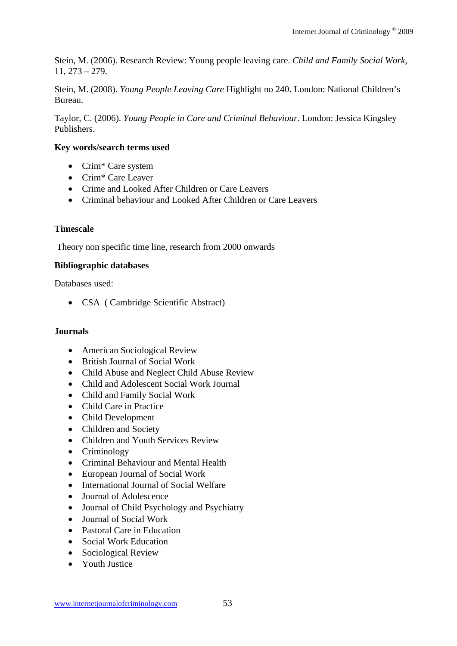Stein, M. (2006). Research Review: Young people leaving care. *Child and Family Social Work,*  11, 273 – 279.

Stein, M. (2008). *Young People Leaving Care* Highlight no 240. London: National Children's Bureau.

Taylor, C. (2006). *Young People in Care and Criminal Behaviour.* London: Jessica Kingsley Publishers.

## **Key words/search terms used**

- Crim<sup>\*</sup> Care system
- Crim\* Care Leaver
- Crime and Looked After Children or Care Leavers
- Criminal behaviour and Looked After Children or Care Leavers

## **Timescale**

Theory non specific time line, research from 2000 onwards

### **Bibliographic databases**

Databases used:

• CSA ( Cambridge Scientific Abstract)

### **Journals**

- American Sociological Review
- British Journal of Social Work
- Child Abuse and Neglect Child Abuse Review
- Child and Adolescent Social Work Journal
- Child and Family Social Work
- Child Care in Practice
- Child Development
- Children and Society
- Children and Youth Services Review
- Criminology
- Criminal Behaviour and Mental Health
- European Journal of Social Work
- International Journal of Social Welfare
- Journal of Adolescence
- Journal of Child Psychology and Psychiatry
- Journal of Social Work
- Pastoral Care in Education
- Social Work Education
- Sociological Review
- Youth Justice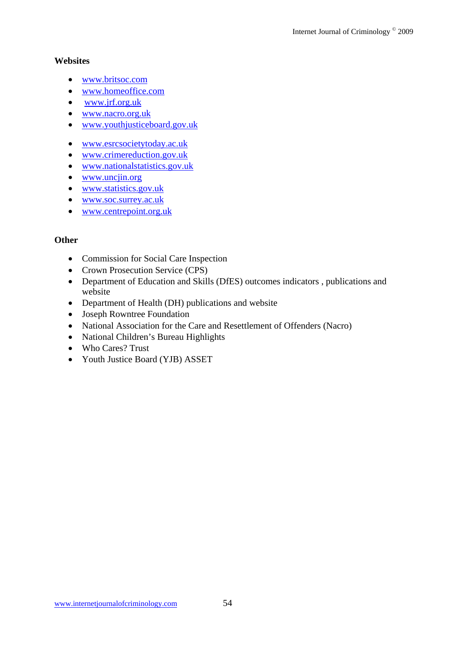### **Websites**

- www.britsoc.com
- www.homeoffice.com
- www.jrf.org.uk
- www.nacro.org.uk
- www.youthjusticeboard.gov.uk
- www.esrcsocietytoday.ac.uk
- www.crimereduction.gov.uk
- www.nationalstatistics.gov.uk
- www.uncjin.org
- www.statistics.gov.uk
- www.soc.surrey.ac.uk
- www.centrepoint.org.uk

# **Other**

- Commission for Social Care Inspection
- Crown Prosecution Service (CPS)
- Department of Education and Skills (DfES) outcomes indicators , publications and website
- Department of Health (DH) publications and website
- Joseph Rowntree Foundation
- National Association for the Care and Resettlement of Offenders (Nacro)
- National Children's Bureau Highlights
- Who Cares? Trust
- Youth Justice Board (YJB) ASSET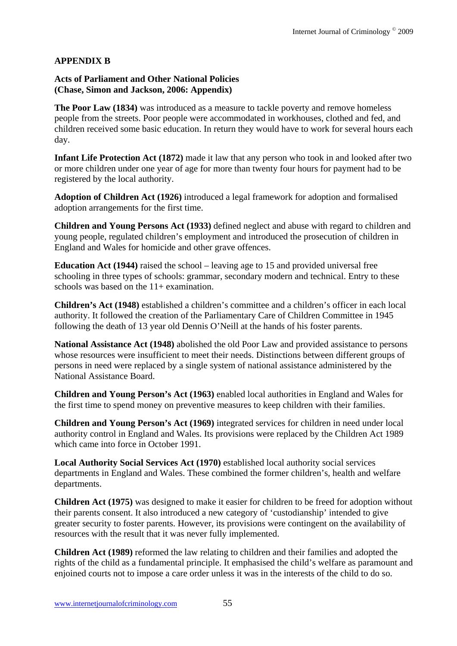## **APPENDIX B**

### **Acts of Parliament and Other National Policies (Chase, Simon and Jackson, 2006: Appendix)**

**The Poor Law (1834)** was introduced as a measure to tackle poverty and remove homeless people from the streets. Poor people were accommodated in workhouses, clothed and fed, and children received some basic education. In return they would have to work for several hours each day.

**Infant Life Protection Act (1872)** made it law that any person who took in and looked after two or more children under one year of age for more than twenty four hours for payment had to be registered by the local authority.

**Adoption of Children Act (1926)** introduced a legal framework for adoption and formalised adoption arrangements for the first time.

**Children and Young Persons Act (1933)** defined neglect and abuse with regard to children and young people, regulated children's employment and introduced the prosecution of children in England and Wales for homicide and other grave offences.

**Education Act (1944)** raised the school – leaving age to 15 and provided universal free schooling in three types of schools: grammar, secondary modern and technical. Entry to these schools was based on the  $11+$  examination.

**Children's Act (1948)** established a children's committee and a children's officer in each local authority. It followed the creation of the Parliamentary Care of Children Committee in 1945 following the death of 13 year old Dennis O'Neill at the hands of his foster parents.

**National Assistance Act (1948)** abolished the old Poor Law and provided assistance to persons whose resources were insufficient to meet their needs. Distinctions between different groups of persons in need were replaced by a single system of national assistance administered by the National Assistance Board.

**Children and Young Person's Act (1963)** enabled local authorities in England and Wales for the first time to spend money on preventive measures to keep children with their families.

**Children and Young Person's Act (1969)** integrated services for children in need under local authority control in England and Wales. Its provisions were replaced by the Children Act 1989 which came into force in October 1991.

**Local Authority Social Services Act (1970)** established local authority social services departments in England and Wales. These combined the former children's, health and welfare departments.

**Children Act (1975)** was designed to make it easier for children to be freed for adoption without their parents consent. It also introduced a new category of 'custodianship' intended to give greater security to foster parents. However, its provisions were contingent on the availability of resources with the result that it was never fully implemented.

**Children Act (1989)** reformed the law relating to children and their families and adopted the rights of the child as a fundamental principle. It emphasised the child's welfare as paramount and enjoined courts not to impose a care order unless it was in the interests of the child to do so.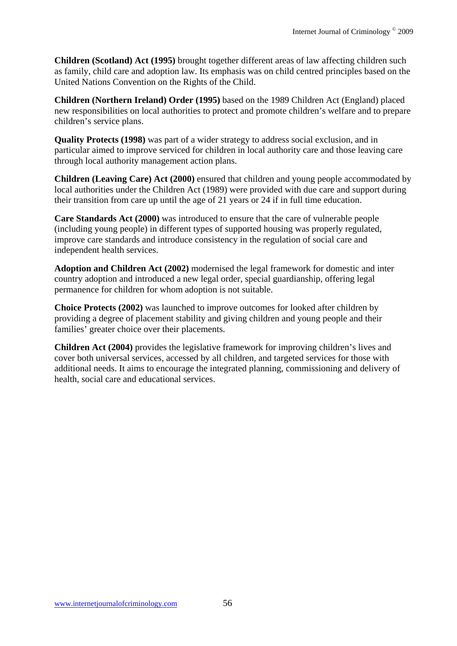**Children (Scotland) Act (1995)** brought together different areas of law affecting children such as family, child care and adoption law. Its emphasis was on child centred principles based on the United Nations Convention on the Rights of the Child.

**Children (Northern Ireland) Order (1995)** based on the 1989 Children Act (England) placed new responsibilities on local authorities to protect and promote children's welfare and to prepare children's service plans.

**Quality Protects (1998)** was part of a wider strategy to address social exclusion, and in particular aimed to improve serviced for children in local authority care and those leaving care through local authority management action plans.

**Children (Leaving Care) Act (2000)** ensured that children and young people accommodated by local authorities under the Children Act (1989) were provided with due care and support during their transition from care up until the age of 21 years or 24 if in full time education.

**Care Standards Act (2000)** was introduced to ensure that the care of vulnerable people (including young people) in different types of supported housing was properly regulated, improve care standards and introduce consistency in the regulation of social care and independent health services.

**Adoption and Children Act (2002)** modernised the legal framework for domestic and inter country adoption and introduced a new legal order, special guardianship, offering legal permanence for children for whom adoption is not suitable.

**Choice Protects (2002)** was launched to improve outcomes for looked after children by providing a degree of placement stability and giving children and young people and their families' greater choice over their placements.

**Children Act (2004)** provides the legislative framework for improving children's lives and cover both universal services, accessed by all children, and targeted services for those with additional needs. It aims to encourage the integrated planning, commissioning and delivery of health, social care and educational services.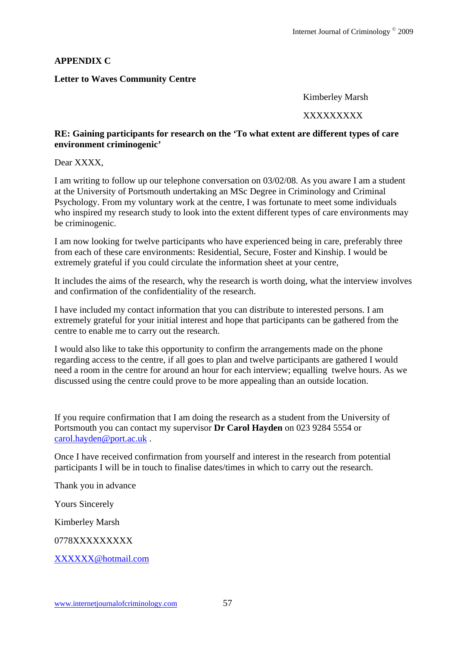### **APPENDIX C**

### **Letter to Waves Community Centre**

Kimberley Marsh

#### XXXXXXXXX

#### **RE: Gaining participants for research on the 'To what extent are different types of care environment criminogenic'**

Dear XXXX,

I am writing to follow up our telephone conversation on 03/02/08. As you aware I am a student at the University of Portsmouth undertaking an MSc Degree in Criminology and Criminal Psychology. From my voluntary work at the centre, I was fortunate to meet some individuals who inspired my research study to look into the extent different types of care environments may be criminogenic.

I am now looking for twelve participants who have experienced being in care, preferably three from each of these care environments: Residential, Secure, Foster and Kinship. I would be extremely grateful if you could circulate the information sheet at your centre,

It includes the aims of the research, why the research is worth doing, what the interview involves and confirmation of the confidentiality of the research.

I have included my contact information that you can distribute to interested persons. I am extremely grateful for your initial interest and hope that participants can be gathered from the centre to enable me to carry out the research.

I would also like to take this opportunity to confirm the arrangements made on the phone regarding access to the centre, if all goes to plan and twelve participants are gathered I would need a room in the centre for around an hour for each interview; equalling twelve hours. As we discussed using the centre could prove to be more appealing than an outside location.

If you require confirmation that I am doing the research as a student from the University of Portsmouth you can contact my supervisor **Dr Carol Hayden** on 023 9284 5554 or carol.hayden@port.ac.uk .

Once I have received confirmation from yourself and interest in the research from potential participants I will be in touch to finalise dates/times in which to carry out the research.

Thank you in advance

Yours Sincerely

Kimberley Marsh

0778XXXXXXXXX

XXXXXX@hotmail.com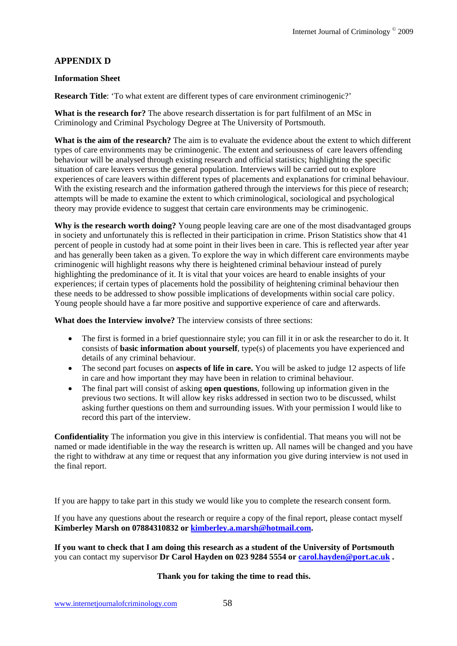## **APPENDIX D**

#### **Information Sheet**

**Research Title**: 'To what extent are different types of care environment criminogenic?'

**What is the research for?** The above research dissertation is for part fulfilment of an MSc in Criminology and Criminal Psychology Degree at The University of Portsmouth.

**What is the aim of the research?** The aim is to evaluate the evidence about the extent to which different types of care environments may be criminogenic. The extent and seriousness of care leavers offending behaviour will be analysed through existing research and official statistics; highlighting the specific situation of care leavers versus the general population. Interviews will be carried out to explore experiences of care leavers within different types of placements and explanations for criminal behaviour. With the existing research and the information gathered through the interviews for this piece of research; attempts will be made to examine the extent to which criminological, sociological and psychological theory may provide evidence to suggest that certain care environments may be criminogenic.

**Why is the research worth doing?** Young people leaving care are one of the most disadvantaged groups in society and unfortunately this is reflected in their participation in crime. Prison Statistics show that 41 percent of people in custody had at some point in their lives been in care. This is reflected year after year and has generally been taken as a given. To explore the way in which different care environments maybe criminogenic will highlight reasons why there is heightened criminal behaviour instead of purely highlighting the predominance of it. It is vital that your voices are heard to enable insights of your experiences; if certain types of placements hold the possibility of heightening criminal behaviour then these needs to be addressed to show possible implications of developments within social care policy. Young people should have a far more positive and supportive experience of care and afterwards.

**What does the Interview involve?** The interview consists of three sections:

- The first is formed in a brief questionnaire style; you can fill it in or ask the researcher to do it. It consists of **basic information about yourself**, type(s) of placements you have experienced and details of any criminal behaviour.
- The second part focuses on **aspects of life in care.** You will be asked to judge 12 aspects of life in care and how important they may have been in relation to criminal behaviour.
- The final part will consist of asking **open questions**, following up information given in the previous two sections. It will allow key risks addressed in section two to be discussed, whilst asking further questions on them and surrounding issues. With your permission I would like to record this part of the interview.

**Confidentiality** The information you give in this interview is confidential. That means you will not be named or made identifiable in the way the research is written up. All names will be changed and you have the right to withdraw at any time or request that any information you give during interview is not used in the final report.

If you are happy to take part in this study we would like you to complete the research consent form.

If you have any questions about the research or require a copy of the final report, please contact myself **Kimberley Marsh on 07884310832 or kimberley.a.marsh@hotmail.com.** 

**If you want to check that I am doing this research as a student of the University of Portsmouth**  you can contact my supervisor **Dr Carol Hayden on 023 9284 5554 or carol.hayden@port.ac.uk .** 

**Thank you for taking the time to read this.**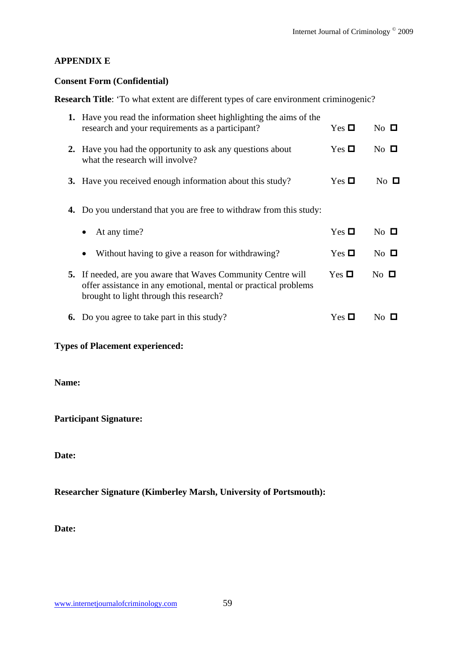## **APPENDIX E**

### **Consent Form (Confidential)**

**Research Title**: 'To what extent are different types of care environment criminogenic?

|    | <b>1.</b> Have you read the information sheet highlighting the aims of the<br>research and your requirements as a participant?                                                    | Yes $\Box$         | No $\square$   |
|----|-----------------------------------------------------------------------------------------------------------------------------------------------------------------------------------|--------------------|----------------|
|    | <b>2.</b> Have you had the opportunity to ask any questions about<br>what the research will involve?                                                                              | Yes $\Box$         | $No$ $\Box$    |
|    | 3. Have you received enough information about this study?                                                                                                                         | $Yes \Box$         | $No$ $\Box$    |
| 4. | Do you understand that you are free to withdraw from this study:                                                                                                                  |                    |                |
|    | At any time?<br>$\bullet$                                                                                                                                                         | Yes $\blacksquare$ | $No$ $\Box$    |
|    | Without having to give a reason for withdrawing?                                                                                                                                  | Yes $\Box$         | $No$ $\Box$    |
|    | <b>5.</b> If needed, are you aware that Waves Community Centre will<br>offer assistance in any emotional, mental or practical problems<br>brought to light through this research? | Yes $\Box$         | $No$ $\Box$    |
|    | <b>6.</b> Do you agree to take part in this study?                                                                                                                                | $Yes \square$      | N <sub>0</sub> |
|    |                                                                                                                                                                                   |                    |                |

## **Types of Placement experienced:**

**Name:** 

**Participant Signature:** 

**Date:** 

# **Researcher Signature (Kimberley Marsh, University of Portsmouth):**

**Date:**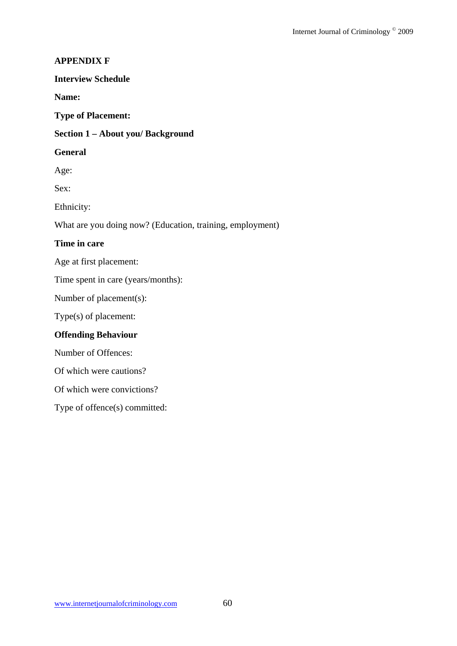### **APPENDIX F**

#### **Interview Schedule**

**Name:** 

**Type of Placement:** 

#### **Section 1 – About you/ Background**

#### **General**

Age:

Sex:

Ethnicity:

What are you doing now? (Education, training, employment)

### **Time in care**

Age at first placement:

Time spent in care (years/months):

Number of placement(s):

Type(s) of placement:

### **Offending Behaviour**

Number of Offences:

Of which were cautions?

Of which were convictions?

Type of offence(s) committed: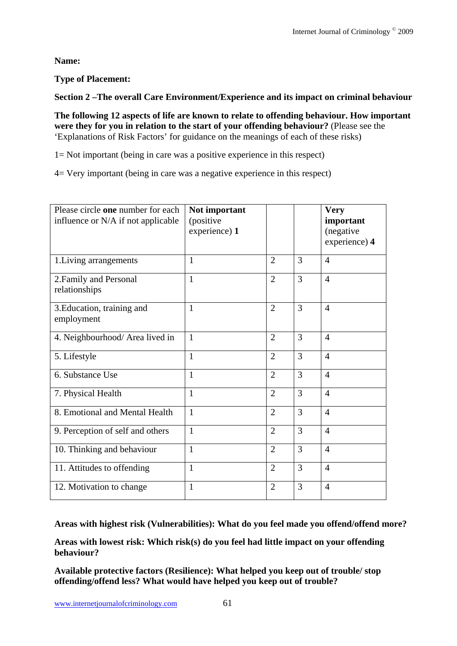**Name:** 

# **Type of Placement:**

**Section 2 –The overall Care Environment/Experience and its impact on criminal behaviour** 

**The following 12 aspects of life are known to relate to offending behaviour. How important were they for you in relation to the start of your offending behaviour?** (Please see the 'Explanations of Risk Factors' for guidance on the meanings of each of these risks)

1= Not important (being in care was a positive experience in this respect)

4= Very important (being in care was a negative experience in this respect)

| Please circle one number for each<br>influence or N/A if not applicable | Not important<br>(positive<br>experience) 1 |                |   | <b>Very</b><br>important<br>(negative<br>experience) 4 |
|-------------------------------------------------------------------------|---------------------------------------------|----------------|---|--------------------------------------------------------|
| 1. Living arrangements                                                  | $\mathbf{1}$                                | $\overline{2}$ | 3 | $\overline{4}$                                         |
| 2. Family and Personal<br>relationships                                 | $\mathbf{1}$                                | $\overline{2}$ | 3 | $\overline{4}$                                         |
| 3. Education, training and<br>employment                                | $\mathbf{1}$                                | $\overline{2}$ | 3 | $\overline{4}$                                         |
| 4. Neighbourhood/ Area lived in                                         | $\mathbf{1}$                                | $\overline{2}$ | 3 | $\overline{4}$                                         |
| 5. Lifestyle                                                            | $\mathbf{1}$                                | $\overline{2}$ | 3 | $\overline{4}$                                         |
| 6. Substance Use                                                        | 1                                           | $\overline{2}$ | 3 | $\overline{4}$                                         |
| 7. Physical Health                                                      | $\mathbf{1}$                                | $\overline{2}$ | 3 | $\overline{4}$                                         |
| 8. Emotional and Mental Health                                          | 1                                           | $\overline{2}$ | 3 | $\overline{4}$                                         |
| 9. Perception of self and others                                        | 1                                           | $\overline{2}$ | 3 | $\overline{4}$                                         |
| 10. Thinking and behaviour                                              | $\mathbf{1}$                                | $\overline{2}$ | 3 | $\overline{4}$                                         |
| 11. Attitudes to offending                                              | $\mathbf{1}$                                | $\overline{2}$ | 3 | $\overline{4}$                                         |
| 12. Motivation to change                                                | $\mathbf{1}$                                | $\overline{2}$ | 3 | $\overline{4}$                                         |

**Areas with highest risk (Vulnerabilities): What do you feel made you offend/offend more?** 

**Areas with lowest risk: Which risk(s) do you feel had little impact on your offending behaviour?** 

**Available protective factors (Resilience): What helped you keep out of trouble/ stop offending/offend less? What would have helped you keep out of trouble?**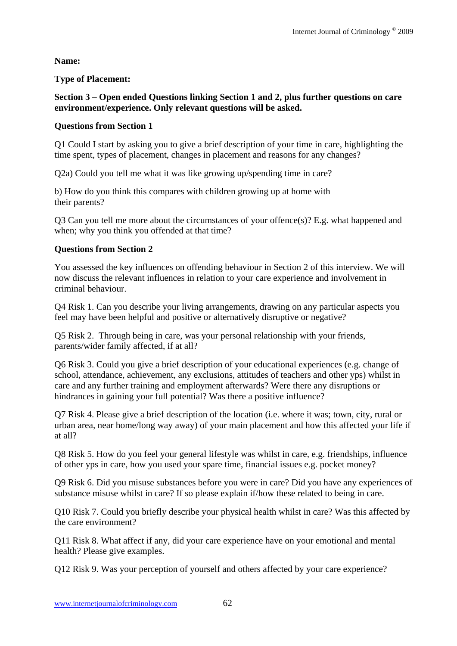**Name:** 

# **Type of Placement:**

## **Section 3 – Open ended Questions linking Section 1 and 2, plus further questions on care environment/experience. Only relevant questions will be asked.**

# **Questions from Section 1**

Q1 Could I start by asking you to give a brief description of your time in care, highlighting the time spent, types of placement, changes in placement and reasons for any changes?

Q2a) Could you tell me what it was like growing up/spending time in care?

b) How do you think this compares with children growing up at home with their parents?

Q3 Can you tell me more about the circumstances of your offence(s)? E.g. what happened and when; why you think you offended at that time?

# **Questions from Section 2**

You assessed the key influences on offending behaviour in Section 2 of this interview. We will now discuss the relevant influences in relation to your care experience and involvement in criminal behaviour.

Q4 Risk 1. Can you describe your living arrangements, drawing on any particular aspects you feel may have been helpful and positive or alternatively disruptive or negative?

Q5 Risk 2. Through being in care, was your personal relationship with your friends, parents/wider family affected, if at all?

Q6 Risk 3. Could you give a brief description of your educational experiences (e.g. change of school, attendance, achievement, any exclusions, attitudes of teachers and other yps) whilst in care and any further training and employment afterwards? Were there any disruptions or hindrances in gaining your full potential? Was there a positive influence?

Q7 Risk 4. Please give a brief description of the location (i.e. where it was; town, city, rural or urban area, near home/long way away) of your main placement and how this affected your life if at all?

Q8 Risk 5. How do you feel your general lifestyle was whilst in care, e.g. friendships, influence of other yps in care, how you used your spare time, financial issues e.g. pocket money?

Q9 Risk 6. Did you misuse substances before you were in care? Did you have any experiences of substance misuse whilst in care? If so please explain if/how these related to being in care.

Q10 Risk 7. Could you briefly describe your physical health whilst in care? Was this affected by the care environment?

Q11 Risk 8. What affect if any, did your care experience have on your emotional and mental health? Please give examples.

Q12 Risk 9. Was your perception of yourself and others affected by your care experience?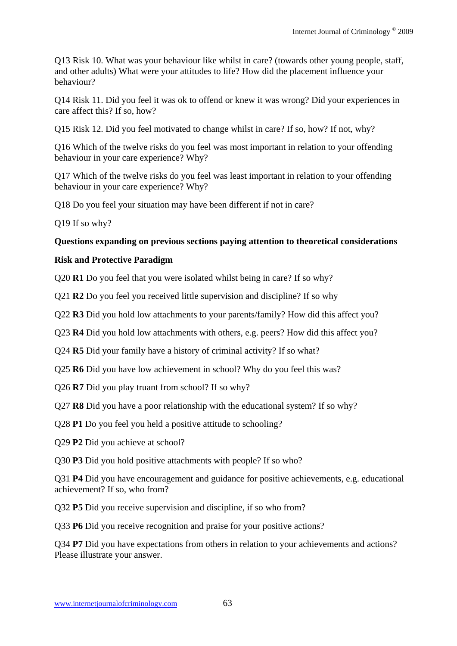Q13 Risk 10. What was your behaviour like whilst in care? (towards other young people, staff, and other adults) What were your attitudes to life? How did the placement influence your behaviour?

Q14 Risk 11. Did you feel it was ok to offend or knew it was wrong? Did your experiences in care affect this? If so, how?

Q15 Risk 12. Did you feel motivated to change whilst in care? If so, how? If not, why?

Q16 Which of the twelve risks do you feel was most important in relation to your offending behaviour in your care experience? Why?

Q17 Which of the twelve risks do you feel was least important in relation to your offending behaviour in your care experience? Why?

Q18 Do you feel your situation may have been different if not in care?

Q19 If so why?

## **Questions expanding on previous sections paying attention to theoretical considerations**

## **Risk and Protective Paradigm**

Q20 **R1** Do you feel that you were isolated whilst being in care? If so why?

Q21 **R2** Do you feel you received little supervision and discipline? If so why

Q22 **R3** Did you hold low attachments to your parents/family? How did this affect you?

Q23 **R4** Did you hold low attachments with others, e.g. peers? How did this affect you?

Q24 **R5** Did your family have a history of criminal activity? If so what?

Q25 **R6** Did you have low achievement in school? Why do you feel this was?

Q26 **R7** Did you play truant from school? If so why?

Q27 **R8** Did you have a poor relationship with the educational system? If so why?

Q28 **P1** Do you feel you held a positive attitude to schooling?

Q29 **P2** Did you achieve at school?

Q30 **P3** Did you hold positive attachments with people? If so who?

Q31 **P4** Did you have encouragement and guidance for positive achievements, e.g. educational achievement? If so, who from?

Q32 **P5** Did you receive supervision and discipline, if so who from?

Q33 **P6** Did you receive recognition and praise for your positive actions?

Q34 **P7** Did you have expectations from others in relation to your achievements and actions? Please illustrate your answer.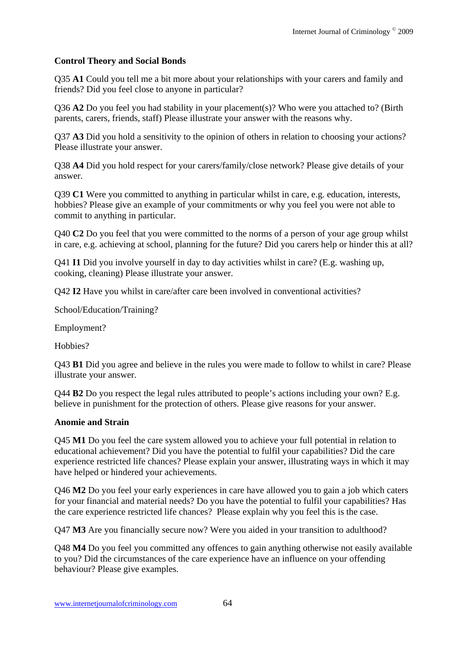## **Control Theory and Social Bonds**

Q35 **A1** Could you tell me a bit more about your relationships with your carers and family and friends? Did you feel close to anyone in particular?

Q36 **A2** Do you feel you had stability in your placement(s)? Who were you attached to? (Birth parents, carers, friends, staff) Please illustrate your answer with the reasons why.

Q37 **A3** Did you hold a sensitivity to the opinion of others in relation to choosing your actions? Please illustrate your answer.

Q38 **A4** Did you hold respect for your carers/family/close network? Please give details of your answer.

Q39 **C1** Were you committed to anything in particular whilst in care, e.g. education, interests, hobbies? Please give an example of your commitments or why you feel you were not able to commit to anything in particular.

Q40 **C2** Do you feel that you were committed to the norms of a person of your age group whilst in care, e.g. achieving at school, planning for the future? Did you carers help or hinder this at all?

Q41 **I1** Did you involve yourself in day to day activities whilst in care? (E.g. washing up, cooking, cleaning) Please illustrate your answer.

Q42 **I2** Have you whilst in care/after care been involved in conventional activities?

School/Education/Training?

Employment?

Hobbies?

Q43 **B1** Did you agree and believe in the rules you were made to follow to whilst in care? Please illustrate your answer.

Q44 **B2** Do you respect the legal rules attributed to people's actions including your own? E.g. believe in punishment for the protection of others. Please give reasons for your answer.

### **Anomie and Strain**

Q45 **M1** Do you feel the care system allowed you to achieve your full potential in relation to educational achievement? Did you have the potential to fulfil your capabilities? Did the care experience restricted life chances? Please explain your answer, illustrating ways in which it may have helped or hindered your achievements.

Q46 **M2** Do you feel your early experiences in care have allowed you to gain a job which caters for your financial and material needs? Do you have the potential to fulfil your capabilities? Has the care experience restricted life chances? Please explain why you feel this is the case.

Q47 **M3** Are you financially secure now? Were you aided in your transition to adulthood?

Q48 **M4** Do you feel you committed any offences to gain anything otherwise not easily available to you? Did the circumstances of the care experience have an influence on your offending behaviour? Please give examples.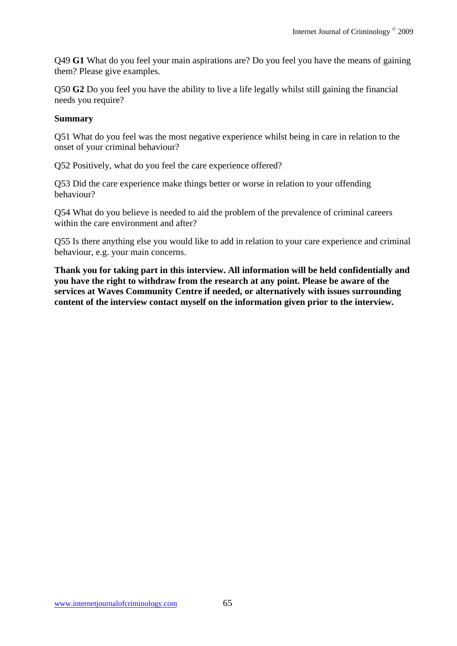Q49 **G1** What do you feel your main aspirations are? Do you feel you have the means of gaining them? Please give examples.

Q50 **G2** Do you feel you have the ability to live a life legally whilst still gaining the financial needs you require?

#### **Summary**

Q51 What do you feel was the most negative experience whilst being in care in relation to the onset of your criminal behaviour?

Q52 Positively, what do you feel the care experience offered?

Q53 Did the care experience make things better or worse in relation to your offending behaviour?

Q54 What do you believe is needed to aid the problem of the prevalence of criminal careers within the care environment and after?

Q55 Is there anything else you would like to add in relation to your care experience and criminal behaviour, e.g. your main concerns.

**Thank you for taking part in this interview. All information will be held confidentially and you have the right to withdraw from the research at any point. Please be aware of the services at Waves Community Centre if needed, or alternatively with issues surrounding content of the interview contact myself on the information given prior to the interview.**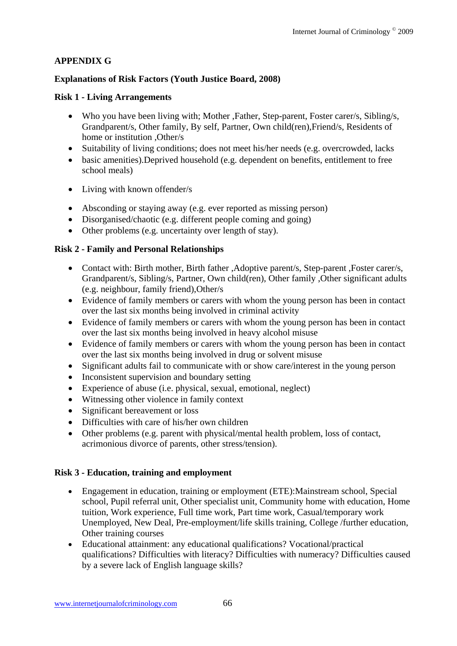# **APPENDIX G**

## **Explanations of Risk Factors (Youth Justice Board, 2008)**

### **Risk 1 - Living Arrangements**

- Who you have been living with; Mother ,Father, Step-parent, Foster carer/s, Sibling/s, Grandparent/s, Other family, By self, Partner, Own child(ren),Friend/s, Residents of home or institution , Other/s
- Suitability of living conditions; does not meet his/her needs (e.g. overcrowded, lacks
- basic amenities).Deprived household (e.g. dependent on benefits, entitlement to free school meals)
- Living with known offender/s
- Absconding or staying away (e.g. ever reported as missing person)
- Disorganised/chaotic (e.g. different people coming and going)
- Other problems (e.g. uncertainty over length of stay).

## **Risk 2 - Family and Personal Relationships**

- Contact with: Birth mother, Birth father, Adoptive parent/s, Step-parent , Foster carer/s, Grandparent/s, Sibling/s, Partner, Own child(ren), Other family ,Other significant adults (e.g. neighbour, family friend),Other/s
- Evidence of family members or carers with whom the young person has been in contact over the last six months being involved in criminal activity
- Evidence of family members or carers with whom the young person has been in contact over the last six months being involved in heavy alcohol misuse
- Evidence of family members or carers with whom the young person has been in contact over the last six months being involved in drug or solvent misuse
- Significant adults fail to communicate with or show care/interest in the young person
- Inconsistent supervision and boundary setting
- Experience of abuse (i.e. physical, sexual, emotional, neglect)
- Witnessing other violence in family context
- Significant bereavement or loss
- Difficulties with care of his/her own children
- Other problems (e.g. parent with physical/mental health problem, loss of contact, acrimonious divorce of parents, other stress/tension).

### **Risk 3 - Education, training and employment**

- Engagement in education, training or employment (ETE):Mainstream school, Special school, Pupil referral unit, Other specialist unit, Community home with education, Home tuition, Work experience, Full time work, Part time work, Casual/temporary work Unemployed, New Deal, Pre-employment/life skills training, College /further education, Other training courses
- Educational attainment: any educational qualifications? Vocational/practical qualifications? Difficulties with literacy? Difficulties with numeracy? Difficulties caused by a severe lack of English language skills?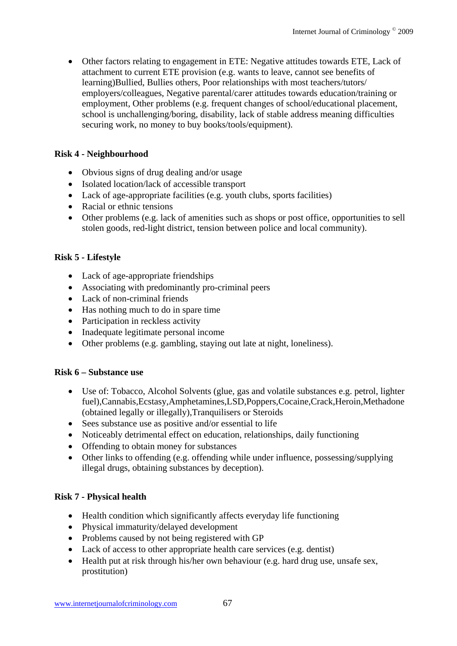Other factors relating to engagement in ETE: Negative attitudes towards ETE, Lack of attachment to current ETE provision (e.g. wants to leave, cannot see benefits of learning)Bullied, Bullies others, Poor relationships with most teachers/tutors/ employers/colleagues, Negative parental/carer attitudes towards education/training or employment, Other problems (e.g. frequent changes of school/educational placement, school is unchallenging/boring, disability, lack of stable address meaning difficulties securing work, no money to buy books/tools/equipment).

## **Risk 4 - Neighbourhood**

- Obvious signs of drug dealing and/or usage
- Isolated location/lack of accessible transport
- Lack of age-appropriate facilities (e.g. youth clubs, sports facilities)
- Racial or ethnic tensions
- Other problems (e.g. lack of amenities such as shops or post office, opportunities to sell stolen goods, red-light district, tension between police and local community).

## **Risk 5 - Lifestyle**

- Lack of age-appropriate friendships
- Associating with predominantly pro-criminal peers
- Lack of non-criminal friends
- Has nothing much to do in spare time
- Participation in reckless activity
- Inadequate legitimate personal income
- Other problems (e.g. gambling, staying out late at night, loneliness).

### **Risk 6 – Substance use**

- Use of: Tobacco, Alcohol Solvents (glue, gas and volatile substances e.g. petrol, lighter fuel),Cannabis,Ecstasy,Amphetamines,LSD,Poppers,Cocaine,Crack,Heroin,Methadone (obtained legally or illegally),Tranquilisers or Steroids
- Sees substance use as positive and/or essential to life
- Noticeably detrimental effect on education, relationships, daily functioning
- Offending to obtain money for substances
- Other links to offending (e.g. offending while under influence, possessing/supplying illegal drugs, obtaining substances by deception).

### **Risk 7 - Physical health**

- Health condition which significantly affects everyday life functioning
- Physical immaturity/delayed development
- Problems caused by not being registered with GP
- Lack of access to other appropriate health care services (e.g. dentist)
- Health put at risk through his/her own behaviour (e.g. hard drug use, unsafe sex, prostitution)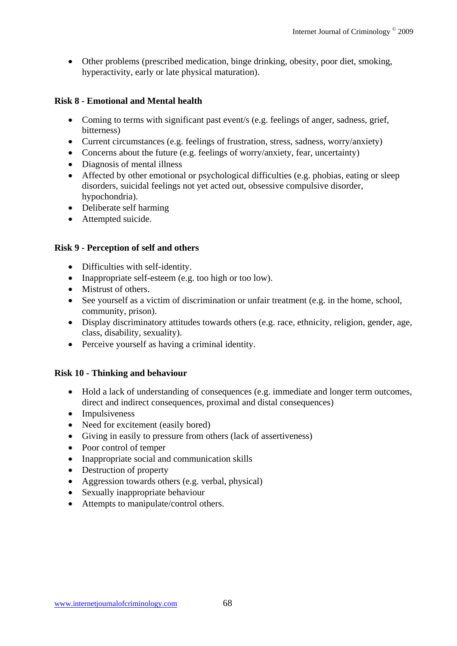Other problems (prescribed medication, binge drinking, obesity, poor diet, smoking, hyperactivity, early or late physical maturation).

## **Risk 8 - Emotional and Mental health**

- Coming to terms with significant past event/s (e.g. feelings of anger, sadness, grief, bitterness)
- Current circumstances (e.g. feelings of frustration, stress, sadness, worry/anxiety)
- Concerns about the future (e.g. feelings of worry/anxiety, fear, uncertainty)
- Diagnosis of mental illness
- Affected by other emotional or psychological difficulties (e.g. phobias, eating or sleep disorders, suicidal feelings not yet acted out, obsessive compulsive disorder, hypochondria).
- Deliberate self harming
- Attempted suicide.

### **Risk 9 - Perception of self and others**

- Difficulties with self-identity.
- Inappropriate self-esteem (e.g. too high or too low).
- Mistrust of others.
- See yourself as a victim of discrimination or unfair treatment (e.g. in the home, school, community, prison).
- Display discriminatory attitudes towards others (e.g. race, ethnicity, religion, gender, age, class, disability, sexuality).
- Perceive yourself as having a criminal identity.

### **Risk 10 - Thinking and behaviour**

- Hold a lack of understanding of consequences (e.g. immediate and longer term outcomes, direct and indirect consequences, proximal and distal consequences)
- Impulsiveness
- Need for excitement (easily bored)
- Giving in easily to pressure from others (lack of assertiveness)
- Poor control of temper
- Inappropriate social and communication skills
- Destruction of property
- Aggression towards others (e.g. verbal, physical)
- Sexually inappropriate behaviour
- Attempts to manipulate/control others.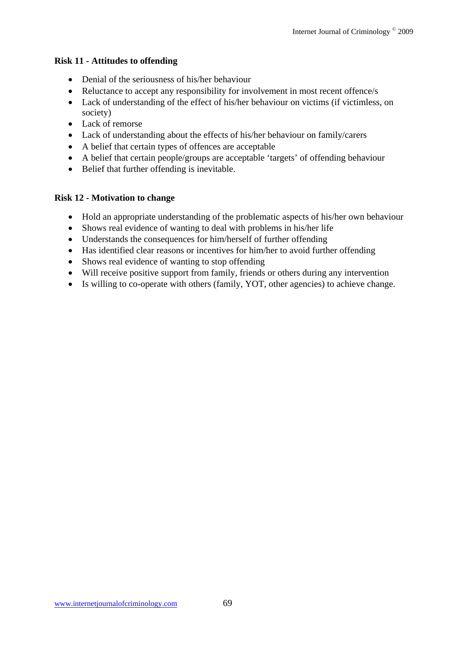## **Risk 11 - Attitudes to offending**

- Denial of the seriousness of his/her behaviour
- Reluctance to accept any responsibility for involvement in most recent offence/s
- Lack of understanding of the effect of his/her behaviour on victims (if victimless, on society)
- Lack of remorse
- Lack of understanding about the effects of his/her behaviour on family/carers
- A belief that certain types of offences are acceptable
- A belief that certain people/groups are acceptable 'targets' of offending behaviour
- Belief that further offending is inevitable.

## **Risk 12 - Motivation to change**

- Hold an appropriate understanding of the problematic aspects of his/her own behaviour
- Shows real evidence of wanting to deal with problems in his/her life
- Understands the consequences for him/herself of further offending
- Has identified clear reasons or incentives for him/her to avoid further offending
- Shows real evidence of wanting to stop offending
- Will receive positive support from family, friends or others during any intervention
- Is willing to co-operate with others (family, YOT, other agencies) to achieve change.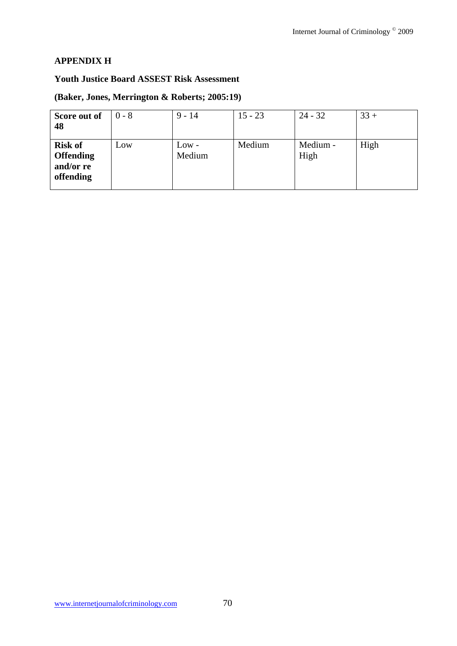## **APPENDIX H**

#### **Youth Justice Board ASSEST Risk Assessment**

## **(Baker, Jones, Merrington & Roberts; 2005:19)**

| Score out of<br>48                                           | $0 - 8$ | $9 - 14$          | $15 - 23$ | $24 - 32$        | $33 +$ |
|--------------------------------------------------------------|---------|-------------------|-----------|------------------|--------|
| <b>Risk of</b><br><b>Offending</b><br>and/or re<br>offending | Low     | $Low -$<br>Medium | Medium    | Medium -<br>High | High   |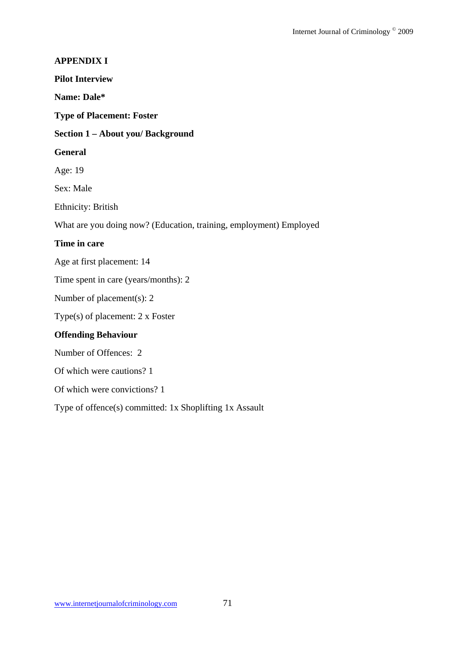# **APPENDIX I Pilot Interview Name: Dale\* Type of Placement: Foster Section 1 – About you/ Background General**  Age: 19 Sex: Male Ethnicity: British What are you doing now? (Education, training, employment) Employed **Time in care**  Age at first placement: 14 Time spent in care (years/months): 2 Number of placement(s): 2 Type(s) of placement: 2 x Foster **Offending Behaviour**  Number of Offences: 2 Of which were cautions? 1 Of which were convictions? 1 Type of offence(s) committed: 1x Shoplifting 1x Assault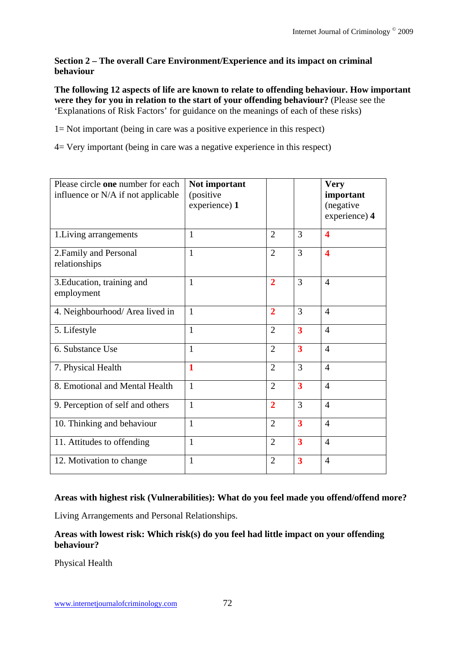#### **Section 2 – The overall Care Environment/Experience and its impact on criminal behaviour**

**The following 12 aspects of life are known to relate to offending behaviour. How important were they for you in relation to the start of your offending behaviour?** (Please see the 'Explanations of Risk Factors' for guidance on the meanings of each of these risks)

1= Not important (being in care was a positive experience in this respect)

4= Very important (being in care was a negative experience in this respect)

| Please circle one number for each<br>influence or N/A if not applicable | Not important<br>(positive<br>experience) 1 |                |                         | <b>Very</b><br>important<br>(negative<br>experience) 4 |
|-------------------------------------------------------------------------|---------------------------------------------|----------------|-------------------------|--------------------------------------------------------|
| 1. Living arrangements                                                  | $\mathbf{1}$                                | $\overline{2}$ | 3                       | $\overline{\mathbf{4}}$                                |
| 2. Family and Personal<br>relationships                                 | $\mathbf{1}$                                | $\overline{2}$ | 3                       | $\overline{\mathbf{4}}$                                |
| 3. Education, training and<br>employment                                | $\mathbf{1}$                                | $\overline{2}$ | 3                       | $\overline{4}$                                         |
| 4. Neighbourhood/ Area lived in                                         | $\mathbf{1}$                                | $\overline{2}$ | 3                       | $\overline{4}$                                         |
| 5. Lifestyle                                                            | $\mathbf{1}$                                | $\overline{2}$ | $\overline{\mathbf{3}}$ | $\overline{4}$                                         |
| 6. Substance Use                                                        | $\mathbf{1}$                                | $\overline{2}$ | $\overline{\mathbf{3}}$ | $\overline{4}$                                         |
| 7. Physical Health                                                      | $\mathbf 1$                                 | $\overline{2}$ | 3                       | $\overline{4}$                                         |
| 8. Emotional and Mental Health                                          | $\mathbf{1}$                                | $\overline{2}$ | 3                       | $\overline{4}$                                         |
| 9. Perception of self and others                                        | $\mathbf{1}$                                | $\overline{2}$ | 3                       | $\overline{4}$                                         |
| 10. Thinking and behaviour                                              | $\mathbf{1}$                                | $\overline{2}$ | $\overline{\mathbf{3}}$ | $\overline{4}$                                         |
| 11. Attitudes to offending                                              | 1                                           | $\overline{2}$ | 3                       | $\overline{4}$                                         |
| 12. Motivation to change                                                | 1                                           | $\overline{2}$ | 3                       | $\overline{4}$                                         |

## **Areas with highest risk (Vulnerabilities): What do you feel made you offend/offend more?**

Living Arrangements and Personal Relationships.

## **Areas with lowest risk: Which risk(s) do you feel had little impact on your offending behaviour?**

Physical Health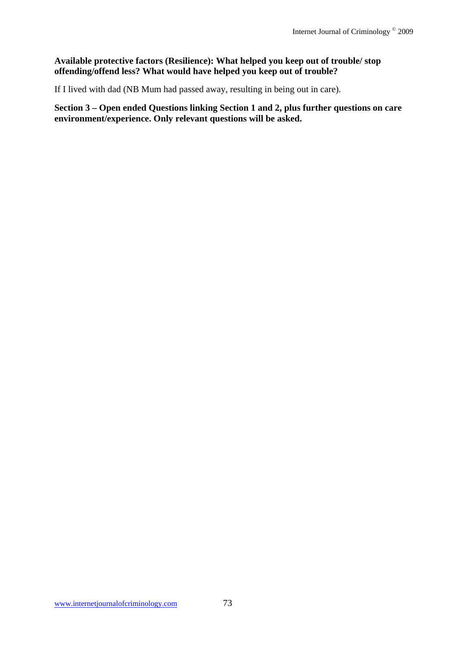#### **Available protective factors (Resilience): What helped you keep out of trouble/ stop offending/offend less? What would have helped you keep out of trouble?**

If I lived with dad (NB Mum had passed away, resulting in being out in care).

**Section 3 – Open ended Questions linking Section 1 and 2, plus further questions on care environment/experience. Only relevant questions will be asked.**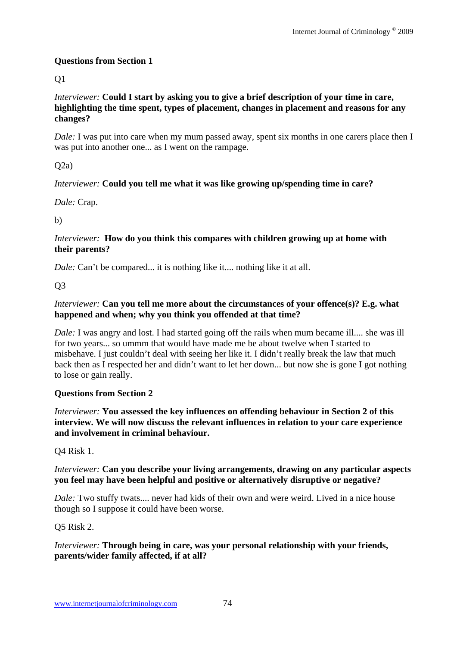## **Questions from Section 1**

Q1

*Interviewer:* **Could I start by asking you to give a brief description of your time in care, highlighting the time spent, types of placement, changes in placement and reasons for any changes?** 

*Dale:* I was put into care when my mum passed away, spent six months in one carers place then I was put into another one... as I went on the rampage.

 $O(2a)$ 

## *Interviewer:* **Could you tell me what it was like growing up/spending time in care?**

*Dale:* Crap.

b)

#### *Interviewer:* **How do you think this compares with children growing up at home with their parents?**

*Dale:* Can't be compared... it is nothing like it.... nothing like it at all.

Q3

## *Interviewer:* Can you tell me more about the circumstances of your offence(s)? E.g. what **happened and when; why you think you offended at that time?**

*Dale:* I was angry and lost. I had started going off the rails when mum became ill.... she was ill for two years... so ummm that would have made me be about twelve when I started to misbehave. I just couldn't deal with seeing her like it. I didn't really break the law that much back then as I respected her and didn't want to let her down... but now she is gone I got nothing to lose or gain really.

## **Questions from Section 2**

*Interviewer:* **You assessed the key influences on offending behaviour in Section 2 of this interview. We will now discuss the relevant influences in relation to your care experience and involvement in criminal behaviour.** 

Q4 Risk 1.

## *Interviewer:* **Can you describe your living arrangements, drawing on any particular aspects you feel may have been helpful and positive or alternatively disruptive or negative?**

*Dale:* Two stuffy twats.... never had kids of their own and were weird. Lived in a nice house though so I suppose it could have been worse.

Q5 Risk 2.

## *Interviewer:* **Through being in care, was your personal relationship with your friends, parents/wider family affected, if at all?**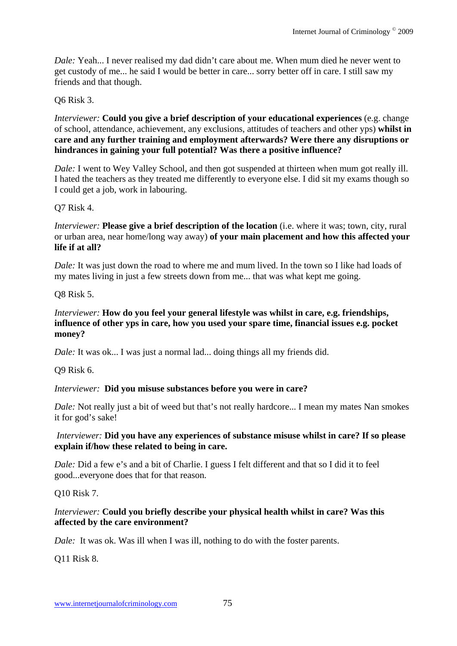*Dale:* Yeah... I never realised my dad didn't care about me. When mum died he never went to get custody of me... he said I would be better in care... sorry better off in care. I still saw my friends and that though.

## Q6 Risk 3.

*Interviewer:* **Could you give a brief description of your educational experiences** (e.g. change of school, attendance, achievement, any exclusions, attitudes of teachers and other yps) **whilst in care and any further training and employment afterwards? Were there any disruptions or hindrances in gaining your full potential? Was there a positive influence?**

*Dale:* I went to Wey Valley School, and then got suspended at thirteen when mum got really ill. I hated the teachers as they treated me differently to everyone else. I did sit my exams though so I could get a job, work in labouring.

## Q7 Risk 4.

*Interviewer:* **Please give a brief description of the location** (i.e. where it was; town, city, rural or urban area, near home/long way away) **of your main placement and how this affected your life if at all?** 

*Dale:* It was just down the road to where me and mum lived. In the town so I like had loads of my mates living in just a few streets down from me... that was what kept me going.

## Q8 Risk 5.

#### *Interviewer:* **How do you feel your general lifestyle was whilst in care, e.g. friendships, influence of other yps in care, how you used your spare time, financial issues e.g. pocket money?**

*Dale:* It was ok... I was just a normal lad... doing things all my friends did.

Q9 Risk 6.

#### *Interviewer:* **Did you misuse substances before you were in care?**

*Dale:* Not really just a bit of weed but that's not really hardcore... I mean my mates Nan smokes it for god's sake!

#### *Interviewer:* **Did you have any experiences of substance misuse whilst in care? If so please explain if/how these related to being in care.**

*Dale:* Did a few e's and a bit of Charlie. I guess I felt different and that so I did it to feel good...everyone does that for that reason.

Q10 Risk 7.

#### *Interviewer:* **Could you briefly describe your physical health whilst in care? Was this affected by the care environment?**

*Dale:* It was ok. Was ill when I was ill, nothing to do with the foster parents.

Q11 Risk 8.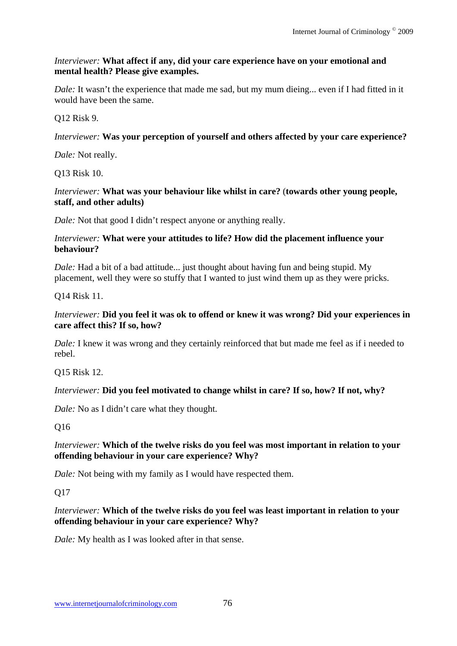#### *Interviewer:* **What affect if any, did your care experience have on your emotional and mental health? Please give examples.**

*Dale:* It wasn't the experience that made me sad, but my mum dieing... even if I had fitted in it would have been the same.

## Q12 Risk 9.

## *Interviewer:* **Was your perception of yourself and others affected by your care experience?**

*Dale:* Not really.

Q13 Risk 10.

#### *Interviewer:* **What was your behaviour like whilst in care?** (**towards other young people, staff, and other adults)**

*Dale:* Not that good I didn't respect anyone or anything really.

#### *Interviewer:* **What were your attitudes to life? How did the placement influence your behaviour?**

*Dale*: Had a bit of a bad attitude... just thought about having fun and being stupid. My placement, well they were so stuffy that I wanted to just wind them up as they were pricks.

Q14 Risk 11.

#### *Interviewer:* **Did you feel it was ok to offend or knew it was wrong? Did your experiences in care affect this? If so, how?**

*Dale:* I knew it was wrong and they certainly reinforced that but made me feel as if i needed to rebel.

Q15 Risk 12.

## *Interviewer:* **Did you feel motivated to change whilst in care? If so, how? If not, why?**

*Dale:* No as I didn't care what they thought.

Q16

## *Interviewer:* **Which of the twelve risks do you feel was most important in relation to your offending behaviour in your care experience? Why?**

*Dale:* Not being with my family as I would have respected them.

Q17

## *Interviewer:* **Which of the twelve risks do you feel was least important in relation to your offending behaviour in your care experience? Why?**

*Dale:* My health as I was looked after in that sense.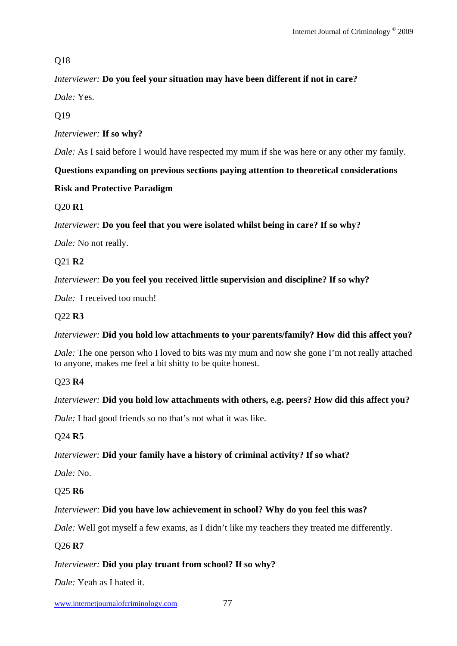# Q18

# *Interviewer:* **Do you feel your situation may have been different if not in care?**

*Dale:* Yes.

Q19

*Interviewer:* **If so why?** 

*Dale:* As I said before I would have respected my mum if she was here or any other my family.

# **Questions expanding on previous sections paying attention to theoretical considerations**

# **Risk and Protective Paradigm**

# Q20 **R1**

*Interviewer:* **Do you feel that you were isolated whilst being in care? If so why?** 

*Dale:* No not really.

Q21 **R2** 

# *Interviewer:* **Do you feel you received little supervision and discipline? If so why?**

*Dale:* I received too much!

# Q22 **R3**

## *Interviewer:* **Did you hold low attachments to your parents/family? How did this affect you?**

*Dale:* The one person who I loved to bits was my mum and now she gone I'm not really attached to anyone, makes me feel a bit shitty to be quite honest.

# Q23 **R4**

# *Interviewer:* **Did you hold low attachments with others, e.g. peers? How did this affect you?**

*Dale:* I had good friends so no that's not what it was like.

# Q24 **R5**

# *Interviewer:* **Did your family have a history of criminal activity? If so what?**

*Dale:* No.

## Q25 **R6**

# *Interviewer:* **Did you have low achievement in school? Why do you feel this was?**

*Dale:* Well got myself a few exams, as I didn't like my teachers they treated me differently.

## Q26 **R7**

## *Interviewer:* **Did you play truant from school? If so why?**

*Dale:* Yeah as I hated it.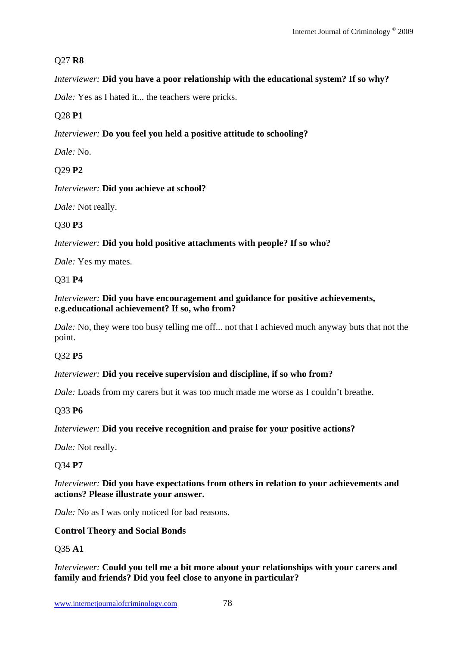## Q27 **R8**

## *Interviewer:* **Did you have a poor relationship with the educational system? If so why?**

*Dale:* Yes as I hated it... the teachers were pricks.

# Q28 **P1**

# *Interviewer:* **Do you feel you held a positive attitude to schooling?**

*Dale:* No.

# Q29 **P2**

*Interviewer:* **Did you achieve at school?**

*Dale:* Not really.

# Q30 **P3**

*Interviewer:* **Did you hold positive attachments with people? If so who?** 

*Dale:* Yes my mates.

## Q31 **P4**

## *Interviewer:* **Did you have encouragement and guidance for positive achievements, e.g.educational achievement? If so, who from?**

*Dale:* No, they were too busy telling me off... not that I achieved much anyway buts that not the point.

## Q32 **P5**

#### *Interviewer:* **Did you receive supervision and discipline, if so who from?**

*Dale:* Loads from my carers but it was too much made me worse as I couldn't breathe.

## Q33 **P6**

## *Interviewer:* **Did you receive recognition and praise for your positive actions?**

*Dale:* Not really.

## Q34 **P7**

#### *Interviewer:* **Did you have expectations from others in relation to your achievements and actions? Please illustrate your answer.**

*Dale:* No as I was only noticed for bad reasons.

#### **Control Theory and Social Bonds**

## Q35 **A1**

*Interviewer:* **Could you tell me a bit more about your relationships with your carers and family and friends? Did you feel close to anyone in particular?**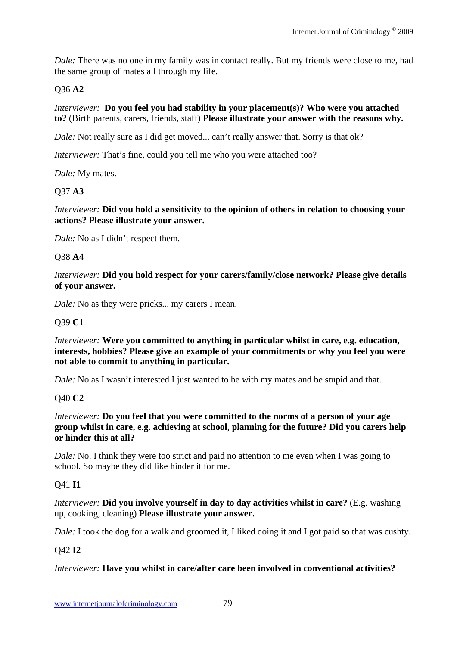*Dale:* There was no one in my family was in contact really. But my friends were close to me, had the same group of mates all through my life.

## Q36 **A2**

*Interviewer:* **Do you feel you had stability in your placement(s)? Who were you attached to?** (Birth parents, carers, friends, staff) **Please illustrate your answer with the reasons why.** 

*Dale:* Not really sure as I did get moved... can't really answer that. Sorry is that ok?

*Interviewer:* That's fine, could you tell me who you were attached too?

*Dale:* My mates.

## Q37 **A3**

*Interviewer:* **Did you hold a sensitivity to the opinion of others in relation to choosing your actions? Please illustrate your answer.** 

*Dale:* No as I didn't respect them.

#### Q38 **A4**

*Interviewer:* **Did you hold respect for your carers/family/close network? Please give details of your answer.** 

*Dale:* No as they were pricks... my carers I mean.

#### Q39 **C1**

*Interviewer:* Were you committed to anything in particular whilst in care, e.g. education, **interests, hobbies? Please give an example of your commitments or why you feel you were not able to commit to anything in particular.** 

*Dale:* No as I wasn't interested I just wanted to be with my mates and be stupid and that.

#### Q40 **C2**

*Interviewer:* **Do you feel that you were committed to the norms of a person of your age group whilst in care, e.g. achieving at school, planning for the future? Did you carers help or hinder this at all?** 

*Dale:* No. I think they were too strict and paid no attention to me even when I was going to school. So maybe they did like hinder it for me.

#### Q41 **I1**

*Interviewer:* **Did you involve yourself in day to day activities whilst in care?** (E.g. washing up, cooking, cleaning) **Please illustrate your answer.** 

*Dale:* I took the dog for a walk and groomed it, I liked doing it and I got paid so that was cushty.

#### Q42 **I2**

#### *Interviewer:* **Have you whilst in care/after care been involved in conventional activities?**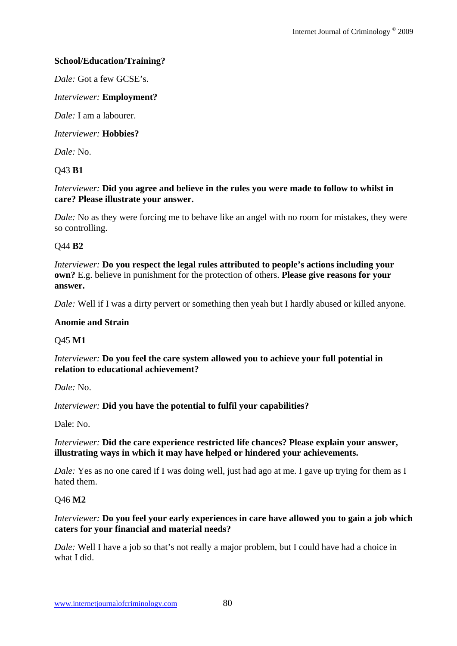## **School/Education/Training?**

*Dale:* Got a few GCSE's.

#### *Interviewer:* **Employment?**

*Dale:* I am a labourer.

*Interviewer:* **Hobbies?** 

*Dale:* No.

#### Q43 **B1**

#### *Interviewer:* **Did you agree and believe in the rules you were made to follow to whilst in care? Please illustrate your answer.**

*Dale:* No as they were forcing me to behave like an angel with no room for mistakes, they were so controlling.

#### Q44 **B2**

*Interviewer:* **Do you respect the legal rules attributed to people's actions including your own?** E.g. believe in punishment for the protection of others. **Please give reasons for your answer.** 

*Dale:* Well if I was a dirty pervert or something then yeah but I hardly abused or killed anyone.

#### **Anomie and Strain**

#### Q45 **M1**

*Interviewer:* **Do you feel the care system allowed you to achieve your full potential in relation to educational achievement?**

*Dale:* No.

#### *Interviewer:* **Did you have the potential to fulfil your capabilities?**

Dale: No.

#### *Interviewer:* **Did the care experience restricted life chances? Please explain your answer, illustrating ways in which it may have helped or hindered your achievements.**

*Dale:* Yes as no one cared if I was doing well, just had ago at me. I gave up trying for them as I hated them.

#### Q46 **M2**

#### *Interviewer:* **Do you feel your early experiences in care have allowed you to gain a job which caters for your financial and material needs?**

*Dale:* Well I have a job so that's not really a major problem, but I could have had a choice in what I did.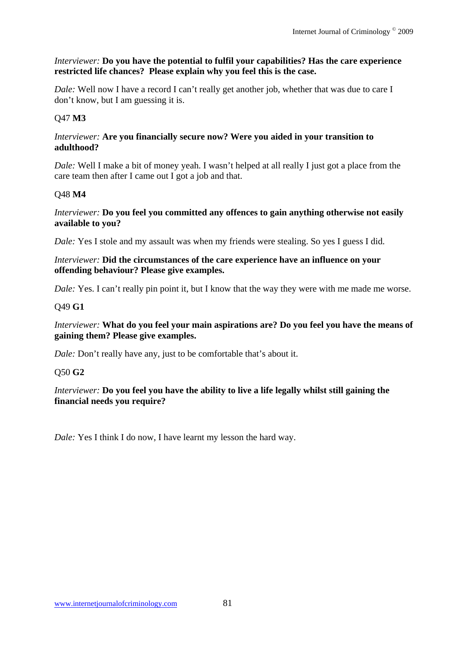#### *Interviewer:* **Do you have the potential to fulfil your capabilities? Has the care experience restricted life chances? Please explain why you feel this is the case.**

*Dale:* Well now I have a record I can't really get another job, whether that was due to care I don't know, but I am guessing it is.

# Q47 **M3**

#### *Interviewer:* **Are you financially secure now? Were you aided in your transition to adulthood?**

*Dale:* Well I make a bit of money yeah. I wasn't helped at all really I just got a place from the care team then after I came out I got a job and that.

## Q48 **M4**

#### *Interviewer:* **Do you feel you committed any offences to gain anything otherwise not easily available to you?**

*Dale:* Yes I stole and my assault was when my friends were stealing. So yes I guess I did.

#### *Interviewer:* **Did the circumstances of the care experience have an influence on your offending behaviour? Please give examples.**

*Dale:* Yes. I can't really pin point it, but I know that the way they were with me made me worse.

## Q49 **G1**

*Interviewer:* **What do you feel your main aspirations are? Do you feel you have the means of gaining them? Please give examples.** 

*Dale:* Don't really have any, just to be comfortable that's about it.

## Q50 **G2**

*Interviewer:* **Do you feel you have the ability to live a life legally whilst still gaining the financial needs you require?**

*Dale:* Yes I think I do now, I have learnt my lesson the hard way.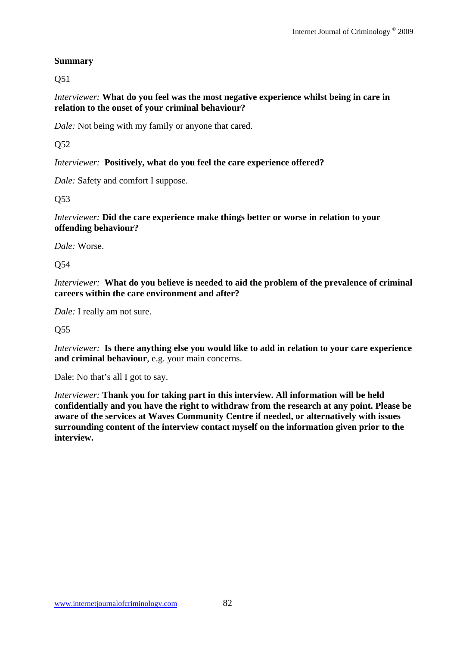# **Summary**

Q51

*Interviewer:* **What do you feel was the most negative experience whilst being in care in relation to the onset of your criminal behaviour?** 

*Dale:* Not being with my family or anyone that cared.

Q52

*Interviewer:* **Positively, what do you feel the care experience offered?** 

*Dale:* Safety and comfort I suppose.

Q53

*Interviewer:* **Did the care experience make things better or worse in relation to your offending behaviour?** 

*Dale:* Worse.

Q54

*Interviewer:* **What do you believe is needed to aid the problem of the prevalence of criminal careers within the care environment and after?**

*Dale:* I really am not sure.

Q55

*Interviewer:* **Is there anything else you would like to add in relation to your care experience and criminal behaviour**, e.g. your main concerns.

Dale: No that's all I got to say.

*Interviewer:* **Thank you for taking part in this interview. All information will be held confidentially and you have the right to withdraw from the research at any point. Please be aware of the services at Waves Community Centre if needed, or alternatively with issues surrounding content of the interview contact myself on the information given prior to the interview.**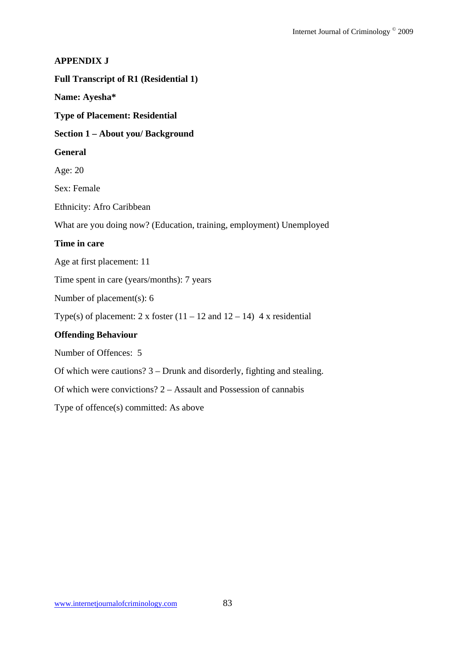# **APPENDIX J Full Transcript of R1 (Residential 1) Name: Ayesha\* Type of Placement: Residential Section 1 – About you/ Background General**  Age: 20 Sex: Female Ethnicity: Afro Caribbean What are you doing now? (Education, training, employment) Unemployed **Time in care**  Age at first placement: 11 Time spent in care (years/months): 7 years Number of placement(s): 6 Type(s) of placement: 2 x foster  $(11 - 12$  and  $12 - 14)$  4 x residential **Offending Behaviour**  Number of Offences: 5 Of which were cautions? 3 – Drunk and disorderly, fighting and stealing. Of which were convictions? 2 – Assault and Possession of cannabis

Type of offence(s) committed: As above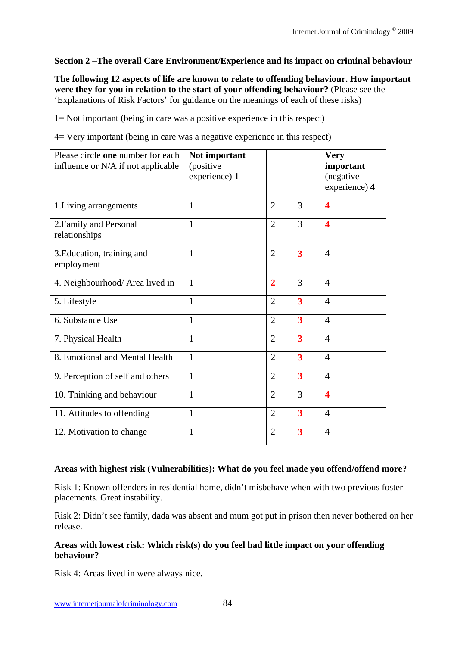## **Section 2 –The overall Care Environment/Experience and its impact on criminal behaviour**

**The following 12 aspects of life are known to relate to offending behaviour. How important were they for you in relation to the start of your offending behaviour?** (Please see the 'Explanations of Risk Factors' for guidance on the meanings of each of these risks)

1= Not important (being in care was a positive experience in this respect)

4= Very important (being in care was a negative experience in this respect)

| Please circle one number for each<br>influence or N/A if not applicable | Not important<br>(positive<br>experience) 1 |                |                         | <b>Very</b><br>important<br>(negative<br>experience) 4 |
|-------------------------------------------------------------------------|---------------------------------------------|----------------|-------------------------|--------------------------------------------------------|
| 1. Living arrangements                                                  | $\mathbf{1}$                                | $\overline{2}$ | 3                       | $\overline{\mathbf{4}}$                                |
| 2. Family and Personal<br>relationships                                 | $\mathbf{1}$                                | $\overline{2}$ | 3                       | $\overline{\mathbf{4}}$                                |
| 3. Education, training and<br>employment                                | $\mathbf{1}$                                | $\overline{2}$ | $\overline{\mathbf{3}}$ | $\overline{4}$                                         |
| 4. Neighbourhood/ Area lived in                                         | $\mathbf{1}$                                | $\overline{2}$ | 3                       | $\overline{4}$                                         |
| 5. Lifestyle                                                            | $\mathbf{1}$                                | $\overline{2}$ | $\overline{\mathbf{3}}$ | $\overline{4}$                                         |
| 6. Substance Use                                                        | 1                                           | $\overline{2}$ | $\overline{\mathbf{3}}$ | $\overline{4}$                                         |
| 7. Physical Health                                                      | $\mathbf{1}$                                | $\overline{2}$ | $\overline{\mathbf{3}}$ | $\overline{4}$                                         |
| 8. Emotional and Mental Health                                          | 1                                           | $\overline{2}$ | $\overline{\mathbf{3}}$ | $\overline{4}$                                         |
| 9. Perception of self and others                                        | $\mathbf{1}$                                | $\overline{2}$ | $\overline{\mathbf{3}}$ | $\overline{4}$                                         |
| 10. Thinking and behaviour                                              | 1                                           | $\overline{2}$ | 3                       | $\boldsymbol{4}$                                       |
| 11. Attitudes to offending                                              | $\mathbf{1}$                                | $\overline{2}$ | $\overline{\mathbf{3}}$ | $\overline{4}$                                         |
| 12. Motivation to change                                                | $\mathbf{1}$                                | $\overline{2}$ | $\overline{\mathbf{3}}$ | $\overline{4}$                                         |

#### **Areas with highest risk (Vulnerabilities): What do you feel made you offend/offend more?**

Risk 1: Known offenders in residential home, didn't misbehave when with two previous foster placements. Great instability.

Risk 2: Didn't see family, dada was absent and mum got put in prison then never bothered on her release.

#### **Areas with lowest risk: Which risk(s) do you feel had little impact on your offending behaviour?**

Risk 4: Areas lived in were always nice.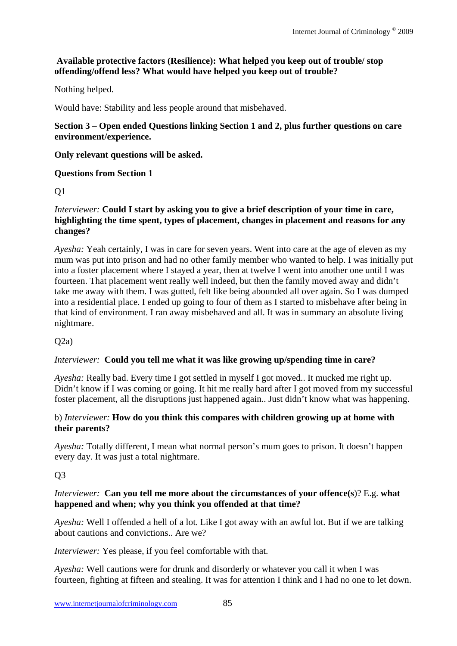## **Available protective factors (Resilience): What helped you keep out of trouble/ stop offending/offend less? What would have helped you keep out of trouble?**

Nothing helped.

Would have: Stability and less people around that misbehaved.

#### **Section 3 – Open ended Questions linking Section 1 and 2, plus further questions on care environment/experience.**

## **Only relevant questions will be asked.**

## **Questions from Section 1**

## Q1

#### *Interviewer:* **Could I start by asking you to give a brief description of your time in care, highlighting the time spent, types of placement, changes in placement and reasons for any changes?**

*Ayesha:* Yeah certainly, I was in care for seven years. Went into care at the age of eleven as my mum was put into prison and had no other family member who wanted to help. I was initially put into a foster placement where I stayed a year, then at twelve I went into another one until I was fourteen. That placement went really well indeed, but then the family moved away and didn't take me away with them. I was gutted, felt like being abounded all over again. So I was dumped into a residential place. I ended up going to four of them as I started to misbehave after being in that kind of environment. I ran away misbehaved and all. It was in summary an absolute living nightmare.

## $O(2a)$

## *Interviewer:* **Could you tell me what it was like growing up/spending time in care?**

*Ayesha:* Really bad. Every time I got settled in myself I got moved.. It mucked me right up. Didn't know if I was coming or going. It hit me really hard after I got moved from my successful foster placement, all the disruptions just happened again.. Just didn't know what was happening.

#### b) *Interviewer:* **How do you think this compares with children growing up at home with their parents?**

*Ayesha:* Totally different, I mean what normal person's mum goes to prison. It doesn't happen every day. It was just a total nightmare.

## $O<sub>3</sub>$

#### *Interviewer:* **Can you tell me more about the circumstances of your offence(s**)? E.g. **what happened and when; why you think you offended at that time?**

*Ayesha:* Well I offended a hell of a lot. Like I got away with an awful lot. But if we are talking about cautions and convictions.. Are we?

*Interviewer:* Yes please, if you feel comfortable with that.

*Ayesha:* Well cautions were for drunk and disorderly or whatever you call it when I was fourteen, fighting at fifteen and stealing. It was for attention I think and I had no one to let down.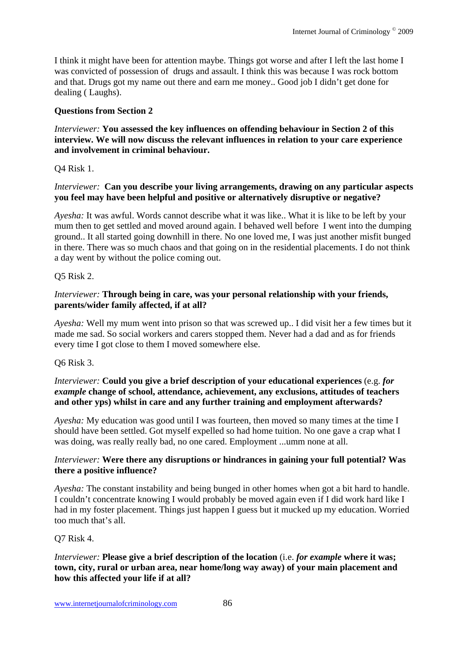I think it might have been for attention maybe. Things got worse and after I left the last home I was convicted of possession of drugs and assault. I think this was because I was rock bottom and that. Drugs got my name out there and earn me money.. Good job I didn't get done for dealing ( Laughs).

## **Questions from Section 2**

*Interviewer:* **You assessed the key influences on offending behaviour in Section 2 of this interview. We will now discuss the relevant influences in relation to your care experience and involvement in criminal behaviour.**

Q4 Risk 1.

#### *Interviewer:* **Can you describe your living arrangements, drawing on any particular aspects you feel may have been helpful and positive or alternatively disruptive or negative?**

*Ayesha:* It was awful. Words cannot describe what it was like.. What it is like to be left by your mum then to get settled and moved around again. I behaved well before I went into the dumping ground.. It all started going downhill in there. No one loved me, I was just another misfit bunged in there. There was so much chaos and that going on in the residential placements. I do not think a day went by without the police coming out.

## Q5 Risk 2.

#### *Interviewer:* **Through being in care, was your personal relationship with your friends, parents/wider family affected, if at all?**

*Ayesha:* Well my mum went into prison so that was screwed up.. I did visit her a few times but it made me sad. So social workers and carers stopped them. Never had a dad and as for friends every time I got close to them I moved somewhere else.

Q6 Risk 3.

#### *Interviewer:* **Could you give a brief description of your educational experiences** (e.g. *for example* **change of school, attendance, achievement, any exclusions, attitudes of teachers and other yps) whilst in care and any further training and employment afterwards?**

*Ayesha:* My education was good until I was fourteen, then moved so many times at the time I should have been settled. Got myself expelled so had home tuition. No one gave a crap what I was doing, was really really bad, no one cared. Employment ...umm none at all.

#### *Interviewer:* **Were there any disruptions or hindrances in gaining your full potential? Was there a positive influence?**

*Ayesha:* The constant instability and being bunged in other homes when got a bit hard to handle. I couldn't concentrate knowing I would probably be moved again even if I did work hard like I had in my foster placement. Things just happen I guess but it mucked up my education. Worried too much that's all.

#### Q7 Risk 4.

#### *Interviewer:* **Please give a brief description of the location** (i.e. *for example* **where it was; town, city, rural or urban area, near home/long way away) of your main placement and how this affected your life if at all?**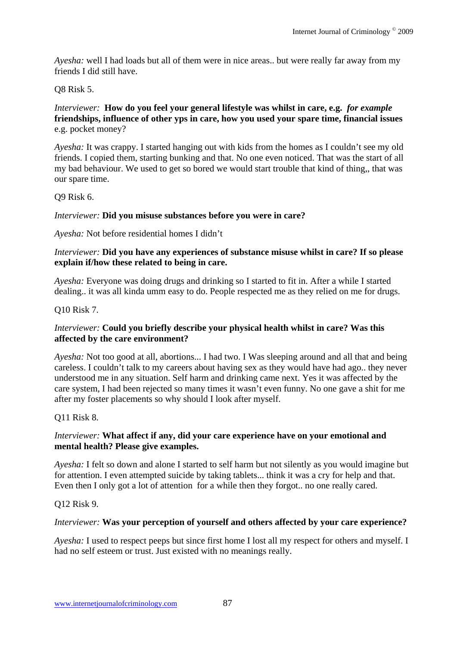*Ayesha:* well I had loads but all of them were in nice areas.. but were really far away from my friends I did still have.

Q8 Risk 5.

*Interviewer:* **How do you feel your general lifestyle was whilst in care, e.g.** *for example* **friendships, influence of other yps in care, how you used your spare time, financial issues** e.g. pocket money?

*Ayesha:* It was crappy. I started hanging out with kids from the homes as I couldn't see my old friends. I copied them, starting bunking and that. No one even noticed. That was the start of all my bad behaviour. We used to get so bored we would start trouble that kind of thing,, that was our spare time.

Q9 Risk 6.

#### *Interviewer:* **Did you misuse substances before you were in care?**

*Ayesha:* Not before residential homes I didn't

#### *Interviewer:* **Did you have any experiences of substance misuse whilst in care? If so please explain if/how these related to being in care.**

*Ayesha:* Everyone was doing drugs and drinking so I started to fit in. After a while I started dealing.. it was all kinda umm easy to do. People respected me as they relied on me for drugs.

Q10 Risk 7.

#### *Interviewer:* **Could you briefly describe your physical health whilst in care? Was this affected by the care environment?**

*Ayesha:* Not too good at all, abortions... I had two. I Was sleeping around and all that and being careless. I couldn't talk to my careers about having sex as they would have had ago.. they never understood me in any situation. Self harm and drinking came next. Yes it was affected by the care system, I had been rejected so many times it wasn't even funny. No one gave a shit for me after my foster placements so why should I look after myself.

#### Q11 Risk 8.

#### *Interviewer:* **What affect if any, did your care experience have on your emotional and mental health? Please give examples.**

*Ayesha:* I felt so down and alone I started to self harm but not silently as you would imagine but for attention. I even attempted suicide by taking tablets... think it was a cry for help and that. Even then I only got a lot of attention for a while then they forgot.. no one really cared.

#### Q12 Risk 9.

#### *Interviewer:* **Was your perception of yourself and others affected by your care experience?**

*Ayesha:* I used to respect peeps but since first home I lost all my respect for others and myself. I had no self esteem or trust. Just existed with no meanings really.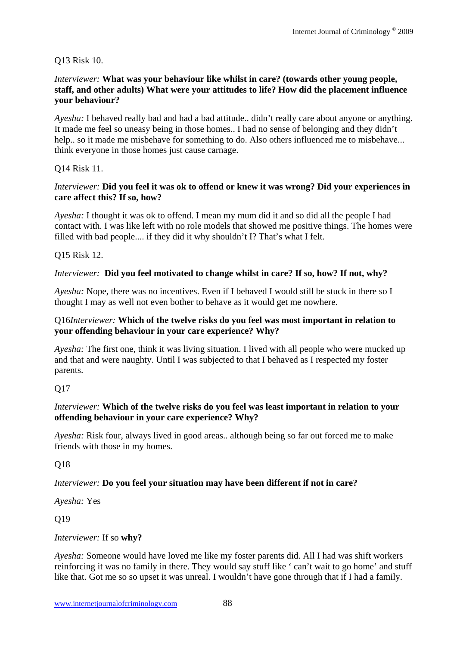#### Q13 Risk 10.

#### *Interviewer:* **What was your behaviour like whilst in care? (towards other young people, staff, and other adults) What were your attitudes to life? How did the placement influence your behaviour?**

*Ayesha:* I behaved really bad and had a bad attitude.. didn't really care about anyone or anything. It made me feel so uneasy being in those homes.. I had no sense of belonging and they didn't help., so it made me misbehave for something to do. Also others influenced me to misbehave... think everyone in those homes just cause carnage.

## Q14 Risk 11.

#### *Interviewer:* **Did you feel it was ok to offend or knew it was wrong? Did your experiences in care affect this? If so, how?**

*Ayesha:* I thought it was ok to offend. I mean my mum did it and so did all the people I had contact with. I was like left with no role models that showed me positive things. The homes were filled with bad people.... if they did it why shouldn't I? That's what I felt.

#### Q15 Risk 12.

#### *Interviewer:* **Did you feel motivated to change whilst in care? If so, how? If not, why?**

*Ayesha:* Nope, there was no incentives. Even if I behaved I would still be stuck in there so I thought I may as well not even bother to behave as it would get me nowhere.

#### Q16*Interviewer:* **Which of the twelve risks do you feel was most important in relation to your offending behaviour in your care experience? Why?**

*Ayesha:* The first one, think it was living situation. I lived with all people who were mucked up and that and were naughty. Until I was subjected to that I behaved as I respected my foster parents.

#### Q17

#### *Interviewer:* **Which of the twelve risks do you feel was least important in relation to your offending behaviour in your care experience? Why?**

*Ayesha:* Risk four, always lived in good areas.. although being so far out forced me to make friends with those in my homes.

#### Q18

#### *Interviewer:* **Do you feel your situation may have been different if not in care?**

*Ayesha:* Yes

Q19

#### *Interviewer:* If so **why?**

*Ayesha:* Someone would have loved me like my foster parents did. All I had was shift workers reinforcing it was no family in there. They would say stuff like ' can't wait to go home' and stuff like that. Got me so so upset it was unreal. I wouldn't have gone through that if I had a family.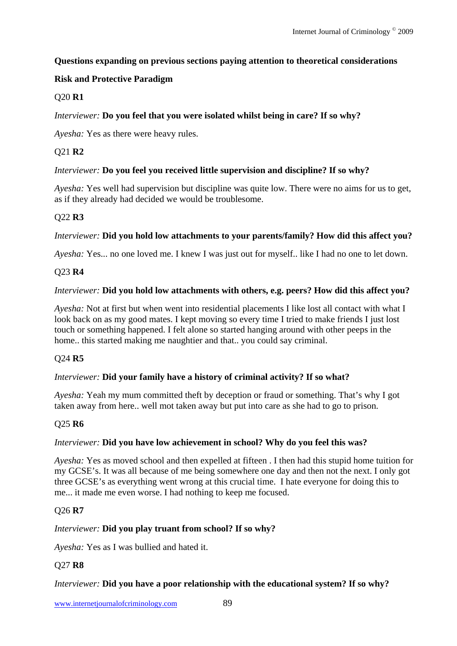## **Questions expanding on previous sections paying attention to theoretical considerations**

# **Risk and Protective Paradigm**

# Q20 **R1**

## *Interviewer:* **Do you feel that you were isolated whilst being in care? If so why?**

*Ayesha:* Yes as there were heavy rules.

# Q21 **R2**

## *Interviewer:* **Do you feel you received little supervision and discipline? If so why?**

*Ayesha:* Yes well had supervision but discipline was quite low. There were no aims for us to get, as if they already had decided we would be troublesome.

# Q22 **R3**

# *Interviewer:* **Did you hold low attachments to your parents/family? How did this affect you?**

*Ayesha:* Yes... no one loved me. I knew I was just out for myself.. like I had no one to let down.

# Q23 **R4**

# *Interviewer:* **Did you hold low attachments with others, e.g. peers? How did this affect you?**

*Ayesha:* Not at first but when went into residential placements I like lost all contact with what I look back on as my good mates. I kept moving so every time I tried to make friends I just lost touch or something happened. I felt alone so started hanging around with other peeps in the home.. this started making me naughtier and that.. you could say criminal.

## Q24 **R5**

## *Interviewer:* **Did your family have a history of criminal activity? If so what?**

*Ayesha:* Yeah my mum committed theft by deception or fraud or something. That's why I got taken away from here.. well mot taken away but put into care as she had to go to prison.

## Q25 **R6**

## *Interviewer:* **Did you have low achievement in school? Why do you feel this was?**

*Ayesha:* Yes as moved school and then expelled at fifteen . I then had this stupid home tuition for my GCSE's. It was all because of me being somewhere one day and then not the next. I only got three GCSE's as everything went wrong at this crucial time. I hate everyone for doing this to me... it made me even worse. I had nothing to keep me focused.

## Q26 **R7**

## *Interviewer:* **Did you play truant from school? If so why?**

*Ayesha:* Yes as I was bullied and hated it.

## Q27 **R8**

## *Interviewer:* **Did you have a poor relationship with the educational system? If so why?**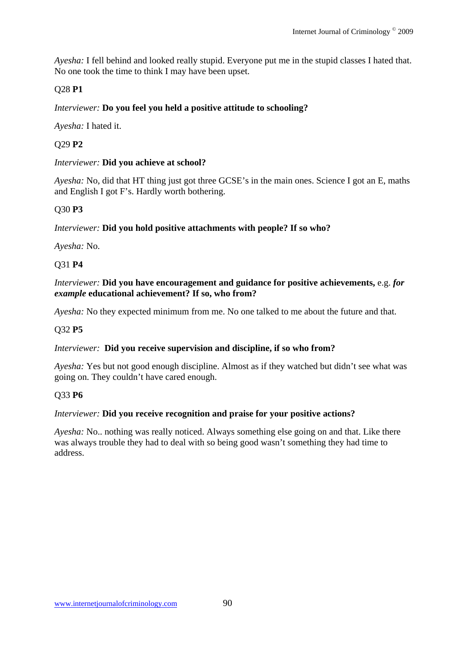*Ayesha:* I fell behind and looked really stupid. Everyone put me in the stupid classes I hated that. No one took the time to think I may have been upset.

## Q28 **P1**

## *Interviewer:* **Do you feel you held a positive attitude to schooling?**

*Ayesha:* I hated it.

## Q29 **P2**

## *Interviewer:* **Did you achieve at school?**

*Ayesha:* No, did that HT thing just got three GCSE's in the main ones. Science I got an E, maths and English I got F's. Hardly worth bothering.

## Q30 **P3**

## *Interviewer:* **Did you hold positive attachments with people? If so who?**

*Ayesha:* No.

## Q31 **P4**

#### *Interviewer:* **Did you have encouragement and guidance for positive achievements,** e.g. *for example* **educational achievement? If so, who from?**

*Ayesha:* No they expected minimum from me. No one talked to me about the future and that.

#### Q32 **P5**

#### *Interviewer:* **Did you receive supervision and discipline, if so who from?**

*Ayesha:* Yes but not good enough discipline. Almost as if they watched but didn't see what was going on. They couldn't have cared enough.

#### Q33 **P6**

#### *Interviewer:* **Did you receive recognition and praise for your positive actions?**

*Ayesha:* No.. nothing was really noticed. Always something else going on and that. Like there was always trouble they had to deal with so being good wasn't something they had time to address.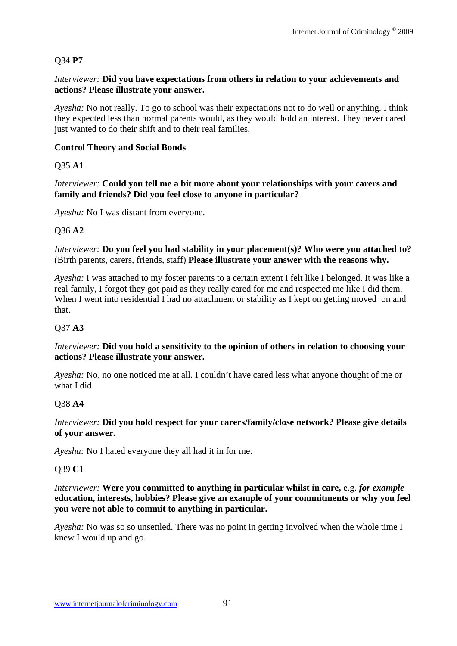## Q34 **P7**

#### *Interviewer:* **Did you have expectations from others in relation to your achievements and actions? Please illustrate your answer.**

*Ayesha:* No not really. To go to school was their expectations not to do well or anything. I think they expected less than normal parents would, as they would hold an interest. They never cared just wanted to do their shift and to their real families.

## **Control Theory and Social Bonds**

Q35 **A1** 

*Interviewer:* **Could you tell me a bit more about your relationships with your carers and family and friends? Did you feel close to anyone in particular?**

*Ayesha:* No I was distant from everyone.

## Q36 **A2**

*Interviewer:* **Do you feel you had stability in your placement(s)? Who were you attached to?**  (Birth parents, carers, friends, staff) **Please illustrate your answer with the reasons why.** 

*Ayesha:* I was attached to my foster parents to a certain extent I felt like I belonged. It was like a real family, I forgot they got paid as they really cared for me and respected me like I did them. When I went into residential I had no attachment or stability as I kept on getting moved on and that.

## Q37 **A3**

#### *Interviewer:* **Did you hold a sensitivity to the opinion of others in relation to choosing your actions? Please illustrate your answer.**

*Ayesha:* No, no one noticed me at all. I couldn't have cared less what anyone thought of me or what I did.

#### Q38 **A4**

#### *Interviewer:* **Did you hold respect for your carers/family/close network? Please give details of your answer.**

*Ayesha:* No I hated everyone they all had it in for me.

#### Q39 **C1**

#### *Interviewer:* **Were you committed to anything in particular whilst in care,** e.g. *for example* **education, interests, hobbies? Please give an example of your commitments or why you feel you were not able to commit to anything in particular.**

*Ayesha:* No was so so unsettled. There was no point in getting involved when the whole time I knew I would up and go.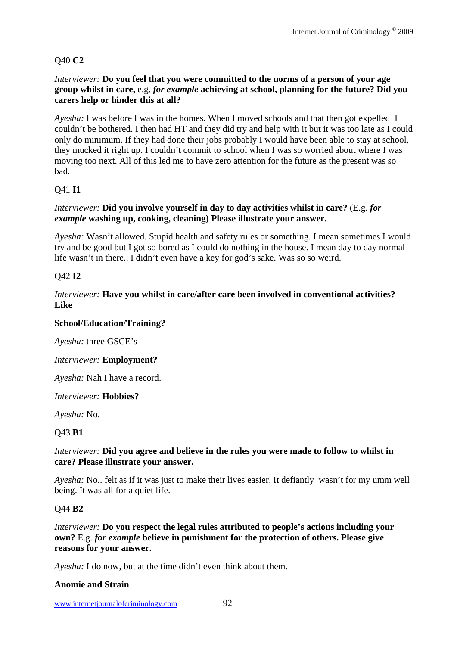# Q40 **C2**

#### *Interviewer:* **Do you feel that you were committed to the norms of a person of your age group whilst in care,** e.g. *for example* **achieving at school, planning for the future? Did you carers help or hinder this at all?**

*Ayesha:* I was before I was in the homes. When I moved schools and that then got expelled I couldn't be bothered. I then had HT and they did try and help with it but it was too late as I could only do minimum. If they had done their jobs probably I would have been able to stay at school, they mucked it right up. I couldn't commit to school when I was so worried about where I was moving too next. All of this led me to have zero attention for the future as the present was so bad.

## Q41 **I1**

#### *Interviewer:* **Did you involve yourself in day to day activities whilst in care?** (E.g. *for example* **washing up, cooking, cleaning) Please illustrate your answer.**

*Ayesha:* Wasn't allowed. Stupid health and safety rules or something. I mean sometimes I would try and be good but I got so bored as I could do nothing in the house. I mean day to day normal life wasn't in there.. I didn't even have a key for god's sake. Was so so weird.

# Q42 **I2**

#### *Interviewer:* **Have you whilst in care/after care been involved in conventional activities? Like**

#### **School/Education/Training?**

*Ayesha:* three GSCE's

#### *Interviewer:* **Employment?**

*Ayesha:* Nah I have a record.

*Interviewer:* **Hobbies?** 

*Ayesha:* No.

## Q43 **B1**

#### *Interviewer:* **Did you agree and believe in the rules you were made to follow to whilst in care? Please illustrate your answer.**

*Ayesha:* No.. felt as if it was just to make their lives easier. It defiantly wasn't for my umm well being. It was all for a quiet life.

#### Q44 **B2**

*Interviewer:* **Do you respect the legal rules attributed to people's actions including your own?** E.g. *for example* **believe in punishment for the protection of others. Please give reasons for your answer.** 

*Ayesha:* I do now, but at the time didn't even think about them.

#### **Anomie and Strain**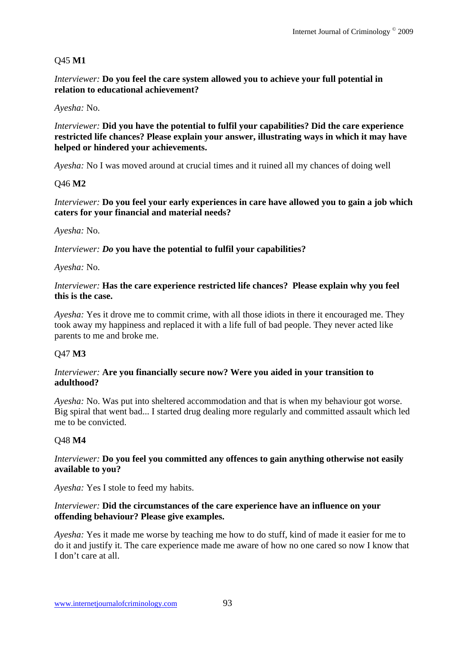## Q45 **M1**

*Interviewer:* **Do you feel the care system allowed you to achieve your full potential in relation to educational achievement?**

#### *Ayesha:* No.

*Interviewer:* **Did you have the potential to fulfil your capabilities? Did the care experience restricted life chances? Please explain your answer, illustrating ways in which it may have helped or hindered your achievements.**

*Ayesha:* No I was moved around at crucial times and it ruined all my chances of doing well

#### Q46 **M2**

#### *Interviewer:* **Do you feel your early experiences in care have allowed you to gain a job which caters for your financial and material needs?**

*Ayesha:* No.

#### *Interviewer: Do* **you have the potential to fulfil your capabilities?**

*Ayesha:* No.

#### *Interviewer:* **Has the care experience restricted life chances? Please explain why you feel this is the case.**

*Ayesha:* Yes it drove me to commit crime, with all those idiots in there it encouraged me. They took away my happiness and replaced it with a life full of bad people. They never acted like parents to me and broke me.

#### Q47 **M3**

#### *Interviewer:* **Are you financially secure now? Were you aided in your transition to adulthood?**

*Ayesha:* No. Was put into sheltered accommodation and that is when my behaviour got worse. Big spiral that went bad... I started drug dealing more regularly and committed assault which led me to be convicted.

#### Q48 **M4**

#### *Interviewer:* **Do you feel you committed any offences to gain anything otherwise not easily available to you?**

*Ayesha:* Yes I stole to feed my habits.

#### *Interviewer:* **Did the circumstances of the care experience have an influence on your offending behaviour? Please give examples.**

*Ayesha:* Yes it made me worse by teaching me how to do stuff, kind of made it easier for me to do it and justify it. The care experience made me aware of how no one cared so now I know that I don't care at all.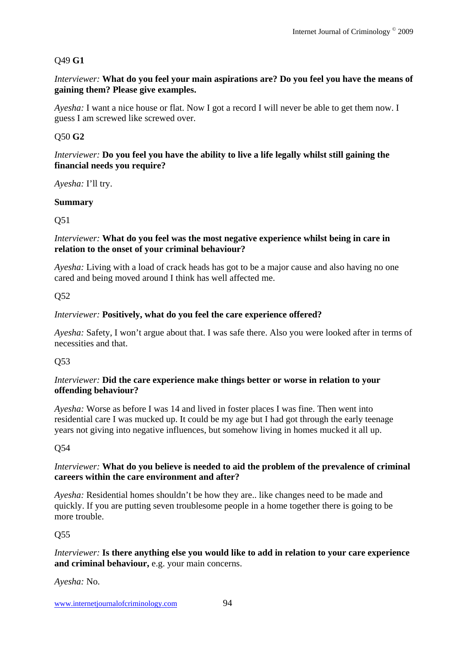# Q49 **G1**

*Interviewer:* **What do you feel your main aspirations are? Do you feel you have the means of gaining them? Please give examples.**

*Ayesha:* I want a nice house or flat. Now I got a record I will never be able to get them now. I guess I am screwed like screwed over.

# Q50 **G2**

#### *Interviewer:* **Do you feel you have the ability to live a life legally whilst still gaining the financial needs you require?**

*Ayesha:* I'll try.

## **Summary**

Q51

#### *Interviewer:* **What do you feel was the most negative experience whilst being in care in relation to the onset of your criminal behaviour?**

*Ayesha:* Living with a load of crack heads has got to be a major cause and also having no one cared and being moved around I think has well affected me.

Q52

## *Interviewer:* **Positively, what do you feel the care experience offered?**

*Ayesha:* Safety, I won't argue about that. I was safe there. Also you were looked after in terms of necessities and that.

## Q53

#### *Interviewer:* **Did the care experience make things better or worse in relation to your offending behaviour?**

*Ayesha:* Worse as before I was 14 and lived in foster places I was fine. Then went into residential care I was mucked up. It could be my age but I had got through the early teenage years not giving into negative influences, but somehow living in homes mucked it all up.

## Q54

## *Interviewer:* **What do you believe is needed to aid the problem of the prevalence of criminal careers within the care environment and after?**

*Ayesha:* Residential homes shouldn't be how they are.. like changes need to be made and quickly. If you are putting seven troublesome people in a home together there is going to be more trouble.

## Q55

## *Interviewer:* **Is there anything else you would like to add in relation to your care experience and criminal behaviour,** e.g. your main concerns.

*Ayesha:* No.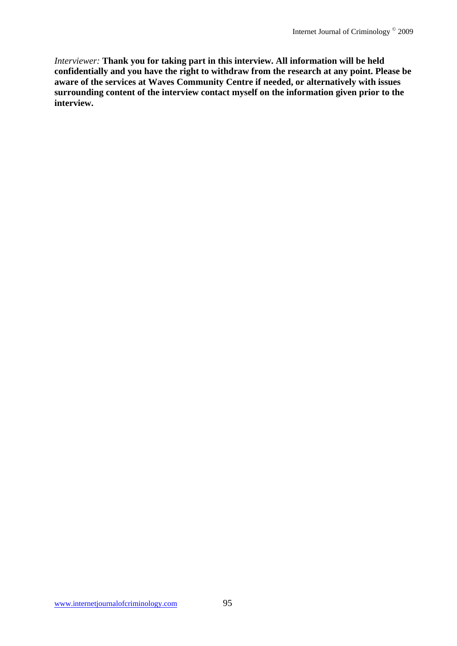*Interviewer:* **Thank you for taking part in this interview. All information will be held confidentially and you have the right to withdraw from the research at any point. Please be aware of the services at Waves Community Centre if needed, or alternatively with issues surrounding content of the interview contact myself on the information given prior to the interview.**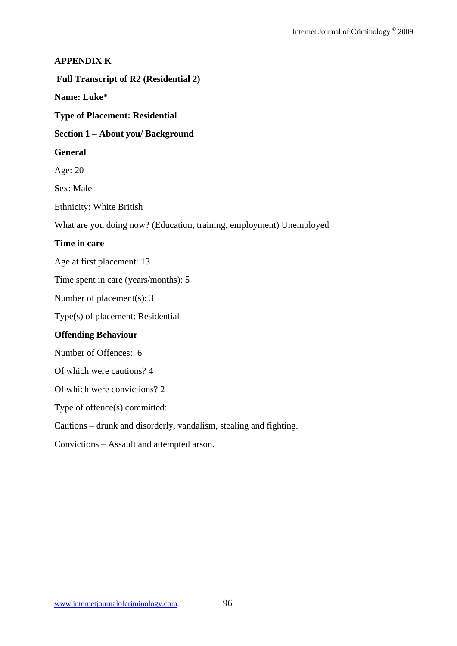#### **APPENDIX K**

 **Full Transcript of R2 (Residential 2)** 

**Name: Luke\*** 

**Type of Placement: Residential** 

**Section 1 – About you/ Background** 

#### **General**

Age: 20

Sex: Male

Ethnicity: White British

What are you doing now? (Education, training, employment) Unemployed

#### **Time in care**

Age at first placement: 13

Time spent in care (years/months): 5

Number of placement(s): 3

Type(s) of placement: Residential

## **Offending Behaviour**

Number of Offences: 6

Of which were cautions? 4

Of which were convictions? 2

Type of offence(s) committed:

Cautions – drunk and disorderly, vandalism, stealing and fighting.

Convictions – Assault and attempted arson.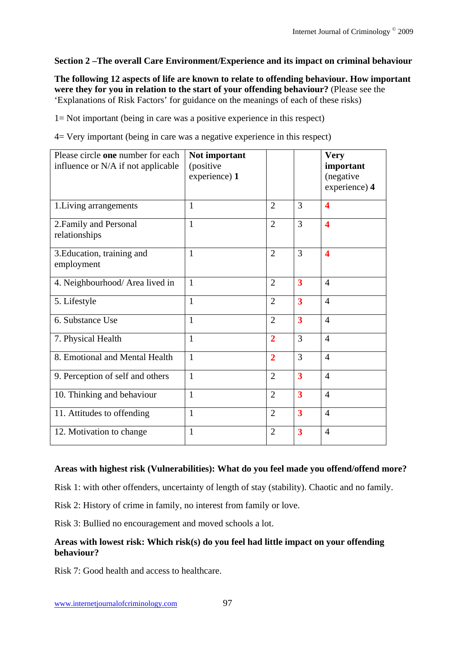## **Section 2 –The overall Care Environment/Experience and its impact on criminal behaviour**

**The following 12 aspects of life are known to relate to offending behaviour. How important were they for you in relation to the start of your offending behaviour?** (Please see the 'Explanations of Risk Factors' for guidance on the meanings of each of these risks)

1= Not important (being in care was a positive experience in this respect)

4= Very important (being in care was a negative experience in this respect)

| Please circle one number for each<br>influence or N/A if not applicable | Not important<br>(positive<br>experience) 1 |                |                         | <b>Very</b><br>important<br>(negative<br>experience) 4 |
|-------------------------------------------------------------------------|---------------------------------------------|----------------|-------------------------|--------------------------------------------------------|
| 1. Living arrangements                                                  | 1                                           | $\overline{2}$ | 3                       | $\overline{\mathbf{4}}$                                |
| 2. Family and Personal<br>relationships                                 | 1                                           | $\overline{2}$ | 3                       | $\overline{\mathbf{4}}$                                |
| 3. Education, training and<br>employment                                | 1                                           | $\overline{2}$ | 3                       | $\boldsymbol{4}$                                       |
| 4. Neighbourhood/ Area lived in                                         | $\mathbf{1}$                                | $\overline{2}$ | $\overline{\mathbf{3}}$ | $\overline{4}$                                         |
| 5. Lifestyle                                                            | $\mathbf{1}$                                | $\overline{2}$ | $\overline{\mathbf{3}}$ | $\overline{4}$                                         |
| 6. Substance Use                                                        | $\mathbf{1}$                                | $\overline{2}$ | $\overline{\mathbf{3}}$ | $\overline{4}$                                         |
| 7. Physical Health                                                      | $\mathbf{1}$                                | $\overline{2}$ | 3                       | $\overline{4}$                                         |
| 8. Emotional and Mental Health                                          | 1                                           | $\overline{2}$ | 3                       | $\overline{4}$                                         |
| 9. Perception of self and others                                        | 1                                           | $\overline{2}$ | $\overline{\mathbf{3}}$ | $\overline{4}$                                         |
| 10. Thinking and behaviour                                              | $\mathbf{1}$                                | $\overline{2}$ | $\overline{\mathbf{3}}$ | $\overline{4}$                                         |
| 11. Attitudes to offending                                              | $\mathbf{1}$                                | $\overline{2}$ | $\overline{\mathbf{3}}$ | $\overline{4}$                                         |
| 12. Motivation to change                                                | 1                                           | $\overline{2}$ | $\overline{\mathbf{3}}$ | $\overline{4}$                                         |

#### **Areas with highest risk (Vulnerabilities): What do you feel made you offend/offend more?**

Risk 1: with other offenders, uncertainty of length of stay (stability). Chaotic and no family.

Risk 2: History of crime in family, no interest from family or love.

Risk 3: Bullied no encouragement and moved schools a lot.

#### **Areas with lowest risk: Which risk(s) do you feel had little impact on your offending behaviour?**

Risk 7: Good health and access to healthcare.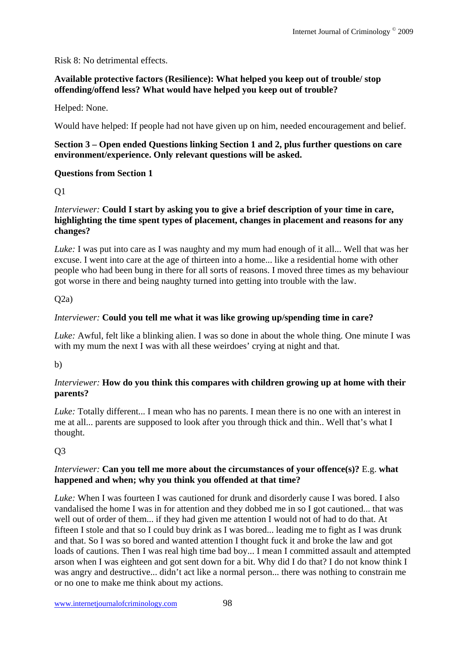Risk 8: No detrimental effects.

#### **Available protective factors (Resilience): What helped you keep out of trouble/ stop offending/offend less? What would have helped you keep out of trouble?**

Helped: None.

Would have helped: If people had not have given up on him, needed encouragement and belief.

#### **Section 3 – Open ended Questions linking Section 1 and 2, plus further questions on care environment/experience. Only relevant questions will be asked.**

#### **Questions from Section 1**

Q1

#### *Interviewer:* **Could I start by asking you to give a brief description of your time in care, highlighting the time spent types of placement, changes in placement and reasons for any changes?**

*Luke:* I was put into care as I was naughty and my mum had enough of it all... Well that was her excuse. I went into care at the age of thirteen into a home... like a residential home with other people who had been bung in there for all sorts of reasons. I moved three times as my behaviour got worse in there and being naughty turned into getting into trouble with the law.

## $O(2a)$

## *Interviewer:* **Could you tell me what it was like growing up/spending time in care?**

*Luke:* Awful, felt like a blinking alien. I was so done in about the whole thing. One minute I was with my mum the next I was with all these weirdoes' crying at night and that.

b)

## *Interviewer:* **How do you think this compares with children growing up at home with their parents?**

*Luke:* Totally different... I mean who has no parents. I mean there is no one with an interest in me at all... parents are supposed to look after you through thick and thin.. Well that's what I thought.

# Q3

## *Interviewer:* **Can you tell me more about the circumstances of your offence(s)?** E.g. **what happened and when; why you think you offended at that time?**

*Luke:* When I was fourteen I was cautioned for drunk and disorderly cause I was bored. I also vandalised the home I was in for attention and they dobbed me in so I got cautioned... that was well out of order of them... if they had given me attention I would not of had to do that. At fifteen I stole and that so I could buy drink as I was bored... leading me to fight as I was drunk and that. So I was so bored and wanted attention I thought fuck it and broke the law and got loads of cautions. Then I was real high time bad boy... I mean I committed assault and attempted arson when I was eighteen and got sent down for a bit. Why did I do that? I do not know think I was angry and destructive... didn't act like a normal person... there was nothing to constrain me or no one to make me think about my actions.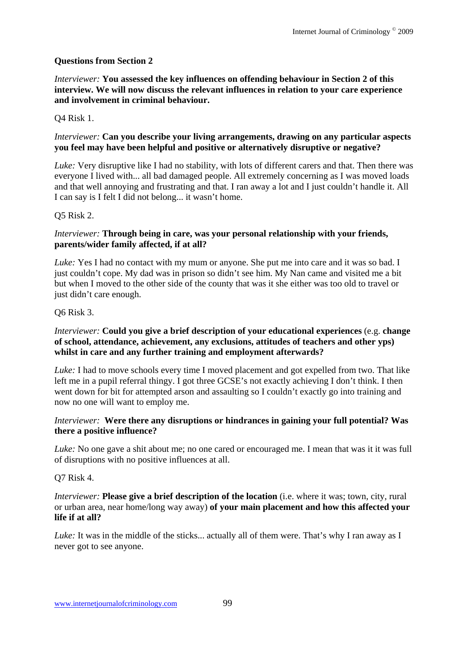## **Questions from Section 2**

*Interviewer:* **You assessed the key influences on offending behaviour in Section 2 of this interview. We will now discuss the relevant influences in relation to your care experience and involvement in criminal behaviour.**

#### Q4 Risk 1.

#### *Interviewer:* **Can you describe your living arrangements, drawing on any particular aspects you feel may have been helpful and positive or alternatively disruptive or negative?**

*Luke:* Very disruptive like I had no stability, with lots of different carers and that. Then there was everyone I lived with... all bad damaged people. All extremely concerning as I was moved loads and that well annoying and frustrating and that. I ran away a lot and I just couldn't handle it. All I can say is I felt I did not belong... it wasn't home.

#### Q5 Risk 2.

#### *Interviewer:* **Through being in care, was your personal relationship with your friends, parents/wider family affected, if at all?**

*Luke:* Yes I had no contact with my mum or anyone. She put me into care and it was so bad. I just couldn't cope. My dad was in prison so didn't see him. My Nan came and visited me a bit but when I moved to the other side of the county that was it she either was too old to travel or just didn't care enough.

#### Q6 Risk 3.

#### *Interviewer:* **Could you give a brief description of your educational experiences** (e.g. **change of school, attendance, achievement, any exclusions, attitudes of teachers and other yps) whilst in care and any further training and employment afterwards?**

*Luke:* I had to move schools every time I moved placement and got expelled from two. That like left me in a pupil referral thingy. I got three GCSE's not exactly achieving I don't think. I then went down for bit for attempted arson and assaulting so I couldn't exactly go into training and now no one will want to employ me.

#### *Interviewer:* **Were there any disruptions or hindrances in gaining your full potential? Was there a positive influence?**

*Luke:* No one gave a shit about me; no one cared or encouraged me. I mean that was it it was full of disruptions with no positive influences at all.

#### Q7 Risk 4.

*Interviewer:* **Please give a brief description of the location** (i.e. where it was; town, city, rural or urban area, near home/long way away) **of your main placement and how this affected your life if at all?** 

*Luke:* It was in the middle of the sticks... actually all of them were. That's why I ran away as I never got to see anyone.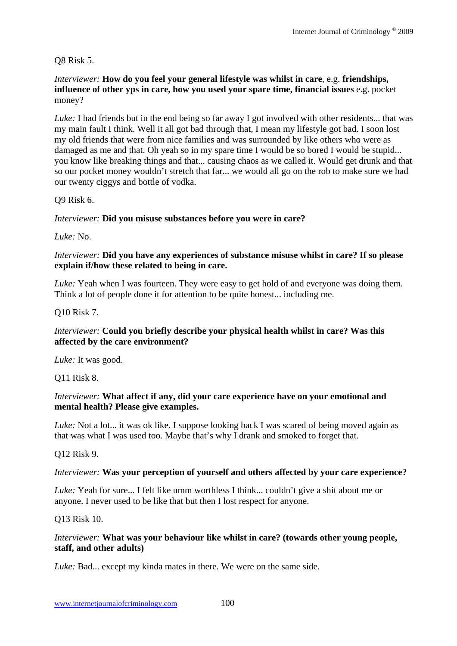Q8 Risk 5.

*Interviewer:* **How do you feel your general lifestyle was whilst in care**, e.g. **friendships, influence of other yps in care, how you used your spare time, financial issues** e.g. pocket money?

*Luke:* I had friends but in the end being so far away I got involved with other residents... that was my main fault I think. Well it all got bad through that, I mean my lifestyle got bad. I soon lost my old friends that were from nice families and was surrounded by like others who were as damaged as me and that. Oh yeah so in my spare time I would be so bored I would be stupid... you know like breaking things and that... causing chaos as we called it. Would get drunk and that so our pocket money wouldn't stretch that far... we would all go on the rob to make sure we had our twenty ciggys and bottle of vodka.

Q9 Risk 6.

#### *Interviewer:* **Did you misuse substances before you were in care?**

*Luke:* No.

#### *Interviewer:* **Did you have any experiences of substance misuse whilst in care? If so please explain if/how these related to being in care.**

*Luke:* Yeah when I was fourteen. They were easy to get hold of and everyone was doing them. Think a lot of people done it for attention to be quite honest... including me.

Q10 Risk 7.

## *Interviewer:* **Could you briefly describe your physical health whilst in care? Was this affected by the care environment?**

*Luke:* It was good.

Q11 Risk 8.

## *Interviewer:* **What affect if any, did your care experience have on your emotional and mental health? Please give examples.**

*Luke:* Not a lot... it was ok like. I suppose looking back I was scared of being moved again as that was what I was used too. Maybe that's why I drank and smoked to forget that.

Q12 Risk 9.

#### *Interviewer:* **Was your perception of yourself and others affected by your care experience?**

*Luke: Yeah for sure...* I felt like umm worthless I think... couldn't give a shit about me or anyone. I never used to be like that but then I lost respect for anyone.

Q13 Risk 10.

#### *Interviewer:* **What was your behaviour like whilst in care? (towards other young people, staff, and other adults)**

*Luke:* Bad... except my kinda mates in there. We were on the same side.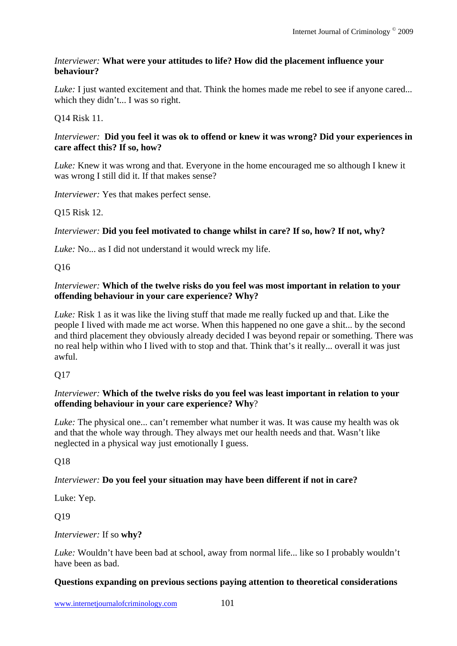#### *Interviewer:* **What were your attitudes to life? How did the placement influence your behaviour?**

*Luke*: I just wanted excitement and that. Think the homes made me rebel to see if anyone cared... which they didn't... I was so right.

## Q14 Risk 11.

#### *Interviewer:* **Did you feel it was ok to offend or knew it was wrong? Did your experiences in care affect this? If so, how?**

*Luke:* Knew it was wrong and that. Everyone in the home encouraged me so although I knew it was wrong I still did it. If that makes sense?

*Interviewer:* Yes that makes perfect sense.

## Q15 Risk 12.

# *Interviewer:* **Did you feel motivated to change whilst in care? If so, how? If not, why?**

*Luke:* No... as I did not understand it would wreck my life.

Q16

#### *Interviewer:* **Which of the twelve risks do you feel was most important in relation to your offending behaviour in your care experience? Why?**

*Luke:* Risk 1 as it was like the living stuff that made me really fucked up and that. Like the people I lived with made me act worse. When this happened no one gave a shit... by the second and third placement they obviously already decided I was beyond repair or something. There was no real help within who I lived with to stop and that. Think that's it really... overall it was just awful.

 $O<sub>17</sub>$ 

#### *Interviewer:* **Which of the twelve risks do you feel was least important in relation to your offending behaviour in your care experience? Why**?

*Luke:* The physical one... can't remember what number it was. It was cause my health was ok and that the whole way through. They always met our health needs and that. Wasn't like neglected in a physical way just emotionally I guess.

Q18

## *Interviewer:* **Do you feel your situation may have been different if not in care?**

Luke: Yep.

Q19

## *Interviewer:* If so **why?**

*Luke:* Wouldn't have been bad at school, away from normal life... like so I probably wouldn't have been as bad.

## **Questions expanding on previous sections paying attention to theoretical considerations**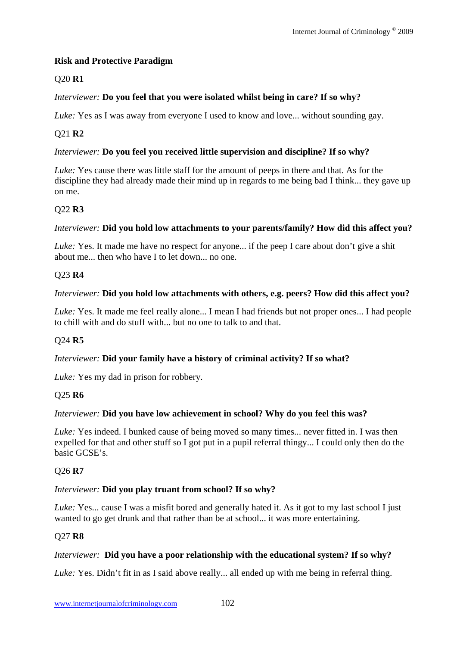## **Risk and Protective Paradigm**

# Q20 **R1**

## *Interviewer:* **Do you feel that you were isolated whilst being in care? If so why?**

*Luke:* Yes as I was away from everyone I used to know and love... without sounding gay.

# Q21 **R2**

## *Interviewer:* **Do you feel you received little supervision and discipline? If so why?**

*Luke:* Yes cause there was little staff for the amount of peeps in there and that. As for the discipline they had already made their mind up in regards to me being bad I think... they gave up on me.

## Q22 **R3**

## *Interviewer:* **Did you hold low attachments to your parents/family? How did this affect you?**

*Luke:* Yes. It made me have no respect for anyone... if the peep I care about don't give a shit about me... then who have I to let down... no one.

## Q23 **R4**

## *Interviewer:* **Did you hold low attachments with others, e.g. peers? How did this affect you?**

*Luke:* Yes. It made me feel really alone... I mean I had friends but not proper ones... I had people to chill with and do stuff with... but no one to talk to and that.

## Q24 **R5**

## *Interviewer:* **Did your family have a history of criminal activity? If so what?**

*Luke:* Yes my dad in prison for robbery.

#### Q25 **R6**

#### *Interviewer:* **Did you have low achievement in school? Why do you feel this was?**

*Luke:* Yes indeed. I bunked cause of being moved so many times... never fitted in. I was then expelled for that and other stuff so I got put in a pupil referral thingy... I could only then do the basic GCSE's.

#### Q26 **R7**

#### *Interviewer:* **Did you play truant from school? If so why?**

*Luke:* Yes... cause I was a misfit bored and generally hated it. As it got to my last school I just wanted to go get drunk and that rather than be at school... it was more entertaining.

#### Q27 **R8**

#### *Interviewer:* **Did you have a poor relationship with the educational system? If so why?**

*Luke:* Yes. Didn't fit in as I said above really... all ended up with me being in referral thing.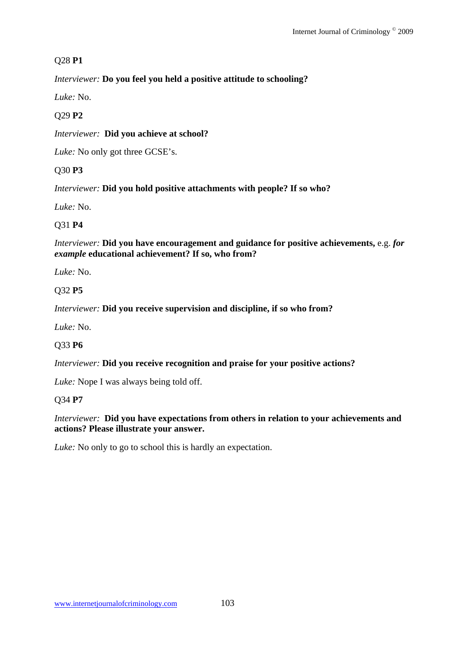# Q28 **P1**

*Interviewer:* **Do you feel you held a positive attitude to schooling?**

*Luke:* No.

# Q29 **P2**

*Interviewer:* **Did you achieve at school?**

*Luke:* No only got three GCSE's.

# Q30 **P3**

*Interviewer:* **Did you hold positive attachments with people? If so who?**

*Luke:* No.

# Q31 **P4**

*Interviewer:* **Did you have encouragement and guidance for positive achievements,** e.g. *for example* **educational achievement? If so, who from?**

*Luke:* No.

# Q32 **P5**

*Interviewer:* **Did you receive supervision and discipline, if so who from?**

*Luke:* No.

# Q33 **P6**

*Interviewer:* **Did you receive recognition and praise for your positive actions?**

*Luke:* Nope I was always being told off.

# Q34 **P7**

*Interviewer:* **Did you have expectations from others in relation to your achievements and actions? Please illustrate your answer.**

*Luke:* No only to go to school this is hardly an expectation.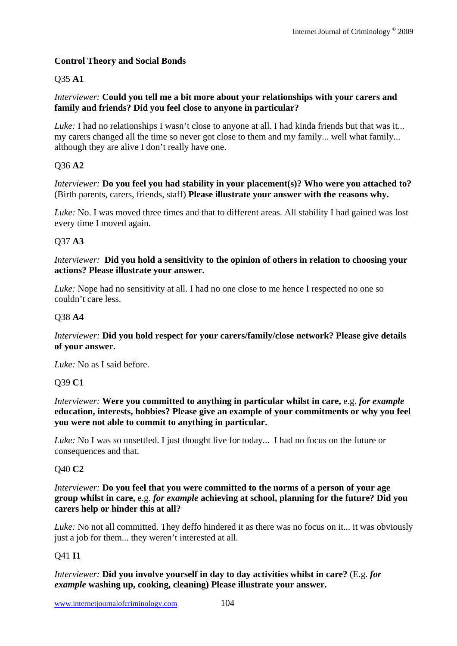# **Control Theory and Social Bonds**

## Q35 **A1**

## *Interviewer:* **Could you tell me a bit more about your relationships with your carers and family and friends? Did you feel close to anyone in particular?**

*Luke*: I had no relationships I wasn't close to anyone at all. I had kinda friends but that was it... my carers changed all the time so never got close to them and my family... well what family... although they are alive I don't really have one.

# Q36 **A2**

*Interviewer:* **Do you feel you had stability in your placement(s)? Who were you attached to?** (Birth parents, carers, friends, staff) **Please illustrate your answer with the reasons why.**

*Luke:* No. I was moved three times and that to different areas. All stability I had gained was lost every time I moved again.

## Q37 **A3**

*Interviewer:* **Did you hold a sensitivity to the opinion of others in relation to choosing your actions? Please illustrate your answer.**

*Luke:* Nope had no sensitivity at all. I had no one close to me hence I respected no one so couldn't care less.

## Q38 **A4**

*Interviewer:* **Did you hold respect for your carers/family/close network? Please give details of your answer.**

*Luke:* No as I said before.

## Q39 **C1**

*Interviewer:* **Were you committed to anything in particular whilst in care,** e.g. *for example* **education, interests, hobbies? Please give an example of your commitments or why you feel you were not able to commit to anything in particular.**

*Luke:* No I was so unsettled. I just thought live for today... I had no focus on the future or consequences and that.

## Q40 **C2**

*Interviewer:* **Do you feel that you were committed to the norms of a person of your age group whilst in care,** e.g. *for example* **achieving at school, planning for the future? Did you carers help or hinder this at all?** 

*Luke:* No not all committed. They deffo hindered it as there was no focus on it... it was obviously just a job for them... they weren't interested at all.

## Q41 **I1**

*Interviewer:* **Did you involve yourself in day to day activities whilst in care?** (E.g. *for example* **washing up, cooking, cleaning) Please illustrate your answer.**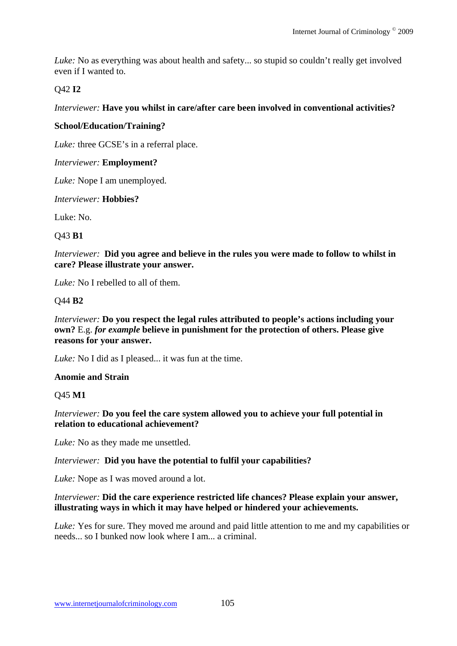*Luke:* No as everything was about health and safety... so stupid so couldn't really get involved even if I wanted to.

#### Q42 **I2**

*Interviewer:* **Have you whilst in care/after care been involved in conventional activities?** 

#### **School/Education/Training?**

*Luke:* three GCSE's in a referral place.

#### *Interviewer:* **Employment?**

*Luke:* Nope I am unemployed.

*Interviewer:* **Hobbies?** 

Luke: No.

#### Q43 **B1**

*Interviewer:* **Did you agree and believe in the rules you were made to follow to whilst in care? Please illustrate your answer.**

*Luke:* No I rebelled to all of them.

#### Q44 **B2**

*Interviewer:* **Do you respect the legal rules attributed to people's actions including your own?** E.g. *for example* **believe in punishment for the protection of others. Please give reasons for your answer.**

*Luke:* No I did as I pleased... it was fun at the time.

#### **Anomie and Strain**

Q45 **M1** 

*Interviewer:* **Do you feel the care system allowed you to achieve your full potential in relation to educational achievement?**

*Luke:* No as they made me unsettled.

#### *Interviewer:* **Did you have the potential to fulfil your capabilities?**

*Luke:* Nope as I was moved around a lot.

#### *Interviewer:* **Did the care experience restricted life chances? Please explain your answer, illustrating ways in which it may have helped or hindered your achievements.**

*Luke:* Yes for sure. They moved me around and paid little attention to me and my capabilities or needs... so I bunked now look where I am... a criminal.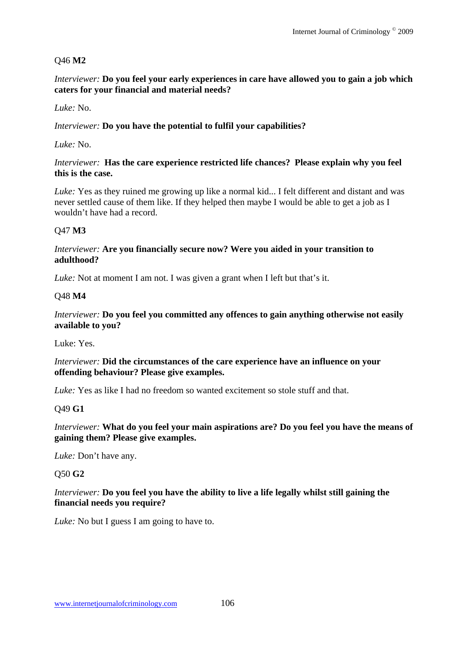# Q46 **M2**

*Interviewer:* **Do you feel your early experiences in care have allowed you to gain a job which caters for your financial and material needs?**

*Luke:* No.

### *Interviewer:* **Do you have the potential to fulfil your capabilities?**

*Luke:* No.

### *Interviewer:* **Has the care experience restricted life chances? Please explain why you feel this is the case.**

*Luke:* Yes as they ruined me growing up like a normal kid... I felt different and distant and was never settled cause of them like. If they helped then maybe I would be able to get a job as I wouldn't have had a record.

# Q47 **M3**

### *Interviewer:* **Are you financially secure now? Were you aided in your transition to adulthood?**

*Luke:* Not at moment I am not. I was given a grant when I left but that's it.

# Q48 **M4**

#### *Interviewer:* **Do you feel you committed any offences to gain anything otherwise not easily available to you?**

Luke: Yes.

### *Interviewer:* **Did the circumstances of the care experience have an influence on your offending behaviour? Please give examples.**

*Luke:* Yes as like I had no freedom so wanted excitement so stole stuff and that.

# Q49 **G1**

### *Interviewer:* **What do you feel your main aspirations are? Do you feel you have the means of gaining them? Please give examples.**

*Luke:* Don't have any.

# Q50 **G2**

# *Interviewer:* **Do you feel you have the ability to live a life legally whilst still gaining the financial needs you require?**

*Luke:* No but I guess I am going to have to.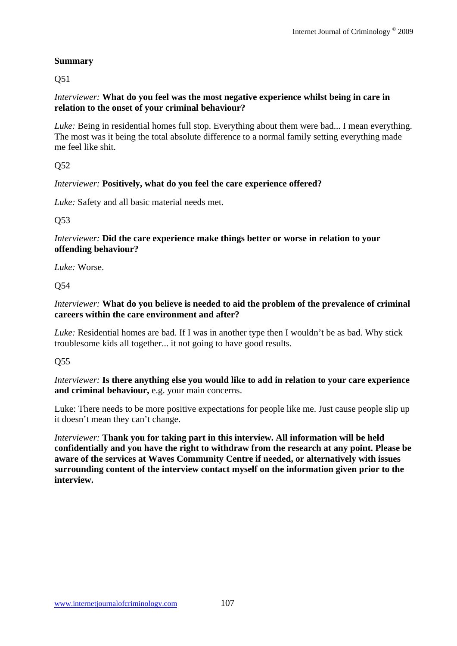# **Summary**

Q51

# *Interviewer:* **What do you feel was the most negative experience whilst being in care in relation to the onset of your criminal behaviour?**

*Luke:* Being in residential homes full stop. Everything about them were bad... I mean everything. The most was it being the total absolute difference to a normal family setting everything made me feel like shit.

Q52

# *Interviewer:* **Positively, what do you feel the care experience offered?**

*Luke:* Safety and all basic material needs met.

Q53

*Interviewer:* **Did the care experience make things better or worse in relation to your offending behaviour?**

*Luke:* Worse.

Q54

*Interviewer:* **What do you believe is needed to aid the problem of the prevalence of criminal careers within the care environment and after?**

*Luke:* Residential homes are bad. If I was in another type then I wouldn't be as bad. Why stick troublesome kids all together... it not going to have good results.

Q55

*Interviewer:* **Is there anything else you would like to add in relation to your care experience and criminal behaviour,** e.g. your main concerns.

Luke: There needs to be more positive expectations for people like me. Just cause people slip up it doesn't mean they can't change.

*Interviewer:* **Thank you for taking part in this interview. All information will be held confidentially and you have the right to withdraw from the research at any point. Please be aware of the services at Waves Community Centre if needed, or alternatively with issues surrounding content of the interview contact myself on the information given prior to the interview.**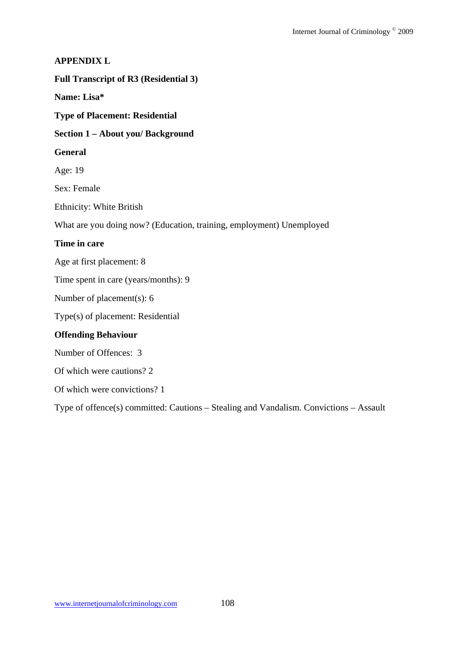### **APPENDIX L**

**Full Transcript of R3 (Residential 3)** 

**Name: Lisa\*** 

**Type of Placement: Residential** 

**Section 1 – About you/ Background** 

#### **General**

Age: 19

Sex: Female

Ethnicity: White British

What are you doing now? (Education, training, employment) Unemployed

### **Time in care**

Age at first placement: 8

Time spent in care (years/months): 9

Number of placement(s): 6

Type(s) of placement: Residential

# **Offending Behaviour**

Number of Offences: 3

Of which were cautions? 2

Of which were convictions? 1

Type of offence(s) committed: Cautions – Stealing and Vandalism. Convictions – Assault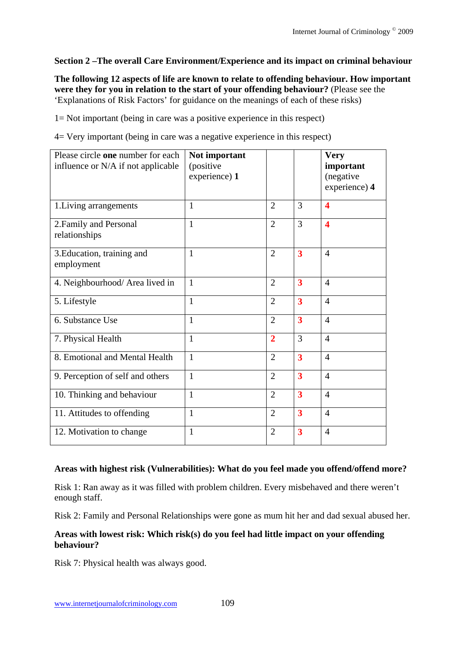# **Section 2 –The overall Care Environment/Experience and its impact on criminal behaviour**

**The following 12 aspects of life are known to relate to offending behaviour. How important were they for you in relation to the start of your offending behaviour?** (Please see the 'Explanations of Risk Factors' for guidance on the meanings of each of these risks)

1= Not important (being in care was a positive experience in this respect)

4= Very important (being in care was a negative experience in this respect)

| Please circle one number for each<br>influence or N/A if not applicable | Not important<br>(positive<br>experience) 1 |                |                         | <b>Very</b><br>important<br>(negative<br>experience) 4 |
|-------------------------------------------------------------------------|---------------------------------------------|----------------|-------------------------|--------------------------------------------------------|
| 1. Living arrangements                                                  | 1                                           | $\overline{2}$ | 3                       | $\overline{\mathbf{4}}$                                |
| 2. Family and Personal<br>relationships                                 | 1                                           | $\overline{2}$ | 3                       | $\overline{\mathbf{4}}$                                |
| 3. Education, training and<br>employment                                | 1                                           | $\overline{2}$ | 3                       | $\overline{4}$                                         |
| 4. Neighbourhood/ Area lived in                                         | $\mathbf{1}$                                | $\overline{2}$ | $\overline{\mathbf{3}}$ | $\overline{4}$                                         |
| 5. Lifestyle                                                            | $\mathbf{1}$                                | $\overline{2}$ | $\overline{\mathbf{3}}$ | $\overline{4}$                                         |
| 6. Substance Use                                                        | $\mathbf{1}$                                | $\overline{2}$ | $\overline{\mathbf{3}}$ | $\overline{4}$                                         |
| 7. Physical Health                                                      | $\mathbf{1}$                                | $\overline{2}$ | 3                       | $\overline{4}$                                         |
| 8. Emotional and Mental Health                                          | 1                                           | $\overline{2}$ | $\overline{\mathbf{3}}$ | $\overline{4}$                                         |
| 9. Perception of self and others                                        | 1                                           | $\overline{2}$ | $\overline{\mathbf{3}}$ | $\overline{4}$                                         |
| 10. Thinking and behaviour                                              | $\mathbf{1}$                                | $\overline{2}$ | $\overline{\mathbf{3}}$ | $\overline{4}$                                         |
| 11. Attitudes to offending                                              | $\mathbf{1}$                                | $\overline{2}$ | $\overline{\mathbf{3}}$ | $\overline{4}$                                         |
| 12. Motivation to change                                                | 1                                           | $\overline{2}$ | $\overline{\mathbf{3}}$ | $\overline{4}$                                         |

### **Areas with highest risk (Vulnerabilities): What do you feel made you offend/offend more?**

Risk 1: Ran away as it was filled with problem children. Every misbehaved and there weren't enough staff.

Risk 2: Family and Personal Relationships were gone as mum hit her and dad sexual abused her.

# **Areas with lowest risk: Which risk(s) do you feel had little impact on your offending behaviour?**

Risk 7: Physical health was always good.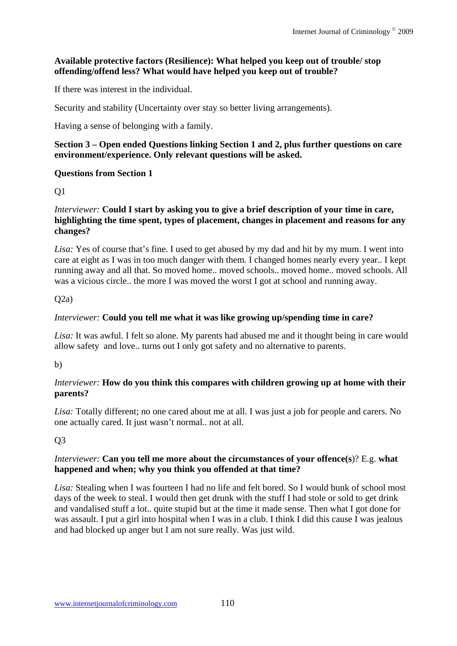# **Available protective factors (Resilience): What helped you keep out of trouble/ stop offending/offend less? What would have helped you keep out of trouble?**

If there was interest in the individual.

Security and stability (Uncertainty over stay so better living arrangements).

Having a sense of belonging with a family.

### **Section 3 – Open ended Questions linking Section 1 and 2, plus further questions on care environment/experience. Only relevant questions will be asked.**

### **Questions from Section 1**

# Q1

### *Interviewer:* **Could I start by asking you to give a brief description of your time in care, highlighting the time spent, types of placement, changes in placement and reasons for any changes?**

*Lisa:* Yes of course that's fine. I used to get abused by my dad and hit by my mum. I went into care at eight as I was in too much danger with them. I changed homes nearly every year.. I kept running away and all that. So moved home.. moved schools.. moved home.. moved schools. All was a vicious circle.. the more I was moved the worst I got at school and running away.

# $O(2a)$

# *Interviewer:* **Could you tell me what it was like growing up/spending time in care?**

*Lisa:* It was awful. I felt so alone. My parents had abused me and it thought being in care would allow safety and love.. turns out I only got safety and no alternative to parents.

### b)

# *Interviewer:* **How do you think this compares with children growing up at home with their parents?**

*Lisa:* Totally different; no one cared about me at all. I was just a job for people and carers. No one actually cared. It just wasn't normal.. not at all.

# Q3

### *Interviewer:* **Can you tell me more about the circumstances of your offence(s**)? E.g. **what happened and when; why you think you offended at that time?**

*Lisa:* Stealing when I was fourteen I had no life and felt bored. So I would bunk of school most days of the week to steal. I would then get drunk with the stuff I had stole or sold to get drink and vandalised stuff a lot.. quite stupid but at the time it made sense. Then what I got done for was assault. I put a girl into hospital when I was in a club. I think I did this cause I was jealous and had blocked up anger but I am not sure really. Was just wild.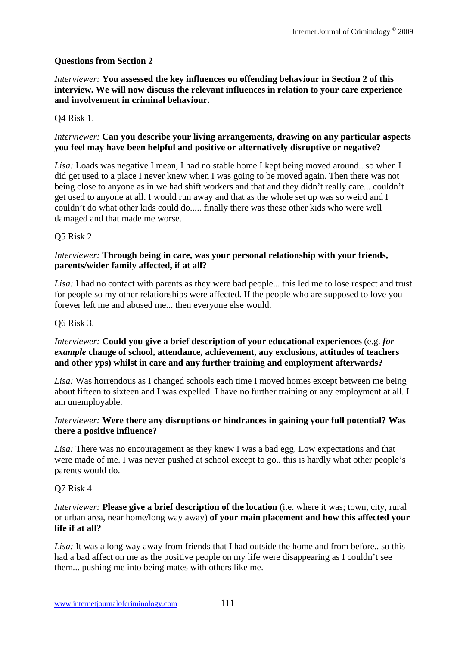### **Questions from Section 2**

*Interviewer:* **You assessed the key influences on offending behaviour in Section 2 of this interview. We will now discuss the relevant influences in relation to your care experience and involvement in criminal behaviour.** 

#### Q4 Risk 1.

#### *Interviewer:* **Can you describe your living arrangements, drawing on any particular aspects you feel may have been helpful and positive or alternatively disruptive or negative?**

*Lisa:* Loads was negative I mean, I had no stable home I kept being moved around.. so when I did get used to a place I never knew when I was going to be moved again. Then there was not being close to anyone as in we had shift workers and that and they didn't really care... couldn't get used to anyone at all. I would run away and that as the whole set up was so weird and I couldn't do what other kids could do..... finally there was these other kids who were well damaged and that made me worse.

#### Q5 Risk 2.

#### *Interviewer:* **Through being in care, was your personal relationship with your friends, parents/wider family affected, if at all?**

*Lisa:* I had no contact with parents as they were bad people... this led me to lose respect and trust for people so my other relationships were affected. If the people who are supposed to love you forever left me and abused me... then everyone else would.

#### Q6 Risk 3.

### *Interviewer:* **Could you give a brief description of your educational experiences** (e.g. *for example* **change of school, attendance, achievement, any exclusions, attitudes of teachers and other yps) whilst in care and any further training and employment afterwards?**

*Lisa:* Was horrendous as I changed schools each time I moved homes except between me being about fifteen to sixteen and I was expelled. I have no further training or any employment at all. I am unemployable.

#### *Interviewer:* **Were there any disruptions or hindrances in gaining your full potential? Was there a positive influence?**

*Lisa:* There was no encouragement as they knew I was a bad egg. Low expectations and that were made of me. I was never pushed at school except to go.. this is hardly what other people's parents would do.

#### Q7 Risk 4.

### *Interviewer:* **Please give a brief description of the location** (i.e. where it was; town, city, rural or urban area, near home/long way away) **of your main placement and how this affected your life if at all?**

*Lisa:* It was a long way away from friends that I had outside the home and from before.. so this had a bad affect on me as the positive people on my life were disappearing as I couldn't see them... pushing me into being mates with others like me.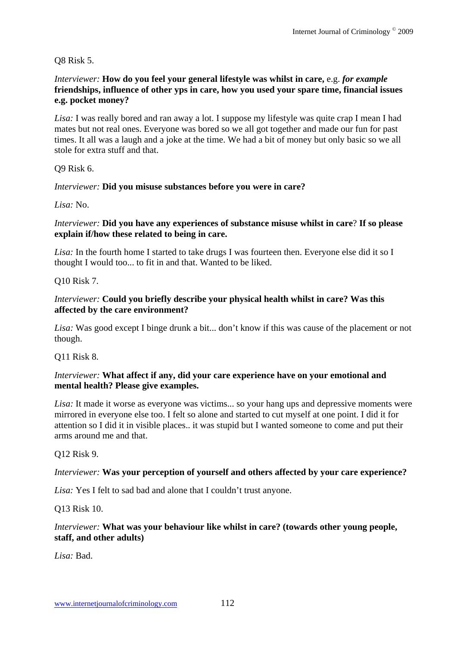Q8 Risk 5.

### *Interviewer:* **How do you feel your general lifestyle was whilst in care,** e.g. *for example*  **friendships, influence of other yps in care, how you used your spare time, financial issues e.g. pocket money?**

*Lisa:* I was really bored and ran away a lot. I suppose my lifestyle was quite crap I mean I had mates but not real ones. Everyone was bored so we all got together and made our fun for past times. It all was a laugh and a joke at the time. We had a bit of money but only basic so we all stole for extra stuff and that.

Q9 Risk 6.

# *Interviewer:* **Did you misuse substances before you were in care?**

*Lisa:* No.

### *Interviewer:* **Did you have any experiences of substance misuse whilst in care**? **If so please explain if/how these related to being in care.**

*Lisa:* In the fourth home I started to take drugs I was fourteen then. Everyone else did it so I thought I would too... to fit in and that. Wanted to be liked.

Q10 Risk 7.

### *Interviewer:* **Could you briefly describe your physical health whilst in care? Was this affected by the care environment?**

Lisa: Was good except I binge drunk a bit... don't know if this was cause of the placement or not though.

Q11 Risk 8.

### *Interviewer:* **What affect if any, did your care experience have on your emotional and mental health? Please give examples.**

*Lisa:* It made it worse as everyone was victims... so your hang ups and depressive moments were mirrored in everyone else too. I felt so alone and started to cut myself at one point. I did it for attention so I did it in visible places.. it was stupid but I wanted someone to come and put their arms around me and that.

Q12 Risk 9.

# *Interviewer:* **Was your perception of yourself and others affected by your care experience?**

*Lisa:* Yes I felt to sad bad and alone that I couldn't trust anyone.

### Q13 Risk 10.

# *Interviewer:* **What was your behaviour like whilst in care? (towards other young people, staff, and other adults)**

*Lisa:* Bad.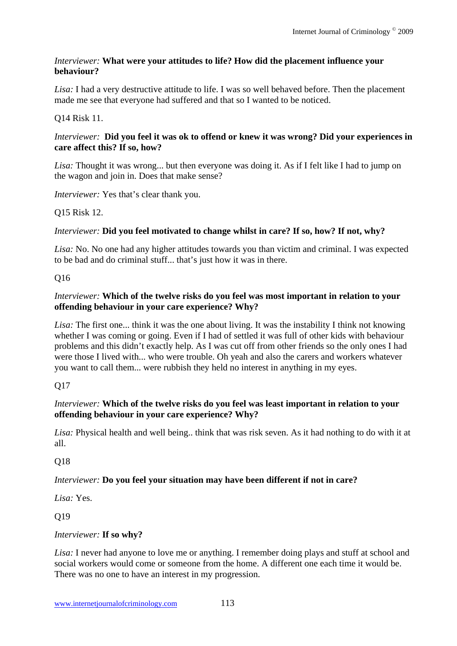# *Interviewer:* **What were your attitudes to life? How did the placement influence your behaviour?**

*Lisa:* I had a very destructive attitude to life. I was so well behaved before. Then the placement made me see that everyone had suffered and that so I wanted to be noticed.

# Q14 Risk 11.

### *Interviewer:* **Did you feel it was ok to offend or knew it was wrong? Did your experiences in care affect this? If so, how?**

*Lisa:* Thought it was wrong... but then everyone was doing it. As if I felt like I had to jump on the wagon and join in. Does that make sense?

*Interviewer:* Yes that's clear thank you.

# Q15 Risk 12.

# *Interviewer:* **Did you feel motivated to change whilst in care? If so, how? If not, why?**

*Lisa:* No. No one had any higher attitudes towards you than victim and criminal. I was expected to be bad and do criminal stuff... that's just how it was in there.

# Q16

# *Interviewer:* **Which of the twelve risks do you feel was most important in relation to your offending behaviour in your care experience? Why?**

*Lisa:* The first one... think it was the one about living. It was the instability I think not knowing whether I was coming or going. Even if I had of settled it was full of other kids with behaviour problems and this didn't exactly help. As I was cut off from other friends so the only ones I had were those I lived with... who were trouble. Oh yeah and also the carers and workers whatever you want to call them... were rubbish they held no interest in anything in my eyes.

# Q17

# *Interviewer:* **Which of the twelve risks do you feel was least important in relation to your offending behaviour in your care experience? Why?**

*Lisa:* Physical health and well being.. think that was risk seven. As it had nothing to do with it at all.

# Q18

# *Interviewer:* **Do you feel your situation may have been different if not in care?**

*Lisa:* Yes.

Q19

### *Interviewer:* **If so why?**

*Lisa:* I never had anyone to love me or anything. I remember doing plays and stuff at school and social workers would come or someone from the home. A different one each time it would be. There was no one to have an interest in my progression.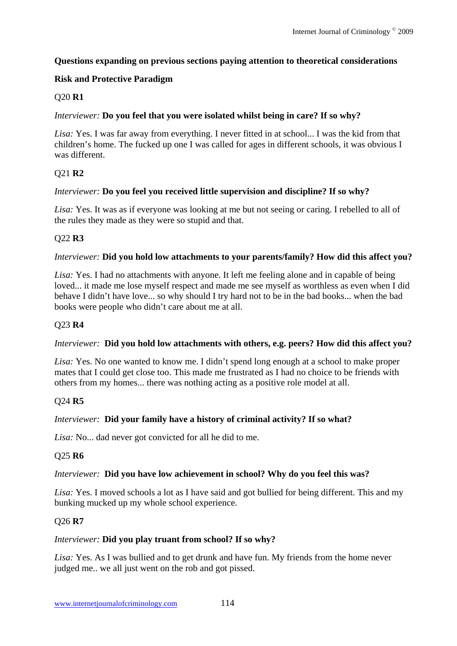# **Questions expanding on previous sections paying attention to theoretical considerations**

# **Risk and Protective Paradigm**

# Q20 **R1**

# *Interviewer:* **Do you feel that you were isolated whilst being in care? If so why?**

*Lisa:* Yes. I was far away from everything. I never fitted in at school... I was the kid from that children's home. The fucked up one I was called for ages in different schools, it was obvious I was different.

# Q21 **R2**

### *Interviewer:* **Do you feel you received little supervision and discipline? If so why?**

*Lisa:* Yes. It was as if everyone was looking at me but not seeing or caring. I rebelled to all of the rules they made as they were so stupid and that.

# Q22 **R3**

### *Interviewer:* **Did you hold low attachments to your parents/family? How did this affect you?**

*Lisa:* Yes. I had no attachments with anyone. It left me feeling alone and in capable of being loved... it made me lose myself respect and made me see myself as worthless as even when I did behave I didn't have love... so why should I try hard not to be in the bad books... when the bad books were people who didn't care about me at all.

### Q23 **R4**

### *Interviewer:* **Did you hold low attachments with others, e.g. peers? How did this affect you?**

*Lisa:* Yes. No one wanted to know me. I didn't spend long enough at a school to make proper mates that I could get close too. This made me frustrated as I had no choice to be friends with others from my homes... there was nothing acting as a positive role model at all.

### Q24 **R5**

### *Interviewer:* **Did your family have a history of criminal activity? If so what?**

*Lisa:* No... dad never got convicted for all he did to me.

### Q25 **R6**

#### *Interviewer:* **Did you have low achievement in school? Why do you feel this was?**

*Lisa:* Yes. I moved schools a lot as I have said and got bullied for being different. This and my bunking mucked up my whole school experience.

### Q26 **R7**

### *Interviewer:* **Did you play truant from school? If so why?**

*Lisa:* Yes. As I was bullied and to get drunk and have fun. My friends from the home never judged me.. we all just went on the rob and got pissed.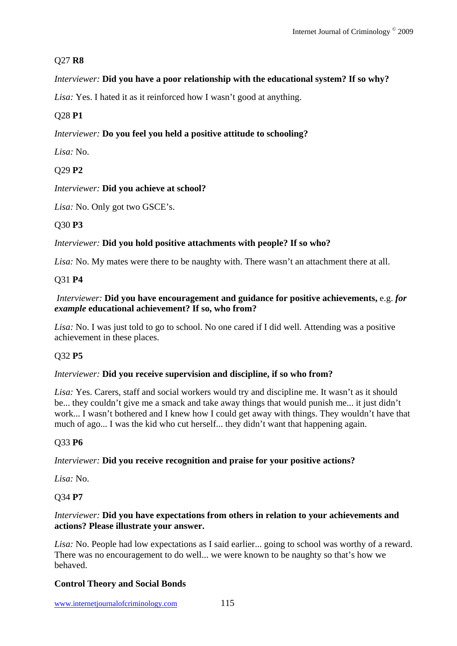# Q27 **R8**

# *Interviewer:* **Did you have a poor relationship with the educational system? If so why?**

Lisa: Yes. I hated it as it reinforced how I wasn't good at anything.

# Q28 **P1**

# *Interviewer:* **Do you feel you held a positive attitude to schooling?**

*Lisa:* No.

# Q29 **P2**

*Interviewer:* **Did you achieve at school?**

Lisa: No. Only got two GSCE's.

# Q30 **P3**

# *Interviewer:* **Did you hold positive attachments with people? If so who?**

*Lisa:* No. My mates were there to be naughty with. There wasn't an attachment there at all.

# Q31 **P4**

# *Interviewer:* **Did you have encouragement and guidance for positive achievements,** e.g. *for example* **educational achievement? If so, who from?**

*Lisa:* No. I was just told to go to school. No one cared if I did well. Attending was a positive achievement in these places.

# Q32 **P5**

# *Interviewer:* **Did you receive supervision and discipline, if so who from?**

*Lisa:* Yes. Carers, staff and social workers would try and discipline me. It wasn't as it should be... they couldn't give me a smack and take away things that would punish me... it just didn't work... I wasn't bothered and I knew how I could get away with things. They wouldn't have that much of ago... I was the kid who cut herself... they didn't want that happening again.

# Q33 **P6**

# *Interviewer:* **Did you receive recognition and praise for your positive actions?**

*Lisa:* No.

# Q34 **P7**

### *Interviewer:* **Did you have expectations from others in relation to your achievements and actions? Please illustrate your answer.**

*Lisa:* No. People had low expectations as I said earlier... going to school was worthy of a reward. There was no encouragement to do well... we were known to be naughty so that's how we behaved.

# **Control Theory and Social Bonds**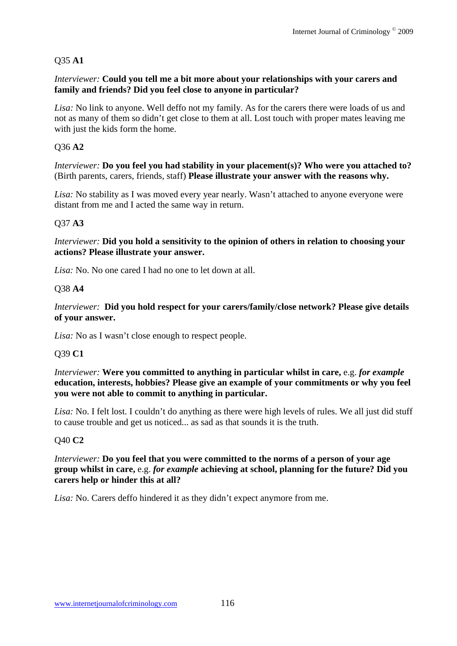# Q35 **A1**

### *Interviewer:* **Could you tell me a bit more about your relationships with your carers and family and friends? Did you feel close to anyone in particular?**

*Lisa:* No link to anyone. Well deffo not my family. As for the carers there were loads of us and not as many of them so didn't get close to them at all. Lost touch with proper mates leaving me with just the kids form the home.

# Q36 **A2**

*Interviewer:* **Do you feel you had stability in your placement(s)? Who were you attached to?**  (Birth parents, carers, friends, staff) **Please illustrate your answer with the reasons why.**

*Lisa:* No stability as I was moved every year nearly. Wasn't attached to anyone everyone were distant from me and I acted the same way in return.

# Q37 **A3**

*Interviewer:* **Did you hold a sensitivity to the opinion of others in relation to choosing your actions? Please illustrate your answer.**

*Lisa:* No. No one cared I had no one to let down at all.

# Q38 **A4**

*Interviewer:* **Did you hold respect for your carers/family/close network? Please give details of your answer.** 

*Lisa:* No as I wasn't close enough to respect people.

### Q39 **C1**

*Interviewer:* **Were you committed to anything in particular whilst in care,** e.g. *for example* **education, interests, hobbies? Please give an example of your commitments or why you feel you were not able to commit to anything in particular.** 

*Lisa:* No. I felt lost. I couldn't do anything as there were high levels of rules. We all just did stuff to cause trouble and get us noticed... as sad as that sounds it is the truth.

### Q40 **C2**

*Interviewer:* **Do you feel that you were committed to the norms of a person of your age group whilst in care,** e.g. *for example* **achieving at school, planning for the future? Did you carers help or hinder this at all?** 

*Lisa:* No. Carers deffo hindered it as they didn't expect anymore from me.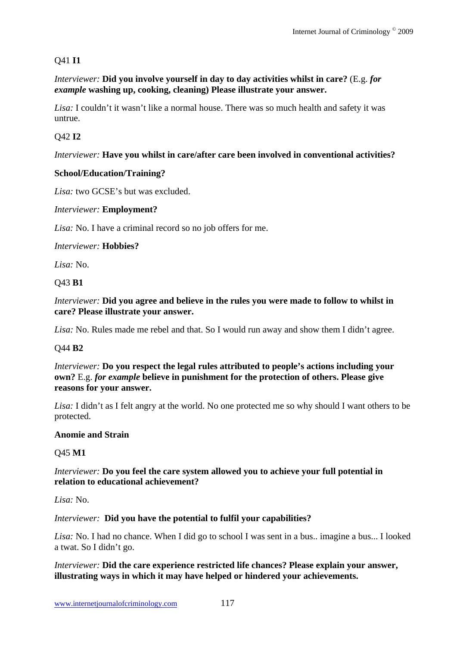# Q41 **I1**

*Interviewer:* **Did you involve yourself in day to day activities whilst in care?** (E.g. *for example* **washing up, cooking, cleaning) Please illustrate your answer.**

*Lisa:* I couldn't it wasn't like a normal house. There was so much health and safety it was untrue.

# Q42 **I2**

### *Interviewer:* **Have you whilst in care/after care been involved in conventional activities?**

# **School/Education/Training?**

*Lisa:* two GCSE's but was excluded.

### *Interviewer:* **Employment?**

*Lisa:* No. I have a criminal record so no job offers for me.

#### *Interviewer:* **Hobbies?**

*Lisa:* No.

### Q43 **B1**

*Interviewer:* **Did you agree and believe in the rules you were made to follow to whilst in care? Please illustrate your answer.**

*Lisa:* No. Rules made me rebel and that. So I would run away and show them I didn't agree.

### Q44 **B2**

*Interviewer:* **Do you respect the legal rules attributed to people's actions including your own?** E.g. *for example* **believe in punishment for the protection of others. Please give reasons for your answer.** 

*Lisa:* I didn't as I felt angry at the world. No one protected me so why should I want others to be protected.

### **Anomie and Strain**

### Q45 **M1**

### *Interviewer:* **Do you feel the care system allowed you to achieve your full potential in relation to educational achievement?**

*Lisa:* No.

### *Interviewer:* **Did you have the potential to fulfil your capabilities?**

*Lisa:* No. I had no chance. When I did go to school I was sent in a bus.. imagine a bus... I looked a twat. So I didn't go.

### *Interviewer:* **Did the care experience restricted life chances? Please explain your answer, illustrating ways in which it may have helped or hindered your achievements.**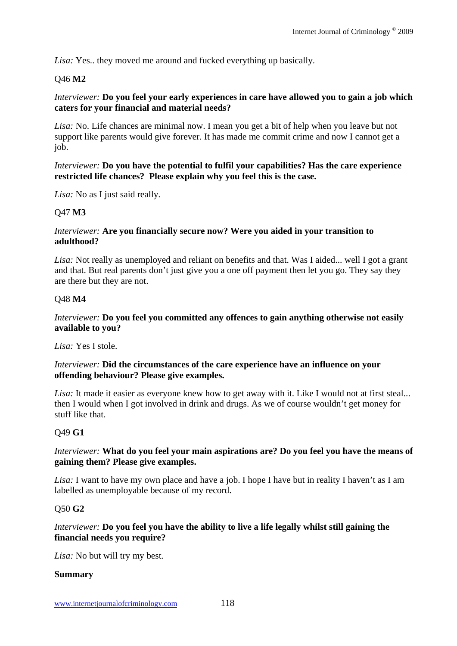*Lisa:* Yes.. they moved me around and fucked everything up basically.

### Q46 **M2**

### *Interviewer:* **Do you feel your early experiences in care have allowed you to gain a job which caters for your financial and material needs?**

*Lisa:* No. Life chances are minimal now. I mean you get a bit of help when you leave but not support like parents would give forever. It has made me commit crime and now I cannot get a job.

### *Interviewer:* **Do you have the potential to fulfil your capabilities? Has the care experience restricted life chances? Please explain why you feel this is the case.**

*Lisa:* No as I just said really.

#### Q47 **M3**

#### *Interviewer:* **Are you financially secure now? Were you aided in your transition to adulthood?**

*Lisa:* Not really as unemployed and reliant on benefits and that. Was I aided... well I got a grant and that. But real parents don't just give you a one off payment then let you go. They say they are there but they are not.

#### Q48 **M4**

### *Interviewer:* **Do you feel you committed any offences to gain anything otherwise not easily available to you?**

*Lisa:* Yes I stole.

#### *Interviewer:* **Did the circumstances of the care experience have an influence on your offending behaviour? Please give examples.**

*Lisa:* It made it easier as everyone knew how to get away with it. Like I would not at first steal... then I would when I got involved in drink and drugs. As we of course wouldn't get money for stuff like that.

### Q49 **G1**

### *Interviewer:* **What do you feel your main aspirations are? Do you feel you have the means of gaining them? Please give examples.**

*Lisa:* I want to have my own place and have a job. I hope I have but in reality I haven't as I am labelled as unemployable because of my record.

#### Q50 **G2**

### *Interviewer:* **Do you feel you have the ability to live a life legally whilst still gaining the financial needs you require?**

*Lisa:* No but will try my best.

#### **Summary**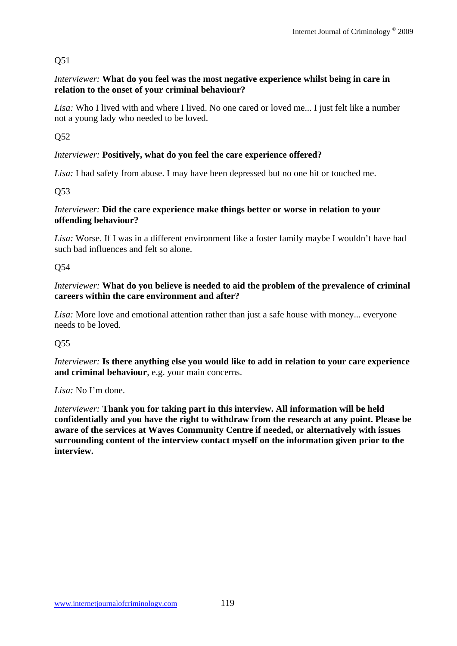# Q51

# *Interviewer:* **What do you feel was the most negative experience whilst being in care in relation to the onset of your criminal behaviour?**

*Lisa:* Who I lived with and where I lived. No one cared or loved me... I just felt like a number not a young lady who needed to be loved.

Q52

# *Interviewer:* **Positively, what do you feel the care experience offered?**

*Lisa:* I had safety from abuse. I may have been depressed but no one hit or touched me.

Q53

### *Interviewer:* **Did the care experience make things better or worse in relation to your offending behaviour?**

*Lisa:* Worse. If I was in a different environment like a foster family maybe I wouldn't have had such bad influences and felt so alone.

Q54

### *Interviewer:* **What do you believe is needed to aid the problem of the prevalence of criminal careers within the care environment and after?**

*Lisa:* More love and emotional attention rather than just a safe house with money... everyone needs to be loved.

# Q55

*Interviewer:* **Is there anything else you would like to add in relation to your care experience and criminal behaviour**, e.g. your main concerns.

*Lisa:* No I'm done.

*Interviewer:* **Thank you for taking part in this interview. All information will be held confidentially and you have the right to withdraw from the research at any point. Please be aware of the services at Waves Community Centre if needed, or alternatively with issues surrounding content of the interview contact myself on the information given prior to the interview.**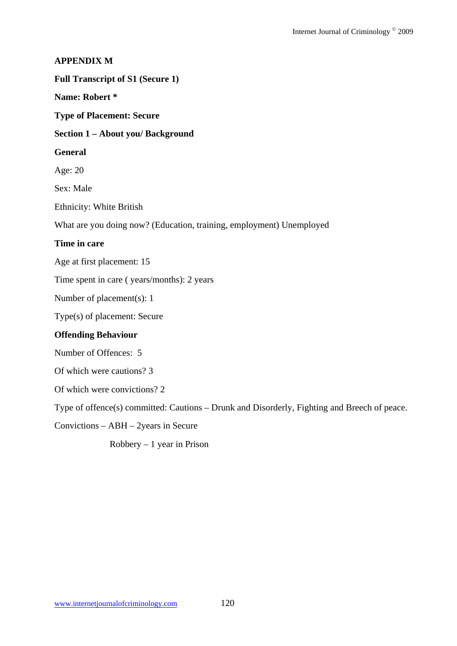### **APPENDIX M**

#### **Full Transcript of S1 (Secure 1)**

### **Name: Robert \***

**Type of Placement: Secure** 

#### **Section 1 – About you/ Background**

#### **General**

Age: 20

Sex: Male

Ethnicity: White British

What are you doing now? (Education, training, employment) Unemployed

### **Time in care**

Age at first placement: 15

Time spent in care ( years/months): 2 years

Number of placement(s): 1

Type(s) of placement: Secure

#### **Offending Behaviour**

Number of Offences: 5

Of which were cautions? 3

Of which were convictions? 2

Type of offence(s) committed: Cautions – Drunk and Disorderly, Fighting and Breech of peace.

Convictions – ABH – 2years in Secure

 $Robbery - 1 year$  in Prison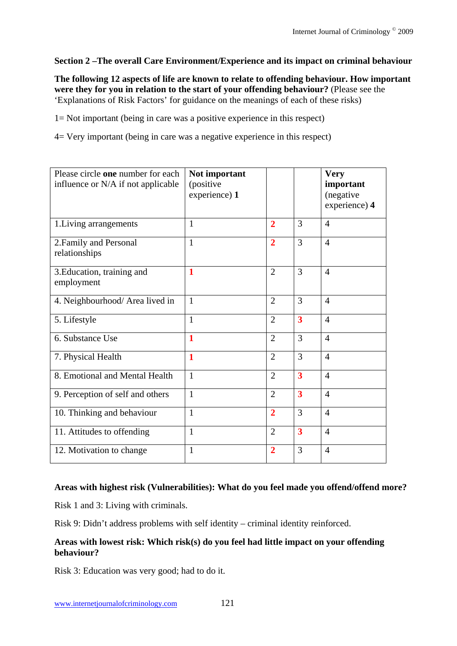# **Section 2 –The overall Care Environment/Experience and its impact on criminal behaviour**

**The following 12 aspects of life are known to relate to offending behaviour. How important were they for you in relation to the start of your offending behaviour?** (Please see the 'Explanations of Risk Factors' for guidance on the meanings of each of these risks)

1= Not important (being in care was a positive experience in this respect)

4= Very important (being in care was a negative experience in this respect)

| Please circle one number for each<br>influence or N/A if not applicable | Not important<br>(positive<br>experience) 1 |                |                         | <b>Very</b><br>important<br>(negative)<br>experience) 4 |
|-------------------------------------------------------------------------|---------------------------------------------|----------------|-------------------------|---------------------------------------------------------|
| 1. Living arrangements                                                  | $\mathbf{1}$                                | $\overline{2}$ | 3                       | $\overline{4}$                                          |
| 2. Family and Personal<br>relationships                                 | $\mathbf{1}$                                | $\overline{2}$ | 3                       | $\overline{4}$                                          |
| 3. Education, training and<br>employment                                | 1                                           | $\overline{2}$ | 3                       | $\overline{4}$                                          |
| 4. Neighbourhood/ Area lived in                                         | $\mathbf{1}$                                | $\overline{2}$ | 3                       | $\overline{4}$                                          |
| 5. Lifestyle                                                            | $\mathbf{1}$                                | $\overline{2}$ | $\overline{\mathbf{3}}$ | $\overline{4}$                                          |
| 6. Substance Use                                                        | 1                                           | $\overline{2}$ | 3                       | $\overline{4}$                                          |
| 7. Physical Health                                                      | $\mathbf{1}$                                | $\overline{2}$ | 3                       | $\overline{4}$                                          |
| 8. Emotional and Mental Health                                          | $\mathbf{1}$                                | $\overline{2}$ | $\overline{\mathbf{3}}$ | $\overline{4}$                                          |
| 9. Perception of self and others                                        | 1                                           | $\overline{2}$ | 3                       | $\overline{4}$                                          |
| 10. Thinking and behaviour                                              | $\mathbf{1}$                                | $\overline{2}$ | 3                       | $\overline{4}$                                          |
| 11. Attitudes to offending                                              | $\mathbf{1}$                                | $\overline{2}$ | $\overline{\mathbf{3}}$ | $\overline{4}$                                          |
| 12. Motivation to change                                                | 1                                           | $\overline{2}$ | 3                       | $\overline{4}$                                          |

### **Areas with highest risk (Vulnerabilities): What do you feel made you offend/offend more?**

Risk 1 and 3: Living with criminals.

Risk 9: Didn't address problems with self identity – criminal identity reinforced.

### **Areas with lowest risk: Which risk(s) do you feel had little impact on your offending behaviour?**

Risk 3: Education was very good; had to do it.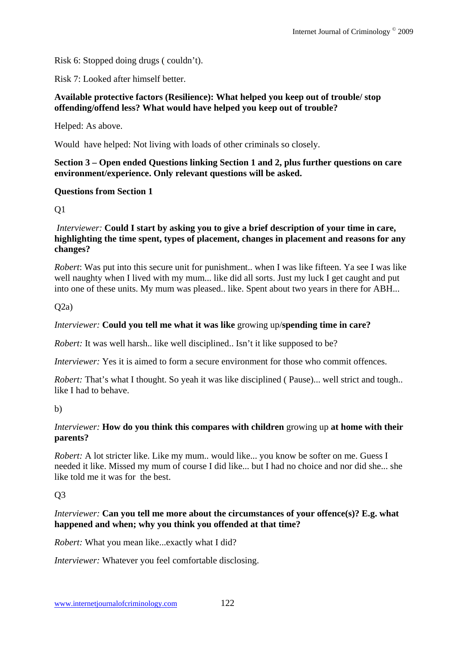Risk 6: Stopped doing drugs ( couldn't).

Risk 7: Looked after himself better.

### **Available protective factors (Resilience): What helped you keep out of trouble/ stop offending/offend less? What would have helped you keep out of trouble?**

Helped: As above.

Would have helped: Not living with loads of other criminals so closely.

### **Section 3 – Open ended Questions linking Section 1 and 2, plus further questions on care environment/experience. Only relevant questions will be asked.**

# **Questions from Section 1**

Q1

#### *Interviewer:* **Could I start by asking you to give a brief description of your time in care, highlighting the time spent, types of placement, changes in placement and reasons for any changes?**

*Robert*: Was put into this secure unit for punishment.. when I was like fifteen. Ya see I was like well naughty when I lived with my mum... like did all sorts. Just my luck I get caught and put into one of these units. My mum was pleased.. like. Spent about two years in there for ABH...

 $Q2a)$ 

# *Interviewer:* **Could you tell me what it was like** growing up/**spending time in care?**

*Robert:* It was well harsh.. like well disciplined.. Isn't it like supposed to be?

*Interviewer:* Yes it is aimed to form a secure environment for those who commit offences.

*Robert:* That's what I thought. So yeah it was like disciplined ( Pause)... well strict and tough.. like I had to behave.

b)

# *Interviewer:* **How do you think this compares with children** growing up **at home with their parents?**

*Robert:* A lot stricter like. Like my mum.. would like... you know be softer on me. Guess I needed it like. Missed my mum of course I did like... but I had no choice and nor did she... she like told me it was for the best.

# $O<sub>3</sub>$

### *Interviewer:* **Can you tell me more about the circumstances of your offence(s)? E.g. what happened and when; why you think you offended at that time?**

*Robert:* What you mean like...exactly what I did?

*Interviewer:* Whatever you feel comfortable disclosing.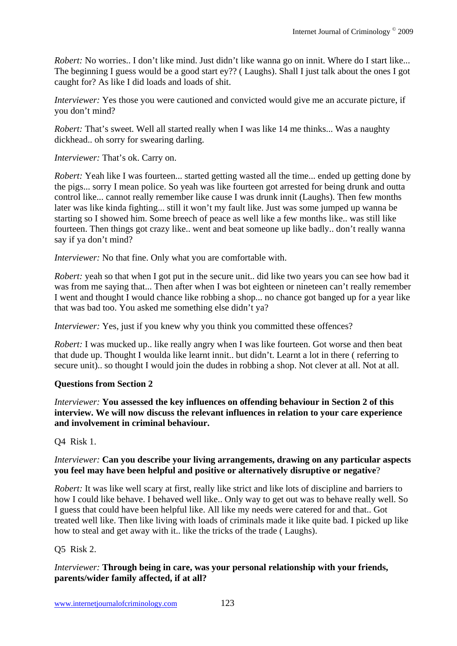*Robert:* No worries.. I don't like mind. Just didn't like wanna go on innit. Where do I start like... The beginning I guess would be a good start ey?? ( Laughs). Shall I just talk about the ones I got caught for? As like I did loads and loads of shit.

*Interviewer:* Yes those you were cautioned and convicted would give me an accurate picture, if you don't mind?

*Robert:* That's sweet. Well all started really when I was like 14 me thinks... Was a naughty dickhead.. oh sorry for swearing darling.

*Interviewer:* That's ok. Carry on.

*Robert:* Yeah like I was fourteen... started getting wasted all the time... ended up getting done by the pigs... sorry I mean police. So yeah was like fourteen got arrested for being drunk and outta control like... cannot really remember like cause I was drunk innit (Laughs). Then few months later was like kinda fighting... still it won't my fault like. Just was some jumped up wanna be starting so I showed him. Some breech of peace as well like a few months like.. was still like fourteen. Then things got crazy like.. went and beat someone up like badly.. don't really wanna say if ya don't mind?

*Interviewer:* No that fine. Only what you are comfortable with.

*Robert:* yeah so that when I got put in the secure unit.. did like two years you can see how bad it was from me saying that... Then after when I was bot eighteen or nineteen can't really remember I went and thought I would chance like robbing a shop... no chance got banged up for a year like that was bad too. You asked me something else didn't ya?

*Interviewer:* Yes, just if you knew why you think you committed these offences?

*Robert:* I was mucked up.. like really angry when I was like fourteen. Got worse and then beat that dude up. Thought I woulda like learnt innit.. but didn't. Learnt a lot in there ( referring to secure unit).. so thought I would join the dudes in robbing a shop. Not clever at all. Not at all.

# **Questions from Section 2**

*Interviewer:* **You assessed the key influences on offending behaviour in Section 2 of this interview. We will now discuss the relevant influences in relation to your care experience and involvement in criminal behaviour.** 

Q4 Risk 1.

# *Interviewer:* **Can you describe your living arrangements, drawing on any particular aspects you feel may have been helpful and positive or alternatively disruptive or negative**?

*Robert:* It was like well scary at first, really like strict and like lots of discipline and barriers to how I could like behave. I behaved well like.. Only way to get out was to behave really well. So I guess that could have been helpful like. All like my needs were catered for and that.. Got treated well like. Then like living with loads of criminals made it like quite bad. I picked up like how to steal and get away with it.. like the tricks of the trade ( Laughs).

# Q5 Risk 2.

# *Interviewer:* **Through being in care, was your personal relationship with your friends, parents/wider family affected, if at all?**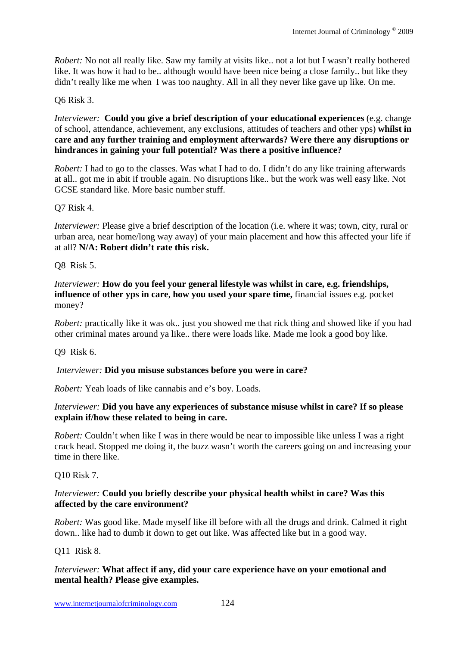*Robert:* No not all really like. Saw my family at visits like.. not a lot but I wasn't really bothered like. It was how it had to be.. although would have been nice being a close family.. but like they didn't really like me when I was too naughty. All in all they never like gave up like. On me.

# Q6 Risk 3.

*Interviewer:* **Could you give a brief description of your educational experiences** (e.g. change of school, attendance, achievement, any exclusions, attitudes of teachers and other yps) **whilst in care and any further training and employment afterwards? Were there any disruptions or hindrances in gaining your full potential? Was there a positive influence?**

*Robert:* I had to go to the classes. Was what I had to do. I didn't do any like training afterwards at all.. got me in abit if trouble again. No disruptions like.. but the work was well easy like. Not GCSE standard like. More basic number stuff.

# Q7 Risk 4.

*Interviewer:* Please give a brief description of the location (i.e. where it was; town, city, rural or urban area, near home/long way away) of your main placement and how this affected your life if at all? **N/A: Robert didn't rate this risk.**

# Q8 Risk 5.

*Interviewer:* **How do you feel your general lifestyle was whilst in care, e.g. friendships, influence of other yps in care**, **how you used your spare time,** financial issues e.g. pocket money?

*Robert:* practically like it was ok.. just you showed me that rick thing and showed like if you had other criminal mates around ya like.. there were loads like. Made me look a good boy like.

Q9 Risk 6.

# *Interviewer:* **Did you misuse substances before you were in care?**

*Robert:* Yeah loads of like cannabis and e's boy. Loads.

### *Interviewer:* **Did you have any experiences of substance misuse whilst in care? If so please explain if/how these related to being in care.**

*Robert:* Couldn't when like I was in there would be near to impossible like unless I was a right crack head. Stopped me doing it, the buzz wasn't worth the careers going on and increasing your time in there like.

Q10 Risk 7.

### *Interviewer:* **Could you briefly describe your physical health whilst in care? Was this affected by the care environment?**

*Robert:* Was good like. Made myself like ill before with all the drugs and drink. Calmed it right down.. like had to dumb it down to get out like. Was affected like but in a good way.

Q11 Risk 8.

# *Interviewer:* **What affect if any, did your care experience have on your emotional and mental health? Please give examples.**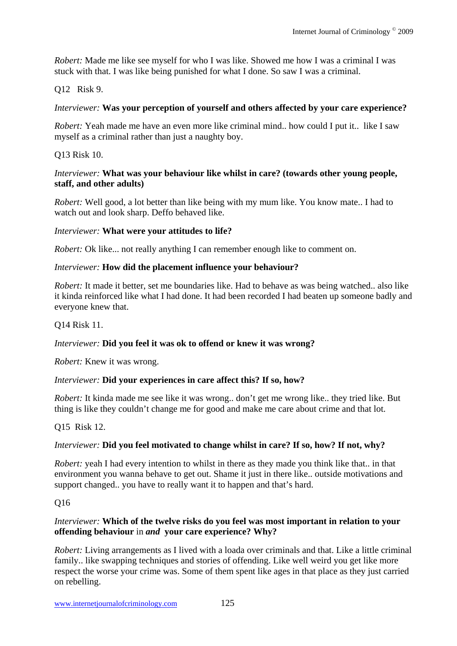*Robert:* Made me like see myself for who I was like. Showed me how I was a criminal I was stuck with that. I was like being punished for what I done. So saw I was a criminal.

# Q12 Risk 9.

### *Interviewer:* **Was your perception of yourself and others affected by your care experience?**

*Robert:* Yeah made me have an even more like criminal mind.. how could I put it.. like I saw myself as a criminal rather than just a naughty boy.

Q13 Risk 10.

### *Interviewer:* **What was your behaviour like whilst in care? (towards other young people, staff, and other adults)**

*Robert:* Well good, a lot better than like being with my mum like. You know mate.. I had to watch out and look sharp. Deffo behaved like.

### *Interviewer:* **What were your attitudes to life?**

*Robert:* Ok like... not really anything I can remember enough like to comment on.

### *Interviewer:* **How did the placement influence your behaviour?**

*Robert:* It made it better, set me boundaries like. Had to behave as was being watched.. also like it kinda reinforced like what I had done. It had been recorded I had beaten up someone badly and everyone knew that.

### Q14 Risk 11.

### *Interviewer:* **Did you feel it was ok to offend or knew it was wrong?**

*Robert:* Knew it was wrong.

### *Interviewer:* **Did your experiences in care affect this? If so, how?**

*Robert:* It kinda made me see like it was wrong.. don't get me wrong like.. they tried like. But thing is like they couldn't change me for good and make me care about crime and that lot.

# Q15 Risk 12.

# *Interviewer:* **Did you feel motivated to change whilst in care? If so, how? If not, why?**

*Robert:* yeah I had every intention to whilst in there as they made you think like that.. in that environment you wanna behave to get out. Shame it just in there like.. outside motivations and support changed.. you have to really want it to happen and that's hard.

# Q16

# *Interviewer:* **Which of the twelve risks do you feel was most important in relation to your offending behaviour** in *and* **your care experience? Why?**

*Robert:* Living arrangements as I lived with a loada over criminals and that. Like a little criminal family.. like swapping techniques and stories of offending. Like well weird you get like more respect the worse your crime was. Some of them spent like ages in that place as they just carried on rebelling.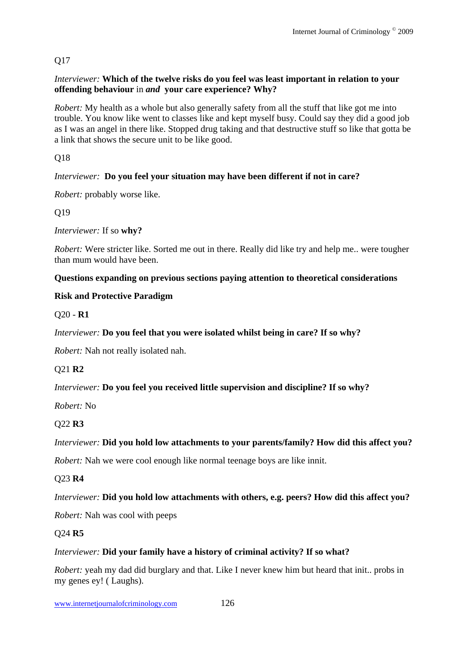# Q17

### *Interviewer:* **Which of the twelve risks do you feel was least important in relation to your offending behaviour** in *and* **your care experience? Why?**

*Robert:* My health as a whole but also generally safety from all the stuff that like got me into trouble. You know like went to classes like and kept myself busy. Could say they did a good job as I was an angel in there like. Stopped drug taking and that destructive stuff so like that gotta be a link that shows the secure unit to be like good.

Q18

# *Interviewer:* **Do you feel your situation may have been different if not in care?**

*Robert:* probably worse like.

Q19

*Interviewer:* If so **why?** 

*Robert:* Were stricter like. Sorted me out in there. Really did like try and help me.. were tougher than mum would have been.

# **Questions expanding on previous sections paying attention to theoretical considerations**

# **Risk and Protective Paradigm**

Q20 - **R1** 

# *Interviewer:* **Do you feel that you were isolated whilst being in care? If so why?**

*Robert:* Nah not really isolated nah.

Q21 **R2** 

# *Interviewer:* **Do you feel you received little supervision and discipline? If so why?**

*Robert:* No

# Q22 **R3**

# *Interviewer:* **Did you hold low attachments to your parents/family? How did this affect you?**

*Robert:* Nah we were cool enough like normal teenage boys are like innit.

Q23 **R4** 

# *Interviewer:* **Did you hold low attachments with others, e.g. peers? How did this affect you?**

*Robert:* Nah was cool with peeps

# Q24 **R5**

# *Interviewer:* **Did your family have a history of criminal activity? If so what?**

*Robert:* yeah my dad did burglary and that. Like I never knew him but heard that init.. probs in my genes ey! ( Laughs).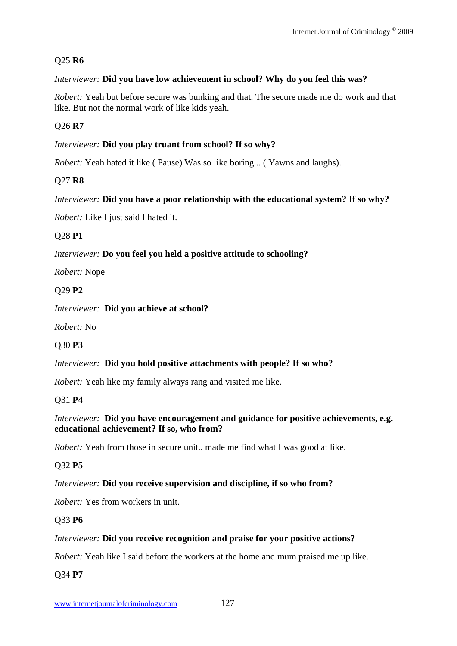# Q25 **R6**

# *Interviewer:* **Did you have low achievement in school? Why do you feel this was?**

*Robert:* Yeah but before secure was bunking and that. The secure made me do work and that like. But not the normal work of like kids yeah.

Q26 **R7** 

# *Interviewer:* **Did you play truant from school? If so why?**

*Robert:* Yeah hated it like (Pause) Was so like boring... (Yawns and laughs).

# Q27 **R8**

# *Interviewer:* **Did you have a poor relationship with the educational system? If so why?**

*Robert:* Like I just said I hated it.

# Q28 **P1**

# *Interviewer:* **Do you feel you held a positive attitude to schooling?**

*Robert:* Nope

# Q29 **P2**

*Interviewer:* **Did you achieve at school?**

*Robert:* No

# Q30 **P3**

# *Interviewer:* **Did you hold positive attachments with people? If so who?**

*Robert:* Yeah like my family always rang and visited me like.

# Q31 **P4**

# *Interviewer:* **Did you have encouragement and guidance for positive achievements, e.g. educational achievement? If so, who from?**

*Robert:* Yeah from those in secure unit.. made me find what I was good at like.

# Q32 **P5**

# *Interviewer:* **Did you receive supervision and discipline, if so who from?**

*Robert:* Yes from workers in unit.

# Q33 **P6**

# *Interviewer:* **Did you receive recognition and praise for your positive actions?**

*Robert:* Yeah like I said before the workers at the home and mum praised me up like.

Q34 **P7**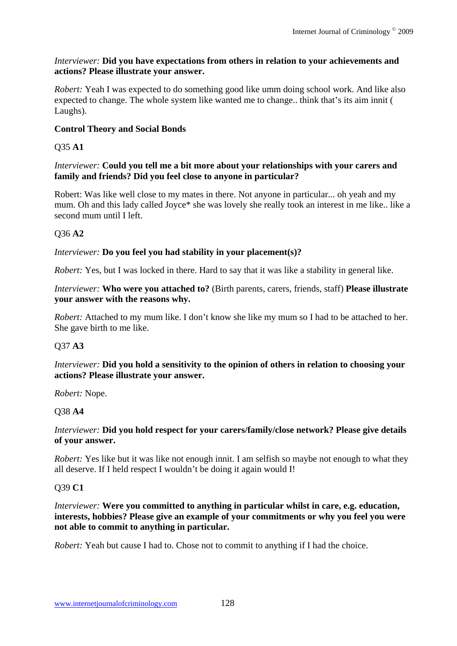### *Interviewer:* **Did you have expectations from others in relation to your achievements and actions? Please illustrate your answer.**

*Robert:* Yeah I was expected to do something good like umm doing school work. And like also expected to change. The whole system like wanted me to change.. think that's its aim innit ( Laughs).

# **Control Theory and Social Bonds**

# Q35 **A1**

# *Interviewer:* **Could you tell me a bit more about your relationships with your carers and family and friends? Did you feel close to anyone in particular?**

Robert: Was like well close to my mates in there. Not anyone in particular... oh yeah and my mum. Oh and this lady called Joyce\* she was lovely she really took an interest in me like.. like a second mum until I left.

# Q36 **A2**

# *Interviewer:* **Do you feel you had stability in your placement(s)?**

*Robert:* Yes, but I was locked in there. Hard to say that it was like a stability in general like.

### *Interviewer:* **Who were you attached to?** (Birth parents, carers, friends, staff) **Please illustrate your answer with the reasons why.**

*Robert:* Attached to my mum like. I don't know she like my mum so I had to be attached to her. She gave birth to me like.

# Q37 **A3**

# *Interviewer:* **Did you hold a sensitivity to the opinion of others in relation to choosing your actions? Please illustrate your answer.**

*Robert:* Nope.

# Q38 **A4**

### *Interviewer:* **Did you hold respect for your carers/family/close network? Please give details of your answer.**

*Robert:* Yes like but it was like not enough innit. I am selfish so maybe not enough to what they all deserve. If I held respect I wouldn't be doing it again would I!

# Q39 **C1**

*Interviewer:* Were you committed to anything in particular whilst in care, e.g. education, **interests, hobbies? Please give an example of your commitments or why you feel you were not able to commit to anything in particular.** 

*Robert:* Yeah but cause I had to. Chose not to commit to anything if I had the choice.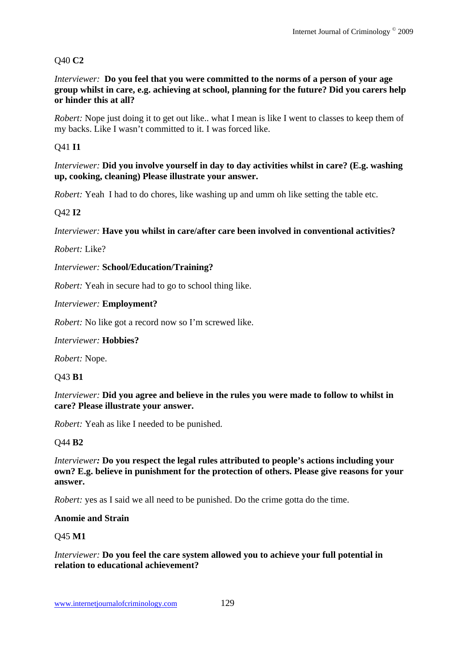# Q40 **C2**

*Interviewer:* **Do you feel that you were committed to the norms of a person of your age group whilst in care, e.g. achieving at school, planning for the future? Did you carers help or hinder this at all?** 

*Robert:* Nope just doing it to get out like.. what I mean is like I went to classes to keep them of my backs. Like I wasn't committed to it. I was forced like.

# Q41 **I1**

*Interviewer:* **Did you involve yourself in day to day activities whilst in care? (E.g. washing up, cooking, cleaning) Please illustrate your answer.** 

*Robert:* Yeah I had to do chores, like washing up and umm oh like setting the table etc.

# Q42 **I2**

*Interviewer:* **Have you whilst in care/after care been involved in conventional activities?**

*Robert:* Like?

*Interviewer:* **School/Education/Training?** 

*Robert:* Yeah in secure had to go to school thing like.

#### *Interviewer:* **Employment?**

*Robert:* No like got a record now so I'm screwed like.

*Interviewer:* **Hobbies?** 

*Robert:* Nope.

Q43 **B1** 

*Interviewer:* **Did you agree and believe in the rules you were made to follow to whilst in care? Please illustrate your answer.** 

*Robert:* Yeah as like I needed to be punished.

### Q44 **B2**

*Interviewer:* **Do you respect the legal rules attributed to people's actions including your own? E.g. believe in punishment for the protection of others. Please give reasons for your answer.** 

*Robert:* yes as I said we all need to be punished. Do the crime gotta do the time.

#### **Anomie and Strain**

### Q45 **M1**

*Interviewer:* **Do you feel the care system allowed you to achieve your full potential in relation to educational achievement?**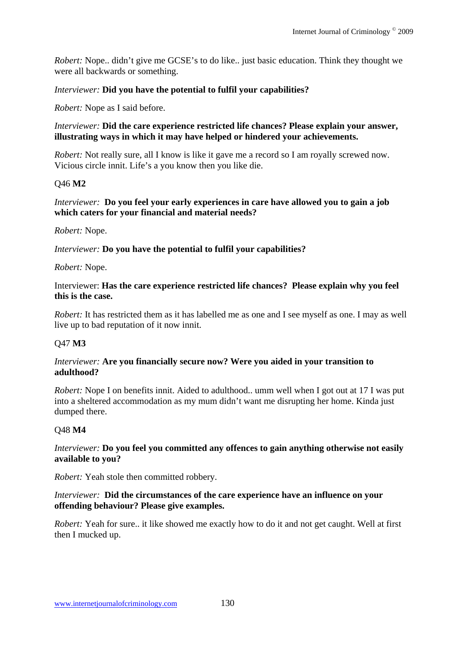*Robert:* Nope.. didn't give me GCSE's to do like.. just basic education. Think they thought we were all backwards or something.

#### *Interviewer:* **Did you have the potential to fulfil your capabilities?**

*Robert:* Nope as I said before.

#### *Interviewer:* **Did the care experience restricted life chances? Please explain your answer, illustrating ways in which it may have helped or hindered your achievements.**

*Robert:* Not really sure, all I know is like it gave me a record so I am royally screwed now. Vicious circle innit. Life's a you know then you like die.

#### Q46 **M2**

#### *Interviewer:* **Do you feel your early experiences in care have allowed you to gain a job which caters for your financial and material needs?**

*Robert:* Nope.

#### *Interviewer:* **Do you have the potential to fulfil your capabilities?**

#### *Robert:* Nope.

#### Interviewer: **Has the care experience restricted life chances? Please explain why you feel this is the case.**

*Robert:* It has restricted them as it has labelled me as one and I see myself as one. I may as well live up to bad reputation of it now innit.

### Q47 **M3**

#### *Interviewer:* **Are you financially secure now? Were you aided in your transition to adulthood?**

*Robert:* Nope I on benefits innit. Aided to adulthood.. umm well when I got out at 17 I was put into a sheltered accommodation as my mum didn't want me disrupting her home. Kinda just dumped there.

### Q48 **M4**

#### *Interviewer:* **Do you feel you committed any offences to gain anything otherwise not easily available to you?**

*Robert:* Yeah stole then committed robbery.

### *Interviewer:* **Did the circumstances of the care experience have an influence on your offending behaviour? Please give examples.**

*Robert:* Yeah for sure.. it like showed me exactly how to do it and not get caught. Well at first then I mucked up.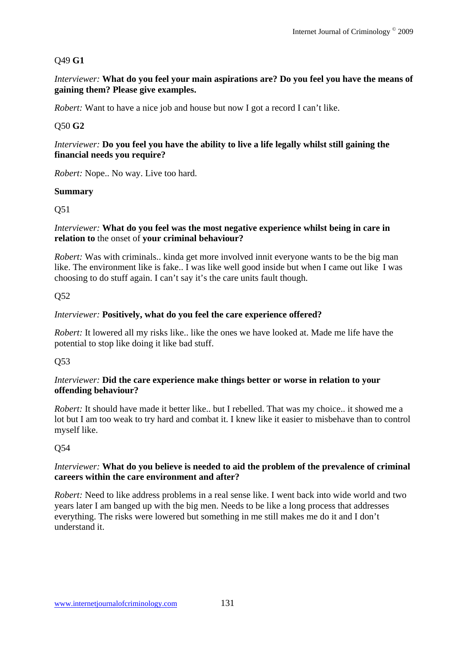# Q49 **G1**

*Interviewer:* **What do you feel your main aspirations are? Do you feel you have the means of gaining them? Please give examples.** 

*Robert:* Want to have a nice job and house but now I got a record I can't like.

# Q50 **G2**

# *Interviewer:* **Do you feel you have the ability to live a life legally whilst still gaining the financial needs you require?**

*Robert:* Nope.. No way. Live too hard.

# **Summary**

Q51

#### *Interviewer:* **What do you feel was the most negative experience whilst being in care in relation to** the onset of **your criminal behaviour?**

*Robert:* Was with criminals.. kinda get more involved innit everyone wants to be the big man like. The environment like is fake.. I was like well good inside but when I came out like I was choosing to do stuff again. I can't say it's the care units fault though.

# Q52

# *Interviewer:* **Positively, what do you feel the care experience offered?**

*Robert:* It lowered all my risks like.. like the ones we have looked at. Made me life have the potential to stop like doing it like bad stuff.

### Q53

#### *Interviewer:* **Did the care experience make things better or worse in relation to your offending behaviour?**

*Robert:* It should have made it better like.. but I rebelled. That was my choice.. it showed me a lot but I am too weak to try hard and combat it. I knew like it easier to misbehave than to control myself like.

# Q54

# *Interviewer:* **What do you believe is needed to aid the problem of the prevalence of criminal careers within the care environment and after?**

*Robert:* Need to like address problems in a real sense like. I went back into wide world and two years later I am banged up with the big men. Needs to be like a long process that addresses everything. The risks were lowered but something in me still makes me do it and I don't understand it.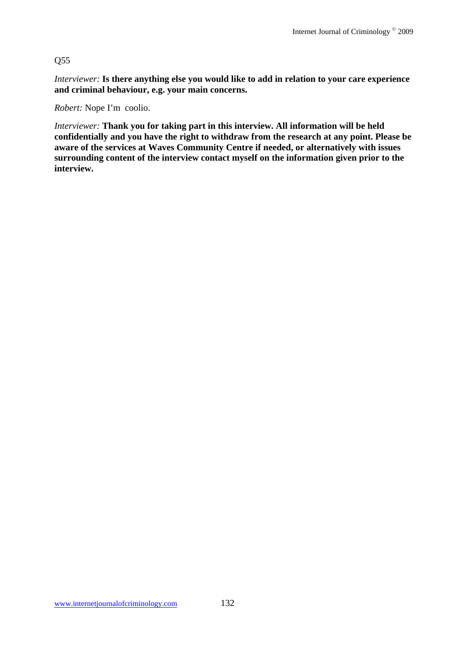### Q55

*Interviewer:* **Is there anything else you would like to add in relation to your care experience and criminal behaviour, e.g. your main concerns.**

*Robert:* Nope I'm coolio.

*Interviewer:* **Thank you for taking part in this interview. All information will be held confidentially and you have the right to withdraw from the research at any point. Please be aware of the services at Waves Community Centre if needed, or alternatively with issues surrounding content of the interview contact myself on the information given prior to the interview.**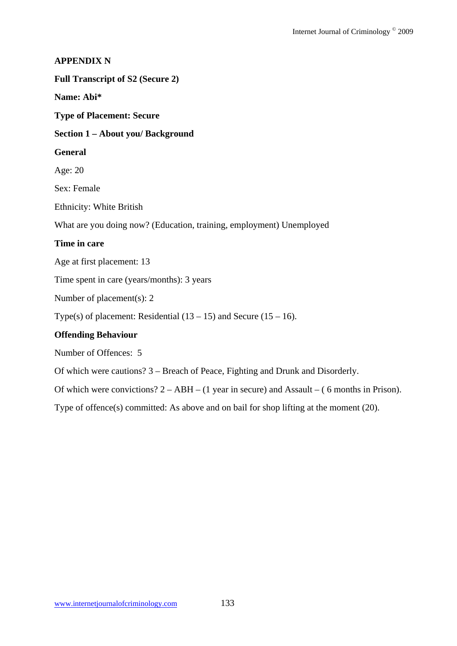# **APPENDIX N Full Transcript of S2 (Secure 2) Name: Abi\* Type of Placement: Secure Section 1 – About you/ Background General**  Age: 20 Sex: Female Ethnicity: White British What are you doing now? (Education, training, employment) Unemployed **Time in care**  Age at first placement: 13 Time spent in care (years/months): 3 years Number of placement(s): 2 Type(s) of placement: Residential  $(13 – 15)$  and Secure  $(15 – 16)$ . **Offending Behaviour**  Number of Offences: 5 Of which were cautions? 3 – Breach of Peace, Fighting and Drunk and Disorderly.

Of which were convictions? 2 – ABH – (1 year in secure) and Assault – ( 6 months in Prison).

Type of offence(s) committed: As above and on bail for shop lifting at the moment (20).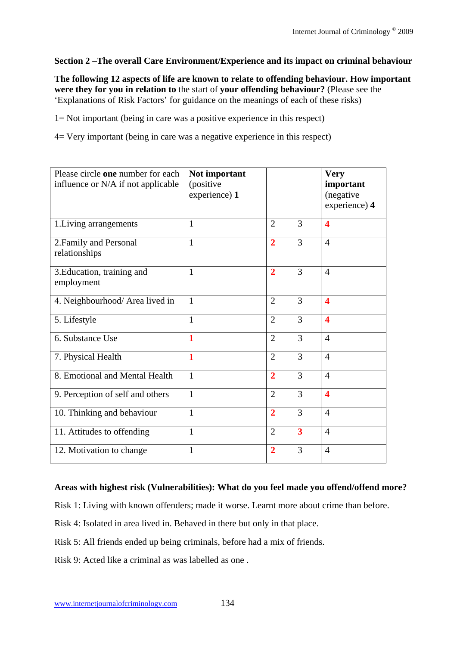# **Section 2 –The overall Care Environment/Experience and its impact on criminal behaviour**

**The following 12 aspects of life are known to relate to offending behaviour. How important were they for you in relation to** the start of **your offending behaviour?** (Please see the 'Explanations of Risk Factors' for guidance on the meanings of each of these risks)

1= Not important (being in care was a positive experience in this respect)

4= Very important (being in care was a negative experience in this respect)

| Please circle one number for each<br>influence or N/A if not applicable | Not important<br>(positive<br>experience) 1 |                |                         | <b>Very</b><br>important<br>(negative<br>experience) 4 |
|-------------------------------------------------------------------------|---------------------------------------------|----------------|-------------------------|--------------------------------------------------------|
| 1. Living arrangements                                                  | 1                                           | $\overline{2}$ | 3                       | $\overline{\mathbf{4}}$                                |
| 2. Family and Personal<br>relationships                                 | $\mathbf{1}$                                | $\overline{2}$ | 3                       | $\overline{4}$                                         |
| 3. Education, training and<br>employment                                | $\mathbf{1}$                                | $\overline{2}$ | 3                       | $\overline{4}$                                         |
| 4. Neighbourhood/ Area lived in                                         | $\mathbf{1}$                                | $\overline{2}$ | 3                       | $\overline{\mathbf{4}}$                                |
| 5. Lifestyle                                                            | $\mathbf{1}$                                | $\overline{2}$ | 3                       | $\overline{\mathbf{4}}$                                |
| 6. Substance Use                                                        | 1                                           | $\overline{2}$ | 3                       | $\overline{4}$                                         |
| 7. Physical Health                                                      | $\mathbf{1}$                                | $\overline{2}$ | 3                       | $\overline{4}$                                         |
| 8. Emotional and Mental Health                                          | $\mathbf{1}$                                | $\overline{2}$ | 3                       | $\overline{4}$                                         |
| 9. Perception of self and others                                        | $\mathbf{1}$                                | $\overline{2}$ | 3                       | $\overline{\mathbf{4}}$                                |
| 10. Thinking and behaviour                                              | $\mathbf{1}$                                | $\overline{2}$ | 3                       | $\overline{4}$                                         |
| 11. Attitudes to offending                                              | $\mathbf{1}$                                | $\overline{2}$ | $\overline{\mathbf{3}}$ | $\overline{4}$                                         |
| 12. Motivation to change                                                | $\mathbf{1}$                                | $\overline{2}$ | 3                       | $\overline{4}$                                         |

### **Areas with highest risk (Vulnerabilities): What do you feel made you offend/offend more?**

Risk 1: Living with known offenders; made it worse. Learnt more about crime than before.

Risk 4: Isolated in area lived in. Behaved in there but only in that place.

Risk 5: All friends ended up being criminals, before had a mix of friends.

Risk 9: Acted like a criminal as was labelled as one .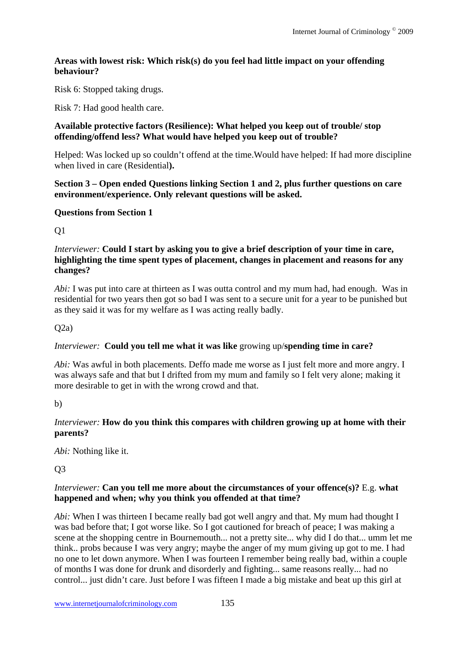### **Areas with lowest risk: Which risk(s) do you feel had little impact on your offending behaviour?**

Risk 6: Stopped taking drugs.

Risk 7: Had good health care.

### **Available protective factors (Resilience): What helped you keep out of trouble/ stop offending/offend less? What would have helped you keep out of trouble?**

Helped: Was locked up so couldn't offend at the time.Would have helped: If had more discipline when lived in care (Residential**).**

### **Section 3 – Open ended Questions linking Section 1 and 2, plus further questions on care environment/experience. Only relevant questions will be asked.**

# **Questions from Section 1**

Q1

### *Interviewer:* **Could I start by asking you to give a brief description of your time in care, highlighting the time spent types of placement, changes in placement and reasons for any changes?**

*Abi:* I was put into care at thirteen as I was outta control and my mum had, had enough. Was in residential for two years then got so bad I was sent to a secure unit for a year to be punished but as they said it was for my welfare as I was acting really badly.

 $Q2a)$ 

# *Interviewer:* **Could you tell me what it was like** growing up/**spending time in care?**

*Abi:* Was awful in both placements. Deffo made me worse as I just felt more and more angry. I was always safe and that but I drifted from my mum and family so I felt very alone; making it more desirable to get in with the wrong crowd and that.

b)

# *Interviewer:* **How do you think this compares with children growing up at home with their parents?**

*Abi:* Nothing like it.

 $O<sub>3</sub>$ 

### *Interviewer:* **Can you tell me more about the circumstances of your offence(s)?** E.g. **what happened and when; why you think you offended at that time?**

*Abi:* When I was thirteen I became really bad got well angry and that. My mum had thought I was bad before that; I got worse like. So I got cautioned for breach of peace; I was making a scene at the shopping centre in Bournemouth... not a pretty site... why did I do that... umm let me think.. probs because I was very angry; maybe the anger of my mum giving up got to me. I had no one to let down anymore. When I was fourteen I remember being really bad, within a couple of months I was done for drunk and disorderly and fighting... same reasons really... had no control... just didn't care. Just before I was fifteen I made a big mistake and beat up this girl at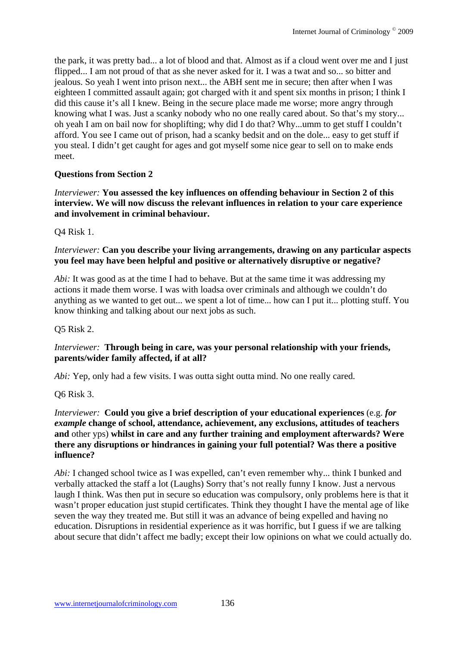the park, it was pretty bad... a lot of blood and that. Almost as if a cloud went over me and I just flipped... I am not proud of that as she never asked for it. I was a twat and so... so bitter and jealous. So yeah I went into prison next... the ABH sent me in secure; then after when I was eighteen I committed assault again; got charged with it and spent six months in prison; I think I did this cause it's all I knew. Being in the secure place made me worse; more angry through knowing what I was. Just a scanky nobody who no one really cared about. So that's my story... oh yeah I am on bail now for shoplifting; why did I do that? Why...umm to get stuff I couldn't afford. You see I came out of prison, had a scanky bedsit and on the dole... easy to get stuff if you steal. I didn't get caught for ages and got myself some nice gear to sell on to make ends meet.

# **Questions from Section 2**

*Interviewer:* **You assessed the key influences on offending behaviour in Section 2 of this interview. We will now discuss the relevant influences in relation to your care experience and involvement in criminal behaviour.** 

Q4 Risk 1.

# *Interviewer:* **Can you describe your living arrangements, drawing on any particular aspects you feel may have been helpful and positive or alternatively disruptive or negative?**

*Abi:* It was good as at the time I had to behave. But at the same time it was addressing my actions it made them worse. I was with loadsa over criminals and although we couldn't do anything as we wanted to get out... we spent a lot of time... how can I put it... plotting stuff. You know thinking and talking about our next jobs as such.

### Q5 Risk 2.

# *Interviewer:* **Through being in care, was your personal relationship with your friends, parents/wider family affected, if at all?**

*Abi:* Yep, only had a few visits. I was outta sight outta mind. No one really cared.

Q6 Risk 3.

### *Interviewer:* **Could you give a brief description of your educational experiences** (e.g. *for example* **change of school, attendance, achievement, any exclusions, attitudes of teachers and** other yps) **whilst in care and any further training and employment afterwards? Were there any disruptions or hindrances in gaining your full potential? Was there a positive influence?**

*Abi:* I changed school twice as I was expelled, can't even remember why... think I bunked and verbally attacked the staff a lot (Laughs) Sorry that's not really funny I know. Just a nervous laugh I think. Was then put in secure so education was compulsory, only problems here is that it wasn't proper education just stupid certificates. Think they thought I have the mental age of like seven the way they treated me. But still it was an advance of being expelled and having no education. Disruptions in residential experience as it was horrific, but I guess if we are talking about secure that didn't affect me badly; except their low opinions on what we could actually do.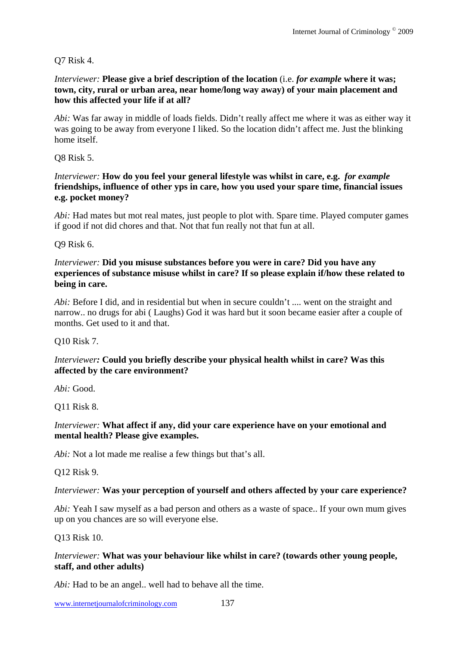# Q7 Risk 4.

*Interviewer:* Please give a brief description of the location (i.e. *for example* where it was; **town, city, rural or urban area, near home/long way away) of your main placement and how this affected your life if at all?**

*Abi:* Was far away in middle of loads fields. Didn't really affect me where it was as either way it was going to be away from everyone I liked. So the location didn't affect me. Just the blinking home itself.

Q8 Risk 5.

*Interviewer:* **How do you feel your general lifestyle was whilst in care, e.g.** *for example* **friendships, influence of other yps in care, how you used your spare time, financial issues e.g. pocket money?** 

*Abi:* Had mates but mot real mates, just people to plot with. Spare time. Played computer games if good if not did chores and that. Not that fun really not that fun at all.

Q9 Risk 6.

*Interviewer:* **Did you misuse substances before you were in care? Did you have any experiences of substance misuse whilst in care? If so please explain if/how these related to being in care.**

*Abi:* Before I did, and in residential but when in secure couldn't .... went on the straight and narrow.. no drugs for abi ( Laughs) God it was hard but it soon became easier after a couple of months. Get used to it and that.

Q10 Risk 7.

### *Interviewer:* **Could you briefly describe your physical health whilst in care? Was this affected by the care environment?**

*Abi:* Good.

Q11 Risk 8.

### *Interviewer:* **What affect if any, did your care experience have on your emotional and mental health? Please give examples.**

*Abi:* Not a lot made me realise a few things but that's all.

Q12 Risk 9.

### *Interviewer:* **Was your perception of yourself and others affected by your care experience?**

*Abi:* Yeah I saw myself as a bad person and others as a waste of space.. If your own mum gives up on you chances are so will everyone else.

#### Q13 Risk 10.

#### *Interviewer:* **What was your behaviour like whilst in care? (towards other young people, staff, and other adults)**

*Abi:* Had to be an angel.. well had to behave all the time.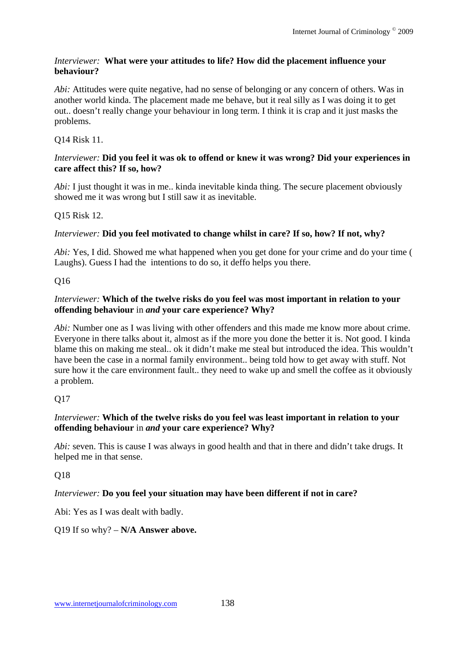### *Interviewer:* **What were your attitudes to life? How did the placement influence your behaviour?**

*Abi:* Attitudes were quite negative, had no sense of belonging or any concern of others. Was in another world kinda. The placement made me behave, but it real silly as I was doing it to get out.. doesn't really change your behaviour in long term. I think it is crap and it just masks the problems.

# Q14 Risk 11.

### *Interviewer:* **Did you feel it was ok to offend or knew it was wrong? Did your experiences in care affect this? If so, how?**

*Abi:* I just thought it was in me.. kinda inevitable kinda thing. The secure placement obviously showed me it was wrong but I still saw it as inevitable.

# Q15 Risk 12.

# *Interviewer:* **Did you feel motivated to change whilst in care? If so, how? If not, why?**

*Abi:* Yes, I did. Showed me what happened when you get done for your crime and do your time ( Laughs). Guess I had the intentions to do so, it deffo helps you there.

# Q16

# *Interviewer:* **Which of the twelve risks do you feel was most important in relation to your offending behaviour** in *and* **your care experience? Why?**

*Abi:* Number one as I was living with other offenders and this made me know more about crime. Everyone in there talks about it, almost as if the more you done the better it is. Not good. I kinda blame this on making me steal.. ok it didn't make me steal but introduced the idea. This wouldn't have been the case in a normal family environment.. being told how to get away with stuff. Not sure how it the care environment fault.. they need to wake up and smell the coffee as it obviously a problem.

# Q17

### *Interviewer:* **Which of the twelve risks do you feel was least important in relation to your offending behaviour** in *and* **your care experience? Why?**

*Abi:* seven. This is cause I was always in good health and that in there and didn't take drugs. It helped me in that sense.

# Q18

# *Interviewer:* **Do you feel your situation may have been different if not in care?**

Abi: Yes as I was dealt with badly.

# Q19 If so why? – **N/A Answer above.**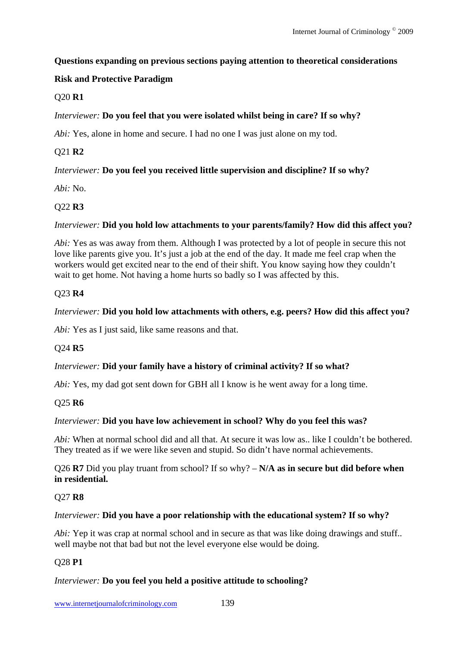### **Questions expanding on previous sections paying attention to theoretical considerations**

# **Risk and Protective Paradigm**

# Q20 **R1**

# *Interviewer:* **Do you feel that you were isolated whilst being in care? If so why?**

*Abi:* Yes, alone in home and secure. I had no one I was just alone on my tod.

# Q21 **R2**

# *Interviewer:* **Do you feel you received little supervision and discipline? If so why?**

*Abi:* No.

# Q22 **R3**

### *Interviewer:* **Did you hold low attachments to your parents/family? How did this affect you?**

*Abi:* Yes as was away from them. Although I was protected by a lot of people in secure this not love like parents give you. It's just a job at the end of the day. It made me feel crap when the workers would get excited near to the end of their shift. You know saying how they couldn't wait to get home. Not having a home hurts so badly so I was affected by this.

### Q23 **R4**

# *Interviewer:* **Did you hold low attachments with others, e.g. peers? How did this affect you?**

*Abi:* Yes as I just said, like same reasons and that.

### Q24 **R5**

### *Interviewer:* **Did your family have a history of criminal activity? If so what?**

*Abi:* Yes, my dad got sent down for GBH all I know is he went away for a long time.

### Q25 **R6**

### *Interviewer:* **Did you have low achievement in school? Why do you feel this was?**

*Abi:* When at normal school did and all that. At secure it was low as.. like I couldn't be bothered. They treated as if we were like seven and stupid. So didn't have normal achievements.

Q26 **R7** Did you play truant from school? If so why? – **N/A as in secure but did before when in residential.** 

#### Q27 **R8**

#### *Interviewer:* **Did you have a poor relationship with the educational system? If so why?**

*Abi:* Yep it was crap at normal school and in secure as that was like doing drawings and stuff.. well maybe not that bad but not the level everyone else would be doing.

### Q28 **P1**

### *Interviewer:* **Do you feel you held a positive attitude to schooling?**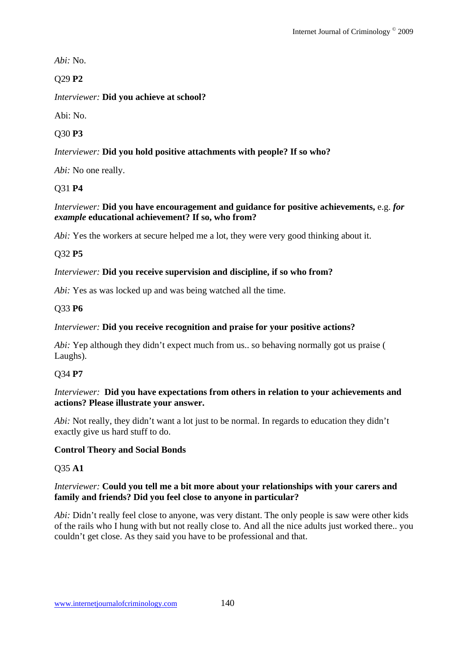*Abi:* No.

# Q29 **P2**

*Interviewer:* **Did you achieve at school?**

Abi: No.

Q30 **P3** 

# *Interviewer:* **Did you hold positive attachments with people? If so who?**

*Abi:* No one really.

# Q31 **P4**

# *Interviewer:* **Did you have encouragement and guidance for positive achievements,** e.g. *for example* **educational achievement? If so, who from?**

*Abi:* Yes the workers at secure helped me a lot, they were very good thinking about it.

# Q32 **P5**

# *Interviewer:* **Did you receive supervision and discipline, if so who from?**

*Abi:* Yes as was locked up and was being watched all the time.

# Q33 **P6**

# *Interviewer:* **Did you receive recognition and praise for your positive actions?**

*Abi:* Yep although they didn't expect much from us.. so behaving normally got us praise ( Laughs).

# Q34 **P7**

# *Interviewer:* **Did you have expectations from others in relation to your achievements and actions? Please illustrate your answer.**

*Abi:* Not really, they didn't want a lot just to be normal. In regards to education they didn't exactly give us hard stuff to do.

# **Control Theory and Social Bonds**

# Q35 **A1**

# *Interviewer:* **Could you tell me a bit more about your relationships with your carers and family and friends? Did you feel close to anyone in particular?**

*Abi:* Didn't really feel close to anyone, was very distant. The only people is saw were other kids of the rails who I hung with but not really close to. And all the nice adults just worked there.. you couldn't get close. As they said you have to be professional and that.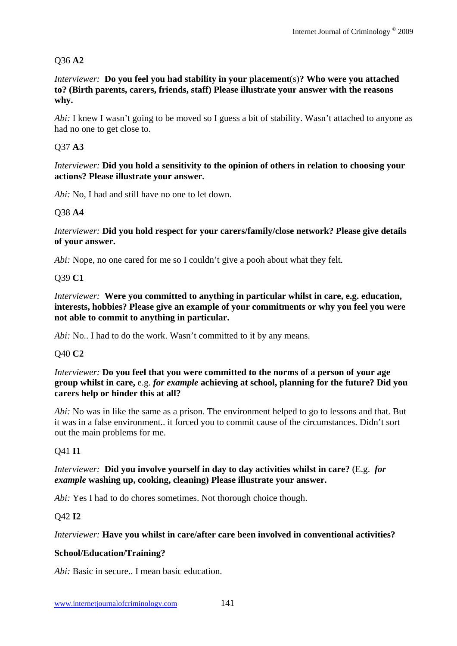# Q36 **A2**

*Interviewer:* **Do you feel you had stability in your placement**(s)**? Who were you attached to? (Birth parents, carers, friends, staff) Please illustrate your answer with the reasons why.** 

*Abi:* I knew I wasn't going to be moved so I guess a bit of stability. Wasn't attached to anyone as had no one to get close to.

# Q37 **A3**

*Interviewer:* **Did you hold a sensitivity to the opinion of others in relation to choosing your actions? Please illustrate your answer.** 

*Abi:* No, I had and still have no one to let down.

# Q38 **A4**

*Interviewer:* **Did you hold respect for your carers/family/close network? Please give details of your answer.**

*Abi:* Nope, no one cared for me so I couldn't give a pooh about what they felt.

# Q39 **C1**

*Interviewer:* **Were you committed to anything in particular whilst in care, e.g. education, interests, hobbies? Please give an example of your commitments or why you feel you were not able to commit to anything in particular.** 

*Abi:* No.. I had to do the work. Wasn't committed to it by any means.

# Q40 **C2**

*Interviewer:* **Do you feel that you were committed to the norms of a person of your age group whilst in care,** e.g. *for example* **achieving at school, planning for the future? Did you carers help or hinder this at all?** 

*Abi:* No was in like the same as a prison. The environment helped to go to lessons and that. But it was in a false environment.. it forced you to commit cause of the circumstances. Didn't sort out the main problems for me.

# Q41 **I1**

*Interviewer:* **Did you involve yourself in day to day activities whilst in care?** (E.g. *for example* **washing up, cooking, cleaning) Please illustrate your answer.**

*Abi:* Yes I had to do chores sometimes. Not thorough choice though.

# Q42 **I2**

### *Interviewer:* **Have you whilst in care/after care been involved in conventional activities?**

# **School/Education/Training?**

*Abi:* Basic in secure.. I mean basic education.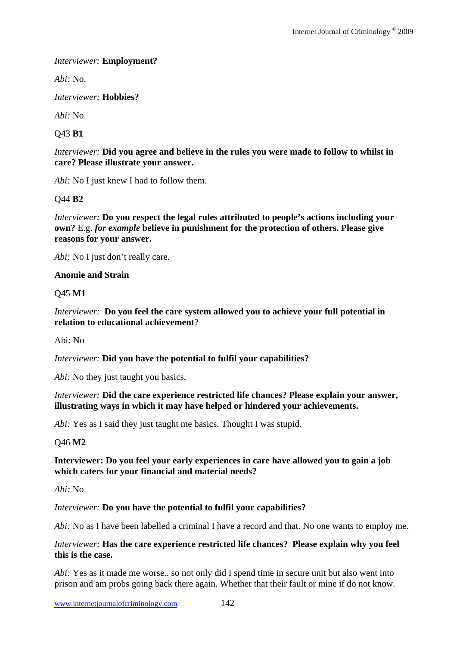#### *Interviewer:* **Employment?**

*Abi:* No.

*Interviewer:* **Hobbies?** 

*Abi:* No.

Q43 **B1** 

*Interviewer:* **Did you agree and believe in the rules you were made to follow to whilst in care? Please illustrate your answer.** 

*Abi:* No I just knew I had to follow them.

Q44 **B2** 

*Interviewer:* **Do you respect the legal rules attributed to people's actions including your own?** E.g. *for example* **believe in punishment for the protection of others. Please give reasons for your answer.** 

*Abi:* No I just don't really care.

#### **Anomie and Strain**

Q45 **M1** 

*Interviewer:* **Do you feel the care system allowed you to achieve your full potential in relation to educational achievement**?

Abi: No

*Interviewer:* **Did you have the potential to fulfil your capabilities?** 

*Abi:* No they just taught you basics.

#### *Interviewer:* **Did the care experience restricted life chances? Please explain your answer, illustrating ways in which it may have helped or hindered your achievements.**

*Abi:* Yes as I said they just taught me basics. Thought I was stupid.

Q46 **M2** 

#### **Interviewer: Do you feel your early experiences in care have allowed you to gain a job which caters for your financial and material needs?**

*Abi:* No

#### *Interviewer:* **Do you have the potential to fulfil your capabilities?**

*Abi*: No as I have been labelled a criminal I have a record and that. No one wants to employ me.

#### *Interviewer:* **Has the care experience restricted life chances? Please explain why you feel this is the case.**

*Abi:* Yes as it made me worse.. so not only did I spend time in secure unit but also went into prison and am probs going back there again. Whether that their fault or mine if do not know.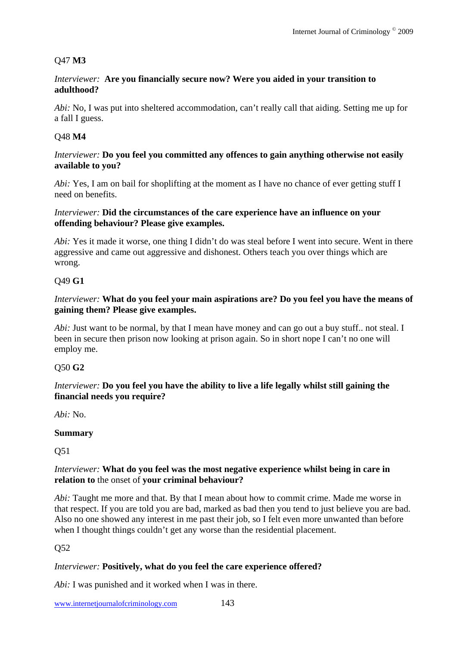### Q47 **M3**

#### *Interviewer:* **Are you financially secure now? Were you aided in your transition to adulthood?**

*Abi:* No, I was put into sheltered accommodation, can't really call that aiding. Setting me up for a fall I guess.

#### Q48 **M4**

#### *Interviewer:* **Do you feel you committed any offences to gain anything otherwise not easily available to you?**

*Abi:* Yes, I am on bail for shoplifting at the moment as I have no chance of ever getting stuff I need on benefits.

#### *Interviewer:* **Did the circumstances of the care experience have an influence on your offending behaviour? Please give examples.**

*Abi:* Yes it made it worse, one thing I didn't do was steal before I went into secure. Went in there aggressive and came out aggressive and dishonest. Others teach you over things which are wrong.

#### Q49 **G1**

#### *Interviewer:* **What do you feel your main aspirations are? Do you feel you have the means of gaining them? Please give examples.**

*Abi:* Just want to be normal, by that I mean have money and can go out a buy stuff.. not steal. I been in secure then prison now looking at prison again. So in short nope I can't no one will employ me.

### Q50 **G2**

#### *Interviewer:* **Do you feel you have the ability to live a life legally whilst still gaining the financial needs you require?**

*Abi:* No.

#### **Summary**

Q51

#### *Interviewer:* **What do you feel was the most negative experience whilst being in care in relation to** the onset of **your criminal behaviour?**

*Abi:* Taught me more and that. By that I mean about how to commit crime. Made me worse in that respect. If you are told you are bad, marked as bad then you tend to just believe you are bad. Also no one showed any interest in me past their job, so I felt even more unwanted than before when I thought things couldn't get any worse than the residential placement.

### Q52

#### *Interviewer:* **Positively, what do you feel the care experience offered?**

*Abi:* I was punished and it worked when I was in there.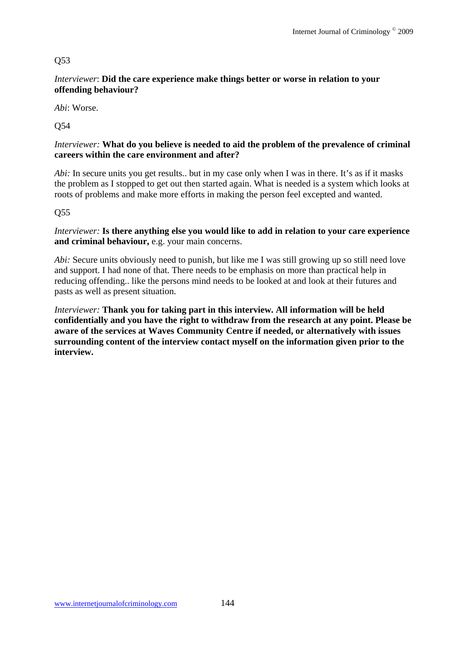## Q53

*Interviewer*: **Did the care experience make things better or worse in relation to your offending behaviour?** 

*Abi*: Worse.

Q54

### *Interviewer:* **What do you believe is needed to aid the problem of the prevalence of criminal careers within the care environment and after?**

*Abi:* In secure units you get results, but in my case only when I was in there. It's as if it masks the problem as I stopped to get out then started again. What is needed is a system which looks at roots of problems and make more efforts in making the person feel excepted and wanted.

Q55

*Interviewer:* **Is there anything else you would like to add in relation to your care experience and criminal behaviour,** e.g. your main concerns.

*Abi:* Secure units obviously need to punish, but like me I was still growing up so still need love and support. I had none of that. There needs to be emphasis on more than practical help in reducing offending.. like the persons mind needs to be looked at and look at their futures and pasts as well as present situation.

*Interviewer:* **Thank you for taking part in this interview. All information will be held confidentially and you have the right to withdraw from the research at any point. Please be aware of the services at Waves Community Centre if needed, or alternatively with issues surrounding content of the interview contact myself on the information given prior to the interview.**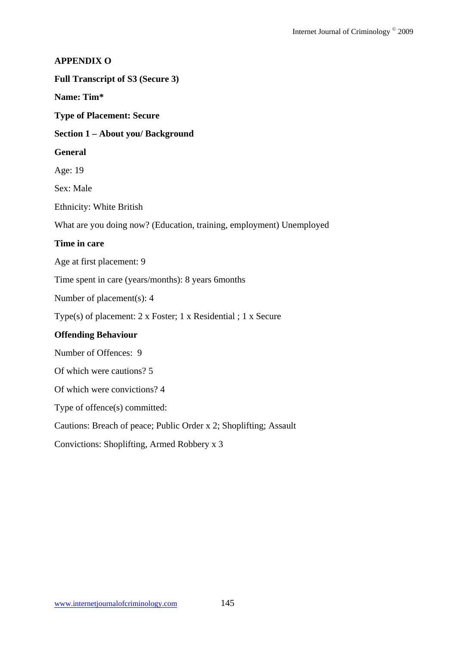### **APPENDIX O**

#### **Full Transcript of S3 (Secure 3)**

**Name: Tim\*** 

**Type of Placement: Secure** 

#### **Section 1 – About you/ Background**

#### **General**

Age: 19

Sex: Male

Ethnicity: White British

What are you doing now? (Education, training, employment) Unemployed

### **Time in care**

Age at first placement: 9

Time spent in care (years/months): 8 years 6months

Number of placement(s): 4

Type(s) of placement: 2 x Foster; 1 x Residential ; 1 x Secure

### **Offending Behaviour**

Number of Offences: 9

Of which were cautions? 5

Of which were convictions? 4

Type of offence(s) committed:

Cautions: Breach of peace; Public Order x 2; Shoplifting; Assault

Convictions: Shoplifting, Armed Robbery x 3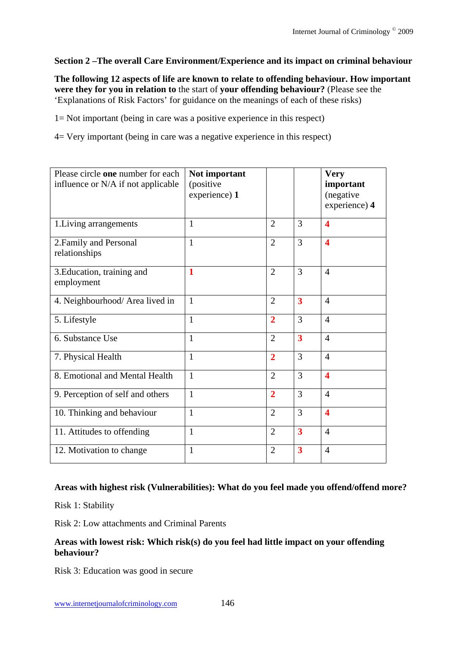## **Section 2 –The overall Care Environment/Experience and its impact on criminal behaviour**

**The following 12 aspects of life are known to relate to offending behaviour. How important were they for you in relation to** the start of **your offending behaviour?** (Please see the 'Explanations of Risk Factors' for guidance on the meanings of each of these risks)

1= Not important (being in care was a positive experience in this respect)

4= Very important (being in care was a negative experience in this respect)

| Please circle one number for each<br>influence or N/A if not applicable | Not important<br>(positive<br>experience) 1 |                |                         | <b>Very</b><br>important<br>(negative<br>experience) 4 |
|-------------------------------------------------------------------------|---------------------------------------------|----------------|-------------------------|--------------------------------------------------------|
| 1. Living arrangements                                                  | 1                                           | $\overline{2}$ | 3                       | 4                                                      |
| 2. Family and Personal<br>relationships                                 | 1                                           | $\overline{2}$ | 3                       | $\overline{\mathbf{4}}$                                |
| 3. Education, training and<br>employment                                | 1                                           | $\overline{2}$ | 3                       | $\overline{4}$                                         |
| 4. Neighbourhood/ Area lived in                                         | $\mathbf{1}$                                | $\overline{2}$ | $\overline{\mathbf{3}}$ | $\overline{4}$                                         |
| 5. Lifestyle                                                            | $\mathbf{1}$                                | $\overline{2}$ | 3                       | $\overline{4}$                                         |
| 6. Substance Use                                                        | 1                                           | $\overline{2}$ | $\overline{\mathbf{3}}$ | $\overline{4}$                                         |
| 7. Physical Health                                                      | $\mathbf{1}$                                | $\overline{2}$ | 3                       | $\overline{4}$                                         |
| 8. Emotional and Mental Health                                          | $\mathbf{1}$                                | $\overline{2}$ | 3                       | $\overline{\mathbf{4}}$                                |
| 9. Perception of self and others                                        | 1                                           | $\overline{2}$ | 3                       | $\overline{4}$                                         |
| 10. Thinking and behaviour                                              | $\mathbf{1}$                                | $\overline{2}$ | 3                       | $\overline{\mathbf{4}}$                                |
| 11. Attitudes to offending                                              | $\mathbf{1}$                                | $\overline{2}$ | 3                       | 4                                                      |
| 12. Motivation to change                                                | 1                                           | $\overline{2}$ | 3                       | $\overline{4}$                                         |

### **Areas with highest risk (Vulnerabilities): What do you feel made you offend/offend more?**

Risk 1: Stability

Risk 2: Low attachments and Criminal Parents

### **Areas with lowest risk: Which risk(s) do you feel had little impact on your offending behaviour?**

Risk 3: Education was good in secure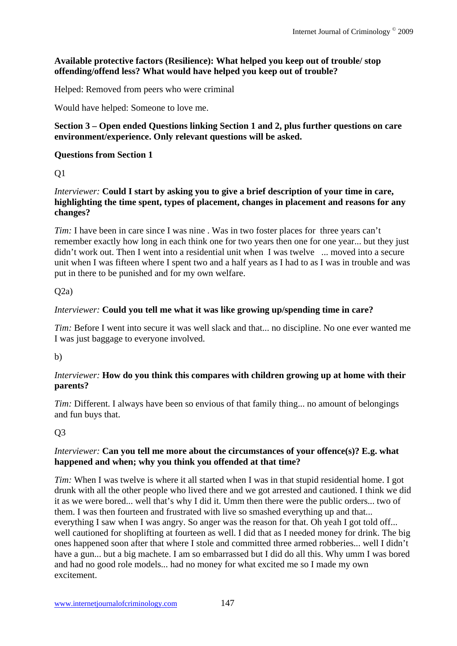## **Available protective factors (Resilience): What helped you keep out of trouble/ stop offending/offend less? What would have helped you keep out of trouble?**

Helped: Removed from peers who were criminal

Would have helped: Someone to love me.

#### **Section 3 – Open ended Questions linking Section 1 and 2, plus further questions on care environment/experience. Only relevant questions will be asked.**

### **Questions from Section 1**

Q1

*Interviewer:* **Could I start by asking you to give a brief description of your time in care, highlighting the time spent, types of placement, changes in placement and reasons for any changes?** 

*Tim:* I have been in care since I was nine. Was in two foster places for three years can't remember exactly how long in each think one for two years then one for one year... but they just didn't work out. Then I went into a residential unit when I was twelve ... moved into a secure unit when I was fifteen where I spent two and a half years as I had to as I was in trouble and was put in there to be punished and for my own welfare.

### $O(2a)$

### *Interviewer:* **Could you tell me what it was like growing up/spending time in care?**

*Tim:* Before I went into secure it was well slack and that... no discipline. No one ever wanted me I was just baggage to everyone involved.

b)

### *Interviewer:* **How do you think this compares with children growing up at home with their parents?**

*Tim:* Different. I always have been so envious of that family thing... no amount of belongings and fun buys that.

Q3

### *Interviewer:* **Can you tell me more about the circumstances of your offence(s)? E.g. what happened and when; why you think you offended at that time?**

*Tim:* When I was twelve is where it all started when I was in that stupid residential home. I got drunk with all the other people who lived there and we got arrested and cautioned. I think we did it as we were bored... well that's why I did it. Umm then there were the public orders... two of them. I was then fourteen and frustrated with live so smashed everything up and that... everything I saw when I was angry. So anger was the reason for that. Oh yeah I got told off... well cautioned for shoplifting at fourteen as well. I did that as I needed money for drink. The big ones happened soon after that where I stole and committed three armed robberies... well I didn't have a gun... but a big machete. I am so embarrassed but I did do all this. Why umm I was bored and had no good role models... had no money for what excited me so I made my own excitement.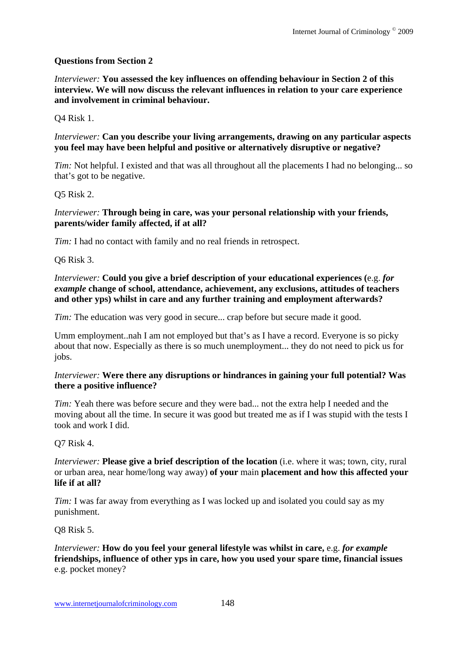### **Questions from Section 2**

*Interviewer:* **You assessed the key influences on offending behaviour in Section 2 of this interview. We will now discuss the relevant influences in relation to your care experience and involvement in criminal behaviour.** 

#### Q4 Risk 1.

#### *Interviewer:* **Can you describe your living arrangements, drawing on any particular aspects you feel may have been helpful and positive or alternatively disruptive or negative?**

*Tim:* Not helpful. I existed and that was all throughout all the placements I had no belonging... so that's got to be negative.

#### Q5 Risk 2.

#### *Interviewer:* **Through being in care, was your personal relationship with your friends, parents/wider family affected, if at all?**

*Tim:* I had no contact with family and no real friends in retrospect.

Q6 Risk 3.

*Interviewer:* **Could you give a brief description of your educational experiences (**e.g. *for example* **change of school, attendance, achievement, any exclusions, attitudes of teachers and other yps) whilst in care and any further training and employment afterwards?**

*Tim:* The education was very good in secure... crap before but secure made it good.

Umm employment..nah I am not employed but that's as I have a record. Everyone is so picky about that now. Especially as there is so much unemployment... they do not need to pick us for jobs.

#### *Interviewer:* **Were there any disruptions or hindrances in gaining your full potential? Was there a positive influence?**

*Tim:* Yeah there was before secure and they were bad... not the extra help I needed and the moving about all the time. In secure it was good but treated me as if I was stupid with the tests I took and work I did.

Q7 Risk 4.

*Interviewer:* **Please give a brief description of the location** (i.e. where it was; town, city, rural or urban area, near home/long way away) **of your** main **placement and how this affected your life if at all?** 

*Tim:* I was far away from everything as I was locked up and isolated you could say as my punishment.

Q8 Risk 5.

*Interviewer:* **How do you feel your general lifestyle was whilst in care,** e.g. *for example* **friendships, influence of other yps in care, how you used your spare time, financial issues** e.g. pocket money?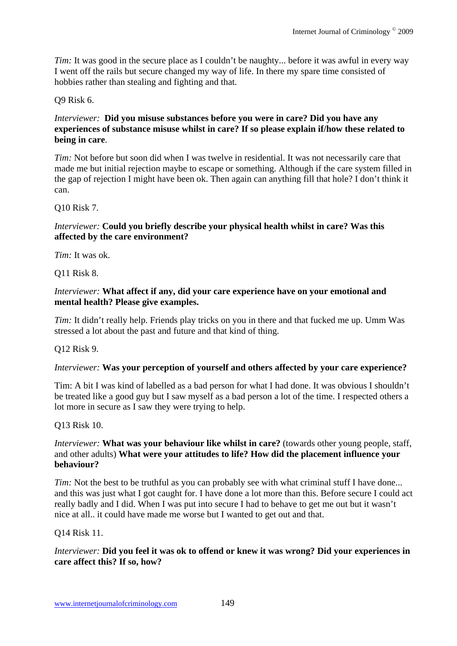*Tim:* It was good in the secure place as I couldn't be naughty... before it was awful in every way I went off the rails but secure changed my way of life. In there my spare time consisted of hobbies rather than stealing and fighting and that.

Q9 Risk 6.

### *Interviewer:* **Did you misuse substances before you were in care? Did you have any experiences of substance misuse whilst in care? If so please explain if/how these related to being in care**.

*Tim:* Not before but soon did when I was twelve in residential. It was not necessarily care that made me but initial rejection maybe to escape or something. Although if the care system filled in the gap of rejection I might have been ok. Then again can anything fill that hole? I don't think it can.

Q10 Risk 7.

### *Interviewer:* **Could you briefly describe your physical health whilst in care? Was this affected by the care environment?**

*Tim:* It was ok.

Q11 Risk 8.

### *Interviewer:* **What affect if any, did your care experience have on your emotional and mental health? Please give examples.**

*Tim:* It didn't really help. Friends play tricks on you in there and that fucked me up. Umm Was stressed a lot about the past and future and that kind of thing.

Q12 Risk 9.

## *Interviewer:* **Was your perception of yourself and others affected by your care experience?**

Tim: A bit I was kind of labelled as a bad person for what I had done. It was obvious I shouldn't be treated like a good guy but I saw myself as a bad person a lot of the time. I respected others a lot more in secure as I saw they were trying to help.

Q13 Risk 10.

### *Interviewer:* **What was your behaviour like whilst in care?** (towards other young people, staff, and other adults) **What were your attitudes to life? How did the placement influence your behaviour?**

*Tim:* Not the best to be truthful as you can probably see with what criminal stuff I have done... and this was just what I got caught for. I have done a lot more than this. Before secure I could act really badly and I did. When I was put into secure I had to behave to get me out but it wasn't nice at all.. it could have made me worse but I wanted to get out and that.

Q14 Risk 11.

## *Interviewer:* **Did you feel it was ok to offend or knew it was wrong? Did your experiences in care affect this? If so, how?**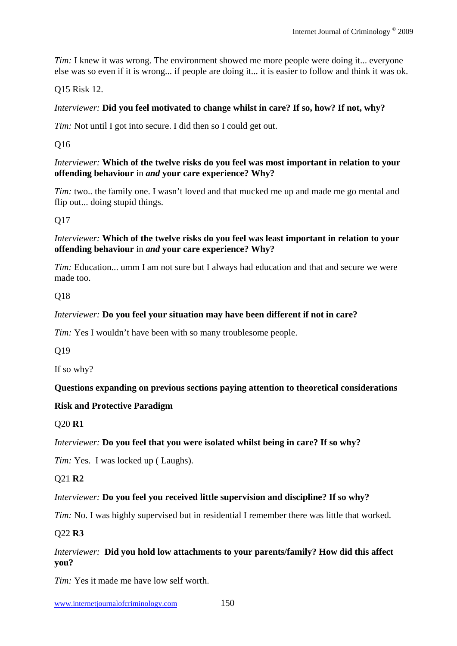*Tim:* I knew it was wrong. The environment showed me more people were doing it... everyone else was so even if it is wrong... if people are doing it... it is easier to follow and think it was ok.

Q15 Risk 12.

### *Interviewer:* **Did you feel motivated to change whilst in care? If so, how? If not, why?**

*Tim:* Not until I got into secure. I did then so I could get out.

Q16

#### *Interviewer:* **Which of the twelve risks do you feel was most important in relation to your offending behaviour** in *and* **your care experience? Why?**

*Tim:* two.. the family one. I wasn't loved and that mucked me up and made me go mental and flip out... doing stupid things.

Q17

#### *Interviewer:* **Which of the twelve risks do you feel was least important in relation to your offending behaviour** in *and* **your care experience? Why?**

*Tim:* Education... umm I am not sure but I always had education and that and secure we were made too.

### Q18

### *Interviewer:* **Do you feel your situation may have been different if not in care?**

*Tim:* Yes I wouldn't have been with so many troublesome people.

O<sub>19</sub>

If so why?

### **Questions expanding on previous sections paying attention to theoretical considerations**

### **Risk and Protective Paradigm**

### Q20 **R1**

### *Interviewer:* **Do you feel that you were isolated whilst being in care? If so why?**

*Tim:* Yes. I was locked up (Laughs).

Q21 **R2** 

### *Interviewer:* **Do you feel you received little supervision and discipline? If so why?**

*Tim:* No. I was highly supervised but in residential I remember there was little that worked.

Q22 **R3** 

### *Interviewer:* **Did you hold low attachments to your parents/family? How did this affect you?**

*Tim:* Yes it made me have low self worth.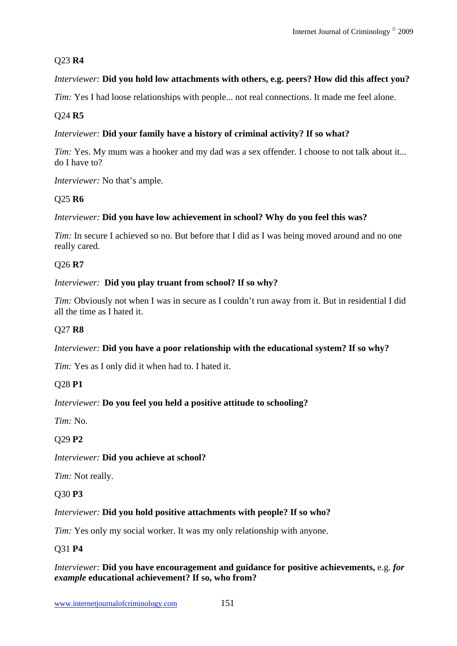## Q23 **R4**

## *Interviewer:* **Did you hold low attachments with others, e.g. peers? How did this affect you?**

*Tim:* Yes I had loose relationships with people... not real connections. It made me feel alone.

## Q24 **R5**

## *Interviewer:* **Did your family have a history of criminal activity? If so what?**

*Tim:* Yes. My mum was a hooker and my dad was a sex offender. I choose to not talk about it... do I have to?

*Interviewer:* No that's ample.

## Q25 **R6**

## *Interviewer:* **Did you have low achievement in school? Why do you feel this was?**

*Tim:* In secure I achieved so no. But before that I did as I was being moved around and no one really cared.

## Q26 **R7**

## *Interviewer:* **Did you play truant from school? If so why?**

*Tim:* Obviously not when I was in secure as I couldn't run away from it. But in residential I did all the time as I hated it.

## Q27 **R8**

## *Interviewer:* Did you have a poor relationship with the educational system? If so why?

*Tim:* Yes as I only did it when had to. I hated it.

## Q28 **P1**

## *Interviewer:* **Do you feel you held a positive attitude to schooling?**

*Tim:* No.

## Q29 **P2**

## *Interviewer:* **Did you achieve at school?**

*Tim:* Not really.

## Q30 **P3**

## *Interviewer:* **Did you hold positive attachments with people? If so who?**

*Tim:* Yes only my social worker. It was my only relationship with anyone.

## Q31 **P4**

## *Interviewer:* **Did you have encouragement and guidance for positive achievements,** e.g. *for example* **educational achievement? If so, who from?**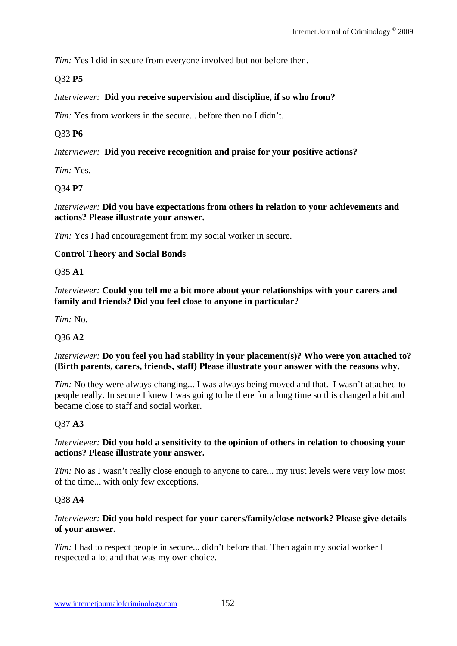*Tim:* Yes I did in secure from everyone involved but not before then.

## Q32 **P5**

### *Interviewer:* **Did you receive supervision and discipline, if so who from?**

*Tim:* Yes from workers in the secure... before then no I didn't.

## Q33 **P6**

*Interviewer:* **Did you receive recognition and praise for your positive actions?**

*Tim:* Yes.

Q34 **P7** 

*Interviewer:* **Did you have expectations from others in relation to your achievements and actions? Please illustrate your answer.**

*Tim:* Yes I had encouragement from my social worker in secure.

### **Control Theory and Social Bonds**

Q35 **A1** 

*Interviewer:* **Could you tell me a bit more about your relationships with your carers and family and friends? Did you feel close to anyone in particular?**

*Tim:* No.

### Q36 **A2**

#### *Interviewer:* **Do you feel you had stability in your placement(s)? Who were you attached to? (Birth parents, carers, friends, staff) Please illustrate your answer with the reasons why.**

*Tim:* No they were always changing... I was always being moved and that. I wasn't attached to people really. In secure I knew I was going to be there for a long time so this changed a bit and became close to staff and social worker.

### Q37 **A3**

### *Interviewer:* **Did you hold a sensitivity to the opinion of others in relation to choosing your actions? Please illustrate your answer.**

*Tim:* No as I wasn't really close enough to anyone to care... my trust levels were very low most of the time... with only few exceptions.

### Q38 **A4**

### *Interviewer:* **Did you hold respect for your carers/family/close network? Please give details of your answer.**

*Tim:* I had to respect people in secure... didn't before that. Then again my social worker I respected a lot and that was my own choice.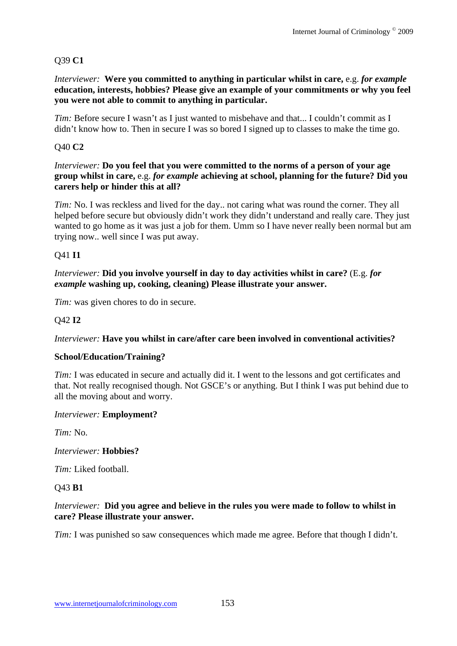## Q39 **C1**

#### *Interviewer:* **Were you committed to anything in particular whilst in care,** e.g. *for example* **education, interests, hobbies? Please give an example of your commitments or why you feel you were not able to commit to anything in particular.**

*Tim:* Before secure I wasn't as I just wanted to misbehave and that... I couldn't commit as I didn't know how to. Then in secure I was so bored I signed up to classes to make the time go.

### Q40 **C2**

#### *Interviewer:* **Do you feel that you were committed to the norms of a person of your age group whilst in care,** e.g. *for example* **achieving at school, planning for the future? Did you carers help or hinder this at all?**

*Tim:* No. I was reckless and lived for the day.. not caring what was round the corner. They all helped before secure but obviously didn't work they didn't understand and really care. They just wanted to go home as it was just a job for them. Umm so I have never really been normal but am trying now.. well since I was put away.

### Q41 **I1**

### *Interviewer:* **Did you involve yourself in day to day activities whilst in care?** (E.g. *for example* **washing up, cooking, cleaning) Please illustrate your answer.**

*Tim:* was given chores to do in secure.

### Q42 **I2**

### *Interviewer:* **Have you whilst in care/after care been involved in conventional activities?**

#### **School/Education/Training?**

*Tim:* I was educated in secure and actually did it. I went to the lessons and got certificates and that. Not really recognised though. Not GSCE's or anything. But I think I was put behind due to all the moving about and worry.

#### *Interviewer:* **Employment?**

*Tim:* No.

#### *Interviewer:* **Hobbies?**

*Tim:* Liked football.

Q43 **B1** 

#### *Interviewer:* **Did you agree and believe in the rules you were made to follow to whilst in care? Please illustrate your answer.**

*Tim:* I was punished so saw consequences which made me agree. Before that though I didn't.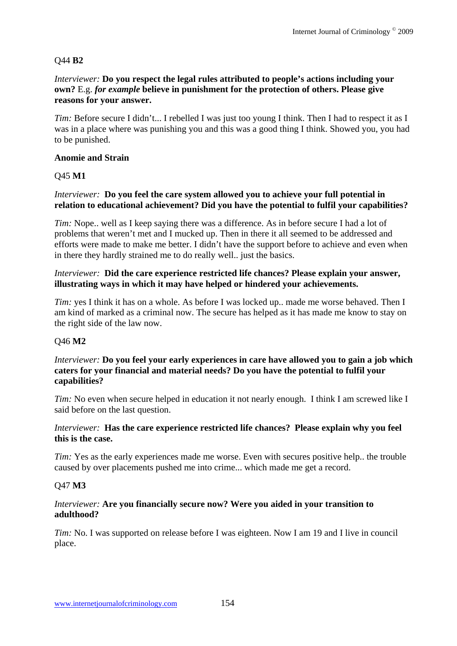## Q44 **B2**

#### *Interviewer:* **Do you respect the legal rules attributed to people's actions including your own?** E.g. *for example* **believe in punishment for the protection of others. Please give reasons for your answer.**

*Tim:* Before secure I didn't... I rebelled I was just too young I think. Then I had to respect it as I was in a place where was punishing you and this was a good thing I think. Showed you, you had to be punished.

#### **Anomie and Strain**

### Q45 **M1**

### *Interviewer:* **Do you feel the care system allowed you to achieve your full potential in relation to educational achievement? Did you have the potential to fulfil your capabilities?**

*Tim:* Nope.. well as I keep saying there was a difference. As in before secure I had a lot of problems that weren't met and I mucked up. Then in there it all seemed to be addressed and efforts were made to make me better. I didn't have the support before to achieve and even when in there they hardly strained me to do really well.. just the basics.

#### *Interviewer:* **Did the care experience restricted life chances? Please explain your answer, illustrating ways in which it may have helped or hindered your achievements.**

*Tim:* yes I think it has on a whole. As before I was locked up.. made me worse behaved. Then I am kind of marked as a criminal now. The secure has helped as it has made me know to stay on the right side of the law now.

### Q46 **M2**

#### *Interviewer:* **Do you feel your early experiences in care have allowed you to gain a job which caters for your financial and material needs? Do you have the potential to fulfil your capabilities?**

*Tim:* No even when secure helped in education it not nearly enough. I think I am screwed like I said before on the last question.

### *Interviewer:* **Has the care experience restricted life chances? Please explain why you feel this is the case.**

*Tim:* Yes as the early experiences made me worse. Even with secures positive help.. the trouble caused by over placements pushed me into crime... which made me get a record.

### Q47 **M3**

### *Interviewer:* **Are you financially secure now? Were you aided in your transition to adulthood?**

*Tim:* No. I was supported on release before I was eighteen. Now I am 19 and I live in council place.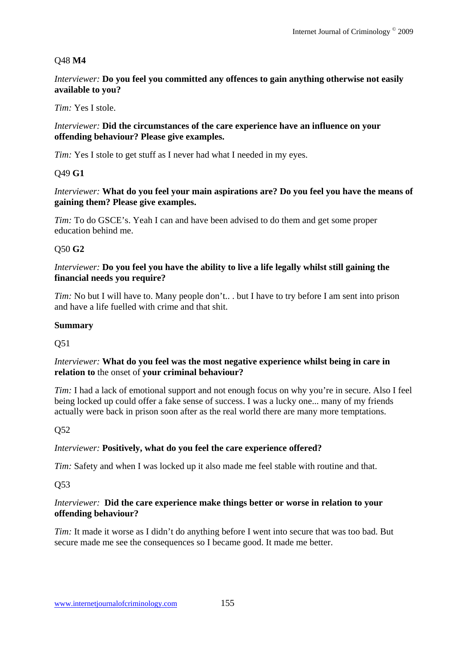### Q48 **M4**

*Interviewer:* **Do you feel you committed any offences to gain anything otherwise not easily available to you?**

#### *Tim:* Yes I stole.

#### *Interviewer:* **Did the circumstances of the care experience have an influence on your offending behaviour? Please give examples.**

*Tim:* Yes I stole to get stuff as I never had what I needed in my eyes.

#### Q49 **G1**

*Interviewer:* **What do you feel your main aspirations are? Do you feel you have the means of gaining them? Please give examples.** 

*Tim:* To do GSCE's. Yeah I can and have been advised to do them and get some proper education behind me.

### Q50 **G2**

#### *Interviewer:* **Do you feel you have the ability to live a life legally whilst still gaining the financial needs you require?**

*Tim:* No but I will have to. Many people don't... but I have to try before I am sent into prison and have a life fuelled with crime and that shit.

#### **Summary**

Q51

#### *Interviewer:* **What do you feel was the most negative experience whilst being in care in relation to** the onset of **your criminal behaviour?**

*Tim:* I had a lack of emotional support and not enough focus on why you're in secure. Also I feel being locked up could offer a fake sense of success. I was a lucky one... many of my friends actually were back in prison soon after as the real world there are many more temptations.

### Q52

### *Interviewer:* **Positively, what do you feel the care experience offered?**

*Tim:* Safety and when I was locked up it also made me feel stable with routine and that.

Q53

#### *Interviewer:* **Did the care experience make things better or worse in relation to your offending behaviour?**

*Tim:* It made it worse as I didn't do anything before I went into secure that was too bad. But secure made me see the consequences so I became good. It made me better.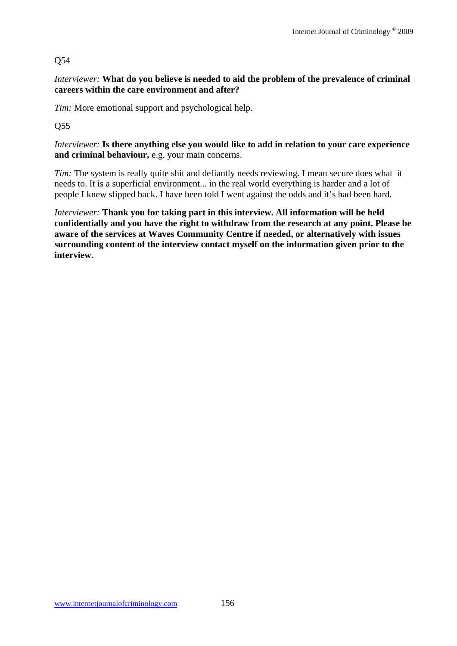## Q54

*Interviewer:* **What do you believe is needed to aid the problem of the prevalence of criminal careers within the care environment and after?**

*Tim:* More emotional support and psychological help.

Q55

*Interviewer:* **Is there anything else you would like to add in relation to your care experience and criminal behaviour,** e.g. your main concerns.

*Tim:* The system is really quite shit and defiantly needs reviewing. I mean secure does what it needs to. It is a superficial environment... in the real world everything is harder and a lot of people I knew slipped back. I have been told I went against the odds and it's had been hard.

*Interviewer:* **Thank you for taking part in this interview. All information will be held confidentially and you have the right to withdraw from the research at any point. Please be aware of the services at Waves Community Centre if needed, or alternatively with issues surrounding content of the interview contact myself on the information given prior to the interview.**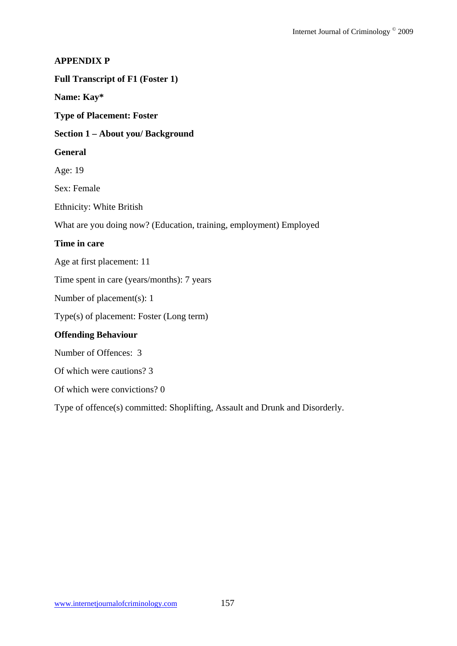### **APPENDIX P**

#### **Full Transcript of F1 (Foster 1)**

**Name: Kay\*** 

**Type of Placement: Foster** 

#### **Section 1 – About you/ Background**

#### **General**

Age: 19

Sex: Female

Ethnicity: White British

What are you doing now? (Education, training, employment) Employed

#### **Time in care**

Age at first placement: 11

Time spent in care (years/months): 7 years

Number of placement(s): 1

Type(s) of placement: Foster (Long term)

### **Offending Behaviour**

Number of Offences: 3

Of which were cautions? 3

Of which were convictions? 0

Type of offence(s) committed: Shoplifting, Assault and Drunk and Disorderly.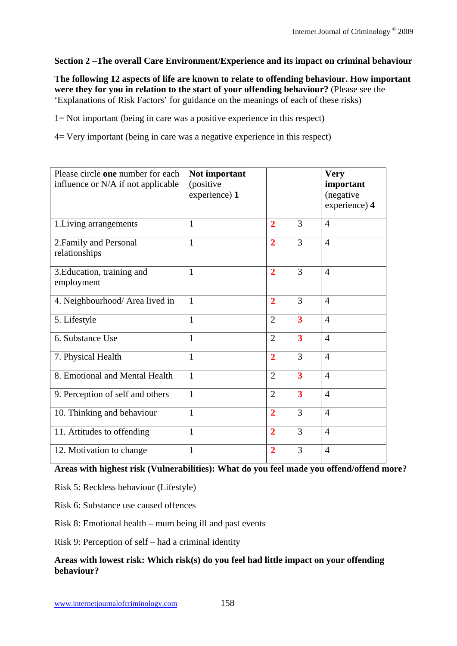## **Section 2 –The overall Care Environment/Experience and its impact on criminal behaviour**

**The following 12 aspects of life are known to relate to offending behaviour. How important were they for you in relation to the start of your offending behaviour?** (Please see the 'Explanations of Risk Factors' for guidance on the meanings of each of these risks)

1= Not important (being in care was a positive experience in this respect)

4= Very important (being in care was a negative experience in this respect)

| Please circle one number for each<br>influence or N/A if not applicable | Not important<br>(positive<br>experience) 1 |                |                         | <b>Very</b><br>important<br>(negative<br>experience) 4 |
|-------------------------------------------------------------------------|---------------------------------------------|----------------|-------------------------|--------------------------------------------------------|
| 1. Living arrangements                                                  | $\mathbf{1}$                                | $\overline{2}$ | 3                       | $\overline{4}$                                         |
| 2. Family and Personal<br>relationships                                 | 1                                           | $\overline{2}$ | 3                       | $\overline{4}$                                         |
| 3. Education, training and<br>employment                                | $\mathbf{1}$                                | $\overline{2}$ | 3                       | $\overline{4}$                                         |
| 4. Neighbourhood/ Area lived in                                         | $\mathbf{1}$                                | $\overline{2}$ | 3                       | $\overline{4}$                                         |
| 5. Lifestyle                                                            | 1                                           | $\overline{2}$ | 3                       | $\overline{4}$                                         |
| 6. Substance Use                                                        | $\mathbf{1}$                                | $\overline{2}$ | $\overline{\mathbf{3}}$ | $\overline{4}$                                         |
| 7. Physical Health                                                      | $\mathbf{1}$                                | $\overline{2}$ | 3                       | $\overline{4}$                                         |
| 8. Emotional and Mental Health                                          | $\mathbf{1}$                                | $\overline{2}$ | $\overline{\mathbf{3}}$ | $\overline{4}$                                         |
| 9. Perception of self and others                                        | $\mathbf{1}$                                | $\overline{2}$ | $\overline{\mathbf{3}}$ | $\overline{4}$                                         |
| 10. Thinking and behaviour                                              | $\mathbf{1}$                                | $\overline{2}$ | 3                       | $\overline{4}$                                         |
| 11. Attitudes to offending                                              | $\mathbf{1}$                                | $\overline{2}$ | 3                       | $\overline{4}$                                         |
| 12. Motivation to change                                                | $\mathbf{1}$                                | $\overline{2}$ | 3                       | $\overline{4}$                                         |

# **Areas with highest risk (Vulnerabilities): What do you feel made you offend/offend more?**

Risk 5: Reckless behaviour (Lifestyle)

Risk 6: Substance use caused offences

Risk 8: Emotional health – mum being ill and past events

Risk 9: Perception of self – had a criminal identity

### **Areas with lowest risk: Which risk(s) do you feel had little impact on your offending behaviour?**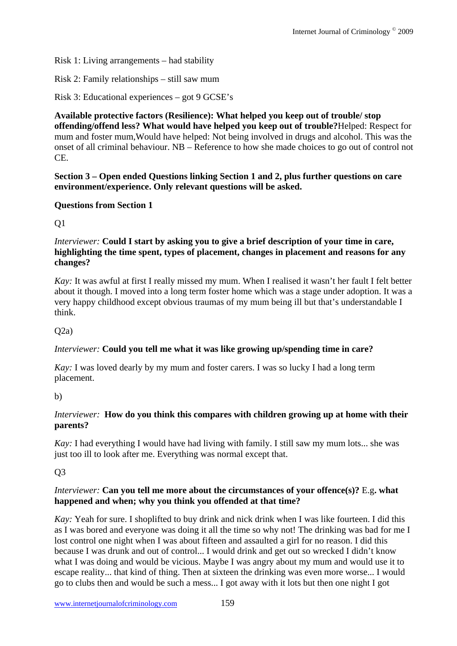Risk 1: Living arrangements – had stability

Risk 2: Family relationships – still saw mum

Risk 3: Educational experiences – got 9 GCSE's

**Available protective factors (Resilience): What helped you keep out of trouble/ stop offending/offend less? What would have helped you keep out of trouble?**Helped: Respect for mum and foster mum,Would have helped: Not being involved in drugs and alcohol. This was the onset of all criminal behaviour. NB – Reference to how she made choices to go out of control not CE.

**Section 3 – Open ended Questions linking Section 1 and 2, plus further questions on care environment/experience. Only relevant questions will be asked.** 

### **Questions from Section 1**

Q1

*Interviewer:* **Could I start by asking you to give a brief description of your time in care, highlighting the time spent, types of placement, changes in placement and reasons for any changes?**

*Kay:* It was awful at first I really missed my mum. When I realised it wasn't her fault I felt better about it though. I moved into a long term foster home which was a stage under adoption. It was a very happy childhood except obvious traumas of my mum being ill but that's understandable I think.

 $O(2a)$ 

### *Interviewer:* **Could you tell me what it was like growing up/spending time in care?**

*Kay*: I was loved dearly by my mum and foster carers. I was so lucky I had a long term placement.

b)

### *Interviewer:* **How do you think this compares with children growing up at home with their parents?**

*Kay:* I had everything I would have had living with family. I still saw my mum lots... she was just too ill to look after me. Everything was normal except that.

## Q3

### *Interviewer:* **Can you tell me more about the circumstances of your offence(s)?** E.g**. what happened and when; why you think you offended at that time?**

*Kay:* Yeah for sure. I shoplifted to buy drink and nick drink when I was like fourteen. I did this as I was bored and everyone was doing it all the time so why not! The drinking was bad for me I lost control one night when I was about fifteen and assaulted a girl for no reason. I did this because I was drunk and out of control... I would drink and get out so wrecked I didn't know what I was doing and would be vicious. Maybe I was angry about my mum and would use it to escape reality... that kind of thing. Then at sixteen the drinking was even more worse... I would go to clubs then and would be such a mess... I got away with it lots but then one night I got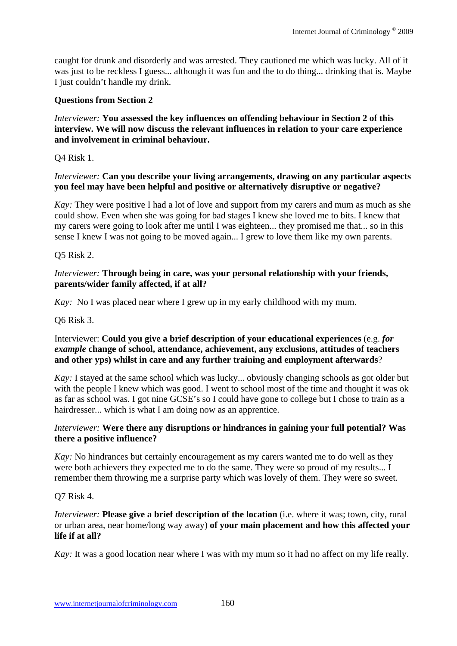caught for drunk and disorderly and was arrested. They cautioned me which was lucky. All of it was just to be reckless I guess... although it was fun and the to do thing... drinking that is. Maybe I just couldn't handle my drink.

### **Questions from Section 2**

### *Interviewer:* **You assessed the key influences on offending behaviour in Section 2 of this interview. We will now discuss the relevant influences in relation to your care experience and involvement in criminal behaviour.**

Q4 Risk 1.

### *Interviewer:* **Can you describe your living arrangements, drawing on any particular aspects you feel may have been helpful and positive or alternatively disruptive or negative?**

*Kay*: They were positive I had a lot of love and support from my carers and mum as much as she could show. Even when she was going for bad stages I knew she loved me to bits. I knew that my carers were going to look after me until I was eighteen... they promised me that... so in this sense I knew I was not going to be moved again... I grew to love them like my own parents.

### Q5 Risk 2.

### *Interviewer:* **Through being in care, was your personal relationship with your friends, parents/wider family affected, if at all?**

*Kay:* No I was placed near where I grew up in my early childhood with my mum.

### Q6 Risk 3.

### Interviewer: **Could you give a brief description of your educational experiences** (e.g. *for example* **change of school, attendance, achievement, any exclusions, attitudes of teachers and other yps) whilst in care and any further training and employment afterwards**?

*Kay:* I stayed at the same school which was lucky... obviously changing schools as got older but with the people I knew which was good. I went to school most of the time and thought it was ok as far as school was. I got nine GCSE's so I could have gone to college but I chose to train as a hairdresser... which is what I am doing now as an apprentice.

### *Interviewer:* **Were there any disruptions or hindrances in gaining your full potential? Was there a positive influence?**

*Kay*: No hindrances but certainly encouragement as my carers wanted me to do well as they were both achievers they expected me to do the same. They were so proud of my results... I remember them throwing me a surprise party which was lovely of them. They were so sweet.

### Q7 Risk 4.

*Interviewer:* **Please give a brief description of the location** (i.e. where it was; town, city, rural or urban area, near home/long way away) **of your main placement and how this affected your life if at all?** 

*Kay*: It was a good location near where I was with my mum so it had no affect on my life really.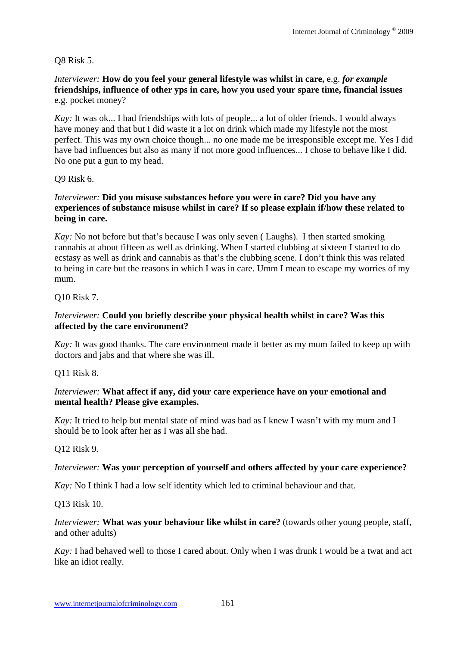Q8 Risk 5.

*Interviewer:* **How do you feel your general lifestyle was whilst in care,** e.g. *for example* **friendships, influence of other yps in care, how you used your spare time, financial issues** e.g. pocket money?

*Kay:* It was ok... I had friendships with lots of people... a lot of older friends. I would always have money and that but I did waste it a lot on drink which made my lifestyle not the most perfect. This was my own choice though... no one made me be irresponsible except me. Yes I did have bad influences but also as many if not more good influences... I chose to behave like I did. No one put a gun to my head.

Q9 Risk 6.

### *Interviewer:* **Did you misuse substances before you were in care? Did you have any experiences of substance misuse whilst in care? If so please explain if/how these related to being in care.**

*Kay:* No not before but that's because I was only seven ( Laughs). I then started smoking cannabis at about fifteen as well as drinking. When I started clubbing at sixteen I started to do ecstasy as well as drink and cannabis as that's the clubbing scene. I don't think this was related to being in care but the reasons in which I was in care. Umm I mean to escape my worries of my mum.

Q10 Risk 7.

### *Interviewer:* **Could you briefly describe your physical health whilst in care? Was this affected by the care environment?**

*Kay:* It was good thanks. The care environment made it better as my mum failed to keep up with doctors and jabs and that where she was ill.

Q11 Risk 8.

### *Interviewer:* **What affect if any, did your care experience have on your emotional and mental health? Please give examples.**

*Kay*: It tried to help but mental state of mind was bad as I knew I wasn't with my mum and I should be to look after her as I was all she had.

Q12 Risk 9.

### *Interviewer:* **Was your perception of yourself and others affected by your care experience?**

*Kay:* No I think I had a low self identity which led to criminal behaviour and that.

Q13 Risk 10.

### *Interviewer:* **What was your behaviour like whilst in care?** (towards other young people, staff, and other adults)

*Kay:* I had behaved well to those I cared about. Only when I was drunk I would be a twat and act like an idiot really.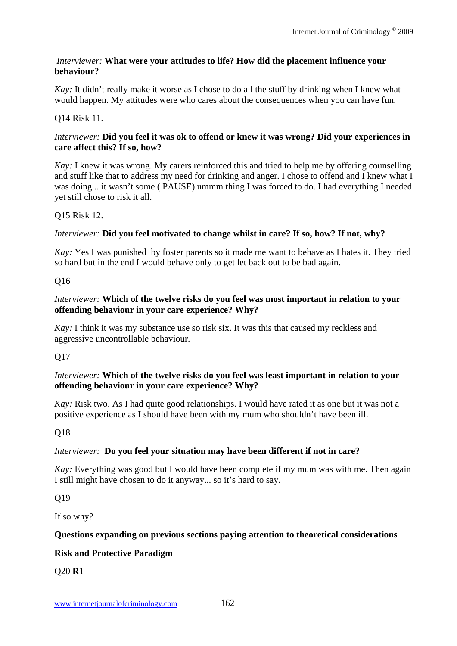### *Interviewer:* **What were your attitudes to life? How did the placement influence your behaviour?**

*Kay*: It didn't really make it worse as I chose to do all the stuff by drinking when I knew what would happen. My attitudes were who cares about the consequences when you can have fun.

## Q14 Risk 11.

### *Interviewer:* **Did you feel it was ok to offend or knew it was wrong? Did your experiences in care affect this? If so, how?**

*Kay:* I knew it was wrong. My carers reinforced this and tried to help me by offering counselling and stuff like that to address my need for drinking and anger. I chose to offend and I knew what I was doing... it wasn't some ( PAUSE) ummm thing I was forced to do. I had everything I needed yet still chose to risk it all.

## Q15 Risk 12.

## *Interviewer:* **Did you feel motivated to change whilst in care? If so, how? If not, why?**

*Kay:* Yes I was punished by foster parents so it made me want to behave as I hates it. They tried so hard but in the end I would behave only to get let back out to be bad again.

## Q16

## *Interviewer:* **Which of the twelve risks do you feel was most important in relation to your offending behaviour in your care experience? Why?**

*Kay:* I think it was my substance use so risk six. It was this that caused my reckless and aggressive uncontrollable behaviour.

## Q17

### *Interviewer:* **Which of the twelve risks do you feel was least important in relation to your offending behaviour in your care experience? Why?**

*Kay:* Risk two. As I had quite good relationships. I would have rated it as one but it was not a positive experience as I should have been with my mum who shouldn't have been ill.

## Q18

## *Interviewer:* **Do you feel your situation may have been different if not in care?**

*Kay:* Everything was good but I would have been complete if my mum was with me. Then again I still might have chosen to do it anyway... so it's hard to say.

## Q19

If so why?

## **Questions expanding on previous sections paying attention to theoretical considerations**

## **Risk and Protective Paradigm**

Q20 **R1**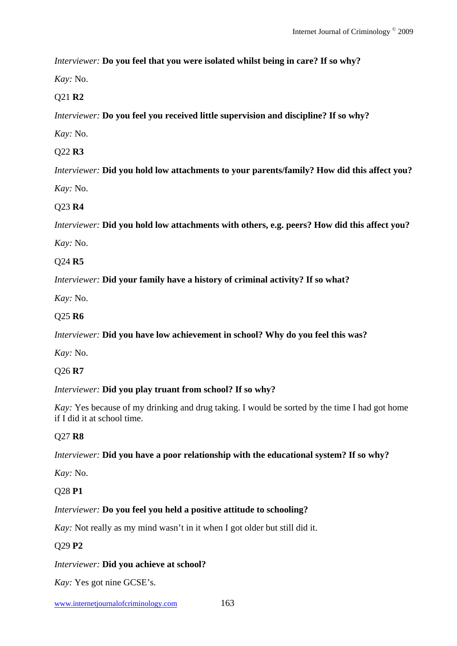*Interviewer:* **Do you feel that you were isolated whilst being in care? If so why?**

*Kay:* No.

### Q21 **R2**

*Interviewer:* **Do you feel you received little supervision and discipline? If so why?** 

*Kay:* No.

## Q22 **R3**

*Interviewer:* **Did you hold low attachments to your parents/family? How did this affect you?** *Kay:* No.

### Q23 **R4**

*Interviewer:* **Did you hold low attachments with others, e.g. peers? How did this affect you?** 

*Kay:* No.

Q24 **R5** 

*Interviewer:* **Did your family have a history of criminal activity? If so what?**

*Kay:* No.

### Q25 **R6**

*Interviewer:* **Did you have low achievement in school? Why do you feel this was?**

*Kay:* No.

Q26 **R7** 

### *Interviewer:* **Did you play truant from school? If so why?**

*Kay:* Yes because of my drinking and drug taking. I would be sorted by the time I had got home if I did it at school time.

## Q27 **R8**

### *Interviewer:* **Did you have a poor relationship with the educational system? If so why?**

*Kay:* No.

### Q28 **P1**

### *Interviewer:* **Do you feel you held a positive attitude to schooling?**

*Kay*: Not really as my mind wasn't in it when I got older but still did it.

### Q29 **P2**

### *Interviewer:* **Did you achieve at school?**

*Kay:* Yes got nine GCSE's.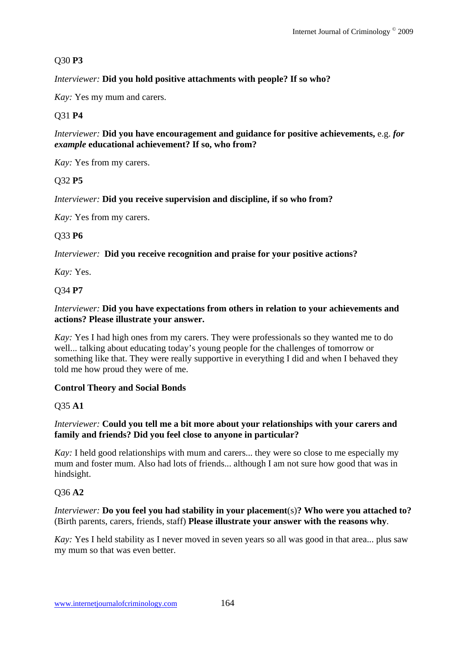## Q30 **P3**

*Interviewer:* **Did you hold positive attachments with people? If so who?** 

*Kay:* Yes my mum and carers.

### Q31 **P4**

*Interviewer:* **Did you have encouragement and guidance for positive achievements,** e.g. *for example* **educational achievement? If so, who from?**

*Kay:* Yes from my carers.

### Q32 **P5**

*Interviewer:* **Did you receive supervision and discipline, if so who from?**

*Kay:* Yes from my carers.

### Q33 **P6**

*Interviewer:* **Did you receive recognition and praise for your positive actions?**

*Kay:* Yes.

Q34 **P7** 

#### *Interviewer:* **Did you have expectations from others in relation to your achievements and actions? Please illustrate your answer.**

*Kay:* Yes I had high ones from my carers. They were professionals so they wanted me to do well... talking about educating today's young people for the challenges of tomorrow or something like that. They were really supportive in everything I did and when I behaved they told me how proud they were of me.

### **Control Theory and Social Bonds**

#### Q35 **A1**

### *Interviewer:* **Could you tell me a bit more about your relationships with your carers and family and friends? Did you feel close to anyone in particular?**

*Kay:* I held good relationships with mum and carers... they were so close to me especially my mum and foster mum. Also had lots of friends... although I am not sure how good that was in hindsight.

### Q36 **A2**

#### *Interviewer:* **Do you feel you had stability in your placement**(s)**? Who were you attached to?** (Birth parents, carers, friends, staff) **Please illustrate your answer with the reasons why**.

*Kay:* Yes I held stability as I never moved in seven years so all was good in that area... plus saw my mum so that was even better.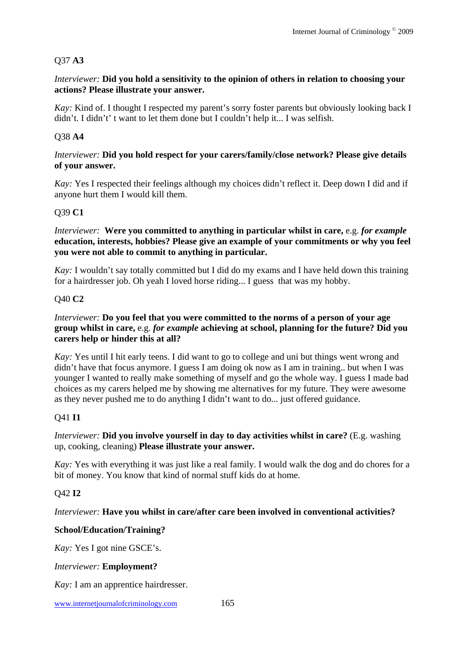## Q37 **A3**

### *Interviewer:* **Did you hold a sensitivity to the opinion of others in relation to choosing your actions? Please illustrate your answer.**

*Kay:* Kind of. I thought I respected my parent's sorry foster parents but obviously looking back I didn't. I didn't' t want to let them done but I couldn't help it... I was selfish.

## Q38 **A4**

### *Interviewer:* **Did you hold respect for your carers/family/close network? Please give details of your answer.**

*Kay:* Yes I respected their feelings although my choices didn't reflect it. Deep down I did and if anyone hurt them I would kill them.

## Q39 **C1**

#### *Interviewer:* **Were you committed to anything in particular whilst in care,** e.g. *for example*  **education, interests, hobbies? Please give an example of your commitments or why you feel you were not able to commit to anything in particular.**

*Kay:* I wouldn't say totally committed but I did do my exams and I have held down this training for a hairdresser job. Oh yeah I loved horse riding... I guess that was my hobby.

## Q40 **C2**

### *Interviewer:* **Do you feel that you were committed to the norms of a person of your age group whilst in care,** e.g. *for example* **achieving at school, planning for the future? Did you carers help or hinder this at all?**

*Kay:* Yes until I hit early teens. I did want to go to college and uni but things went wrong and didn't have that focus anymore. I guess I am doing ok now as I am in training.. but when I was younger I wanted to really make something of myself and go the whole way. I guess I made bad choices as my carers helped me by showing me alternatives for my future. They were awesome as they never pushed me to do anything I didn't want to do... just offered guidance.

## Q41 **I1**

### *Interviewer:* **Did you involve yourself in day to day activities whilst in care?** (E.g. washing up, cooking, cleaning) **Please illustrate your answer.**

*Kay:* Yes with everything it was just like a real family. I would walk the dog and do chores for a bit of money. You know that kind of normal stuff kids do at home.

## Q42 **I2**

## *Interviewer:* **Have you whilst in care/after care been involved in conventional activities?**

## **School/Education/Training?**

*Kay:* Yes I got nine GSCE's.

### *Interviewer:* **Employment?**

*Kay:* I am an apprentice hairdresser.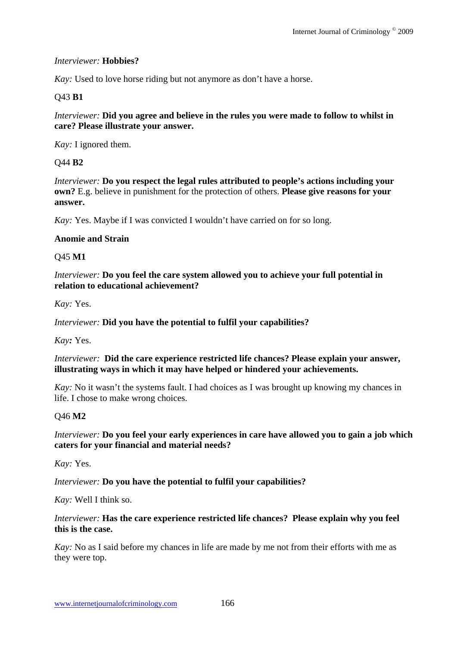#### *Interviewer:* **Hobbies?**

*Kay*: Used to love horse riding but not anymore as don't have a horse.

### Q43 **B1**

*Interviewer:* **Did you agree and believe in the rules you were made to follow to whilst in care? Please illustrate your answer.** 

*Kay:* I ignored them.

#### Q44 **B2**

*Interviewer:* **Do you respect the legal rules attributed to people's actions including your own?** E.g. believe in punishment for the protection of others. **Please give reasons for your answer.** 

*Kay:* Yes. Maybe if I was convicted I wouldn't have carried on for so long.

#### **Anomie and Strain**

#### Q45 **M1**

*Interviewer:* **Do you feel the care system allowed you to achieve your full potential in relation to educational achievement?**

*Kay:* Yes.

*Interviewer:* **Did you have the potential to fulfil your capabilities?** 

*Kay:* Yes.

*Interviewer:* **Did the care experience restricted life chances? Please explain your answer, illustrating ways in which it may have helped or hindered your achievements.**

*Kay*: No it wasn't the systems fault. I had choices as I was brought up knowing my chances in life. I chose to make wrong choices.

### Q46 **M2**

#### *Interviewer:* **Do you feel your early experiences in care have allowed you to gain a job which caters for your financial and material needs?**

*Kay:* Yes.

*Interviewer:* **Do you have the potential to fulfil your capabilities?**

*Kay:* Well I think so.

#### *Interviewer:* **Has the care experience restricted life chances? Please explain why you feel this is the case.**

*Kay:* No as I said before my chances in life are made by me not from their efforts with me as they were top.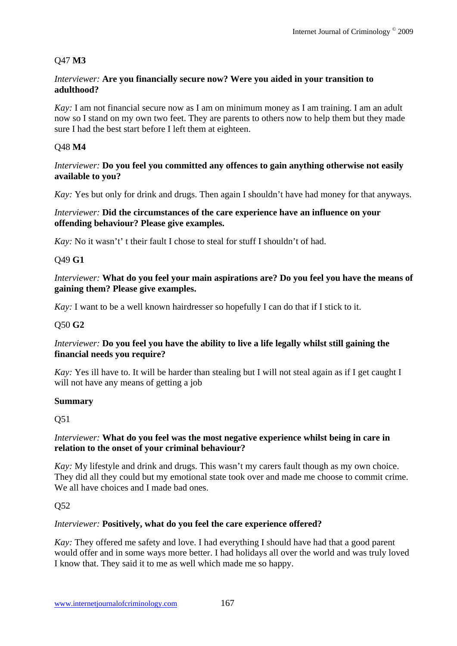## Q47 **M3**

#### *Interviewer:* **Are you financially secure now? Were you aided in your transition to adulthood?**

*Kay*: I am not financial secure now as I am on minimum money as I am training. I am an adult now so I stand on my own two feet. They are parents to others now to help them but they made sure I had the best start before I left them at eighteen.

### Q48 **M4**

#### *Interviewer:* **Do you feel you committed any offences to gain anything otherwise not easily available to you?**

*Kay:* Yes but only for drink and drugs. Then again I shouldn't have had money for that anyways.

#### *Interviewer:* **Did the circumstances of the care experience have an influence on your offending behaviour? Please give examples.**

*Kay*: No it wasn't' t their fault I chose to steal for stuff I shouldn't of had.

### Q49 **G1**

*Interviewer:* **What do you feel your main aspirations are? Do you feel you have the means of gaining them? Please give examples.**

*Kay*: I want to be a well known hairdresser so hopefully I can do that if I stick to it.

## Q50 **G2**

### *Interviewer:* **Do you feel you have the ability to live a life legally whilst still gaining the financial needs you require?**

*Kay*: Yes ill have to. It will be harder than stealing but I will not steal again as if I get caught I will not have any means of getting a job

### **Summary**

Q51

### *Interviewer:* **What do you feel was the most negative experience whilst being in care in relation to the onset of your criminal behaviour?**

*Kay:* My lifestyle and drink and drugs. This wasn't my carers fault though as my own choice. They did all they could but my emotional state took over and made me choose to commit crime. We all have choices and I made bad ones.

## Q52

### *Interviewer:* **Positively, what do you feel the care experience offered?**

*Kay:* They offered me safety and love. I had everything I should have had that a good parent would offer and in some ways more better. I had holidays all over the world and was truly loved I know that. They said it to me as well which made me so happy.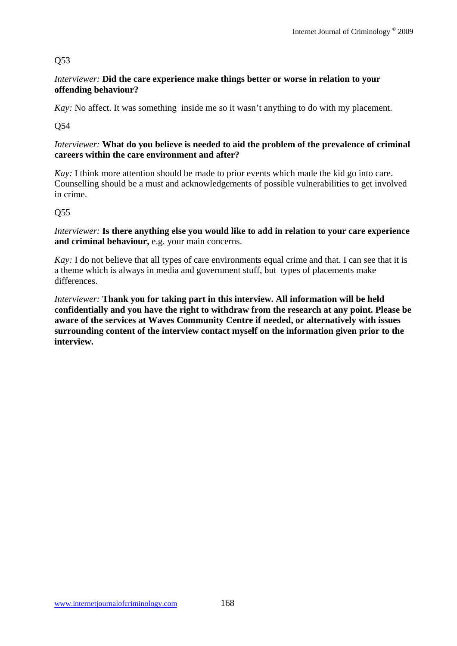## Q53

### *Interviewer:* **Did the care experience make things better or worse in relation to your offending behaviour?**

*Kay:* No affect. It was something inside me so it wasn't anything to do with my placement.

Q54

### *Interviewer:* **What do you believe is needed to aid the problem of the prevalence of criminal careers within the care environment and after?**

*Kay*: I think more attention should be made to prior events which made the kid go into care. Counselling should be a must and acknowledgements of possible vulnerabilities to get involved in crime.

## Q55

*Interviewer:* **Is there anything else you would like to add in relation to your care experience and criminal behaviour,** e.g. your main concerns.

*Kay*: I do not believe that all types of care environments equal crime and that. I can see that it is a theme which is always in media and government stuff, but types of placements make differences.

*Interviewer:* **Thank you for taking part in this interview. All information will be held confidentially and you have the right to withdraw from the research at any point. Please be aware of the services at Waves Community Centre if needed, or alternatively with issues surrounding content of the interview contact myself on the information given prior to the interview.**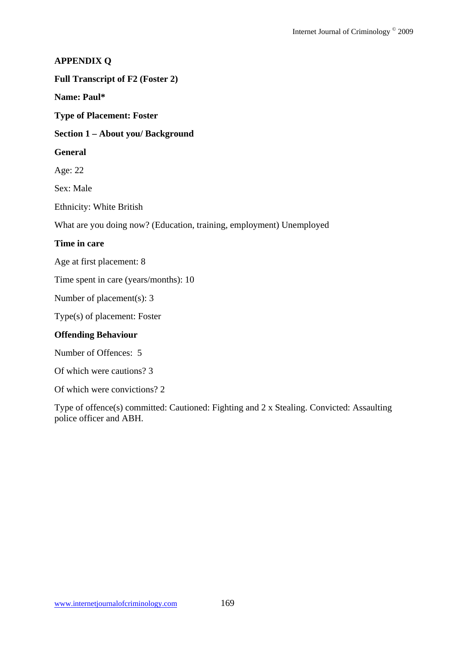### **APPENDIX Q**

#### **Full Transcript of F2 (Foster 2)**

#### **Name: Paul\***

**Type of Placement: Foster** 

#### **Section 1 – About you/ Background**

#### **General**

Age: 22

Sex: Male

Ethnicity: White British

What are you doing now? (Education, training, employment) Unemployed

### **Time in care**

Age at first placement: 8

Time spent in care (years/months): 10

Number of placement(s): 3

Type(s) of placement: Foster

#### **Offending Behaviour**

Number of Offences: 5

Of which were cautions? 3

Of which were convictions? 2

Type of offence(s) committed: Cautioned: Fighting and 2 x Stealing. Convicted: Assaulting police officer and ABH.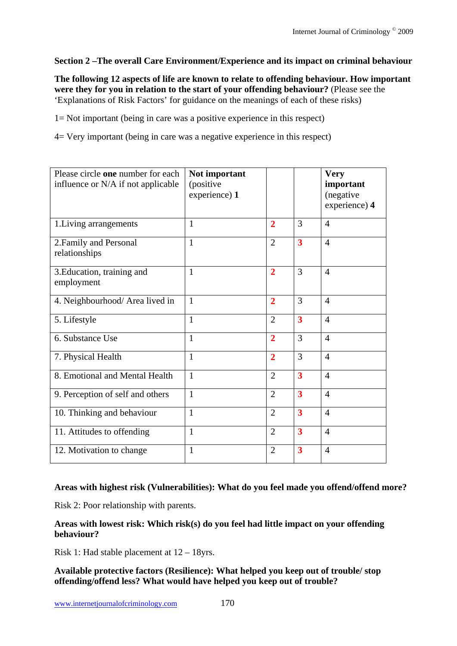## **Section 2 –The overall Care Environment/Experience and its impact on criminal behaviour**

**The following 12 aspects of life are known to relate to offending behaviour. How important were they for you in relation to the start of your offending behaviour?** (Please see the 'Explanations of Risk Factors' for guidance on the meanings of each of these risks)

1= Not important (being in care was a positive experience in this respect)

4= Very important (being in care was a negative experience in this respect)

| Please circle one number for each<br>influence or N/A if not applicable | Not important<br>(positive<br>experience) 1 |                |                         | <b>Very</b><br>important<br>(negative<br>experience) 4 |
|-------------------------------------------------------------------------|---------------------------------------------|----------------|-------------------------|--------------------------------------------------------|
| 1. Living arrangements                                                  | $\mathbf{1}$                                | $\overline{2}$ | 3                       | $\overline{4}$                                         |
| 2. Family and Personal<br>relationships                                 | $\mathbf{1}$                                | $\overline{2}$ | $\overline{\mathbf{3}}$ | $\overline{4}$                                         |
| 3. Education, training and<br>employment                                | $\mathbf{1}$                                | $\overline{2}$ | 3                       | $\overline{4}$                                         |
| 4. Neighbourhood/ Area lived in                                         | $\mathbf{1}$                                | $\overline{2}$ | 3                       | $\overline{4}$                                         |
| 5. Lifestyle                                                            | 1                                           | $\overline{2}$ | 3                       | $\overline{4}$                                         |
| 6. Substance Use                                                        | 1                                           | $\overline{2}$ | 3                       | $\overline{4}$                                         |
| 7. Physical Health                                                      | $\mathbf{1}$                                | $\overline{2}$ | 3                       | $\overline{4}$                                         |
| 8. Emotional and Mental Health                                          | $\mathbf{1}$                                | $\overline{2}$ | $\overline{\mathbf{3}}$ | $\overline{4}$                                         |
| 9. Perception of self and others                                        | $\mathbf{1}$                                | $\overline{2}$ | $\overline{\mathbf{3}}$ | $\overline{4}$                                         |
| 10. Thinking and behaviour                                              | $\mathbf{1}$                                | $\overline{2}$ | $\overline{\mathbf{3}}$ | $\overline{4}$                                         |
| 11. Attitudes to offending                                              | 1                                           | $\overline{2}$ | $\overline{\mathbf{3}}$ | $\overline{4}$                                         |
| 12. Motivation to change                                                | 1                                           | $\overline{2}$ | 3                       | $\overline{4}$                                         |

### **Areas with highest risk (Vulnerabilities): What do you feel made you offend/offend more?**

Risk 2: Poor relationship with parents.

**Areas with lowest risk: Which risk(s) do you feel had little impact on your offending behaviour?** 

Risk 1: Had stable placement at 12 – 18yrs.

**Available protective factors (Resilience): What helped you keep out of trouble/ stop offending/offend less? What would have helped you keep out of trouble?**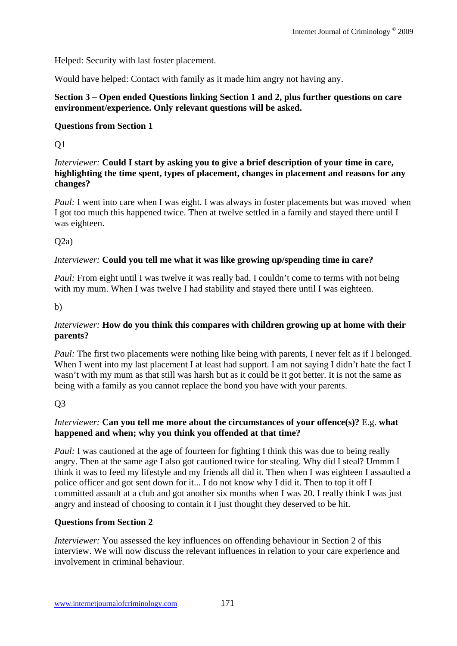Helped: Security with last foster placement.

Would have helped: Contact with family as it made him angry not having any.

### **Section 3 – Open ended Questions linking Section 1 and 2, plus further questions on care environment/experience. Only relevant questions will be asked.**

## **Questions from Section 1**

Q1

*Interviewer:* **Could I start by asking you to give a brief description of your time in care, highlighting the time spent, types of placement, changes in placement and reasons for any changes?**

*Paul:* I went into care when I was eight. I was always in foster placements but was moved when I got too much this happened twice. Then at twelve settled in a family and stayed there until I was eighteen.

 $O(2a)$ 

### *Interviewer:* **Could you tell me what it was like growing up/spending time in care?**

*Paul:* From eight until I was twelve it was really bad. I couldn't come to terms with not being with my mum. When I was twelve I had stability and stayed there until I was eighteen.

b)

### *Interviewer:* **How do you think this compares with children growing up at home with their parents?**

*Paul:* The first two placements were nothing like being with parents, I never felt as if I belonged. When I went into my last placement I at least had support. I am not saying I didn't hate the fact I wasn't with my mum as that still was harsh but as it could be it got better. It is not the same as being with a family as you cannot replace the bond you have with your parents.

 $O<sub>3</sub>$ 

## *Interviewer:* **Can you tell me more about the circumstances of your offence(s)?** E.g. **what happened and when; why you think you offended at that time?**

*Paul:* I was cautioned at the age of fourteen for fighting I think this was due to being really angry. Then at the same age I also got cautioned twice for stealing. Why did I steal? Ummm I think it was to feed my lifestyle and my friends all did it. Then when I was eighteen I assaulted a police officer and got sent down for it... I do not know why I did it. Then to top it off I committed assault at a club and got another six months when I was 20. I really think I was just angry and instead of choosing to contain it I just thought they deserved to be hit.

## **Questions from Section 2**

*Interviewer:* You assessed the key influences on offending behaviour in Section 2 of this interview. We will now discuss the relevant influences in relation to your care experience and involvement in criminal behaviour.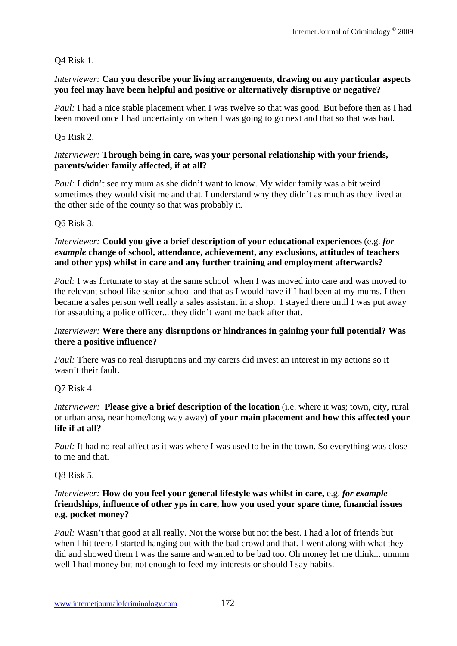### Q4 Risk 1.

#### *Interviewer:* **Can you describe your living arrangements, drawing on any particular aspects you feel may have been helpful and positive or alternatively disruptive or negative?**

*Paul:* I had a nice stable placement when I was twelve so that was good. But before then as I had been moved once I had uncertainty on when I was going to go next and that so that was bad.

### Q5 Risk 2.

#### *Interviewer:* **Through being in care, was your personal relationship with your friends, parents/wider family affected, if at all?**

*Paul:* I didn't see my mum as she didn't want to know. My wider family was a bit weird sometimes they would visit me and that. I understand why they didn't as much as they lived at the other side of the county so that was probably it.

Q6 Risk 3.

### *Interviewer:* **Could you give a brief description of your educational experiences** (e.g. *for example* **change of school, attendance, achievement, any exclusions, attitudes of teachers and other yps) whilst in care and any further training and employment afterwards?**

*Paul:* I was fortunate to stay at the same school when I was moved into care and was moved to the relevant school like senior school and that as I would have if I had been at my mums. I then became a sales person well really a sales assistant in a shop. I stayed there until I was put away for assaulting a police officer... they didn't want me back after that.

#### *Interviewer:* **Were there any disruptions or hindrances in gaining your full potential? Was there a positive influence?**

*Paul:* There was no real disruptions and my carers did invest an interest in my actions so it wasn't their fault.

### Q7 Risk 4.

*Interviewer:* **Please give a brief description of the location** (i.e. where it was; town, city, rural or urban area, near home/long way away) **of your main placement and how this affected your life if at all?** 

*Paul:* It had no real affect as it was where I was used to be in the town. So everything was close to me and that.

#### Q8 Risk 5.

### *Interviewer:* **How do you feel your general lifestyle was whilst in care,** e.g. *for example* **friendships, influence of other yps in care, how you used your spare time, financial issues e.g. pocket money?**

*Paul:* Wasn't that good at all really. Not the worse but not the best. I had a lot of friends but when I hit teens I started hanging out with the bad crowd and that. I went along with what they did and showed them I was the same and wanted to be bad too. Oh money let me think... ummm well I had money but not enough to feed my interests or should I say habits.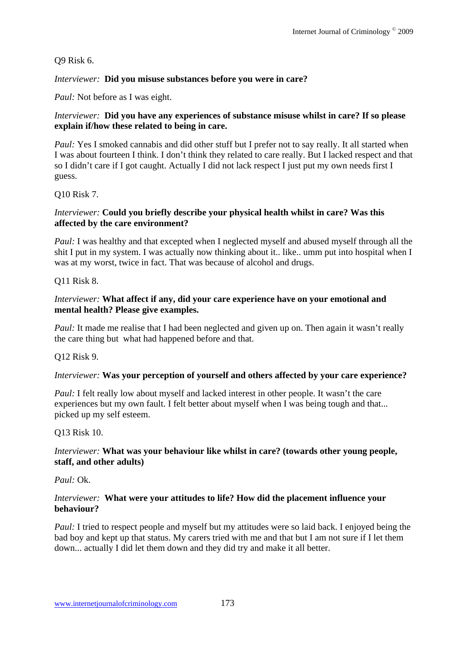Q9 Risk 6.

### *Interviewer:* **Did you misuse substances before you were in care?**

*Paul:* Not before as I was eight.

### *Interviewer:* **Did you have any experiences of substance misuse whilst in care? If so please explain if/how these related to being in care.**

*Paul:* Yes I smoked cannabis and did other stuff but I prefer not to say really. It all started when I was about fourteen I think. I don't think they related to care really. But I lacked respect and that so I didn't care if I got caught. Actually I did not lack respect I just put my own needs first I guess.

Q10 Risk 7.

### *Interviewer:* **Could you briefly describe your physical health whilst in care? Was this affected by the care environment?**

*Paul:* I was healthy and that excepted when I neglected myself and abused myself through all the shit I put in my system. I was actually now thinking about it.. like.. umm put into hospital when I was at my worst, twice in fact. That was because of alcohol and drugs.

### Q11 Risk 8.

### *Interviewer:* **What affect if any, did your care experience have on your emotional and mental health? Please give examples.**

*Paul:* It made me realise that I had been neglected and given up on. Then again it wasn't really the care thing but what had happened before and that.

### Q12 Risk 9.

### *Interviewer:* **Was your perception of yourself and others affected by your care experience?**

*Paul:* I felt really low about myself and lacked interest in other people. It wasn't the care experiences but my own fault. I felt better about myself when I was being tough and that... picked up my self esteem.

## Q13 Risk 10.

### *Interviewer:* **What was your behaviour like whilst in care? (towards other young people, staff, and other adults)**

*Paul:* Ok.

#### *Interviewer:* **What were your attitudes to life? How did the placement influence your behaviour?**

*Paul:* I tried to respect people and myself but my attitudes were so laid back. I enjoyed being the bad boy and kept up that status. My carers tried with me and that but I am not sure if I let them down... actually I did let them down and they did try and make it all better.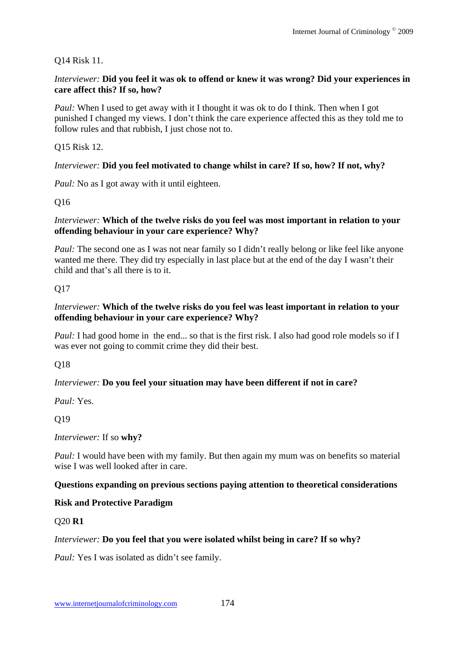## Q14 Risk 11.

### *Interviewer:* **Did you feel it was ok to offend or knew it was wrong? Did your experiences in care affect this? If so, how?**

*Paul:* When I used to get away with it I thought it was ok to do I think. Then when I got punished I changed my views. I don't think the care experience affected this as they told me to follow rules and that rubbish, I just chose not to.

### Q15 Risk 12.

### *Interviewer:* **Did you feel motivated to change whilst in care? If so, how? If not, why?**

*Paul:* No as I got away with it until eighteen.

## Q16

### *Interviewer:* **Which of the twelve risks do you feel was most important in relation to your offending behaviour in your care experience? Why?**

*Paul:* The second one as I was not near family so I didn't really belong or like feel like anyone wanted me there. They did try especially in last place but at the end of the day I wasn't their child and that's all there is to it.

### Q17

### *Interviewer:* **Which of the twelve risks do you feel was least important in relation to your offending behaviour in your care experience? Why?**

*Paul:* I had good home in the end... so that is the first risk. I also had good role models so if I was ever not going to commit crime they did their best.

### Q18

### *Interviewer:* **Do you feel your situation may have been different if not in care?**

*Paul:* Yes.

## Q19

### *Interviewer:* If so **why?**

*Paul:* I would have been with my family. But then again my mum was on benefits so material wise I was well looked after in care.

### **Questions expanding on previous sections paying attention to theoretical considerations**

### **Risk and Protective Paradigm**

### Q20 **R1**

### *Interviewer:* **Do you feel that you were isolated whilst being in care? If so why?**

*Paul:* Yes I was isolated as didn't see family.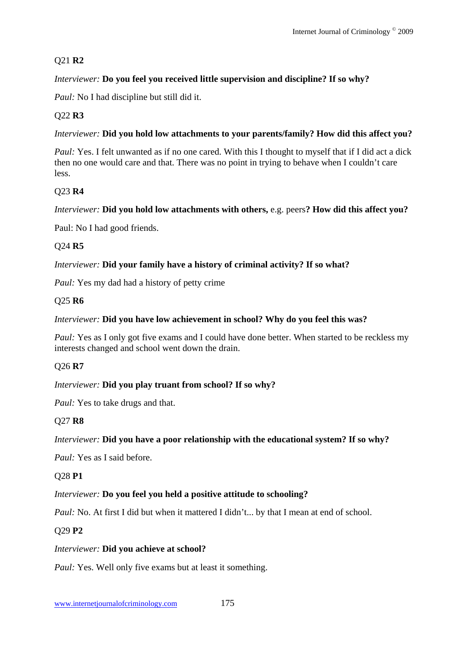## Q21 **R2**

## *Interviewer:* **Do you feel you received little supervision and discipline? If so why?**

*Paul:* No I had discipline but still did it.

## Q22 **R3**

### *Interviewer:* **Did you hold low attachments to your parents/family? How did this affect you?**

*Paul:* Yes. I felt unwanted as if no one cared. With this I thought to myself that if I did act a dick then no one would care and that. There was no point in trying to behave when I couldn't care less.

## Q23 **R4**

### *Interviewer:* **Did you hold low attachments with others,** e.g. peers**? How did this affect you?**

Paul: No I had good friends.

### Q24 **R5**

### *Interviewer:* **Did your family have a history of criminal activity? If so what?**

*Paul:* Yes my dad had a history of petty crime

### Q25 **R6**

#### *Interviewer:* **Did you have low achievement in school? Why do you feel this was?**

*Paul:* Yes as I only got five exams and I could have done better. When started to be reckless my interests changed and school went down the drain.

### Q26 **R7**

### *Interviewer:* **Did you play truant from school? If so why?**

*Paul:* Yes to take drugs and that.

### Q27 **R8**

### *Interviewer:* **Did you have a poor relationship with the educational system? If so why?**

*Paul:* Yes as I said before.

### Q28 **P1**

### *Interviewer:* **Do you feel you held a positive attitude to schooling?**

*Paul: No. At first I did but when it mattered I didn't... by that I mean at end of school.* 

### Q29 **P2**

### *Interviewer:* **Did you achieve at school?**

*Paul:* Yes. Well only five exams but at least it something.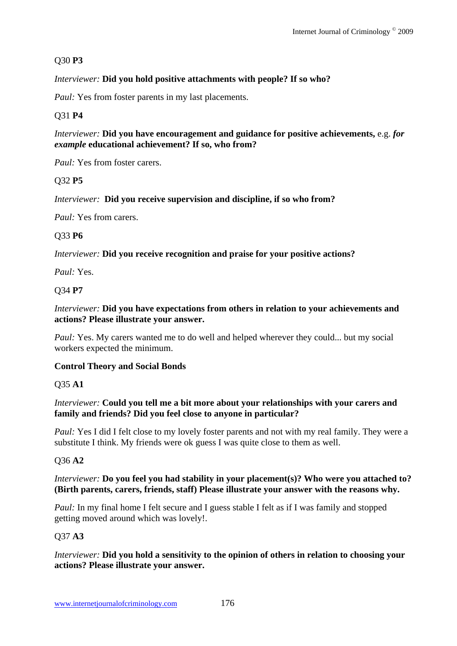## Q30 **P3**

## *Interviewer:* **Did you hold positive attachments with people? If so who?**

*Paul:* Yes from foster parents in my last placements.

## Q31 **P4**

*Interviewer:* **Did you have encouragement and guidance for positive achievements,** e.g. *for example* **educational achievement? If so, who from?**

*Paul:* Yes from foster carers.

### Q32 **P5**

*Interviewer:* **Did you receive supervision and discipline, if so who from?**

*Paul:* Yes from carers.

### Q33 **P6**

*Interviewer:* **Did you receive recognition and praise for your positive actions?**

*Paul:* Yes.

## Q34 **P7**

### *Interviewer:* **Did you have expectations from others in relation to your achievements and actions? Please illustrate your answer.**

*Paul:* Yes. My carers wanted me to do well and helped wherever they could... but my social workers expected the minimum.

### **Control Theory and Social Bonds**

### Q35 **A1**

### *Interviewer:* **Could you tell me a bit more about your relationships with your carers and family and friends? Did you feel close to anyone in particular?**

*Paul:* Yes I did I felt close to my lovely foster parents and not with my real family. They were a substitute I think. My friends were ok guess I was quite close to them as well.

## Q36 **A2**

### *Interviewer:* **Do you feel you had stability in your placement(s)? Who were you attached to? (Birth parents, carers, friends, staff) Please illustrate your answer with the reasons why.**

*Paul:* In my final home I felt secure and I guess stable I felt as if I was family and stopped getting moved around which was lovely!.

### Q37 **A3**

### *Interviewer:* **Did you hold a sensitivity to the opinion of others in relation to choosing your actions? Please illustrate your answer.**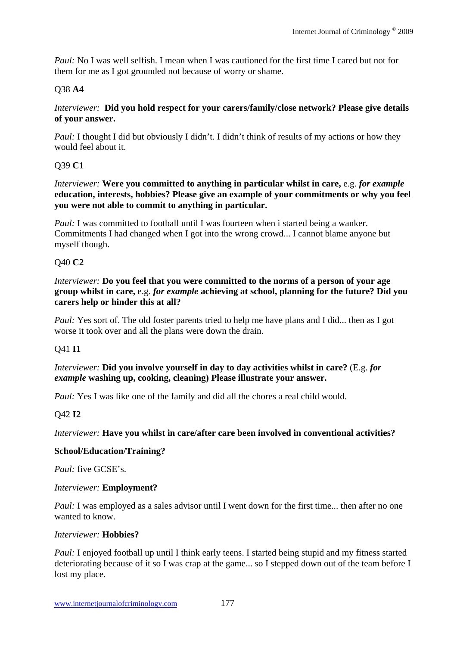*Paul:* No I was well selfish. I mean when I was cautioned for the first time I cared but not for them for me as I got grounded not because of worry or shame.

## Q38 **A4**

#### *Interviewer:* **Did you hold respect for your carers/family/close network? Please give details of your answer.**

*Paul:* I thought I did but obviously I didn't. I didn't think of results of my actions or how they would feel about it.

## Q39 **C1**

*Interviewer:* **Were you committed to anything in particular whilst in care,** e.g. *for example* **education, interests, hobbies? Please give an example of your commitments or why you feel you were not able to commit to anything in particular.**

*Paul:* I was committed to football until I was fourteen when i started being a wanker. Commitments I had changed when I got into the wrong crowd... I cannot blame anyone but myself though.

### Q40 **C2**

*Interviewer:* **Do you feel that you were committed to the norms of a person of your age group whilst in care,** e.g. *for example* **achieving at school, planning for the future? Did you carers help or hinder this at all?** 

*Paul:* Yes sort of. The old foster parents tried to help me have plans and I did... then as I got worse it took over and all the plans were down the drain.

### Q41 **I1**

*Interviewer:* **Did you involve yourself in day to day activities whilst in care?** (E.g. *for example* **washing up, cooking, cleaning) Please illustrate your answer.**

*Paul:* Yes I was like one of the family and did all the chores a real child would.

## Q42 **I2**

*Interviewer:* **Have you whilst in care/after care been involved in conventional activities?**

### **School/Education/Training?**

*Paul:* five GCSE's.

### *Interviewer:* **Employment?**

*Paul:* I was employed as a sales advisor until I went down for the first time... then after no one wanted to know.

#### *Interviewer:* **Hobbies?**

*Paul:* I enjoyed football up until I think early teens. I started being stupid and my fitness started deteriorating because of it so I was crap at the game... so I stepped down out of the team before I lost my place.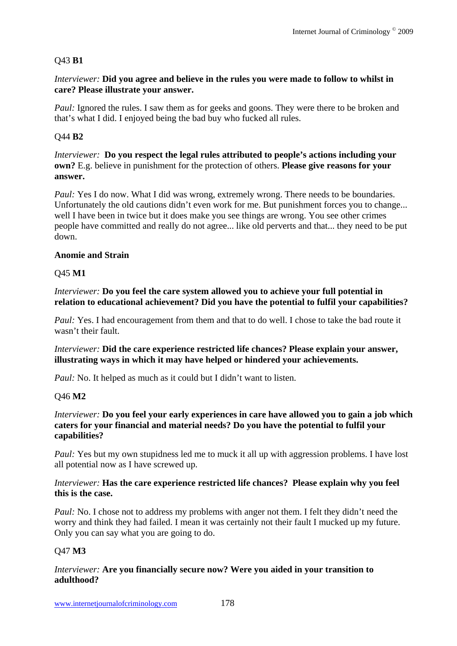#### Q43 **B1**

*Interviewer:* **Did you agree and believe in the rules you were made to follow to whilst in care? Please illustrate your answer.**

*Paul:* Ignored the rules. I saw them as for geeks and goons. They were there to be broken and that's what I did. I enjoyed being the bad buy who fucked all rules.

#### Q44 **B2**

*Interviewer:* **Do you respect the legal rules attributed to people's actions including your own?** E.g. believe in punishment for the protection of others. **Please give reasons for your answer.** 

*Paul:* Yes I do now. What I did was wrong, extremely wrong. There needs to be boundaries. Unfortunately the old cautions didn't even work for me. But punishment forces you to change... well I have been in twice but it does make you see things are wrong. You see other crimes people have committed and really do not agree... like old perverts and that... they need to be put down.

#### **Anomie and Strain**

#### Q45 **M1**

*Interviewer:* **Do you feel the care system allowed you to achieve your full potential in relation to educational achievement? Did you have the potential to fulfil your capabilities?**

*Paul: Yes. I had encouragement from them and that to do well. I chose to take the bad route it* wasn't their fault.

*Interviewer:* **Did the care experience restricted life chances? Please explain your answer, illustrating ways in which it may have helped or hindered your achievements.** 

*Paul:* No. It helped as much as it could but I didn't want to listen.

#### Q46 **M2**

#### *Interviewer:* **Do you feel your early experiences in care have allowed you to gain a job which caters for your financial and material needs? Do you have the potential to fulfil your capabilities?**

*Paul:* Yes but my own stupidness led me to muck it all up with aggression problems. I have lost all potential now as I have screwed up.

#### *Interviewer:* **Has the care experience restricted life chances? Please explain why you feel this is the case.**

*Paul:* No. I chose not to address my problems with anger not them. I felt they didn't need the worry and think they had failed. I mean it was certainly not their fault I mucked up my future. Only you can say what you are going to do.

#### Q47 **M3**

#### *Interviewer:* **Are you financially secure now? Were you aided in your transition to adulthood?**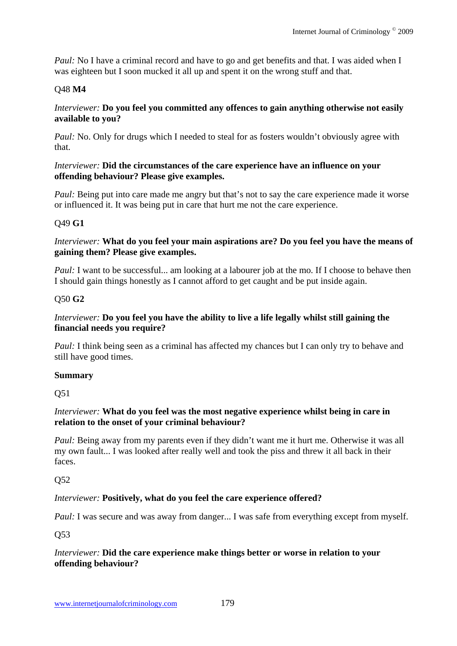*Paul:* No I have a criminal record and have to go and get benefits and that. I was aided when I was eighteen but I soon mucked it all up and spent it on the wrong stuff and that.

## Q48 **M4**

#### *Interviewer:* **Do you feel you committed any offences to gain anything otherwise not easily available to you?**

*Paul:* No. Only for drugs which I needed to steal for as fosters wouldn't obviously agree with that.

## *Interviewer:* **Did the circumstances of the care experience have an influence on your offending behaviour? Please give examples.**

*Paul:* Being put into care made me angry but that's not to say the care experience made it worse or influenced it. It was being put in care that hurt me not the care experience.

## Q49 **G1**

## *Interviewer:* **What do you feel your main aspirations are? Do you feel you have the means of gaining them? Please give examples.**

*Paul:* I want to be successful... am looking at a labourer job at the mo. If I choose to behave then I should gain things honestly as I cannot afford to get caught and be put inside again.

## Q50 **G2**

# *Interviewer:* **Do you feel you have the ability to live a life legally whilst still gaining the financial needs you require?**

*Paul: I think being seen as a criminal has affected my chances but I can only try to behave and* still have good times.

## **Summary**

Q51

## *Interviewer:* **What do you feel was the most negative experience whilst being in care in relation to the onset of your criminal behaviour?**

*Paul:* Being away from my parents even if they didn't want me it hurt me. Otherwise it was all my own fault... I was looked after really well and took the piss and threw it all back in their faces.

# Q52

# *Interviewer:* **Positively, what do you feel the care experience offered?**

*Paul:* I was secure and was away from danger... I was safe from everything except from myself.

Q53

#### *Interviewer:* **Did the care experience make things better or worse in relation to your offending behaviour?**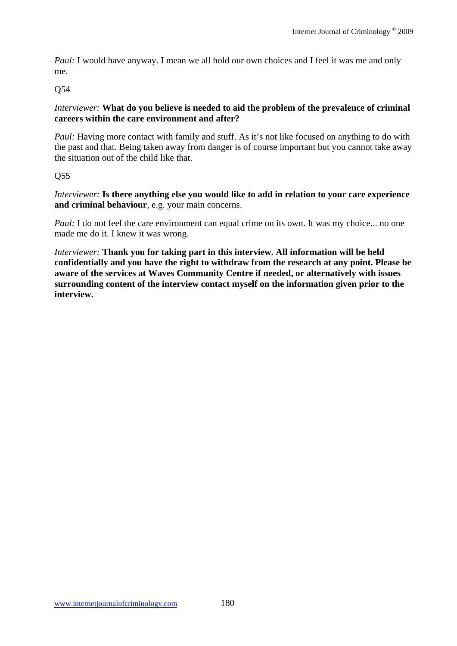*Paul:* I would have anyway. I mean we all hold our own choices and I feel it was me and only me.

# Q54

## *Interviewer:* **What do you believe is needed to aid the problem of the prevalence of criminal careers within the care environment and after?**

*Paul:* Having more contact with family and stuff. As it's not like focused on anything to do with the past and that. Being taken away from danger is of course important but you cannot take away the situation out of the child like that.

# Q55

*Interviewer:* **Is there anything else you would like to add in relation to your care experience and criminal behaviour**, e.g. your main concerns.

*Paul:* I do not feel the care environment can equal crime on its own. It was my choice... no one made me do it. I knew it was wrong.

*Interviewer:* **Thank you for taking part in this interview. All information will be held confidentially and you have the right to withdraw from the research at any point. Please be aware of the services at Waves Community Centre if needed, or alternatively with issues surrounding content of the interview contact myself on the information given prior to the interview.**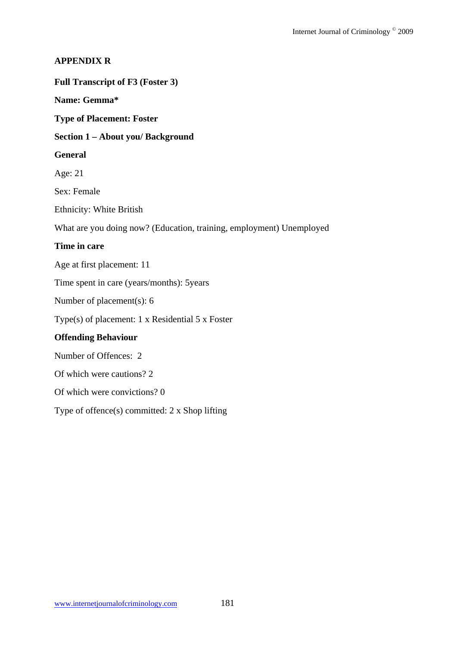## **APPENDIX R**

#### **Full Transcript of F3 (Foster 3)**

#### **Name: Gemma\***

**Type of Placement: Foster** 

#### **Section 1 – About you/ Background**

#### **General**

Age: 21

Sex: Female

Ethnicity: White British

What are you doing now? (Education, training, employment) Unemployed

#### **Time in care**

Age at first placement: 11

Time spent in care (years/months): 5years

Number of placement(s): 6

Type(s) of placement: 1 x Residential 5 x Foster

#### **Offending Behaviour**

Number of Offences: 2

Of which were cautions? 2

Of which were convictions? 0

Type of offence(s) committed: 2 x Shop lifting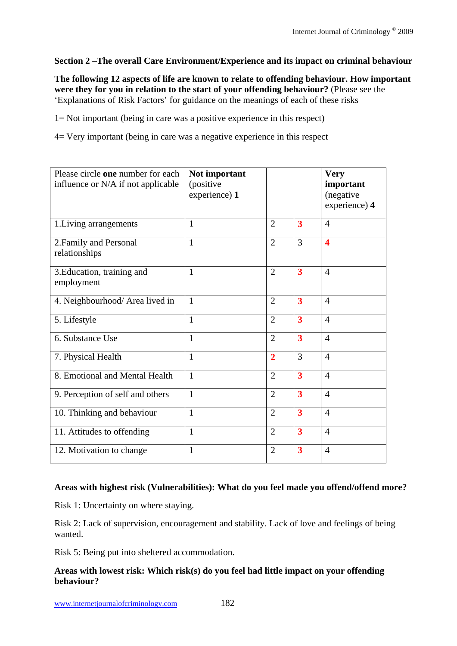## **Section 2 –The overall Care Environment/Experience and its impact on criminal behaviour**

**The following 12 aspects of life are known to relate to offending behaviour. How important were they for you in relation to the start of your offending behaviour?** (Please see the 'Explanations of Risk Factors' for guidance on the meanings of each of these risks

1= Not important (being in care was a positive experience in this respect)

4= Very important (being in care was a negative experience in this respect

| Please circle one number for each<br>influence or N/A if not applicable | Not important<br>(positive<br>experience) 1 |                |                         | <b>Very</b><br>important<br>(negative<br>experience) 4 |
|-------------------------------------------------------------------------|---------------------------------------------|----------------|-------------------------|--------------------------------------------------------|
| 1. Living arrangements                                                  | 1                                           | $\overline{2}$ | 3                       | $\overline{4}$                                         |
| 2. Family and Personal<br>relationships                                 | $\mathbf{1}$                                | $\overline{2}$ | 3                       | $\overline{\mathbf{4}}$                                |
| 3. Education, training and<br>employment                                | $\mathbf{1}$                                | $\overline{2}$ | $\overline{\mathbf{3}}$ | $\overline{4}$                                         |
| 4. Neighbourhood/ Area lived in                                         | $\mathbf{1}$                                | $\overline{2}$ | $\overline{\mathbf{3}}$ | $\overline{4}$                                         |
| 5. Lifestyle                                                            | $\mathbf{1}$                                | $\overline{2}$ | 3                       | $\overline{4}$                                         |
| 6. Substance Use                                                        | $\mathbf{1}$                                | $\overline{2}$ | $\overline{\mathbf{3}}$ | $\overline{4}$                                         |
| 7. Physical Health                                                      | $\mathbf{1}$                                | $\overline{2}$ | 3                       | $\overline{4}$                                         |
| 8. Emotional and Mental Health                                          | $\mathbf{1}$                                | $\overline{2}$ | 3                       | $\overline{4}$                                         |
| 9. Perception of self and others                                        | $\mathbf{1}$                                | $\overline{2}$ | 3                       | $\overline{4}$                                         |
| 10. Thinking and behaviour                                              | $\mathbf{1}$                                | $\overline{2}$ | $\overline{\mathbf{3}}$ | $\overline{4}$                                         |
| 11. Attitudes to offending                                              | $\mathbf{1}$                                | $\overline{2}$ | $\overline{\mathbf{3}}$ | $\overline{4}$                                         |
| 12. Motivation to change                                                | $\mathbf{1}$                                | $\overline{2}$ | 3                       | $\overline{4}$                                         |

## **Areas with highest risk (Vulnerabilities): What do you feel made you offend/offend more?**

Risk 1: Uncertainty on where staying.

Risk 2: Lack of supervision, encouragement and stability. Lack of love and feelings of being wanted.

Risk 5: Being put into sheltered accommodation.

## **Areas with lowest risk: Which risk(s) do you feel had little impact on your offending behaviour?**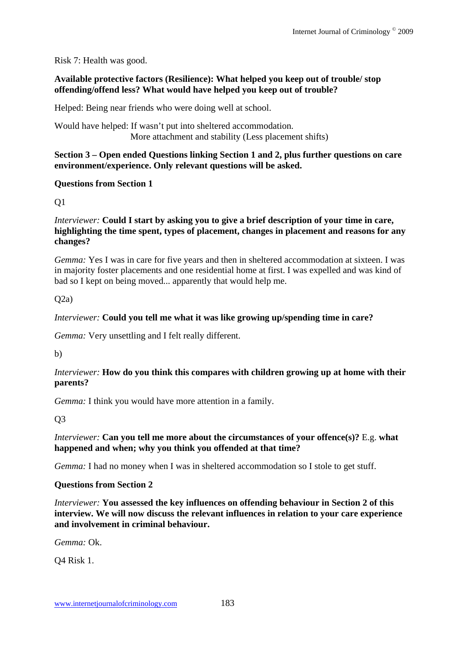## Risk 7: Health was good.

## **Available protective factors (Resilience): What helped you keep out of trouble/ stop offending/offend less? What would have helped you keep out of trouble?**

Helped: Being near friends who were doing well at school.

Would have helped: If wasn't put into sheltered accommodation. More attachment and stability (Less placement shifts)

#### **Section 3 – Open ended Questions linking Section 1 and 2, plus further questions on care environment/experience. Only relevant questions will be asked.**

## **Questions from Section 1**

 $O<sub>1</sub>$ 

#### *Interviewer:* **Could I start by asking you to give a brief description of your time in care, highlighting the time spent, types of placement, changes in placement and reasons for any changes?**

*Gemma:* Yes I was in care for five years and then in sheltered accommodation at sixteen. I was in majority foster placements and one residential home at first. I was expelled and was kind of bad so I kept on being moved... apparently that would help me.

 $O(2a)$ 

## *Interviewer:* **Could you tell me what it was like growing up/spending time in care?**

*Gemma:* Very unsettling and I felt really different.

b)

# *Interviewer:* **How do you think this compares with children growing up at home with their parents?**

*Gemma:* I think you would have more attention in a family.

Q3

## *Interviewer:* **Can you tell me more about the circumstances of your offence(s)?** E.g. **what happened and when; why you think you offended at that time?**

*Gemma:* I had no money when I was in sheltered accommodation so I stole to get stuff.

## **Questions from Section 2**

*Interviewer:* **You assessed the key influences on offending behaviour in Section 2 of this interview. We will now discuss the relevant influences in relation to your care experience and involvement in criminal behaviour.**

*Gemma:* Ok.

Q4 Risk 1.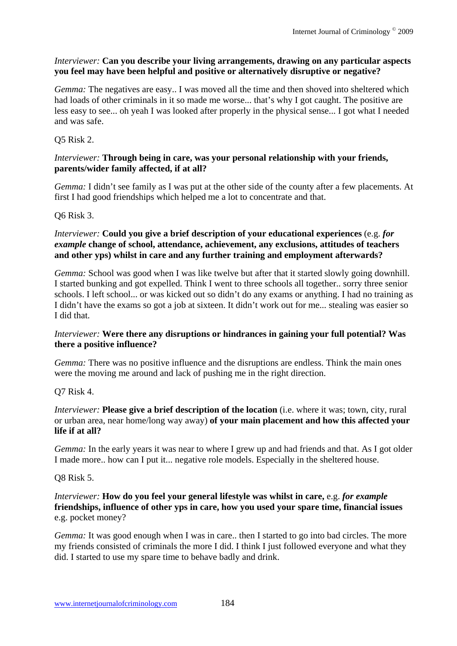## *Interviewer:* **Can you describe your living arrangements, drawing on any particular aspects you feel may have been helpful and positive or alternatively disruptive or negative?**

*Gemma:* The negatives are easy.. I was moved all the time and then shoved into sheltered which had loads of other criminals in it so made me worse... that's why I got caught. The positive are less easy to see... oh yeah I was looked after properly in the physical sense... I got what I needed and was safe.

## Q5 Risk 2.

#### *Interviewer:* **Through being in care, was your personal relationship with your friends, parents/wider family affected, if at all?**

*Gemma:* I didn't see family as I was put at the other side of the county after a few placements. At first I had good friendships which helped me a lot to concentrate and that.

#### Q6 Risk 3.

## *Interviewer:* **Could you give a brief description of your educational experiences** (e.g. *for example* **change of school, attendance, achievement, any exclusions, attitudes of teachers and other yps) whilst in care and any further training and employment afterwards?**

*Gemma:* School was good when I was like twelve but after that it started slowly going downhill. I started bunking and got expelled. Think I went to three schools all together.. sorry three senior schools. I left school... or was kicked out so didn't do any exams or anything. I had no training as I didn't have the exams so got a job at sixteen. It didn't work out for me... stealing was easier so I did that.

#### *Interviewer:* **Were there any disruptions or hindrances in gaining your full potential? Was there a positive influence?**

*Gemma:* There was no positive influence and the disruptions are endless. Think the main ones were the moving me around and lack of pushing me in the right direction.

#### Q7 Risk 4.

*Interviewer:* **Please give a brief description of the location** (i.e. where it was; town, city, rural or urban area, near home/long way away) **of your main placement and how this affected your life if at all?** 

*Gemma*: In the early years it was near to where I grew up and had friends and that. As I got older I made more.. how can I put it... negative role models. Especially in the sheltered house.

#### Q8 Risk 5.

#### *Interviewer:* **How do you feel your general lifestyle was whilst in care,** e.g. *for example* **friendships, influence of other yps in care, how you used your spare time, financial issues** e.g. pocket money?

*Gemma:* It was good enough when I was in care.. then I started to go into bad circles. The more my friends consisted of criminals the more I did. I think I just followed everyone and what they did. I started to use my spare time to behave badly and drink.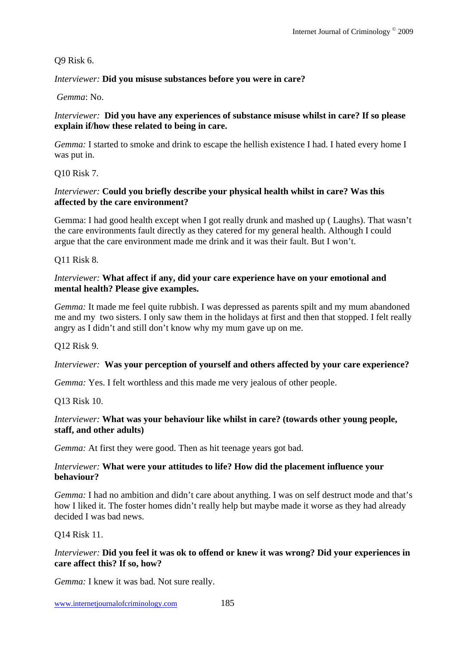#### Q9 Risk 6.

#### *Interviewer:* **Did you misuse substances before you were in care?**

 *Gemma*: No.

#### *Interviewer:* **Did you have any experiences of substance misuse whilst in care? If so please explain if/how these related to being in care.**

*Gemma:* I started to smoke and drink to escape the hellish existence I had. I hated every home I was put in.

Q10 Risk 7.

#### *Interviewer:* **Could you briefly describe your physical health whilst in care? Was this affected by the care environment?**

Gemma: I had good health except when I got really drunk and mashed up ( Laughs). That wasn't the care environments fault directly as they catered for my general health. Although I could argue that the care environment made me drink and it was their fault. But I won't.

Q11 Risk 8.

#### *Interviewer:* **What affect if any, did your care experience have on your emotional and mental health? Please give examples.**

*Gemma:* It made me feel quite rubbish. I was depressed as parents spilt and my mum abandoned me and my two sisters. I only saw them in the holidays at first and then that stopped. I felt really angry as I didn't and still don't know why my mum gave up on me.

Q12 Risk 9.

## *Interviewer:* **Was your perception of yourself and others affected by your care experience?**

*Gemma:* Yes. I felt worthless and this made me very jealous of other people.

Q13 Risk 10.

## *Interviewer:* **What was your behaviour like whilst in care? (towards other young people, staff, and other adults)**

*Gemma:* At first they were good. Then as hit teenage years got bad.

#### *Interviewer:* **What were your attitudes to life? How did the placement influence your behaviour?**

*Gemma:* I had no ambition and didn't care about anything. I was on self destruct mode and that's how I liked it. The foster homes didn't really help but maybe made it worse as they had already decided I was bad news.

## Q14 Risk 11.

#### *Interviewer:* **Did you feel it was ok to offend or knew it was wrong? Did your experiences in care affect this? If so, how?**

*Gemma:* I knew it was bad. Not sure really.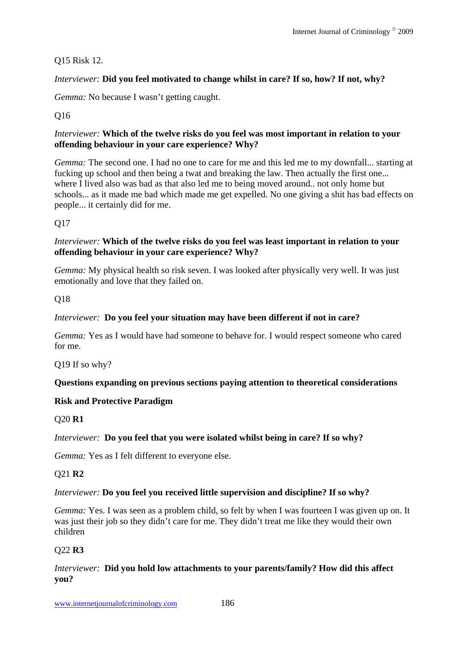## Q15 Risk 12.

## *Interviewer:* **Did you feel motivated to change whilst in care? If so, how? If not, why?**

*Gemma:* No because I wasn't getting caught.

## Q16

## *Interviewer:* **Which of the twelve risks do you feel was most important in relation to your offending behaviour in your care experience? Why?**

*Gemma:* The second one. I had no one to care for me and this led me to my downfall... starting at fucking up school and then being a twat and breaking the law. Then actually the first one... where I lived also was bad as that also led me to being moved around.. not only home but schools... as it made me bad which made me get expelled. No one giving a shit has bad effects on people... it certainly did for me.

Q17

## *Interviewer:* **Which of the twelve risks do you feel was least important in relation to your offending behaviour in your care experience? Why?**

*Gemma:* My physical health so risk seven. I was looked after physically very well. It was just emotionally and love that they failed on.

Q18

## *Interviewer:* **Do you feel your situation may have been different if not in care?**

*Gemma:* Yes as I would have had someone to behave for. I would respect someone who cared for me.

Q19 If so why?

# **Questions expanding on previous sections paying attention to theoretical considerations**

# **Risk and Protective Paradigm**

# Q20 **R1**

# *Interviewer:* **Do you feel that you were isolated whilst being in care? If so why?**

*Gemma:* Yes as I felt different to everyone else.

# Q21 **R2**

## *Interviewer:* **Do you feel you received little supervision and discipline? If so why?**

*Gemma:* Yes. I was seen as a problem child, so felt by when I was fourteen I was given up on. It was just their job so they didn't care for me. They didn't treat me like they would their own children

## Q22 **R3**

## *Interviewer:* **Did you hold low attachments to your parents/family? How did this affect you?**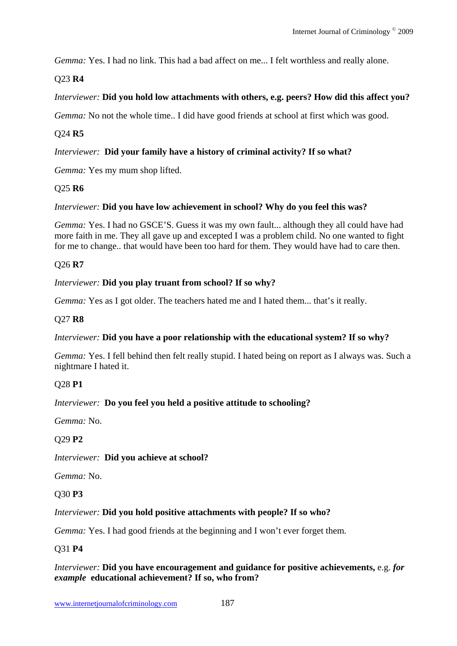*Gemma:* Yes. I had no link. This had a bad affect on me... I felt worthless and really alone.

# Q23 **R4**

# *Interviewer:* **Did you hold low attachments with others, e.g. peers? How did this affect you?**

*Gemma:* No not the whole time.. I did have good friends at school at first which was good.

# Q24 **R5**

# *Interviewer:* **Did your family have a history of criminal activity? If so what?**

*Gemma:* Yes my mum shop lifted.

# Q25 **R6**

# *Interviewer:* **Did you have low achievement in school? Why do you feel this was?**

*Gemma:* Yes. I had no GSCE'S. Guess it was my own fault... although they all could have had more faith in me. They all gave up and excepted I was a problem child. No one wanted to fight for me to change.. that would have been too hard for them. They would have had to care then.

# Q26 **R7**

# *Interviewer:* **Did you play truant from school? If so why?**

*Gemma:* Yes as I got older. The teachers hated me and I hated them... that's it really.

# Q27 **R8**

# *Interviewer:* **Did you have a poor relationship with the educational system? If so why?**

*Gemma:* Yes. I fell behind then felt really stupid. I hated being on report as I always was. Such a nightmare I hated it.

# Q28 **P1**

# *Interviewer:* **Do you feel you held a positive attitude to schooling?**

*Gemma:* No.

# Q29 **P2**

*Interviewer:* **Did you achieve at school?**

*Gemma:* No.

# Q30 **P3**

# *Interviewer:* **Did you hold positive attachments with people? If so who?**

*Gemma:* Yes. I had good friends at the beginning and I won't ever forget them.

# Q31 **P4**

# *Interviewer:* **Did you have encouragement and guidance for positive achievements,** e.g. *for example* **educational achievement? If so, who from?**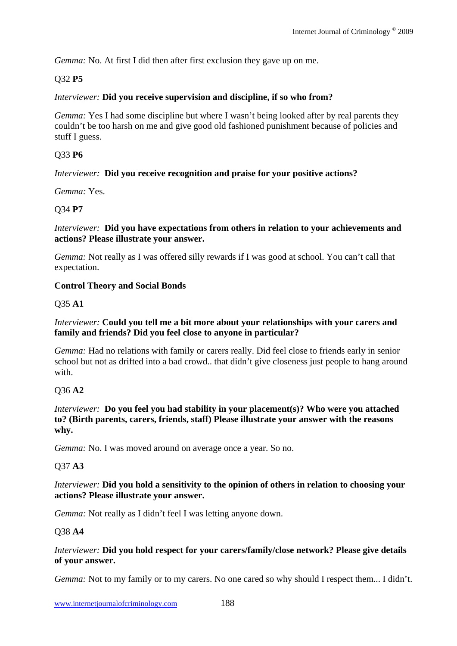*Gemma:* No. At first I did then after first exclusion they gave up on me.

## Q32 **P5**

#### *Interviewer:* **Did you receive supervision and discipline, if so who from?**

*Gemma:* Yes I had some discipline but where I wasn't being looked after by real parents they couldn't be too harsh on me and give good old fashioned punishment because of policies and stuff I guess.

#### Q33 **P6**

#### *Interviewer:* **Did you receive recognition and praise for your positive actions?**

*Gemma:* Yes.

#### Q34 **P7**

*Interviewer:* **Did you have expectations from others in relation to your achievements and actions? Please illustrate your answer.**

*Gemma:* Not really as I was offered silly rewards if I was good at school. You can't call that expectation.

#### **Control Theory and Social Bonds**

#### Q35 **A1**

#### *Interviewer:* **Could you tell me a bit more about your relationships with your carers and family and friends? Did you feel close to anyone in particular?**

*Gemma:* Had no relations with family or carers really. Did feel close to friends early in senior school but not as drifted into a bad crowd.. that didn't give closeness just people to hang around with.

## Q36 **A2**

*Interviewer:* **Do you feel you had stability in your placement(s)? Who were you attached to? (Birth parents, carers, friends, staff) Please illustrate your answer with the reasons why.** 

*Gemma:* No. I was moved around on average once a year. So no.

#### Q37 **A3**

#### *Interviewer:* **Did you hold a sensitivity to the opinion of others in relation to choosing your actions? Please illustrate your answer.**

*Gemma:* Not really as I didn't feel I was letting anyone down.

#### Q38 **A4**

#### *Interviewer:* **Did you hold respect for your carers/family/close network? Please give details of your answer.**

*Gemma:* Not to my family or to my carers. No one cared so why should I respect them... I didn't.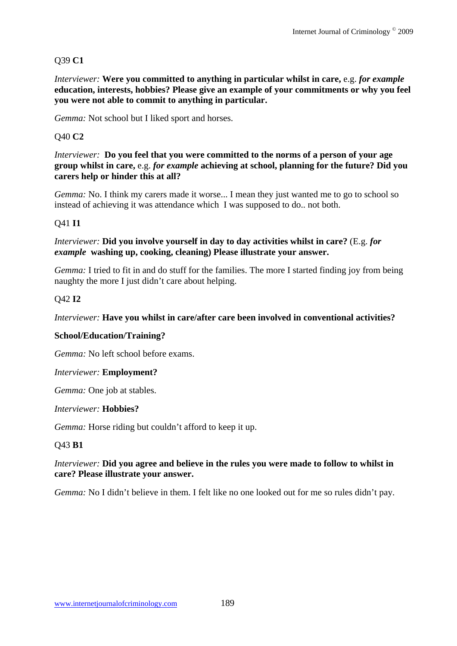# Q39 **C1**

*Interviewer:* **Were you committed to anything in particular whilst in care,** e.g. *for example* **education, interests, hobbies? Please give an example of your commitments or why you feel you were not able to commit to anything in particular.**

*Gemma:* Not school but I liked sport and horses.

## Q40 **C2**

*Interviewer:* **Do you feel that you were committed to the norms of a person of your age group whilst in care,** e.g. *for example* **achieving at school, planning for the future? Did you carers help or hinder this at all?** 

*Gemma:* No. I think my carers made it worse... I mean they just wanted me to go to school so instead of achieving it was attendance which I was supposed to do.. not both.

## Q41 **I1**

#### *Interviewer:* **Did you involve yourself in day to day activities whilst in care?** (E.g. *for example* **washing up, cooking, cleaning) Please illustrate your answer.**

*Gemma:* I tried to fit in and do stuff for the families. The more I started finding joy from being naughty the more I just didn't care about helping.

## Q42 **I2**

## *Interviewer:* **Have you whilst in care/after care been involved in conventional activities?**

## **School/Education/Training?**

*Gemma:* No left school before exams.

## *Interviewer:* **Employment?**

*Gemma:* One job at stables.

## *Interviewer:* **Hobbies?**

*Gemma:* Horse riding but couldn't afford to keep it up.

## Q43 **B1**

## *Interviewer:* **Did you agree and believe in the rules you were made to follow to whilst in care? Please illustrate your answer.**

*Gemma:* No I didn't believe in them. I felt like no one looked out for me so rules didn't pay.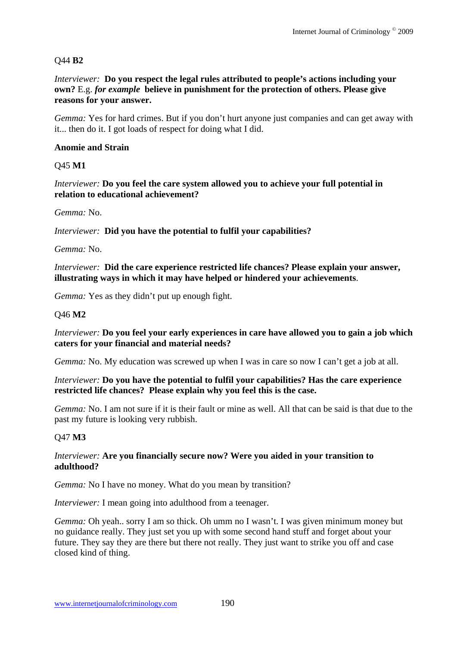# Q44 **B2**

*Interviewer:* **Do you respect the legal rules attributed to people's actions including your own?** E.g. *for example* **believe in punishment for the protection of others. Please give reasons for your answer.** 

*Gemma:* Yes for hard crimes. But if you don't hurt anyone just companies and can get away with it... then do it. I got loads of respect for doing what I did.

## **Anomie and Strain**

Q45 **M1** 

*Interviewer:* **Do you feel the care system allowed you to achieve your full potential in relation to educational achievement?**

*Gemma:* No.

*Interviewer:* **Did you have the potential to fulfil your capabilities?**

*Gemma:* No.

*Interviewer:* **Did the care experience restricted life chances? Please explain your answer, illustrating ways in which it may have helped or hindered your achievements**.

*Gemma:* Yes as they didn't put up enough fight.

## Q46 **M2**

*Interviewer:* **Do you feel your early experiences in care have allowed you to gain a job which caters for your financial and material needs?**

*Gemma:* No. My education was screwed up when I was in care so now I can't get a job at all.

#### *Interviewer:* **Do you have the potential to fulfil your capabilities? Has the care experience restricted life chances? Please explain why you feel this is the case.**

*Gemma:* No. I am not sure if it is their fault or mine as well. All that can be said is that due to the past my future is looking very rubbish.

# Q47 **M3**

#### *Interviewer:* **Are you financially secure now? Were you aided in your transition to adulthood?**

*Gemma:* No I have no money. What do you mean by transition?

*Interviewer:* I mean going into adulthood from a teenager.

*Gemma:* Oh yeah.. sorry I am so thick. Oh umm no I wasn't. I was given minimum money but no guidance really. They just set you up with some second hand stuff and forget about your future. They say they are there but there not really. They just want to strike you off and case closed kind of thing.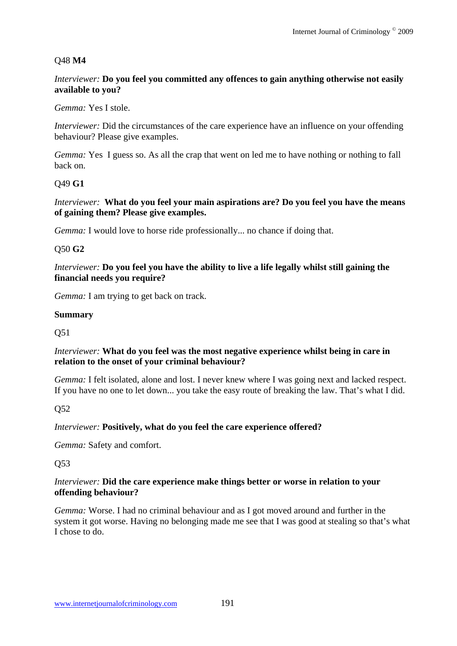## Q48 **M4**

#### *Interviewer:* **Do you feel you committed any offences to gain anything otherwise not easily available to you?**

*Gemma:* Yes I stole.

*Interviewer:* Did the circumstances of the care experience have an influence on your offending behaviour? Please give examples.

*Gemma:* Yes I guess so. As all the crap that went on led me to have nothing or nothing to fall back on.

#### Q49 **G1**

*Interviewer:* **What do you feel your main aspirations are? Do you feel you have the means of gaining them? Please give examples.**

*Gemma*: I would love to horse ride professionally... no chance if doing that.

## Q50 **G2**

*Interviewer:* **Do you feel you have the ability to live a life legally whilst still gaining the financial needs you require?** 

*Gemma:* I am trying to get back on track.

#### **Summary**

Q51

## *Interviewer:* **What do you feel was the most negative experience whilst being in care in relation to the onset of your criminal behaviour?**

*Gemma:* I felt isolated, alone and lost. I never knew where I was going next and lacked respect. If you have no one to let down... you take the easy route of breaking the law. That's what I did.

Q52

## *Interviewer:* **Positively, what do you feel the care experience offered?**

*Gemma:* Safety and comfort.

#### Q53

#### *Interviewer:* **Did the care experience make things better or worse in relation to your offending behaviour?**

*Gemma:* Worse. I had no criminal behaviour and as I got moved around and further in the system it got worse. Having no belonging made me see that I was good at stealing so that's what I chose to do.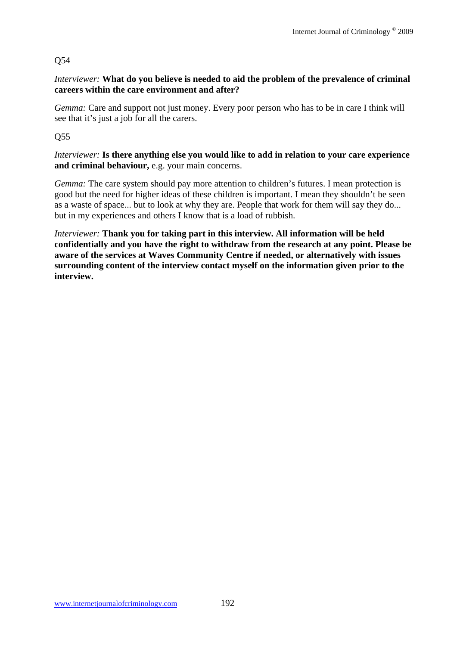# Q54

## *Interviewer:* **What do you believe is needed to aid the problem of the prevalence of criminal careers within the care environment and after?**

*Gemma:* Care and support not just money. Every poor person who has to be in care I think will see that it's just a job for all the carers.

Q55

*Interviewer:* **Is there anything else you would like to add in relation to your care experience and criminal behaviour,** e.g. your main concerns.

*Gemma:* The care system should pay more attention to children's futures. I mean protection is good but the need for higher ideas of these children is important. I mean they shouldn't be seen as a waste of space... but to look at why they are. People that work for them will say they do... but in my experiences and others I know that is a load of rubbish.

*Interviewer:* **Thank you for taking part in this interview. All information will be held confidentially and you have the right to withdraw from the research at any point. Please be aware of the services at Waves Community Centre if needed, or alternatively with issues surrounding content of the interview contact myself on the information given prior to the interview.**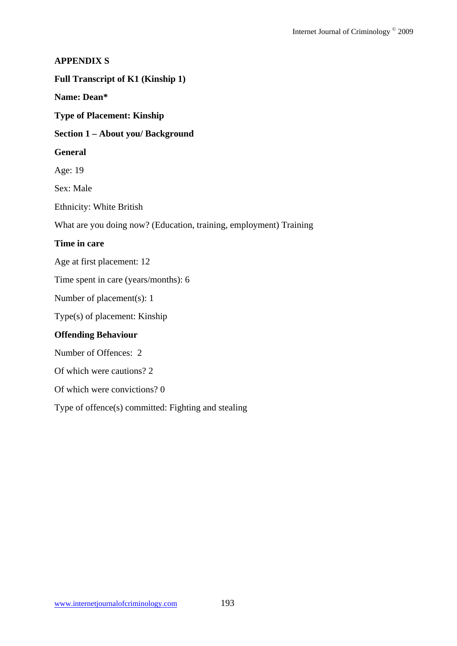#### **APPENDIX S**

## **Full Transcript of K1 (Kinship 1)**

## **Name: Dean\***

**Type of Placement: Kinship** 

#### **Section 1 – About you/ Background**

#### **General**

Age: 19

Sex: Male

Ethnicity: White British

What are you doing now? (Education, training, employment) Training

#### **Time in care**

Age at first placement: 12

Time spent in care (years/months): 6

Number of placement(s): 1

Type(s) of placement: Kinship

## **Offending Behaviour**

Number of Offences: 2

Of which were cautions? 2

Of which were convictions? 0

Type of offence(s) committed: Fighting and stealing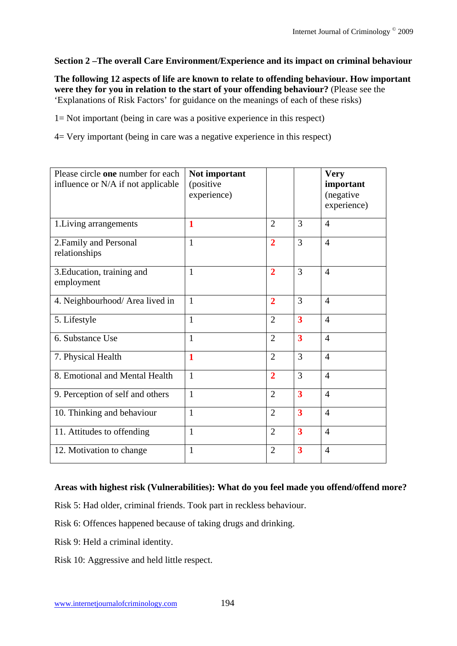## **Section 2 –The overall Care Environment/Experience and its impact on criminal behaviour**

**The following 12 aspects of life are known to relate to offending behaviour. How important were they for you in relation to the start of your offending behaviour?** (Please see the 'Explanations of Risk Factors' for guidance on the meanings of each of these risks)

1= Not important (being in care was a positive experience in this respect)

4= Very important (being in care was a negative experience in this respect)

| Please circle one number for each<br>influence or N/A if not applicable | Not important<br>(positive<br>experience) |                |                         | <b>Very</b><br>important<br>(negative<br>experience) |
|-------------------------------------------------------------------------|-------------------------------------------|----------------|-------------------------|------------------------------------------------------|
| 1. Living arrangements                                                  | 1                                         | $\overline{2}$ | 3                       | $\overline{4}$                                       |
| 2. Family and Personal<br>relationships                                 | $\mathbf{1}$                              | $\overline{2}$ | 3                       | $\overline{4}$                                       |
| 3. Education, training and<br>employment                                | $\mathbf{1}$                              | $\overline{2}$ | 3                       | $\overline{4}$                                       |
| 4. Neighbourhood/ Area lived in                                         | $\mathbf{1}$                              | $\overline{2}$ | 3                       | $\overline{4}$                                       |
| 5. Lifestyle                                                            | $\mathbf{1}$                              | $\overline{2}$ | $\overline{\mathbf{3}}$ | $\overline{4}$                                       |
| 6. Substance Use                                                        | 1                                         | $\overline{2}$ | $\overline{\mathbf{3}}$ | $\overline{4}$                                       |
| 7. Physical Health                                                      | 1                                         | $\overline{2}$ | 3                       | $\overline{4}$                                       |
| 8. Emotional and Mental Health                                          | $\mathbf{1}$                              | $\overline{2}$ | 3                       | $\overline{4}$                                       |
| 9. Perception of self and others                                        | $\mathbf{1}$                              | $\overline{2}$ | $\overline{\mathbf{3}}$ | $\overline{4}$                                       |
| 10. Thinking and behaviour                                              | $\mathbf{1}$                              | $\overline{2}$ | $\overline{\mathbf{3}}$ | $\overline{4}$                                       |
| 11. Attitudes to offending                                              | $\mathbf{1}$                              | $\overline{2}$ | $\overline{\mathbf{3}}$ | $\overline{4}$                                       |
| 12. Motivation to change                                                | 1                                         | $\overline{2}$ | 3                       | $\overline{4}$                                       |

## **Areas with highest risk (Vulnerabilities): What do you feel made you offend/offend more?**

Risk 5: Had older, criminal friends. Took part in reckless behaviour.

Risk 6: Offences happened because of taking drugs and drinking.

Risk 9: Held a criminal identity.

Risk 10: Aggressive and held little respect.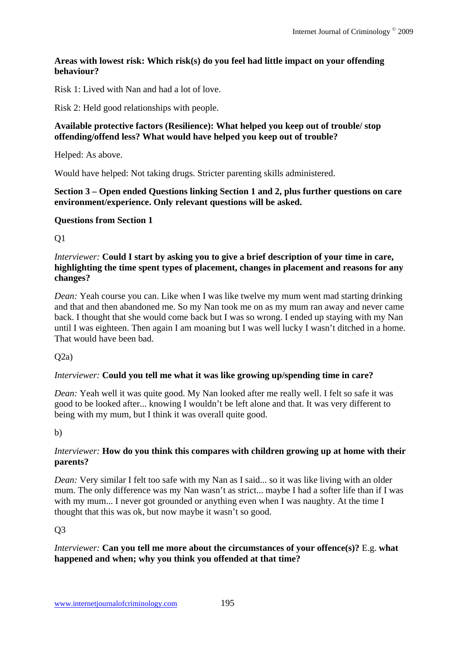## **Areas with lowest risk: Which risk(s) do you feel had little impact on your offending behaviour?**

Risk 1: Lived with Nan and had a lot of love.

Risk 2: Held good relationships with people.

## **Available protective factors (Resilience): What helped you keep out of trouble/ stop offending/offend less? What would have helped you keep out of trouble?**

Helped: As above.

Would have helped: Not taking drugs. Stricter parenting skills administered.

## **Section 3 – Open ended Questions linking Section 1 and 2, plus further questions on care environment/experience. Only relevant questions will be asked.**

## **Questions from Section 1**

Q1

## *Interviewer:* **Could I start by asking you to give a brief description of your time in care, highlighting the time spent types of placement, changes in placement and reasons for any changes?**

*Dean:* Yeah course you can. Like when I was like twelve my mum went mad starting drinking and that and then abandoned me. So my Nan took me on as my mum ran away and never came back. I thought that she would come back but I was so wrong. I ended up staying with my Nan until I was eighteen. Then again I am moaning but I was well lucky I wasn't ditched in a home. That would have been bad.

 $O(2a)$ 

## *Interviewer:* **Could you tell me what it was like growing up/spending time in care?**

*Dean:* Yeah well it was quite good. My Nan looked after me really well. I felt so safe it was good to be looked after... knowing I wouldn't be left alone and that. It was very different to being with my mum, but I think it was overall quite good.

b)

# *Interviewer:* **How do you think this compares with children growing up at home with their parents?**

*Dean:* Very similar I felt too safe with my Nan as I said... so it was like living with an older mum. The only difference was my Nan wasn't as strict... maybe I had a softer life than if I was with my mum... I never got grounded or anything even when I was naughty. At the time I thought that this was ok, but now maybe it wasn't so good.

Q3

## *Interviewer:* **Can you tell me more about the circumstances of your offence(s)?** E.g. **what happened and when; why you think you offended at that time?**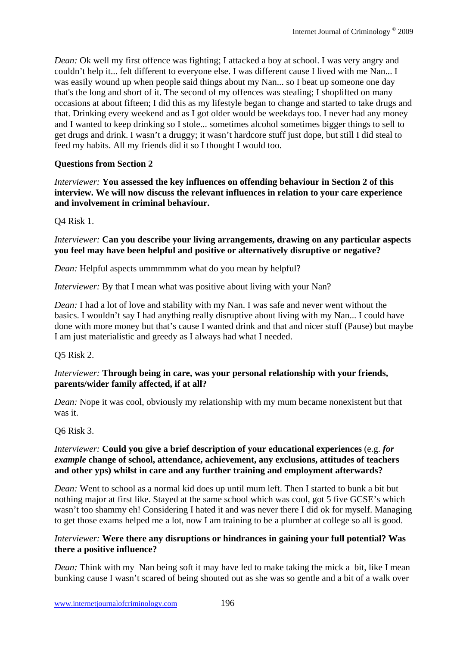*Dean:* Ok well my first offence was fighting; I attacked a boy at school. I was very angry and couldn't help it... felt different to everyone else. I was different cause I lived with me Nan... I was easily wound up when people said things about my Nan... so I beat up someone one day that's the long and short of it. The second of my offences was stealing; I shoplifted on many occasions at about fifteen; I did this as my lifestyle began to change and started to take drugs and that. Drinking every weekend and as I got older would be weekdays too. I never had any money and I wanted to keep drinking so I stole... sometimes alcohol sometimes bigger things to sell to get drugs and drink. I wasn't a druggy; it wasn't hardcore stuff just dope, but still I did steal to feed my habits. All my friends did it so I thought I would too.

# **Questions from Section 2**

*Interviewer:* **You assessed the key influences on offending behaviour in Section 2 of this interview. We will now discuss the relevant influences in relation to your care experience and involvement in criminal behaviour.** 

Q4 Risk 1.

## *Interviewer:* **Can you describe your living arrangements, drawing on any particular aspects you feel may have been helpful and positive or alternatively disruptive or negative?**

*Dean:* Helpful aspects ummmmmm what do you mean by helpful?

*Interviewer:* By that I mean what was positive about living with your Nan?

*Dean:* I had a lot of love and stability with my Nan. I was safe and never went without the basics. I wouldn't say I had anything really disruptive about living with my Nan... I could have done with more money but that's cause I wanted drink and that and nicer stuff (Pause) but maybe I am just materialistic and greedy as I always had what I needed.

Q5 Risk 2.

## *Interviewer:* **Through being in care, was your personal relationship with your friends, parents/wider family affected, if at all?**

*Dean:* Nope it was cool, obviously my relationship with my mum became nonexistent but that was it.

# Q6 Risk 3.

## *Interviewer:* **Could you give a brief description of your educational experiences** (e.g. *for example* **change of school, attendance, achievement, any exclusions, attitudes of teachers and other yps) whilst in care and any further training and employment afterwards?**

*Dean:* Went to school as a normal kid does up until mum left. Then I started to bunk a bit but nothing major at first like. Stayed at the same school which was cool, got 5 five GCSE's which wasn't too shammy eh! Considering I hated it and was never there I did ok for myself. Managing to get those exams helped me a lot, now I am training to be a plumber at college so all is good.

## *Interviewer:* **Were there any disruptions or hindrances in gaining your full potential? Was there a positive influence?**

*Dean:* Think with my Nan being soft it may have led to make taking the mick a bit, like I mean bunking cause I wasn't scared of being shouted out as she was so gentle and a bit of a walk over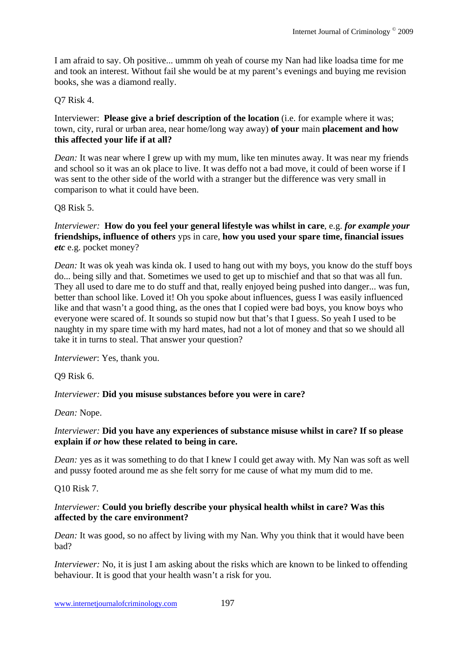I am afraid to say. Oh positive... ummm oh yeah of course my Nan had like loadsa time for me and took an interest. Without fail she would be at my parent's evenings and buying me revision books, she was a diamond really.

Q7 Risk 4.

Interviewer: **Please give a brief description of the location** (i.e. for example where it was; town, city, rural or urban area, near home/long way away) **of your** main **placement and how this affected your life if at all?** 

*Dean:* It was near where I grew up with my mum, like ten minutes away. It was near my friends and school so it was an ok place to live. It was deffo not a bad move, it could of been worse if I was sent to the other side of the world with a stranger but the difference was very small in comparison to what it could have been.

Q8 Risk 5.

*Interviewer:* **How do you feel your general lifestyle was whilst in care**, e.g. *for example your*  **friendships, influence of other***s* yps in care, **how you used your spare time, financial issues** *etc* e.g. pocket money?

*Dean:* It was ok yeah was kinda ok. I used to hang out with my boys, you know do the stuff boys do... being silly and that. Sometimes we used to get up to mischief and that so that was all fun. They all used to dare me to do stuff and that, really enjoyed being pushed into danger... was fun, better than school like. Loved it! Oh you spoke about influences, guess I was easily influenced like and that wasn't a good thing, as the ones that I copied were bad boys, you know boys who everyone were scared of. It sounds so stupid now but that's that I guess. So yeah I used to be naughty in my spare time with my hard mates, had not a lot of money and that so we should all take it in turns to steal. That answer your question?

*Interviewer*: Yes, thank you.

Q9 Risk 6.

# *Interviewer:* **Did you misuse substances before you were in care?**

*Dean:* Nope.

## *Interviewer:* **Did you have any experiences of substance misuse whilst in care? If so please explain if** *or* **how these related to being in care.**

*Dean:* yes as it was something to do that I knew I could get away with. My Nan was soft as well and pussy footed around me as she felt sorry for me cause of what my mum did to me.

Q10 Risk 7.

## *Interviewer:* **Could you briefly describe your physical health whilst in care? Was this affected by the care environment?**

*Dean:* It was good, so no affect by living with my Nan. Why you think that it would have been bad?

*Interviewer:* No, it is just I am asking about the risks which are known to be linked to offending behaviour. It is good that your health wasn't a risk for you.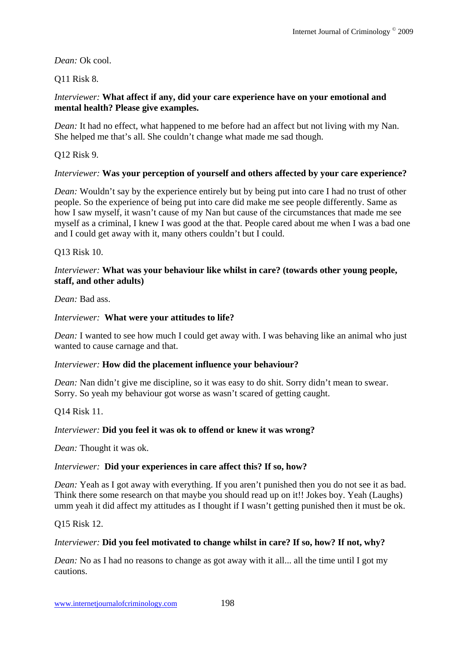## *Dean:* Ok cool.

## Q11 Risk 8.

## *Interviewer:* **What affect if any, did your care experience have on your emotional and mental health? Please give examples.**

*Dean:* It had no effect, what happened to me before had an affect but not living with my Nan. She helped me that's all. She couldn't change what made me sad though.

Q12 Risk 9.

#### *Interviewer:* **Was your perception of yourself and others affected by your care experience?**

*Dean:* Wouldn't say by the experience entirely but by being put into care I had no trust of other people. So the experience of being put into care did make me see people differently. Same as how I saw myself, it wasn't cause of my Nan but cause of the circumstances that made me see myself as a criminal, I knew I was good at the that. People cared about me when I was a bad one and I could get away with it, many others couldn't but I could.

Q13 Risk 10.

#### *Interviewer:* **What was your behaviour like whilst in care? (towards other young people, staff, and other adults)**

*Dean:* Bad ass.

#### *Interviewer:* **What were your attitudes to life?**

*Dean:* I wanted to see how much I could get away with. I was behaving like an animal who just wanted to cause carnage and that.

#### *Interviewer:* **How did the placement influence your behaviour?**

*Dean:* Nan didn't give me discipline, so it was easy to do shit. Sorry didn't mean to swear. Sorry. So yeah my behaviour got worse as wasn't scared of getting caught.

Q14 Risk 11.

#### *Interviewer:* **Did you feel it was ok to offend or knew it was wrong?**

*Dean:* Thought it was ok.

#### *Interviewer:* **Did your experiences in care affect this? If so, how?**

*Dean:* Yeah as I got away with everything. If you aren't punished then you do not see it as bad. Think there some research on that maybe you should read up on it!! Jokes boy. Yeah (Laughs) umm yeah it did affect my attitudes as I thought if I wasn't getting punished then it must be ok.

#### Q15 Risk 12.

#### *Interviewer:* **Did you feel motivated to change whilst in care? If so, how? If not, why?**

*Dean:* No as I had no reasons to change as got away with it all... all the time until I got my cautions.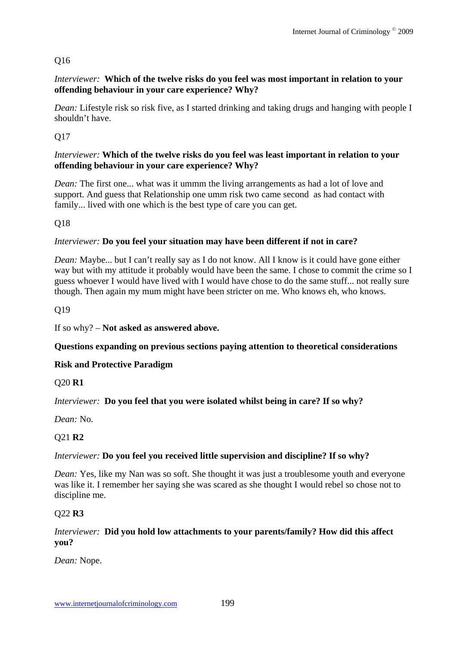# Q16

## *Interviewer:* **Which of the twelve risks do you feel was most important in relation to your offending behaviour in your care experience? Why?**

*Dean:* Lifestyle risk so risk five, as I started drinking and taking drugs and hanging with people I shouldn't have.

Q17

## *Interviewer:* **Which of the twelve risks do you feel was least important in relation to your offending behaviour in your care experience? Why?**

*Dean:* The first one... what was it ummm the living arrangements as had a lot of love and support. And guess that Relationship one umm risk two came second as had contact with family... lived with one which is the best type of care you can get.

Q18

# *Interviewer:* **Do you feel your situation may have been different if not in care?**

*Dean:* Maybe... but I can't really say as I do not know. All I know is it could have gone either way but with my attitude it probably would have been the same. I chose to commit the crime so I guess whoever I would have lived with I would have chose to do the same stuff... not really sure though. Then again my mum might have been stricter on me. Who knows eh, who knows.

Q19

If so why? – **Not asked as answered above.** 

**Questions expanding on previous sections paying attention to theoretical considerations** 

# **Risk and Protective Paradigm**

Q20 **R1** 

*Interviewer:* **Do you feel that you were isolated whilst being in care? If so why?** 

*Dean:* No.

# Q21 **R2**

## *Interviewer:* **Do you feel you received little supervision and discipline? If so why?**

*Dean:* Yes, like my Nan was so soft. She thought it was just a troublesome youth and everyone was like it. I remember her saying she was scared as she thought I would rebel so chose not to discipline me.

## Q22 **R3**

## *Interviewer:* **Did you hold low attachments to your parents/family? How did this affect you?**

*Dean:* Nope.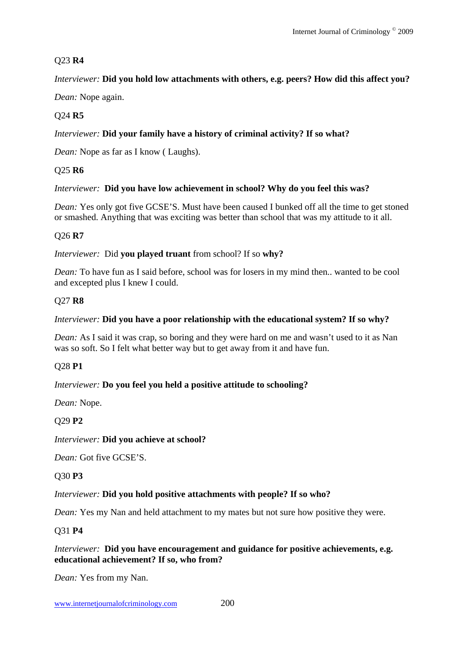# Q23 **R4**

# *Interviewer:* **Did you hold low attachments with others, e.g. peers? How did this affect you?**

*Dean:* Nope again.

# Q24 **R5**

# *Interviewer:* **Did your family have a history of criminal activity? If so what?**

*Dean:* Nope as far as I know ( Laughs).

# Q25 **R6**

# *Interviewer:* **Did you have low achievement in school? Why do you feel this was?**

*Dean:* Yes only got five GCSE'S. Must have been caused I bunked off all the time to get stoned or smashed. Anything that was exciting was better than school that was my attitude to it all.

# Q26 **R7**

*Interviewer:*Did **you played truant** from school? If so **why?** 

*Dean:* To have fun as I said before, school was for losers in my mind then.. wanted to be cool and excepted plus I knew I could.

# Q27 **R8**

## *Interviewer:* **Did you have a poor relationship with the educational system? If so why?**

*Dean:* As I said it was crap, so boring and they were hard on me and wasn't used to it as Nan was so soft. So I felt what better way but to get away from it and have fun.

# Q28 **P1**

# *Interviewer:* **Do you feel you held a positive attitude to schooling?**

*Dean:* Nope.

# Q29 **P2**

## *Interviewer:* **Did you achieve at school?**

*Dean:* Got five GCSE'S.

# Q30 **P3**

## *Interviewer:* **Did you hold positive attachments with people? If so who?**

*Dean:* Yes my Nan and held attachment to my mates but not sure how positive they were.

# Q31 **P4**

*Interviewer:* **Did you have encouragement and guidance for positive achievements, e.g. educational achievement? If so, who from?** 

*Dean:* Yes from my Nan.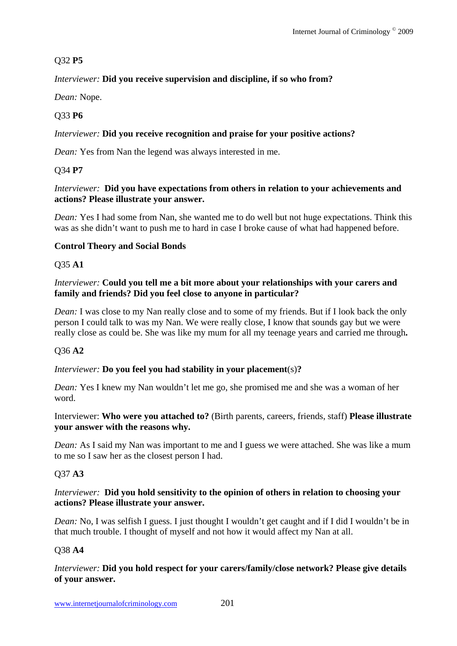# Q32 **P5**

# *Interviewer:* **Did you receive supervision and discipline, if so who from?**

*Dean:* Nope.

# Q33 **P6**

# *Interviewer:* **Did you receive recognition and praise for your positive actions?**

*Dean:* Yes from Nan the legend was always interested in me.

# Q34 **P7**

## *Interviewer:* **Did you have expectations from others in relation to your achievements and actions? Please illustrate your answer.**

*Dean:* Yes I had some from Nan, she wanted me to do well but not huge expectations. Think this was as she didn't want to push me to hard in case I broke cause of what had happened before.

# **Control Theory and Social Bonds**

## Q35 **A1**

## *Interviewer:* **Could you tell me a bit more about your relationships with your carers and family and friends? Did you feel close to anyone in particular?**

*Dean:* I was close to my Nan really close and to some of my friends. But if I look back the only person I could talk to was my Nan. We were really close, I know that sounds gay but we were really close as could be. She was like my mum for all my teenage years and carried me through**.** 

# Q36 **A2**

# *Interviewer:* **Do you feel you had stability in your placement**(s)**?**

*Dean:* Yes I knew my Nan wouldn't let me go, she promised me and she was a woman of her word.

## Interviewer: **Who were you attached to?** (Birth parents, careers, friends, staff) **Please illustrate your answer with the reasons why.**

*Dean:* As I said my Nan was important to me and I guess we were attached. She was like a mum to me so I saw her as the closest person I had.

# Q37 **A3**

## *Interviewer:* **Did you hold sensitivity to the opinion of others in relation to choosing your actions? Please illustrate your answer.**

*Dean:* No, I was selfish I guess. I just thought I wouldn't get caught and if I did I wouldn't be in that much trouble. I thought of myself and not how it would affect my Nan at all.

## Q38 **A4**

## *Interviewer:* **Did you hold respect for your carers/family/close network? Please give details of your answer.**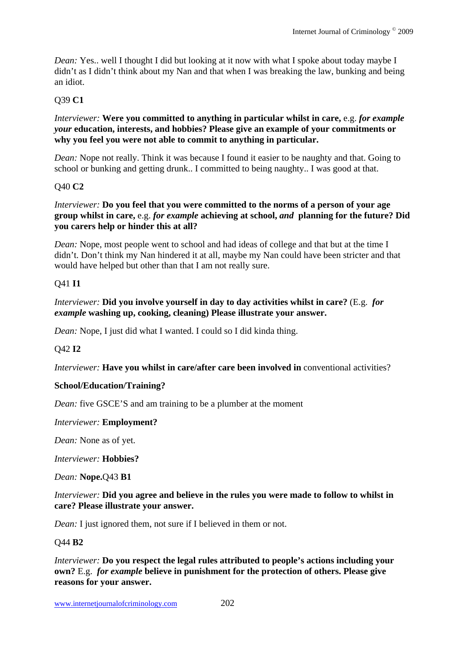*Dean:* Yes.. well I thought I did but looking at it now with what I spoke about today maybe I didn't as I didn't think about my Nan and that when I was breaking the law, bunking and being an idiot.

## Q39 **C1**

*Interviewer:* **Were you committed to anything in particular whilst in care,** e.g. *for example your* **education, interests, and hobbies? Please give an example of your commitments or why you feel you were not able to commit to anything in particular.** 

*Dean:* Nope not really. Think it was because I found it easier to be naughty and that. Going to school or bunking and getting drunk.. I committed to being naughty.. I was good at that.

## Q40 **C2**

#### *Interviewer:* **Do you feel that you were committed to the norms of a person of your age group whilst in care,** e.g. *for example* **achieving at school,** *and* **planning for the future? Did you carers help or hinder this at all?**

*Dean:* Nope, most people went to school and had ideas of college and that but at the time I didn't. Don't think my Nan hindered it at all, maybe my Nan could have been stricter and that would have helped but other than that I am not really sure.

#### Q41 **I1**

## *Interviewer:* **Did you involve yourself in day to day activities whilst in care?** (E.g. *for example* **washing up, cooking, cleaning) Please illustrate your answer.**

*Dean:* Nope, I just did what I wanted. I could so I did kinda thing.

## Q42 **I2**

*Interviewer:* **Have you whilst in care/after care been involved in** conventional activities?

## **School/Education/Training?**

*Dean:* five GSCE'S and am training to be a plumber at the moment

#### *Interviewer:* **Employment?**

*Dean:* None as of yet.

*Interviewer:* **Hobbies?** 

*Dean:* **Nope.**Q43 **B1** 

## *Interviewer:* **Did you agree and believe in the rules you were made to follow to whilst in care? Please illustrate your answer.**

*Dean:* I just ignored them, not sure if I believed in them or not.

## Q44 **B2**

*Interviewer:* **Do you respect the legal rules attributed to people's actions including your own?** E.g. *for example* **believe in punishment for the protection of others. Please give reasons for your answer.**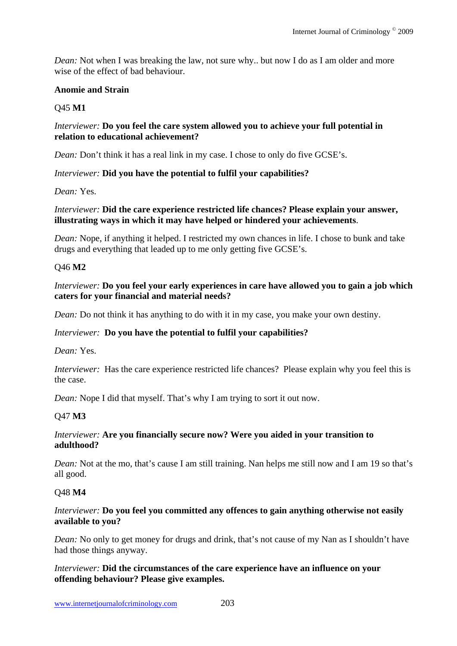*Dean:* Not when I was breaking the law, not sure why.. but now I do as I am older and more wise of the effect of bad behaviour.

#### **Anomie and Strain**

## Q45 **M1**

#### *Interviewer:* **Do you feel the care system allowed you to achieve your full potential in relation to educational achievement?**

*Dean:* Don't think it has a real link in my case. I chose to only do five GCSE's.

#### *Interviewer:* **Did you have the potential to fulfil your capabilities?**

*Dean:* Yes.

#### *Interviewer:* **Did the care experience restricted life chances? Please explain your answer, illustrating ways in which it may have helped or hindered your achievements**.

*Dean:* Nope, if anything it helped. I restricted my own chances in life. I chose to bunk and take drugs and everything that leaded up to me only getting five GCSE's.

#### Q46 **M2**

#### *Interviewer:* **Do you feel your early experiences in care have allowed you to gain a job which caters for your financial and material needs?**

*Dean:* Do not think it has anything to do with it in my case, you make your own destiny.

## *Interviewer:* **Do you have the potential to fulfil your capabilities?**

*Dean:* Yes.

*Interviewer:* Has the care experience restricted life chances? Please explain why you feel this is the case.

*Dean:* Nope I did that myself. That's why I am trying to sort it out now.

## Q47 **M3**

#### *Interviewer:* **Are you financially secure now? Were you aided in your transition to adulthood?**

*Dean:* Not at the mo, that's cause I am still training. Nan helps me still now and I am 19 so that's all good.

## Q48 **M4**

#### *Interviewer:* **Do you feel you committed any offences to gain anything otherwise not easily available to you?**

*Dean:* No only to get money for drugs and drink, that's not cause of my Nan as I shouldn't have had those things anyway.

*Interviewer:* **Did the circumstances of the care experience have an influence on your offending behaviour? Please give examples.**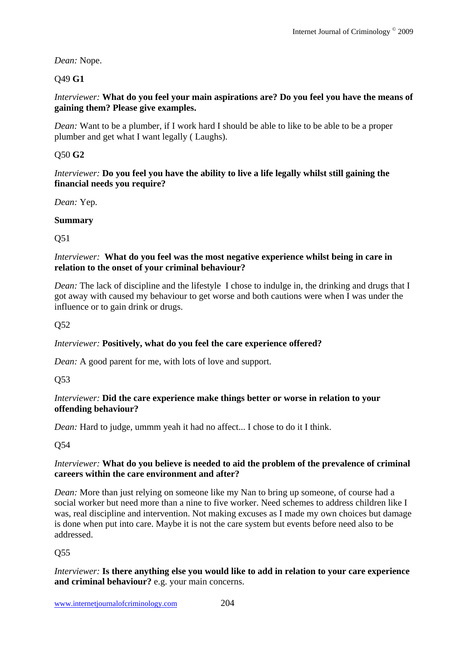*Dean:* Nope.

# Q49 **G1**

*Interviewer:* **What do you feel your main aspirations are? Do you feel you have the means of gaining them? Please give examples.** 

*Dean:* Want to be a plumber, if I work hard I should be able to like to be able to be a proper plumber and get what I want legally ( Laughs).

# Q50 **G2**

*Interviewer:* **Do you feel you have the ability to live a life legally whilst still gaining the financial needs you require?**

*Dean:* Yep.

# **Summary**

Q51

## *Interviewer:* **What do you feel was the most negative experience whilst being in care in relation to the onset of your criminal behaviour?**

*Dean:* The lack of discipline and the lifestyle I chose to indulge in, the drinking and drugs that I got away with caused my behaviour to get worse and both cautions were when I was under the influence or to gain drink or drugs.

Q52

# *Interviewer:* **Positively, what do you feel the care experience offered?**

*Dean:* A good parent for me, with lots of love and support.

Q53

# *Interviewer:* **Did the care experience make things better or worse in relation to your offending behaviour?**

*Dean:* Hard to judge, ummm yeah it had no affect... I chose to do it I think.

Q54

## *Interviewer:* **What do you believe is needed to aid the problem of the prevalence of criminal careers within the care environment and after?**

*Dean:* More than just relying on someone like my Nan to bring up someone, of course had a social worker but need more than a nine to five worker. Need schemes to address children like I was, real discipline and intervention. Not making excuses as I made my own choices but damage is done when put into care. Maybe it is not the care system but events before need also to be addressed.

# Q55

*Interviewer:* **Is there anything else you would like to add in relation to your care experience and criminal behaviour?** e.g. your main concerns.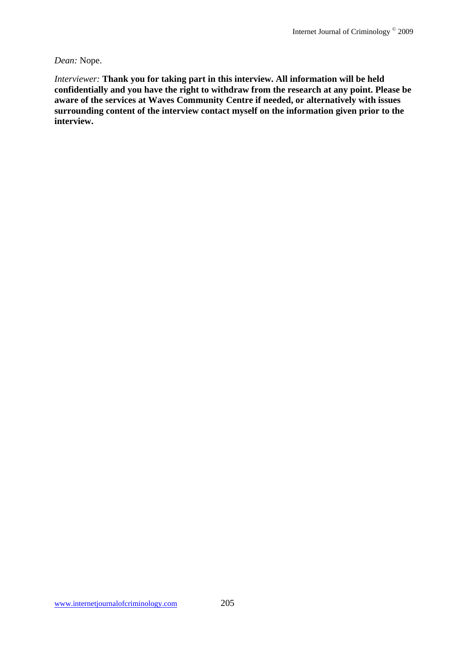#### *Dean:* Nope.

*Interviewer:* **Thank you for taking part in this interview. All information will be held confidentially and you have the right to withdraw from the research at any point. Please be aware of the services at Waves Community Centre if needed, or alternatively with issues surrounding content of the interview contact myself on the information given prior to the interview.**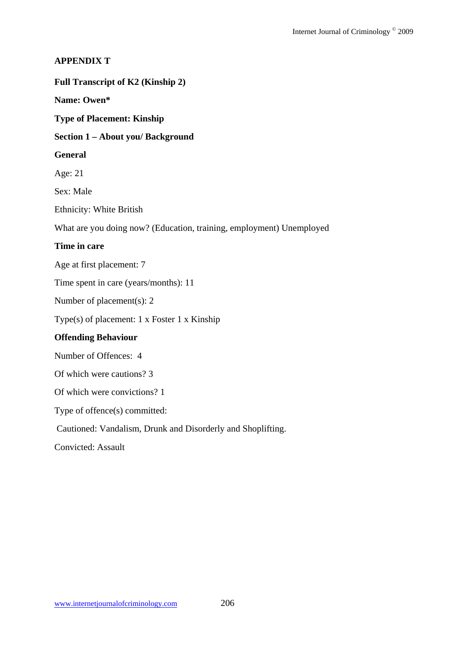## **APPENDIX T**

**Full Transcript of K2 (Kinship 2)** 

**Name: Owen\*** 

**Type of Placement: Kinship** 

#### **Section 1 – About you/ Background**

#### **General**

Age: 21

Sex: Male

Ethnicity: White British

What are you doing now? (Education, training, employment) Unemployed

#### **Time in care**

Age at first placement: 7

Time spent in care (years/months): 11

Number of placement(s): 2

Type(s) of placement: 1 x Foster 1 x Kinship

#### **Offending Behaviour**

Number of Offences: 4

Of which were cautions? 3

Of which were convictions? 1

Type of offence(s) committed:

Cautioned: Vandalism, Drunk and Disorderly and Shoplifting.

Convicted: Assault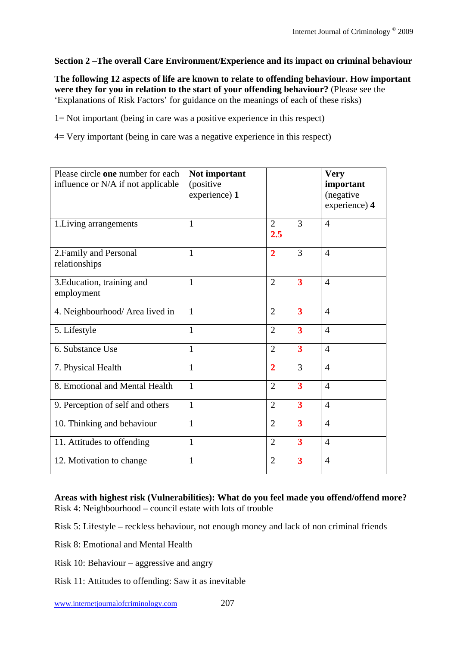## **Section 2 –The overall Care Environment/Experience and its impact on criminal behaviour**

**The following 12 aspects of life are known to relate to offending behaviour. How important were they for you in relation to the start of your offending behaviour?** (Please see the 'Explanations of Risk Factors' for guidance on the meanings of each of these risks)

1= Not important (being in care was a positive experience in this respect)

4= Very important (being in care was a negative experience in this respect)

| Please circle one number for each<br>influence or N/A if not applicable | Not important<br>(positive)<br>experience) 1 |                       |                         | <b>Very</b><br>important<br>(negative<br>experience) 4 |
|-------------------------------------------------------------------------|----------------------------------------------|-----------------------|-------------------------|--------------------------------------------------------|
| 1. Living arrangements                                                  | 1                                            | $\overline{2}$<br>2.5 | 3                       | $\overline{4}$                                         |
| 2. Family and Personal<br>relationships                                 | $\mathbf{1}$                                 | $\overline{2}$        | 3                       | $\overline{4}$                                         |
| 3. Education, training and<br>employment                                | $\mathbf{1}$                                 | $\overline{2}$        | $\overline{\mathbf{3}}$ | $\overline{4}$                                         |
| 4. Neighbourhood/ Area lived in                                         | $\mathbf{1}$                                 | $\overline{2}$        | $\overline{\mathbf{3}}$ | $\overline{4}$                                         |
| 5. Lifestyle                                                            | $\mathbf{1}$                                 | $\overline{2}$        | $\overline{\mathbf{3}}$ | $\overline{4}$                                         |
| 6. Substance Use                                                        | 1                                            | $\overline{2}$        | $\overline{\mathbf{3}}$ | $\overline{4}$                                         |
| 7. Physical Health                                                      | $\mathbf{1}$                                 | $\overline{2}$        | 3                       | $\overline{4}$                                         |
| 8. Emotional and Mental Health                                          | $\mathbf{1}$                                 | $\overline{2}$        | $\overline{\mathbf{3}}$ | $\overline{4}$                                         |
| 9. Perception of self and others                                        | $\mathbf{1}$                                 | $\overline{2}$        | $\overline{\mathbf{3}}$ | $\overline{4}$                                         |
| 10. Thinking and behaviour                                              | $\mathbf{1}$                                 | $\overline{2}$        | 3                       | $\overline{4}$                                         |
| 11. Attitudes to offending                                              | $\mathbf{1}$                                 | $\overline{2}$        | $\overline{\mathbf{3}}$ | $\overline{4}$                                         |
| 12. Motivation to change                                                | $\mathbf{1}$                                 | $\overline{2}$        | $\overline{\mathbf{3}}$ | $\overline{4}$                                         |

#### **Areas with highest risk (Vulnerabilities): What do you feel made you offend/offend more?**  Risk 4: Neighbourhood – council estate with lots of trouble

Risk 5: Lifestyle – reckless behaviour, not enough money and lack of non criminal friends

Risk 8: Emotional and Mental Health

- Risk 10: Behaviour aggressive and angry
- Risk 11: Attitudes to offending: Saw it as inevitable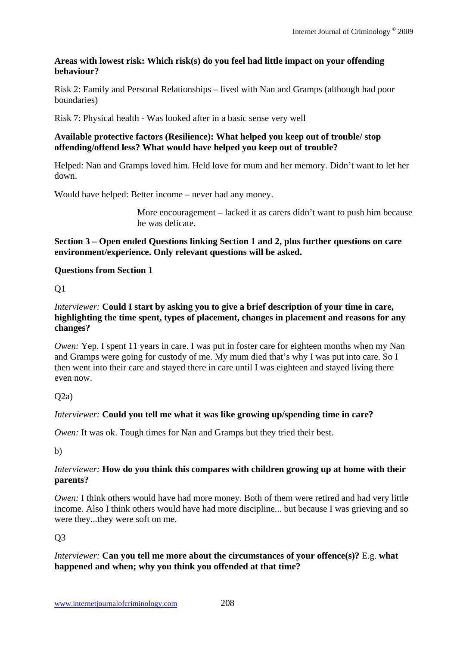## **Areas with lowest risk: Which risk(s) do you feel had little impact on your offending behaviour?**

Risk 2: Family and Personal Relationships – lived with Nan and Gramps (although had poor boundaries)

Risk 7: Physical health - Was looked after in a basic sense very well

## **Available protective factors (Resilience): What helped you keep out of trouble/ stop offending/offend less? What would have helped you keep out of trouble?**

Helped: Nan and Gramps loved him. Held love for mum and her memory. Didn't want to let her down.

Would have helped: Better income – never had any money.

More encouragement – lacked it as carers didn't want to push him because he was delicate.

## **Section 3 – Open ended Questions linking Section 1 and 2, plus further questions on care environment/experience. Only relevant questions will be asked.**

# **Questions from Section 1**

Q1

## *Interviewer:* **Could I start by asking you to give a brief description of your time in care, highlighting the time spent, types of placement, changes in placement and reasons for any changes?**

*Owen:* Yep. I spent 11 years in care. I was put in foster care for eighteen months when my Nan and Gramps were going for custody of me. My mum died that's why I was put into care. So I then went into their care and stayed there in care until I was eighteen and stayed living there even now.

 $O(2a)$ 

# *Interviewer:* **Could you tell me what it was like growing up/spending time in care?**

*Owen:* It was ok. Tough times for Nan and Gramps but they tried their best.

b)

## *Interviewer:* **How do you think this compares with children growing up at home with their parents?**

*Owen:* I think others would have had more money. Both of them were retired and had very little income. Also I think others would have had more discipline... but because I was grieving and so were they...they were soft on me.

# Q3

# *Interviewer:* **Can you tell me more about the circumstances of your offence(s)?** E.g. **what happened and when; why you think you offended at that time?**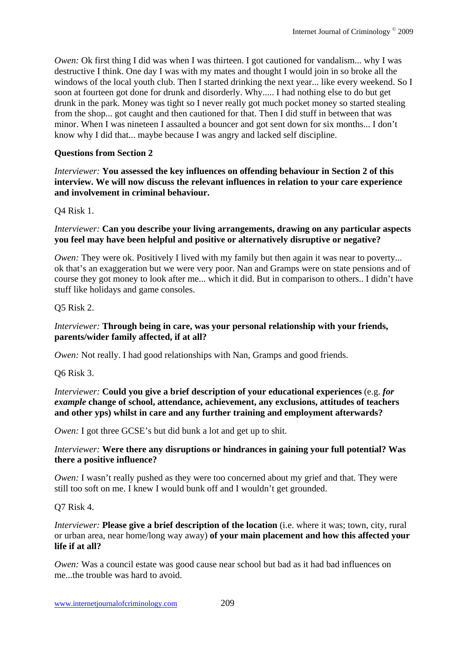*Owen:* Ok first thing I did was when I was thirteen. I got cautioned for vandalism... why I was destructive I think. One day I was with my mates and thought I would join in so broke all the windows of the local youth club. Then I started drinking the next year... like every weekend. So I soon at fourteen got done for drunk and disorderly. Why..... I had nothing else to do but get drunk in the park. Money was tight so I never really got much pocket money so started stealing from the shop... got caught and then cautioned for that. Then I did stuff in between that was minor. When I was nineteen I assaulted a bouncer and got sent down for six months... I don't know why I did that... maybe because I was angry and lacked self discipline.

#### **Questions from Section 2**

*Interviewer:* **You assessed the key influences on offending behaviour in Section 2 of this interview. We will now discuss the relevant influences in relation to your care experience and involvement in criminal behaviour.** 

Q4 Risk 1.

#### *Interviewer:* **Can you describe your living arrangements, drawing on any particular aspects you feel may have been helpful and positive or alternatively disruptive or negative?**

*Owen:* They were ok. Positively I lived with my family but then again it was near to poverty... ok that's an exaggeration but we were very poor. Nan and Gramps were on state pensions and of course they got money to look after me... which it did. But in comparison to others.. I didn't have stuff like holidays and game consoles.

#### Q5 Risk 2.

## *Interviewer:* **Through being in care, was your personal relationship with your friends, parents/wider family affected, if at all?**

*Owen:* Not really. I had good relationships with Nan, Gramps and good friends.

Q6 Risk 3.

*Interviewer:* **Could you give a brief description of your educational experiences** (e.g. *for example* **change of school, attendance, achievement, any exclusions, attitudes of teachers and other yps) whilst in care and any further training and employment afterwards?** 

*Owen:* I got three GCSE's but did bunk a lot and get up to shit.

## *Interviewer:* **Were there any disruptions or hindrances in gaining your full potential? Was there a positive influence?**

*Owen:* I wasn't really pushed as they were too concerned about my grief and that. They were still too soft on me. I knew I would bunk off and I wouldn't get grounded.

#### Q7 Risk 4.

*Interviewer:* **Please give a brief description of the location** (i.e. where it was; town, city, rural or urban area, near home/long way away) **of your main placement and how this affected your life if at all?** 

*Owen:* Was a council estate was good cause near school but bad as it had bad influences on me...the trouble was hard to avoid.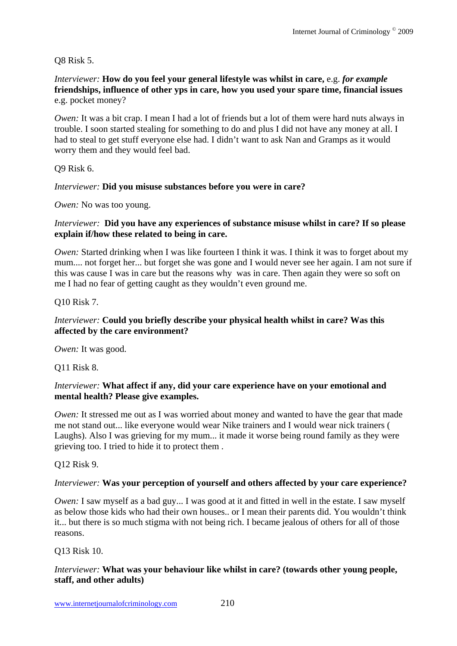## Q8 Risk 5.

*Interviewer:* **How do you feel your general lifestyle was whilst in care,** e.g. *for example* **friendships, influence of other yps in care, how you used your spare time, financial issues**  e.g. pocket money?

*Owen:* It was a bit crap. I mean I had a lot of friends but a lot of them were hard nuts always in trouble. I soon started stealing for something to do and plus I did not have any money at all. I had to steal to get stuff everyone else had. I didn't want to ask Nan and Gramps as it would worry them and they would feel bad.

Q9 Risk 6.

## *Interviewer:* **Did you misuse substances before you were in care?**

*Owen:* No was too young.

## *Interviewer:* **Did you have any experiences of substance misuse whilst in care? If so please explain if/how these related to being in care.**

*Owen:* Started drinking when I was like fourteen I think it was. I think it was to forget about my mum.... not forget her... but forget she was gone and I would never see her again. I am not sure if this was cause I was in care but the reasons why was in care. Then again they were so soft on me I had no fear of getting caught as they wouldn't even ground me.

## Q10 Risk 7.

## *Interviewer:* **Could you briefly describe your physical health whilst in care? Was this affected by the care environment?**

*Owen:* It was good.

Q11 Risk 8.

#### *Interviewer:* **What affect if any, did your care experience have on your emotional and mental health? Please give examples.**

*Owen:* It stressed me out as I was worried about money and wanted to have the gear that made me not stand out... like everyone would wear Nike trainers and I would wear nick trainers ( Laughs). Also I was grieving for my mum... it made it worse being round family as they were grieving too. I tried to hide it to protect them .

Q12 Risk 9.

## *Interviewer:* **Was your perception of yourself and others affected by your care experience?**

*Owen:* I saw myself as a bad guy... I was good at it and fitted in well in the estate. I saw myself as below those kids who had their own houses.. or I mean their parents did. You wouldn't think it... but there is so much stigma with not being rich. I became jealous of others for all of those reasons.

## Q13 Risk 10.

## *Interviewer:* **What was your behaviour like whilst in care? (towards other young people, staff, and other adults)**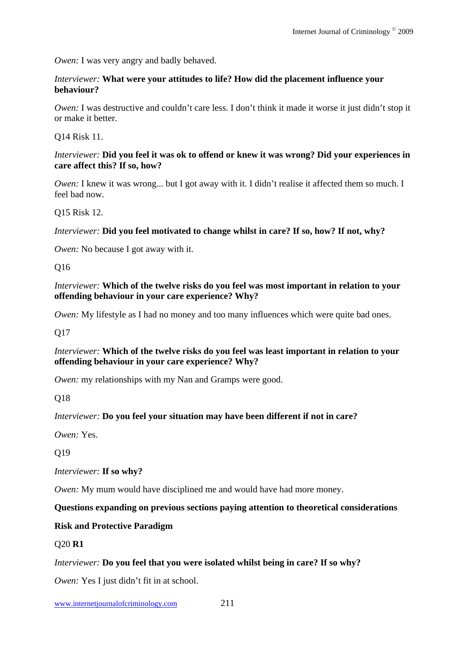*Owen:* I was very angry and badly behaved.

#### *Interviewer:* **What were your attitudes to life? How did the placement influence your behaviour?**

*Owen:* I was destructive and couldn't care less. I don't think it made it worse it just didn't stop it or make it better.

Q14 Risk 11.

#### *Interviewer:* **Did you feel it was ok to offend or knew it was wrong? Did your experiences in care affect this? If so, how?**

*Owen:* I knew it was wrong... but I got away with it. I didn't realise it affected them so much. I feel bad now.

Q15 Risk 12.

## *Interviewer:* **Did you feel motivated to change whilst in care? If so, how? If not, why?**

*Owen:* No because I got away with it.

Q16

*Interviewer:* **Which of the twelve risks do you feel was most important in relation to your offending behaviour in your care experience? Why?**

*Owen:* My lifestyle as I had no money and too many influences which were quite bad ones.

Q17

## *Interviewer:* **Which of the twelve risks do you feel was least important in relation to your offending behaviour in your care experience? Why?**

*Owen:* my relationships with my Nan and Gramps were good.

Q18

## *Interviewer:* **Do you feel your situation may have been different if not in care?**

*Owen:* Yes.

Q19

*Interviewer:* **If so why?**

*Owen:* My mum would have disciplined me and would have had more money.

## **Questions expanding on previous sections paying attention to theoretical considerations**

## **Risk and Protective Paradigm**

## Q20 **R1**

## *Interviewer:* **Do you feel that you were isolated whilst being in care? If so why?**

*Owen:* Yes I just didn't fit in at school.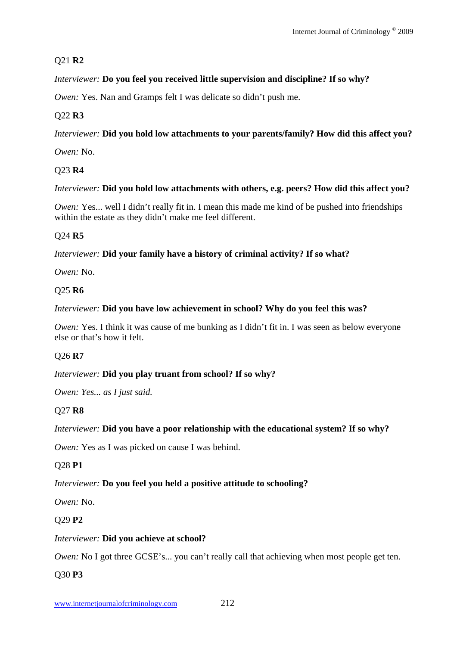# Q21 **R2**

# *Interviewer:* **Do you feel you received little supervision and discipline? If so why?**

*Owen:* Yes. Nan and Gramps felt I was delicate so didn't push me.

# Q22 **R3**

# *Interviewer:* **Did you hold low attachments to your parents/family? How did this affect you?**

*Owen:* No.

# Q23 **R4**

## *Interviewer:* **Did you hold low attachments with others, e.g. peers? How did this affect you?**

*Owen:* Yes... well I didn't really fit in. I mean this made me kind of be pushed into friendships within the estate as they didn't make me feel different.

## Q24 **R5**

## *Interviewer:* **Did your family have a history of criminal activity? If so what?**

*Owen:* No.

## Q25 **R6**

## *Interviewer:* **Did you have low achievement in school? Why do you feel this was?**

*Owen:* Yes. I think it was cause of me bunking as I didn't fit in. I was seen as below everyone else or that's how it felt.

# Q26 **R7**

## *Interviewer:* **Did you play truant from school? If so why?**

*Owen: Yes... as I just said.* 

# Q27 **R8**

# *Interviewer:* **Did you have a poor relationship with the educational system? If so why?**

*Owen:* Yes as I was picked on cause I was behind.

# Q28 **P1**

# *Interviewer:* **Do you feel you held a positive attitude to schooling?**

*Owen:* No.

# Q29 **P2**

## *Interviewer:* **Did you achieve at school?**

*Owen:* No I got three GCSE's... you can't really call that achieving when most people get ten.

## Q30 **P3**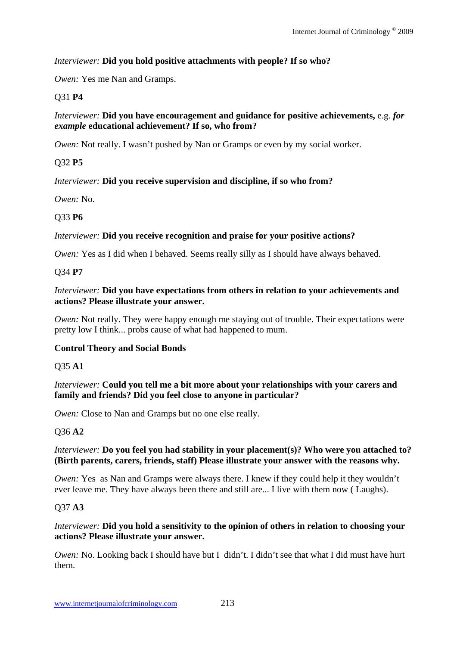# *Interviewer:* **Did you hold positive attachments with people? If so who?**

*Owen:* Yes me Nan and Gramps.

# Q31 **P4**

## *Interviewer:* **Did you have encouragement and guidance for positive achievements,** e.g. *for example* **educational achievement? If so, who from?**

*Owen:* Not really. I wasn't pushed by Nan or Gramps or even by my social worker.

# Q32 **P5**

# *Interviewer:* **Did you receive supervision and discipline, if so who from?**

*Owen:* No.

# Q33 **P6**

# *Interviewer:* **Did you receive recognition and praise for your positive actions?**

*Owen:* Yes as I did when I behaved. Seems really silly as I should have always behaved.

# Q34 **P7**

## *Interviewer:* **Did you have expectations from others in relation to your achievements and actions? Please illustrate your answer.**

*Owen:* Not really. They were happy enough me staying out of trouble. Their expectations were pretty low I think... probs cause of what had happened to mum.

# **Control Theory and Social Bonds**

Q35 **A1** 

*Interviewer:* **Could you tell me a bit more about your relationships with your carers and family and friends? Did you feel close to anyone in particular?**

*Owen:* Close to Nan and Gramps but no one else really.

# Q36 **A2**

## *Interviewer:* **Do you feel you had stability in your placement(s)? Who were you attached to? (Birth parents, carers, friends, staff) Please illustrate your answer with the reasons why.**

*Owen:* Yes as Nan and Gramps were always there. I knew if they could help it they wouldn't ever leave me. They have always been there and still are... I live with them now ( Laughs).

# Q37 **A3**

## *Interviewer:* **Did you hold a sensitivity to the opinion of others in relation to choosing your actions? Please illustrate your answer.**

*Owen:* No. Looking back I should have but I didn't. I didn't see that what I did must have hurt them.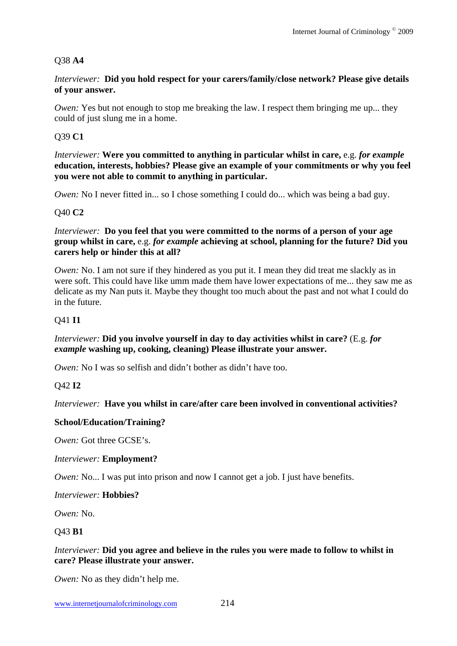## Q38 **A4**

#### *Interviewer:* **Did you hold respect for your carers/family/close network? Please give details of your answer.**

*Owen:* Yes but not enough to stop me breaking the law. I respect them bringing me up... they could of just slung me in a home.

#### Q39 **C1**

*Interviewer:* **Were you committed to anything in particular whilst in care,** e.g. *for example* **education, interests, hobbies? Please give an example of your commitments or why you feel you were not able to commit to anything in particular.**

*Owen:* No I never fitted in... so I chose something I could do... which was being a bad guy.

#### Q40 **C2**

#### *Interviewer:* **Do you feel that you were committed to the norms of a person of your age group whilst in care,** e.g. *for example* **achieving at school, planning for the future? Did you carers help or hinder this at all?**

*Owen:* No. I am not sure if they hindered as you put it. I mean they did treat me slackly as in were soft. This could have like umm made them have lower expectations of me... they saw me as delicate as my Nan puts it. Maybe they thought too much about the past and not what I could do in the future.

#### Q41 **I1**

#### *Interviewer:* **Did you involve yourself in day to day activities whilst in care?** (E.g. *for example* **washing up, cooking, cleaning) Please illustrate your answer.**

*Owen:* No I was so selfish and didn't bother as didn't have too.

#### Q42 **I2**

#### *Interviewer:* **Have you whilst in care/after care been involved in conventional activities?**

#### **School/Education/Training?**

*Owen:* Got three GCSE's.

#### *Interviewer:* **Employment?**

*Owen:* No... I was put into prison and now I cannot get a job. I just have benefits.

#### *Interviewer:* **Hobbies?**

*Owen:* No.

#### Q43 **B1**

#### *Interviewer:* **Did you agree and believe in the rules you were made to follow to whilst in care? Please illustrate your answer.**

*Owen:* No as they didn't help me.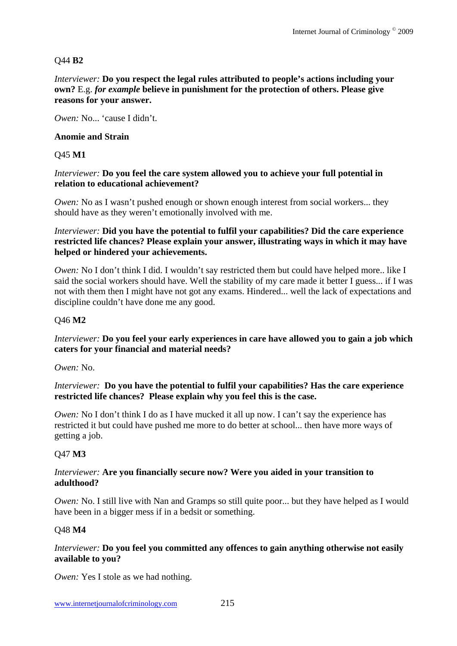## Q44 **B2**

#### *Interviewer:* **Do you respect the legal rules attributed to people's actions including your own?** E.g. *for example* **believe in punishment for the protection of others. Please give reasons for your answer.**

*Owen:* No... 'cause I didn't.

#### **Anomie and Strain**

#### Q45 **M1**

#### *Interviewer:* **Do you feel the care system allowed you to achieve your full potential in relation to educational achievement?**

*Owen:* No as I wasn't pushed enough or shown enough interest from social workers... they should have as they weren't emotionally involved with me.

#### *Interviewer:* **Did you have the potential to fulfil your capabilities? Did the care experience restricted life chances? Please explain your answer, illustrating ways in which it may have helped or hindered your achievements.**

*Owen*: No I don't think I did. I wouldn't say restricted them but could have helped more.. like I said the social workers should have. Well the stability of my care made it better I guess... if I was not with them then I might have not got any exams. Hindered... well the lack of expectations and discipline couldn't have done me any good.

#### Q46 **M2**

#### *Interviewer:* **Do you feel your early experiences in care have allowed you to gain a job which caters for your financial and material needs?**

*Owen:* No.

#### *Interviewer:* **Do you have the potential to fulfil your capabilities? Has the care experience restricted life chances? Please explain why you feel this is the case.**

*Owen:* No I don't think I do as I have mucked it all up now. I can't say the experience has restricted it but could have pushed me more to do better at school... then have more ways of getting a job.

## Q47 **M3**

#### *Interviewer:* **Are you financially secure now? Were you aided in your transition to adulthood?**

*Owen:* No. I still live with Nan and Gramps so still quite poor... but they have helped as I would have been in a bigger mess if in a bedsit or something.

#### Q48 **M4**

## *Interviewer:* **Do you feel you committed any offences to gain anything otherwise not easily available to you?**

*Owen:* Yes I stole as we had nothing.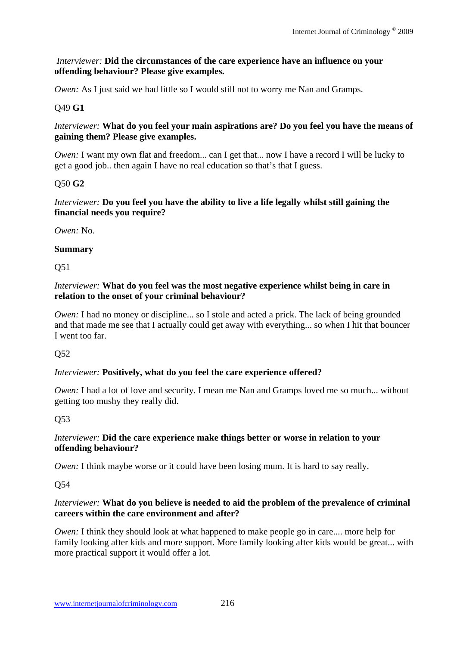## *Interviewer:* **Did the circumstances of the care experience have an influence on your offending behaviour? Please give examples.**

*Owen:* As I just said we had little so I would still not to worry me Nan and Gramps.

# Q49 **G1**

## *Interviewer:* **What do you feel your main aspirations are? Do you feel you have the means of gaining them? Please give examples.**

*Owen*: I want my own flat and freedom... can I get that... now I have a record I will be lucky to get a good job.. then again I have no real education so that's that I guess.

## Q50 **G2**

## *Interviewer:* **Do you feel you have the ability to live a life legally whilst still gaining the financial needs you require?**

*Owen:* No.

## **Summary**

Q51

#### *Interviewer:* **What do you feel was the most negative experience whilst being in care in relation to the onset of your criminal behaviour?**

*Owen:* I had no money or discipline... so I stole and acted a prick. The lack of being grounded and that made me see that I actually could get away with everything... so when I hit that bouncer I went too far.

## Q52

## *Interviewer:* **Positively, what do you feel the care experience offered?**

*Owen:* I had a lot of love and security. I mean me Nan and Gramps loved me so much... without getting too mushy they really did.

## Q53

## *Interviewer:* **Did the care experience make things better or worse in relation to your offending behaviour?**

*Owen:* I think maybe worse or it could have been losing mum. It is hard to say really.

Q54

## *Interviewer:* **What do you believe is needed to aid the problem of the prevalence of criminal careers within the care environment and after?**

*Owen:* I think they should look at what happened to make people go in care.... more help for family looking after kids and more support. More family looking after kids would be great... with more practical support it would offer a lot.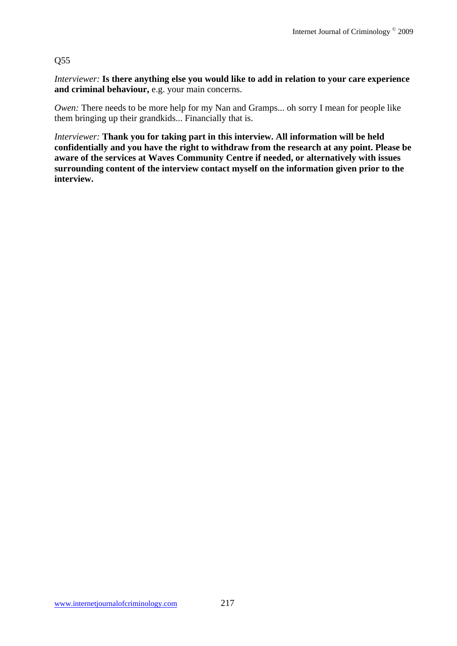## Q55

*Interviewer:* **Is there anything else you would like to add in relation to your care experience and criminal behaviour,** e.g. your main concerns.

*Owen:* There needs to be more help for my Nan and Gramps... oh sorry I mean for people like them bringing up their grandkids... Financially that is.

*Interviewer:* **Thank you for taking part in this interview. All information will be held confidentially and you have the right to withdraw from the research at any point. Please be aware of the services at Waves Community Centre if needed, or alternatively with issues surrounding content of the interview contact myself on the information given prior to the interview.**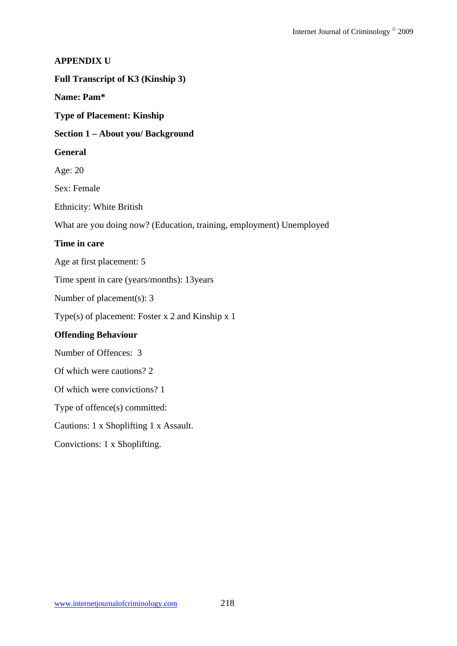## **APPENDIX U**

#### **Full Transcript of K3 (Kinship 3)**

## **Name: Pam\***

**Type of Placement: Kinship** 

#### **Section 1 – About you/ Background**

#### **General**

Age: 20

Sex: Female

Ethnicity: White British

What are you doing now? (Education, training, employment) Unemployed

## **Time in care**

Age at first placement: 5

Time spent in care (years/months): 13years

Number of placement(s): 3

Type(s) of placement: Foster x 2 and Kinship x 1

## **Offending Behaviour**

Number of Offences: 3

Of which were cautions? 2

Of which were convictions? 1

Type of offence(s) committed:

Cautions: 1 x Shoplifting 1 x Assault.

Convictions: 1 x Shoplifting.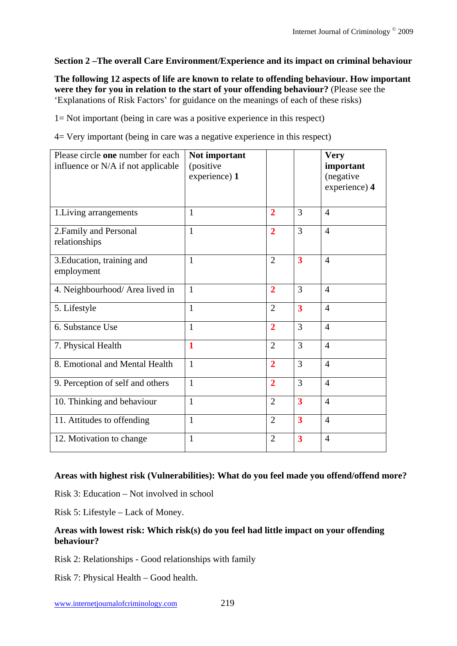## **Section 2 –The overall Care Environment/Experience and its impact on criminal behaviour**

**The following 12 aspects of life are known to relate to offending behaviour. How important were they for you in relation to the start of your offending behaviour?** (Please see the 'Explanations of Risk Factors' for guidance on the meanings of each of these risks)

1= Not important (being in care was a positive experience in this respect)

4= Very important (being in care was a negative experience in this respect)

| Please circle one number for each<br>influence or N/A if not applicable | Not important<br>(positive<br>experience) 1 |                |                         | <b>Very</b><br>important<br>(negative<br>experience) 4 |
|-------------------------------------------------------------------------|---------------------------------------------|----------------|-------------------------|--------------------------------------------------------|
| 1. Living arrangements                                                  | $\mathbf{1}$                                | $\overline{2}$ | 3                       | $\overline{4}$                                         |
| 2. Family and Personal<br>relationships                                 | $\mathbf{1}$                                | $\overline{2}$ | 3                       | $\overline{4}$                                         |
| 3. Education, training and<br>employment                                | $\mathbf{1}$                                | $\overline{2}$ | $\overline{\mathbf{3}}$ | $\overline{4}$                                         |
| 4. Neighbourhood/ Area lived in                                         | $\mathbf{1}$                                | $\overline{2}$ | $\overline{3}$          | $\overline{4}$                                         |
| 5. Lifestyle                                                            | $\mathbf{1}$                                | $\overline{2}$ | 3                       | $\overline{4}$                                         |
| 6. Substance Use                                                        | $\mathbf{1}$                                | $\overline{2}$ | 3                       | $\overline{4}$                                         |
| 7. Physical Health                                                      | 1                                           | $\overline{2}$ | 3                       | $\overline{4}$                                         |
| 8. Emotional and Mental Health                                          | $\mathbf{1}$                                | $\overline{2}$ | $\overline{3}$          | $\overline{4}$                                         |
| 9. Perception of self and others                                        | $\mathbf{1}$                                | $\overline{2}$ | $\overline{3}$          | $\overline{4}$                                         |
| 10. Thinking and behaviour                                              | $\mathbf{1}$                                | $\overline{2}$ | $\overline{\mathbf{3}}$ | $\overline{4}$                                         |
| 11. Attitudes to offending                                              | $\mathbf{1}$                                | $\overline{2}$ | $\overline{\mathbf{3}}$ | $\overline{4}$                                         |
| 12. Motivation to change                                                | $\mathbf{1}$                                | $\overline{2}$ | $\overline{\mathbf{3}}$ | $\overline{4}$                                         |

## **Areas with highest risk (Vulnerabilities): What do you feel made you offend/offend more?**

Risk 3: Education – Not involved in school

Risk 5: Lifestyle – Lack of Money.

## **Areas with lowest risk: Which risk(s) do you feel had little impact on your offending behaviour?**

Risk 2: Relationships - Good relationships with family

Risk 7: Physical Health – Good health.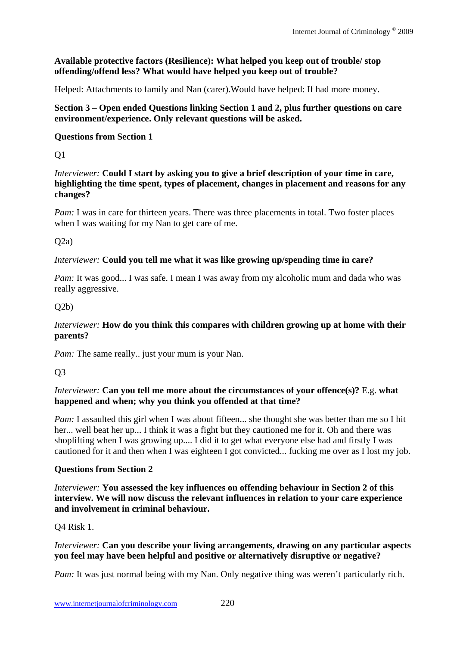## **Available protective factors (Resilience): What helped you keep out of trouble/ stop offending/offend less? What would have helped you keep out of trouble?**

Helped: Attachments to family and Nan (carer).Would have helped: If had more money.

## **Section 3 – Open ended Questions linking Section 1 and 2, plus further questions on care environment/experience. Only relevant questions will be asked.**

## **Questions from Section 1**

Q1

*Interviewer:* **Could I start by asking you to give a brief description of your time in care, highlighting the time spent, types of placement, changes in placement and reasons for any changes?** 

*Pam:* I was in care for thirteen years. There was three placements in total. Two foster places when I was waiting for my Nan to get care of me.

## $O(2a)$

## *Interviewer:* **Could you tell me what it was like growing up/spending time in care?**

*Pam*: It was good... I was safe. I mean I was away from my alcoholic mum and dada who was really aggressive.

## $O2b)$

## *Interviewer:* **How do you think this compares with children growing up at home with their parents?**

*Pam:* The same really.. just your mum is your Nan.

Q3

## *Interviewer:* **Can you tell me more about the circumstances of your offence(s)?** E.g. **what happened and when; why you think you offended at that time?**

*Pam:* I assaulted this girl when I was about fifteen... she thought she was better than me so I hit her... well beat her up... I think it was a fight but they cautioned me for it. Oh and there was shoplifting when I was growing up.... I did it to get what everyone else had and firstly I was cautioned for it and then when I was eighteen I got convicted... fucking me over as I lost my job.

## **Questions from Section 2**

*Interviewer:* **You assessed the key influences on offending behaviour in Section 2 of this interview. We will now discuss the relevant influences in relation to your care experience and involvement in criminal behaviour.** 

Q4 Risk 1.

## *Interviewer:* **Can you describe your living arrangements, drawing on any particular aspects you feel may have been helpful and positive or alternatively disruptive or negative?**

*Pam:* It was just normal being with my Nan. Only negative thing was weren't particularly rich.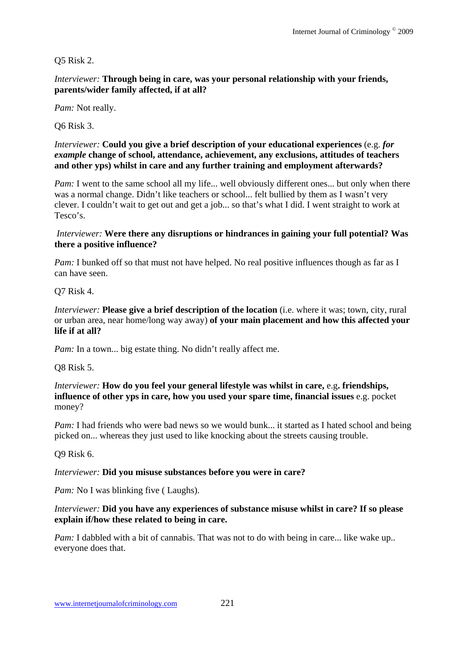## Q5 Risk 2.

*Interviewer:* **Through being in care, was your personal relationship with your friends, parents/wider family affected, if at all?**

*Pam:* Not really.

Q6 Risk 3.

*Interviewer:* **Could you give a brief description of your educational experiences** (e.g. *for example* **change of school, attendance, achievement, any exclusions, attitudes of teachers and other yps) whilst in care and any further training and employment afterwards?** 

*Pam:* I went to the same school all my life... well obviously different ones... but only when there was a normal change. Didn't like teachers or school... felt bullied by them as I wasn't very clever. I couldn't wait to get out and get a job... so that's what I did. I went straight to work at Tesco's.

#### *Interviewer:* **Were there any disruptions or hindrances in gaining your full potential? Was there a positive influence?**

*Pam:* I bunked off so that must not have helped. No real positive influences though as far as I can have seen.

Q7 Risk 4.

*Interviewer:* **Please give a brief description of the location** (i.e. where it was; town, city, rural or urban area, near home/long way away) **of your main placement and how this affected your life if at all?** 

*Pam:* In a town... big estate thing. No didn't really affect me.

Q8 Risk 5.

*Interviewer:* **How do you feel your general lifestyle was whilst in care,** e.g**. friendships, influence of other yps in care, how you used your spare time, financial issues** e.g. pocket money?

*Pam:* I had friends who were bad news so we would bunk... it started as I hated school and being picked on... whereas they just used to like knocking about the streets causing trouble.

Q9 Risk 6.

#### *Interviewer:* **Did you misuse substances before you were in care?**

*Pam:* No I was blinking five (Laughs).

#### *Interviewer:* **Did you have any experiences of substance misuse whilst in care? If so please explain if/how these related to being in care.**

*Pam:* I dabbled with a bit of cannabis. That was not to do with being in care... like wake up.. everyone does that.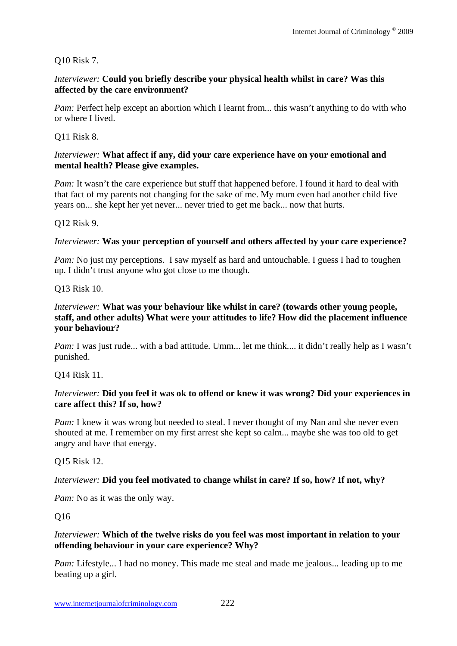#### Q10 Risk 7.

#### *Interviewer:* **Could you briefly describe your physical health whilst in care? Was this affected by the care environment?**

*Pam:* Perfect help except an abortion which I learnt from... this wasn't anything to do with who or where I lived.

Q11 Risk 8.

#### *Interviewer:* **What affect if any, did your care experience have on your emotional and mental health? Please give examples.**

*Pam:* It wasn't the care experience but stuff that happened before. I found it hard to deal with that fact of my parents not changing for the sake of me. My mum even had another child five years on... she kept her yet never... never tried to get me back... now that hurts.

#### Q12 Risk 9.

#### *Interviewer:* **Was your perception of yourself and others affected by your care experience?**

*Pam:* No just my perceptions. I saw myself as hard and untouchable. I guess I had to toughen up. I didn't trust anyone who got close to me though.

#### Q13 Risk 10.

#### *Interviewer:* **What was your behaviour like whilst in care? (towards other young people, staff, and other adults) What were your attitudes to life? How did the placement influence your behaviour?**

*Pam*: I was just rude... with a bad attitude. Umm... let me think.... it didn't really help as I wasn't punished.

Q14 Risk 11.

#### *Interviewer:* **Did you feel it was ok to offend or knew it was wrong? Did your experiences in care affect this? If so, how?**

*Pam:* I knew it was wrong but needed to steal. I never thought of my Nan and she never even shouted at me. I remember on my first arrest she kept so calm... maybe she was too old to get angry and have that energy.

Q15 Risk 12.

#### *Interviewer:* **Did you feel motivated to change whilst in care? If so, how? If not, why?**

*Pam:* No as it was the only way.

Q16

#### *Interviewer:* **Which of the twelve risks do you feel was most important in relation to your offending behaviour in your care experience? Why?**

*Pam:* Lifestyle... I had no money. This made me steal and made me jealous... leading up to me beating up a girl.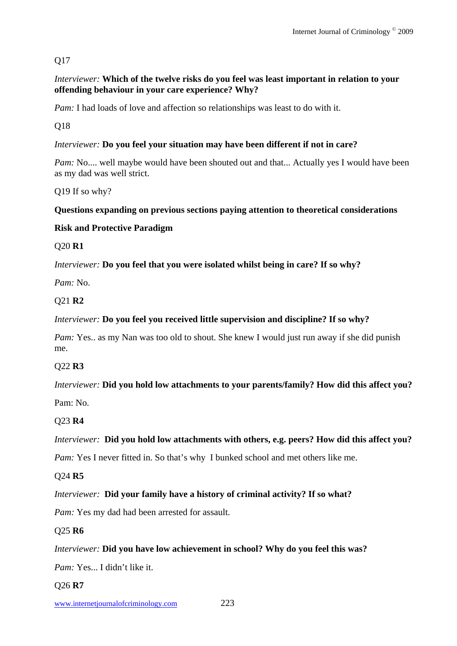# Q17

## *Interviewer:* **Which of the twelve risks do you feel was least important in relation to your offending behaviour in your care experience? Why?**

*Pam*: I had loads of love and affection so relationships was least to do with it.

Q18

## *Interviewer:* **Do you feel your situation may have been different if not in care?**

*Pam:* No.... well maybe would have been shouted out and that... Actually yes I would have been as my dad was well strict.

Q19 If so why?

## **Questions expanding on previous sections paying attention to theoretical considerations**

## **Risk and Protective Paradigm**

Q20 **R1** 

*Interviewer:* **Do you feel that you were isolated whilst being in care? If so why?**

*Pam:* No.

## Q21 **R2**

## *Interviewer:* **Do you feel you received little supervision and discipline? If so why?**

*Pam:* Yes.. as my Nan was too old to shout. She knew I would just run away if she did punish me.

## Q22 **R3**

# *Interviewer:* **Did you hold low attachments to your parents/family? How did this affect you?**

Pam: No.

## Q23 **R4**

## *Interviewer:* **Did you hold low attachments with others, e.g. peers? How did this affect you?**

*Pam:* Yes I never fitted in. So that's why I bunked school and met others like me.

## Q24 **R5**

## *Interviewer:* **Did your family have a history of criminal activity? If so what?**

*Pam:* Yes my dad had been arrested for assault.

## Q25 **R6**

## *Interviewer:* **Did you have low achievement in school? Why do you feel this was?**

*Pam:* Yes... I didn't like it.

## Q26 **R7**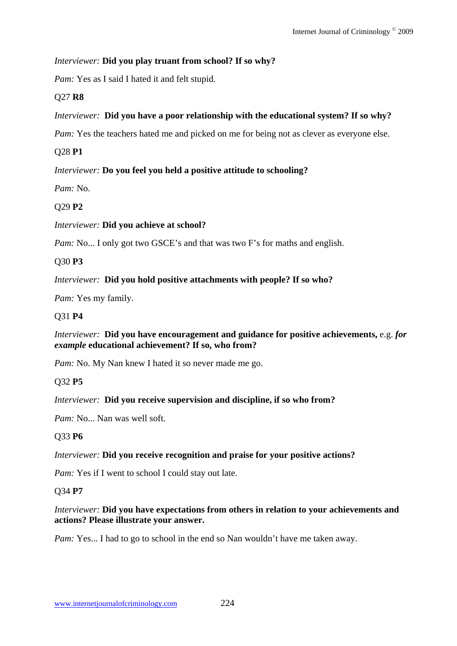## *Interviewer:* **Did you play truant from school? If so why?**

*Pam:* Yes as I said I hated it and felt stupid.

# Q27 **R8**

# *Interviewer:* **Did you have a poor relationship with the educational system? If so why?**

*Pam:* Yes the teachers hated me and picked on me for being not as clever as everyone else.

# Q28 **P1**

# *Interviewer:* **Do you feel you held a positive attitude to schooling?**

*Pam:* No.

# Q29 **P2**

# *Interviewer:* **Did you achieve at school?**

*Pam:* No... I only got two GSCE's and that was two F's for maths and english.

# Q30 **P3**

# *Interviewer:* **Did you hold positive attachments with people? If so who?**

*Pam:* Yes my family.

# Q31 **P4**

## *Interviewer:* **Did you have encouragement and guidance for positive achievements,** e.g. *for example* **educational achievement? If so, who from?**

*Pam:* No. My Nan knew I hated it so never made me go.

# Q32 **P5**

## *Interviewer:* **Did you receive supervision and discipline, if so who from?**

*Pam:* No... Nan was well soft.

# Q33 **P6**

# *Interviewer:* **Did you receive recognition and praise for your positive actions?**

*Pam:* Yes if I went to school I could stay out late.

## Q34 **P7**

## *Interviewer:* **Did you have expectations from others in relation to your achievements and actions? Please illustrate your answer.**

*Pam:* Yes... I had to go to school in the end so Nan wouldn't have me taken away.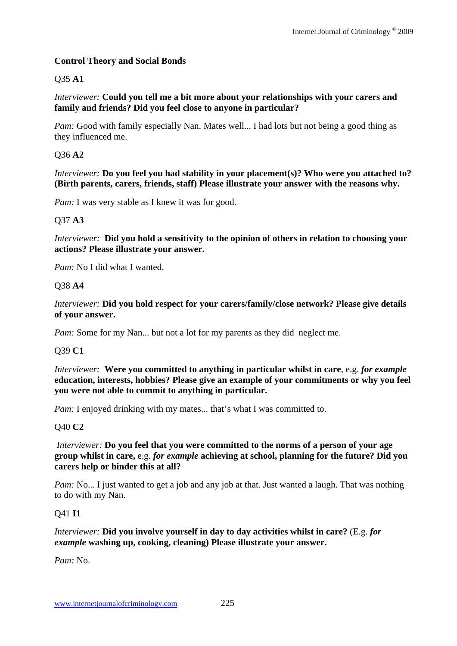## **Control Theory and Social Bonds**

## Q35 **A1**

*Interviewer:* **Could you tell me a bit more about your relationships with your carers and family and friends? Did you feel close to anyone in particular?**

*Pam:* Good with family especially Nan. Mates well... I had lots but not being a good thing as they influenced me.

## Q36 **A2**

*Interviewer:* **Do you feel you had stability in your placement(s)? Who were you attached to? (Birth parents, carers, friends, staff) Please illustrate your answer with the reasons why.**

*Pam:* I was very stable as I knew it was for good.

#### Q37 **A3**

*Interviewer:* **Did you hold a sensitivity to the opinion of others in relation to choosing your actions? Please illustrate your answer.** 

*Pam:* No I did what I wanted.

#### Q38 **A4**

*Interviewer:* **Did you hold respect for your carers/family/close network? Please give details of your answer.** 

*Pam:* Some for my Nan... but not a lot for my parents as they did neglect me.

#### Q39 **C1**

*Interviewer:* **Were you committed to anything in particular whilst in care**, e.g. *for example* **education, interests, hobbies? Please give an example of your commitments or why you feel you were not able to commit to anything in particular.**

*Pam:* I enjoyed drinking with my mates... that's what I was committed to.

## Q40 **C2**

*Interviewer:* **Do you feel that you were committed to the norms of a person of your age group whilst in care,** e.g. *for example* **achieving at school, planning for the future? Did you carers help or hinder this at all?** 

*Pam:* No... I just wanted to get a job and any job at that. Just wanted a laugh. That was nothing to do with my Nan.

#### Q41 **I1**

#### *Interviewer:* **Did you involve yourself in day to day activities whilst in care?** (E.g. *for example* **washing up, cooking, cleaning) Please illustrate your answer.**

*Pam:* No.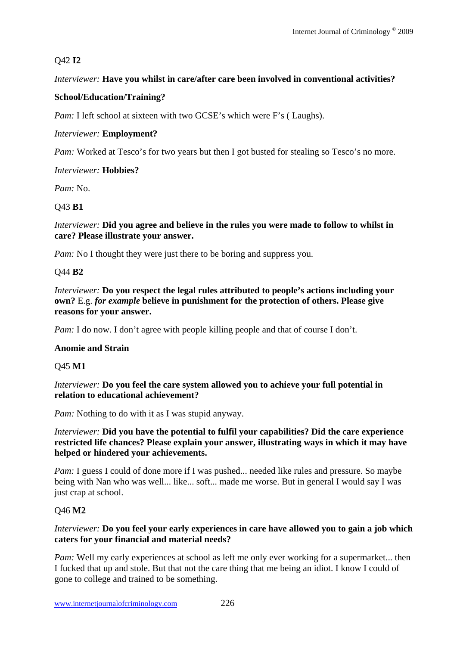# Q42 **I2**

# *Interviewer:* **Have you whilst in care/after care been involved in conventional activities?**

## **School/Education/Training?**

*Pam:* I left school at sixteen with two GCSE's which were F's (Laughs).

## *Interviewer:* **Employment?**

*Pam:* Worked at Tesco's for two years but then I got busted for stealing so Tesco's no more.

## *Interviewer:* **Hobbies?**

*Pam:* No.

## Q43 **B1**

*Interviewer:* **Did you agree and believe in the rules you were made to follow to whilst in care? Please illustrate your answer.**

*Pam:* No I thought they were just there to be boring and suppress you.

# Q44 **B2**

*Interviewer:* **Do you respect the legal rules attributed to people's actions including your own?** E.g. *for example* **believe in punishment for the protection of others. Please give reasons for your answer.** 

*Pam:* I do now. I don't agree with people killing people and that of course I don't.

## **Anomie and Strain**

Q45 **M1** 

## *Interviewer:* **Do you feel the care system allowed you to achieve your full potential in relation to educational achievement?**

*Pam:* Nothing to do with it as I was stupid anyway.

## *Interviewer:* **Did you have the potential to fulfil your capabilities? Did the care experience restricted life chances? Please explain your answer, illustrating ways in which it may have helped or hindered your achievements.**

*Pam:* I guess I could of done more if I was pushed... needed like rules and pressure. So maybe being with Nan who was well... like... soft... made me worse. But in general I would say I was just crap at school.

## Q46 **M2**

## *Interviewer:* **Do you feel your early experiences in care have allowed you to gain a job which caters for your financial and material needs?**

*Pam:* Well my early experiences at school as left me only ever working for a supermarket... then I fucked that up and stole. But that not the care thing that me being an idiot. I know I could of gone to college and trained to be something.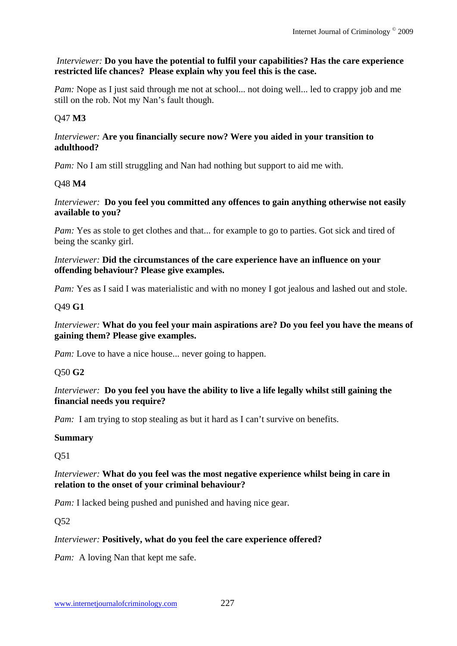## *Interviewer:* **Do you have the potential to fulfil your capabilities? Has the care experience restricted life chances? Please explain why you feel this is the case.**

*Pam:* Nope as I just said through me not at school... not doing well... led to crappy job and me still on the rob. Not my Nan's fault though.

## Q47 **M3**

#### *Interviewer:* **Are you financially secure now? Were you aided in your transition to adulthood?**

*Pam:* No I am still struggling and Nan had nothing but support to aid me with.

## Q48 **M4**

#### *Interviewer:* **Do you feel you committed any offences to gain anything otherwise not easily available to you?**

*Pam:* Yes as stole to get clothes and that... for example to go to parties. Got sick and tired of being the scanky girl.

#### *Interviewer:* **Did the circumstances of the care experience have an influence on your offending behaviour? Please give examples.**

*Pam:* Yes as I said I was materialistic and with no money I got jealous and lashed out and stole.

## Q49 **G1**

## *Interviewer:* **What do you feel your main aspirations are? Do you feel you have the means of gaining them? Please give examples.**

*Pam:* Love to have a nice house... never going to happen.

## Q50 **G2**

## *Interviewer:* **Do you feel you have the ability to live a life legally whilst still gaining the financial needs you require?**

*Pam:* I am trying to stop stealing as but it hard as I can't survive on benefits.

## **Summary**

Q51

## *Interviewer:* **What do you feel was the most negative experience whilst being in care in relation to the onset of your criminal behaviour?**

*Pam:* I lacked being pushed and punished and having nice gear.

Q52

## *Interviewer:* **Positively, what do you feel the care experience offered?**

*Pam:* A loving Nan that kept me safe.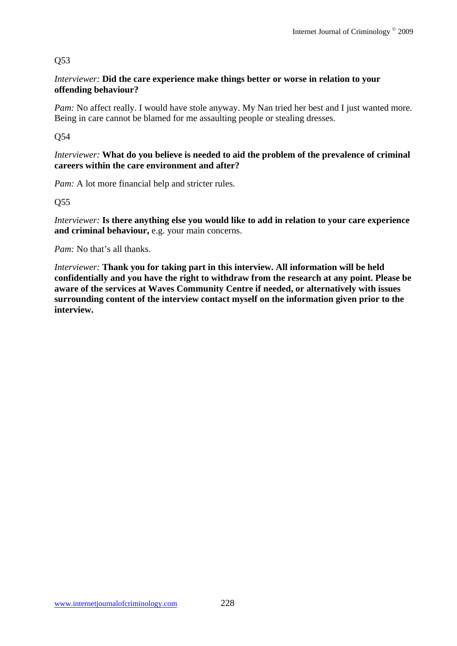## Q53

## *Interviewer:* **Did the care experience make things better or worse in relation to your offending behaviour?**

*Pam:* No affect really. I would have stole anyway. My Nan tried her best and I just wanted more. Being in care cannot be blamed for me assaulting people or stealing dresses.

Q54

*Interviewer:* **What do you believe is needed to aid the problem of the prevalence of criminal careers within the care environment and after?**

*Pam:* A lot more financial help and stricter rules.

Q55

*Interviewer:* **Is there anything else you would like to add in relation to your care experience and criminal behaviour,** e.g. your main concerns.

*Pam:* No that's all thanks.

*Interviewer:* **Thank you for taking part in this interview. All information will be held confidentially and you have the right to withdraw from the research at any point. Please be aware of the services at Waves Community Centre if needed, or alternatively with issues surrounding content of the interview contact myself on the information given prior to the interview.**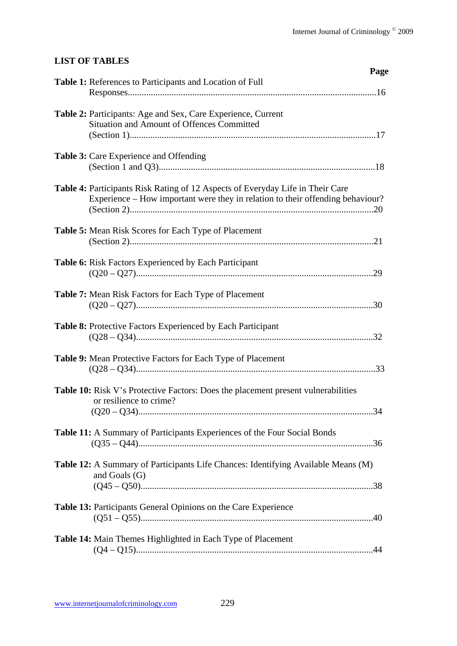# **LIST OF TABLES**

| Page                                                                                                                                                                    |  |
|-------------------------------------------------------------------------------------------------------------------------------------------------------------------------|--|
| <b>Table 1:</b> References to Participants and Location of Full                                                                                                         |  |
| Table 2: Participants: Age and Sex, Care Experience, Current<br>Situation and Amount of Offences Committed                                                              |  |
| Table 3: Care Experience and Offending                                                                                                                                  |  |
| <b>Table 4: Participants Risk Rating of 12 Aspects of Everyday Life in Their Care</b><br>Experience – How important were they in relation to their offending behaviour? |  |
| <b>Table 5:</b> Mean Risk Scores for Each Type of Placement                                                                                                             |  |
| <b>Table 6:</b> Risk Factors Experienced by Each Participant                                                                                                            |  |
| <b>Table 7:</b> Mean Risk Factors for Each Type of Placement                                                                                                            |  |
| <b>Table 8:</b> Protective Factors Experienced by Each Participant                                                                                                      |  |
| Table 9: Mean Protective Factors for Each Type of Placement                                                                                                             |  |
| <b>Table 10:</b> Risk V's Protective Factors: Does the placement present vulnerabilities<br>or resilience to crime?<br>.34                                              |  |
| Table 11: A Summary of Participants Experiences of the Four Social Bonds                                                                                                |  |
| Table 12: A Summary of Participants Life Chances: Identifying Available Means (M)<br>and Goals (G)                                                                      |  |
| Table 13: Participants General Opinions on the Care Experience                                                                                                          |  |
| Table 14: Main Themes Highlighted in Each Type of Placement                                                                                                             |  |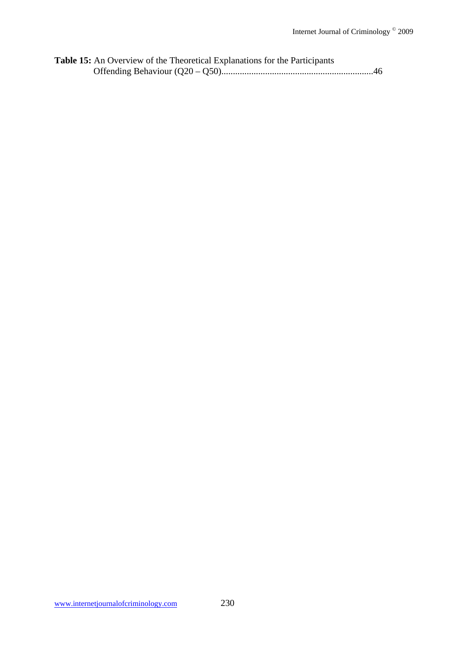| <b>Table 15:</b> An Overview of the Theoretical Explanations for the Participants |  |
|-----------------------------------------------------------------------------------|--|
|                                                                                   |  |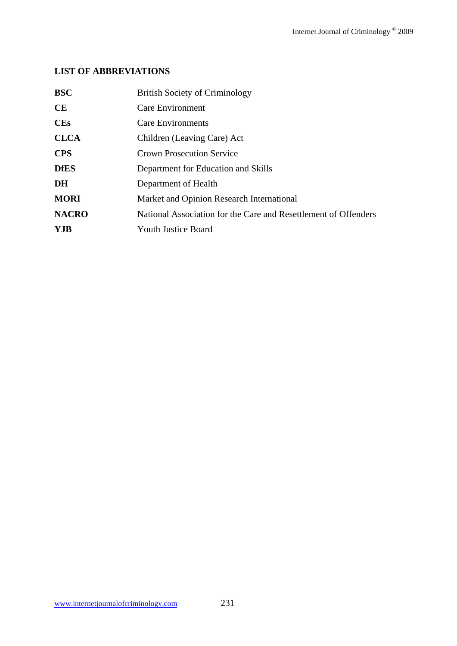# **LIST OF ABBREVIATIONS**

| <b>BSC</b>   | <b>British Society of Criminology</b>                           |
|--------------|-----------------------------------------------------------------|
| <b>CE</b>    | <b>Care Environment</b>                                         |
| <b>CEs</b>   | <b>Care Environments</b>                                        |
| <b>CLCA</b>  | Children (Leaving Care) Act                                     |
| <b>CPS</b>   | <b>Crown Prosecution Service</b>                                |
| <b>DfES</b>  | Department for Education and Skills                             |
| DH           | Department of Health                                            |
| <b>MORI</b>  | Market and Opinion Research International                       |
| <b>NACRO</b> | National Association for the Care and Resettlement of Offenders |
| <b>YJB</b>   | Youth Justice Board                                             |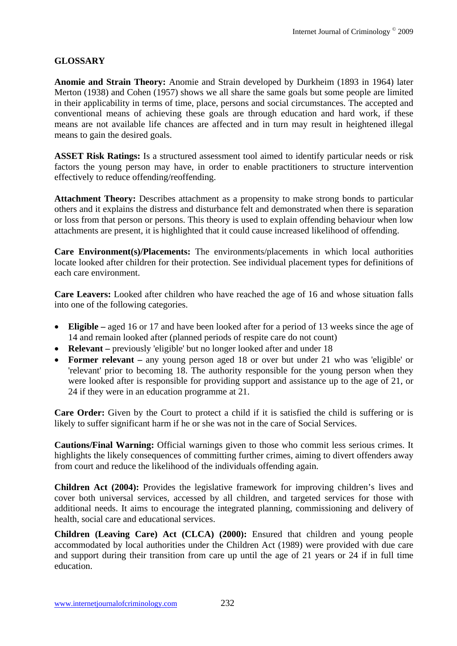# **GLOSSARY**

**Anomie and Strain Theory:** Anomie and Strain developed by Durkheim (1893 in 1964) later Merton (1938) and Cohen (1957) shows we all share the same goals but some people are limited in their applicability in terms of time, place, persons and social circumstances. The accepted and conventional means of achieving these goals are through education and hard work, if these means are not available life chances are affected and in turn may result in heightened illegal means to gain the desired goals.

**ASSET Risk Ratings:** Is a structured assessment tool aimed to identify particular needs or risk factors the young person may have, in order to enable practitioners to structure intervention effectively to reduce offending/reoffending.

**Attachment Theory:** Describes attachment as a propensity to make strong bonds to particular others and it explains the distress and disturbance felt and demonstrated when there is separation or loss from that person or persons. This theory is used to explain offending behaviour when low attachments are present, it is highlighted that it could cause increased likelihood of offending.

**Care Environment(s)/Placements:** The environments/placements in which local authorities locate looked after children for their protection. See individual placement types for definitions of each care environment.

**Care Leavers:** Looked after children who have reached the age of 16 and whose situation falls into one of the following categories.

- **Eligible –** aged 16 or 17 and have been looked after for a period of 13 weeks since the age of 14 and remain looked after (planned periods of respite care do not count)
- **Relevant** previously 'eligible' but no longer looked after and under 18
- **Former relevant –** any young person aged 18 or over but under 21 who was 'eligible' or 'relevant' prior to becoming 18. The authority responsible for the young person when they were looked after is responsible for providing support and assistance up to the age of 21, or 24 if they were in an education programme at 21.

**Care Order:** Given by the Court to protect a child if it is satisfied the child is suffering or is likely to suffer significant harm if he or she was not in the care of Social Services.

**Cautions/Final Warning:** Official warnings given to those who commit less serious crimes. It highlights the likely consequences of committing further crimes, aiming to divert offenders away from court and reduce the likelihood of the individuals offending again.

**Children Act (2004):** Provides the legislative framework for improving children's lives and cover both universal services, accessed by all children, and targeted services for those with additional needs. It aims to encourage the integrated planning, commissioning and delivery of health, social care and educational services.

**Children (Leaving Care) Act (CLCA) (2000):** Ensured that children and young people accommodated by local authorities under the Children Act (1989) were provided with due care and support during their transition from care up until the age of 21 years or 24 if in full time education.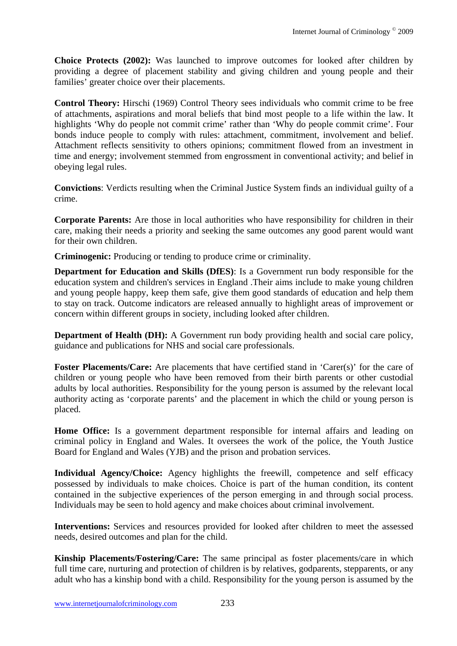**Choice Protects (2002):** Was launched to improve outcomes for looked after children by providing a degree of placement stability and giving children and young people and their families' greater choice over their placements.

**Control Theory:** Hirschi (1969) Control Theory sees individuals who commit crime to be free of attachments, aspirations and moral beliefs that bind most people to a life within the law. It highlights 'Why do people not commit crime' rather than 'Why do people commit crime'. Four bonds induce people to comply with rules: attachment, commitment, involvement and belief. Attachment reflects sensitivity to others opinions; commitment flowed from an investment in time and energy; involvement stemmed from engrossment in conventional activity; and belief in obeying legal rules.

**Convictions**: Verdicts resulting when the Criminal Justice System finds an individual guilty of a crime.

**Corporate Parents:** Are those in local authorities who have responsibility for children in their care, making their needs a priority and seeking the same outcomes any good parent would want for their own children.

**Criminogenic:** Producing or tending to produce crime or criminality.

**Department for Education and Skills (DfES)**: Is a Government run body responsible for the education system and children's services in England .Their aims include to make young children and young people happy, keep them safe, give them good standards of education and help them to stay on track. Outcome indicators are released annually to highlight areas of improvement or concern within different groups in society, including looked after children.

**Department of Health (DH):** A Government run body providing health and social care policy, guidance and publications for NHS and social care professionals.

Foster Placements/Care: Are placements that have certified stand in 'Carer(s)' for the care of children or young people who have been removed from their birth parents or other custodial adults by local authorities. Responsibility for the young person is assumed by the relevant local authority acting as 'corporate parents' and the placement in which the child or young person is placed.

**Home Office:** Is a government department responsible for internal affairs and leading on criminal policy in England and Wales. It oversees the work of the police, the Youth Justice Board for England and Wales (YJB) and the prison and probation services.

**Individual Agency/Choice:** Agency highlights the freewill, competence and self efficacy possessed by individuals to make choices. Choice is part of the human condition, its content contained in the subjective experiences of the person emerging in and through social process. Individuals may be seen to hold agency and make choices about criminal involvement.

**Interventions:** Services and resources provided for looked after children to meet the assessed needs, desired outcomes and plan for the child.

**Kinship Placements/Fostering/Care:** The same principal as foster placements/care in which full time care, nurturing and protection of children is by relatives, godparents, stepparents, or any adult who has a kinship bond with a child. Responsibility for the young person is assumed by the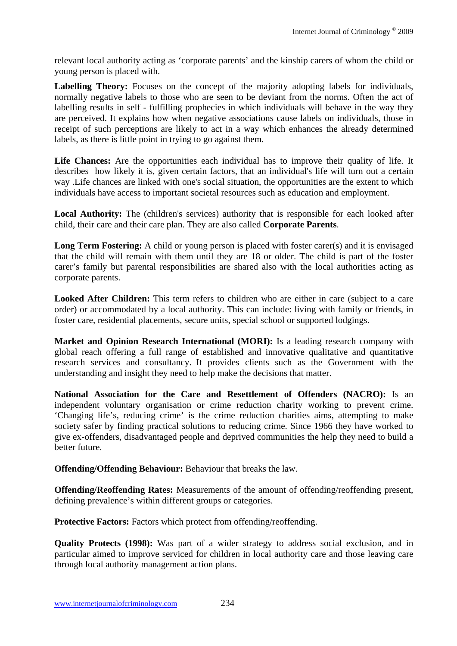relevant local authority acting as 'corporate parents' and the kinship carers of whom the child or young person is placed with.

Labelling Theory: Focuses on the concept of the majority adopting labels for individuals, normally negative labels to those who are seen to be deviant from the norms. Often the act of labelling results in self - fulfilling prophecies in which individuals will behave in the way they are perceived. It explains how when negative associations cause labels on individuals, those in receipt of such perceptions are likely to act in a way which enhances the already determined labels, as there is little point in trying to go against them.

Life Chances: Are the opportunities each individual has to improve their quality of life. It describes how likely it is, given certain factors, that an individual's life will turn out a certain way .Life chances are linked with one's social situation, the opportunities are the extent to which individuals have access to important societal resources such as education and employment.

**Local Authority:** The (children's services) authority that is responsible for each looked after child, their care and their care plan. They are also called **Corporate Parents**.

**Long Term Fostering:** A child or young person is placed with foster carer(s) and it is envisaged that the child will remain with them until they are 18 or older. The child is part of the foster carer's family but parental responsibilities are shared also with the local authorities acting as corporate parents.

**Looked After Children:** This term refers to children who are either in care (subject to a care order) or accommodated by a local authority. This can include: living with family or friends, in foster care, residential placements, secure units, special school or supported lodgings.

**Market and Opinion Research International (MORI):** Is a leading research company with global reach offering a full range of established and innovative qualitative and quantitative research services and consultancy. It provides clients such as the Government with the understanding and insight they need to help make the decisions that matter.

**National Association for the Care and Resettlement of Offenders (NACRO):** Is an independent voluntary organisation or crime reduction charity working to prevent crime. 'Changing life's, reducing crime' is the crime reduction charities aims, attempting to make society safer by finding practical solutions to reducing crime. Since 1966 they have worked to give ex-offenders, disadvantaged people and deprived communities the help they need to build a better future.

**Offending/Offending Behaviour:** Behaviour that breaks the law.

**Offending/Reoffending Rates:** Measurements of the amount of offending/reoffending present, defining prevalence's within different groups or categories.

**Protective Factors:** Factors which protect from offending/reoffending.

**Quality Protects (1998):** Was part of a wider strategy to address social exclusion, and in particular aimed to improve serviced for children in local authority care and those leaving care through local authority management action plans.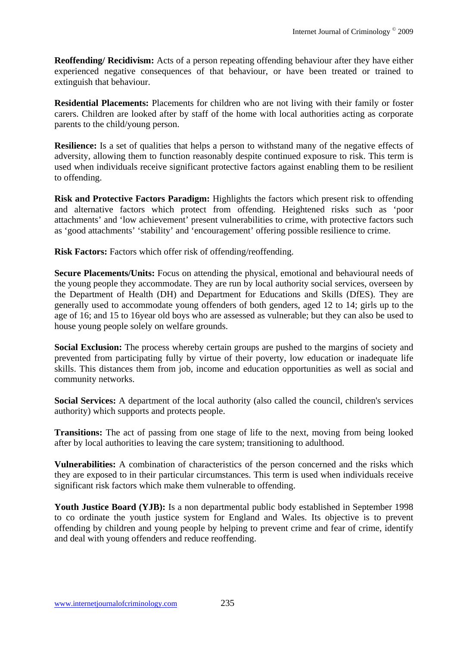**Reoffending/ Recidivism:** Acts of a person repeating offending behaviour after they have either experienced negative consequences of that behaviour, or have been treated or trained to extinguish that behaviour.

**Residential Placements:** Placements for children who are not living with their family or foster carers. Children are looked after by staff of the home with local authorities acting as corporate parents to the child/young person.

**Resilience:** Is a set of qualities that helps a person to withstand many of the negative effects of adversity, allowing them to function reasonably despite continued exposure to risk. This term is used when individuals receive significant protective factors against enabling them to be resilient to offending.

**Risk and Protective Factors Paradigm:** Highlights the factors which present risk to offending and alternative factors which protect from offending. Heightened risks such as 'poor attachments' and 'low achievement' present vulnerabilities to crime, with protective factors such as 'good attachments' 'stability' and 'encouragement' offering possible resilience to crime.

**Risk Factors:** Factors which offer risk of offending/reoffending.

**Secure Placements/Units:** Focus on attending the physical, emotional and behavioural needs of the young people they accommodate. They are run by local authority social services, overseen by the Department of Health (DH) and Department for Educations and Skills (DfES). They are generally used to accommodate young offenders of both genders, aged 12 to 14; girls up to the age of 16; and 15 to 16year old boys who are assessed as vulnerable; but they can also be used to house young people solely on welfare grounds.

**Social Exclusion:** The process whereby certain groups are pushed to the margins of society and prevented from participating fully by virtue of their poverty, low education or inadequate life skills. This distances them from job, income and education opportunities as well as social and community networks.

**Social Services:** A department of the local authority (also called the council, children's services authority) which supports and protects people.

**Transitions:** The act of passing from one stage of life to the next, moving from being looked after by local authorities to leaving the care system; transitioning to adulthood.

**Vulnerabilities:** A combination of characteristics of the person concerned and the risks which they are exposed to in their particular circumstances. This term is used when individuals receive significant risk factors which make them vulnerable to offending.

Youth Justice Board (YJB): Is a non departmental public body established in September 1998 to co ordinate the youth justice system for England and Wales. Its objective is to prevent offending by children and young people by helping to prevent crime and fear of crime, identify and deal with young offenders and reduce reoffending.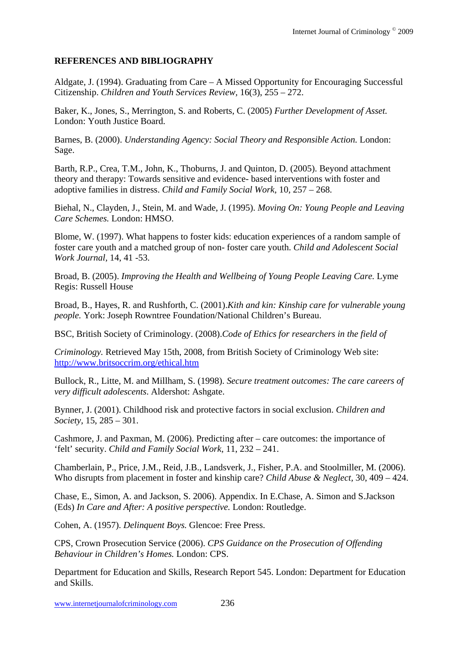# **REFERENCES AND BIBLIOGRAPHY**

Aldgate, J. (1994). Graduating from Care – A Missed Opportunity for Encouraging Successful Citizenship. *Children and Youth Services Review,* 16(3), 255 – 272.

Baker, K., Jones, S., Merrington, S. and Roberts, C. (2005) *Further Development of Asset.*  London: Youth Justice Board.

Barnes, B. (2000). *Understanding Agency: Social Theory and Responsible Action.* London: Sage.

Barth, R.P., Crea, T.M., John, K., Thoburns, J. and Quinton, D. (2005). Beyond attachment theory and therapy: Towards sensitive and evidence- based interventions with foster and adoptive families in distress. *Child and Family Social Work,* 10, 257 – 268.

Biehal, N., Clayden, J., Stein, M. and Wade, J. (1995). *Moving On: Young People and Leaving Care Schemes.* London: HMSO.

Blome, W. (1997). What happens to foster kids: education experiences of a random sample of foster care youth and a matched group of non- foster care youth. *Child and Adolescent Social Work Journal,* 14, 41 -53.

Broad, B. (2005). *Improving the Health and Wellbeing of Young People Leaving Care.* Lyme Regis: Russell House

Broad, B., Hayes, R. and Rushforth, C. (2001).*Kith and kin: Kinship care for vulnerable young people.* York: Joseph Rowntree Foundation/National Children's Bureau.

BSC, British Society of Criminology. (2008).*Code of Ethics for researchers in the field of* 

*Criminology.* Retrieved May 15th, 2008, from British Society of Criminology Web site: http://www.britsoccrim.org/ethical.htm

Bullock, R., Litte, M. and Millham, S. (1998). *Secure treatment outcomes: The care careers of very difficult adolescents*. Aldershot: Ashgate.

Bynner, J. (2001). Childhood risk and protective factors in social exclusion. *Children and Society,* 15, 285 – 301.

Cashmore, J. and Paxman, M. (2006). Predicting after – care outcomes: the importance of 'felt' security. *Child and Family Social Work,* 11, 232 – 241.

Chamberlain, P., Price, J.M., Reid, J.B., Landsverk, J., Fisher, P.A. and Stoolmiller, M. (2006). Who disrupts from placement in foster and kinship care? *Child Abuse & Neglect,* 30, 409 – 424.

Chase, E., Simon, A. and Jackson, S. 2006). Appendix. In E.Chase, A. Simon and S.Jackson (Eds) *In Care and After: A positive perspective.* London: Routledge.

Cohen, A. (1957). *Delinquent Boys.* Glencoe: Free Press.

CPS, Crown Prosecution Service (2006). *CPS Guidance on the Prosecution of Offending Behaviour in Children's Homes.* London: CPS.

Department for Education and Skills, Research Report 545. London: Department for Education and Skills.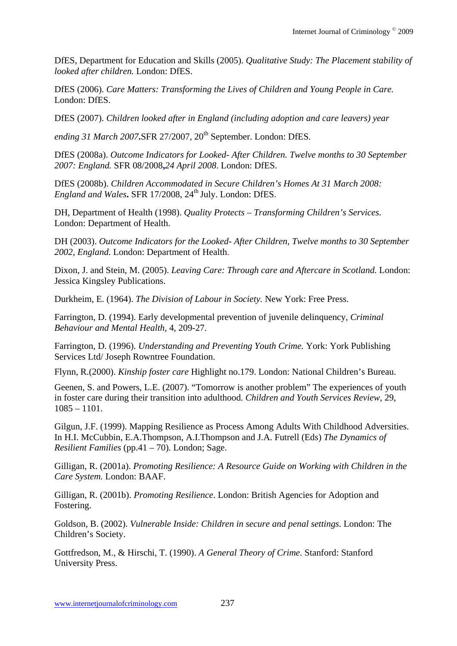DfES, Department for Education and Skills (2005). *Qualitative Study: The Placement stability of looked after children.* London: DfES.

DfES (2006). *Care Matters: Transforming the Lives of Children and Young People in Care.*  London: DfES.

DfES (2007). *Children looked after in England (including adoption and care leavers) year* 

*ending 31 March 2007***.SFR 27/2007, 20<sup>th</sup> September. London: DfES.** 

DfES (2008a). *Outcome Indicators for Looked- After Children. Twelve months to 30 September 2007: England.* SFR 08/2008**,***24 April 2008*. London: DfES.

DfES (2008b). *Children Accommodated in Secure Children's Homes At 31 March 2008: England and Wales***.** SFR 17/2008, 24<sup>th</sup> July. London: DfES.

DH, Department of Health (1998). *Quality Protects – Transforming Children's Services.*  London: Department of Health.

DH (2003). *Outcome Indicators for the Looked- After Children, Twelve months to 30 September 2002, England.* London: Department of Health.

Dixon, J. and Stein, M. (2005). *Leaving Care: Through care and Aftercare in Scotland.* London: Jessica Kingsley Publications.

Durkheim, E. (1964). *The Division of Labour in Society.* New York: Free Press.

Farrington, D. (1994). Early developmental prevention of juvenile delinquency, *Criminal Behaviour and Mental Health*, 4, 209-27.

Farrington, D. (1996). *Understanding and Preventing Youth Crime.* York: York Publishing Services Ltd/ Joseph Rowntree Foundation.

Flynn, R.(2000). *Kinship foster care* Highlight no.179. London: National Children's Bureau.

Geenen, S. and Powers, L.E. (2007). "Tomorrow is another problem" The experiences of youth in foster care during their transition into adulthood. *Children and Youth Services Review,* 29,  $1085 - 1101$ .

Gilgun, J.F. (1999). Mapping Resilience as Process Among Adults With Childhood Adversities. In H.I. McCubbin, E.A.Thompson, A.I.Thompson and J.A. Futrell (Eds) *The Dynamics of Resilient Families* (pp.41 – 70)*.* London; Sage.

Gilligan, R. (2001a). *Promoting Resilience: A Resource Guide on Working with Children in the Care System.* London: BAAF.

Gilligan, R. (2001b). *Promoting Resilience*. London: British Agencies for Adoption and Fostering.

Goldson, B. (2002). *Vulnerable Inside: Children in secure and penal settings.* London: The Children's Society.

Gottfredson, M., & Hirschi, T. (1990). *A General Theory of Crime*. Stanford: Stanford University Press.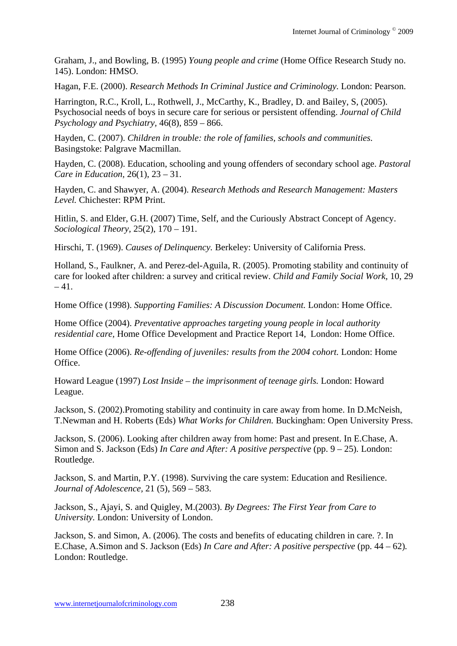Graham, J., and Bowling, B. (1995) *Young people and crime* (Home Office Research Study no. 145). London: HMSO.

Hagan, F.E. (2000). *Research Methods In Criminal Justice and Criminology.* London: Pearson.

Harrington, R.C., Kroll, L., Rothwell, J., McCarthy, K., Bradley, D. and Bailey, S, (2005). Psychosocial needs of boys in secure care for serious or persistent offending. *Journal of Child Psychology and Psychiatry,* 46(8), 859 – 866.

Hayden, C. (2007). *Children in trouble: the role of families, schools and communities.*  Basingstoke: Palgrave Macmillan.

Hayden, C. (2008). Education, schooling and young offenders of secondary school age. *Pastoral Care in Education,* 26(1), 23 – 31.

Hayden, C. and Shawyer, A. (2004). *Research Methods and Research Management: Masters Level.* Chichester: RPM Print.

Hitlin, S. and Elder, G.H. (2007) Time, Self, and the Curiously Abstract Concept of Agency. *Sociological Theory,* 25(2), 170 – 191.

Hirschi, T. (1969). *Causes of Delinquency.* Berkeley: University of California Press.

Holland, S., Faulkner, A. and Perez-del-Aguila, R. (2005). Promoting stability and continuity of care for looked after children: a survey and critical review. *Child and Family Social Work,* 10, 29  $-41.$ 

Home Office (1998). *Supporting Families: A Discussion Document.* London: Home Office.

Home Office (2004). *Preventative approaches targeting young people in local authority residential care,* Home Office Development and Practice Report 14, London: Home Office.

Home Office (2006). *Re-offending of juveniles: results from the 2004 cohort.* London: Home Office.

Howard League (1997) *Lost Inside – the imprisonment of teenage girls.* London: Howard League.

Jackson, S. (2002).Promoting stability and continuity in care away from home. In D.McNeish, T.Newman and H. Roberts (Eds) *What Works for Children.* Buckingham: Open University Press.

Jackson, S. (2006). Looking after children away from home: Past and present. In E.Chase, A. Simon and S. Jackson (Eds) *In Care and After: A positive perspective* (pp. 9 – 25). London: Routledge.

Jackson, S. and Martin, P.Y. (1998). Surviving the care system: Education and Resilience. *Journal of Adolescence,* 21 (5), 569 – 583.

Jackson, S., Ajayi, S. and Quigley, M.(2003). *By Degrees: The First Year from Care to University.* London: University of London.

Jackson, S. and Simon, A. (2006). The costs and benefits of educating children in care. ?. In E.Chase, A.Simon and S. Jackson (Eds) *In Care and After: A positive perspective* (pp. 44 – 62)*.*  London: Routledge.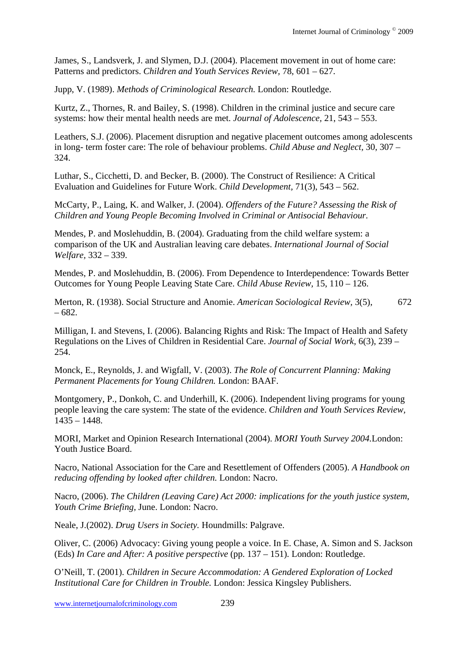James, S., Landsverk, J. and Slymen, D.J. (2004). Placement movement in out of home care: Patterns and predictors. *Children and Youth Services Review,* 78, 601 – 627.

Jupp, V. (1989). *Methods of Criminological Research.* London: Routledge.

Kurtz, Z., Thornes, R. and Bailey, S. (1998). Children in the criminal justice and secure care systems: how their mental health needs are met. *Journal of Adolescence,* 21, 543 – 553.

Leathers, S.J. (2006). Placement disruption and negative placement outcomes among adolescents in long- term foster care: The role of behaviour problems. *Child Abuse and Neglect,* 30, 307 – 324.

Luthar, S., Cicchetti, D. and Becker, B. (2000). The Construct of Resilience: A Critical Evaluation and Guidelines for Future Work. *Child Development,* 71(3), 543 – 562.

McCarty, P., Laing, K. and Walker, J. (2004). *Offenders of the Future? Assessing the Risk of Children and Young People Becoming Involved in Criminal or Antisocial Behaviour.* 

Mendes, P. and Moslehuddin, B. (2004). Graduating from the child welfare system: a comparison of the UK and Australian leaving care debates. *International Journal of Social Welfare,* 332 – 339.

Mendes, P. and Moslehuddin, B. (2006). From Dependence to Interdependence: Towards Better Outcomes for Young People Leaving State Care. *Child Abuse Review,* 15, 110 – 126.

Merton, R. (1938). Social Structure and Anomie. *American Sociological Review,* 3(5), 672 – 682.

Milligan, I. and Stevens, I. (2006). Balancing Rights and Risk: The Impact of Health and Safety Regulations on the Lives of Children in Residential Care. *Journal of Social Work,* 6(3), 239 – 254.

Monck, E., Reynolds, J. and Wigfall, V. (2003). *The Role of Concurrent Planning: Making Permanent Placements for Young Children.* London: BAAF.

Montgomery, P., Donkoh, C. and Underhill, K. (2006). Independent living programs for young people leaving the care system: The state of the evidence. *Children and Youth Services Review,*  1435 – 1448.

MORI, Market and Opinion Research International (2004). *MORI Youth Survey 2004.*London: Youth Justice Board.

Nacro, National Association for the Care and Resettlement of Offenders (2005). *A Handbook on reducing offending by looked after children.* London: Nacro.

Nacro, (2006). *The Children (Leaving Care) Act 2000: implications for the youth justice system*, *Youth Crime Briefing,* June. London: Nacro.

Neale, J.(2002). *Drug Users in Society.* Houndmills: Palgrave.

Oliver, C. (2006) Advocacy: Giving young people a voice. In E. Chase, A. Simon and S. Jackson (Eds) *In Care and After: A positive perspective* (pp. 137 – 151)*.* London: Routledge.

O'Neill, T. (2001). *Children in Secure Accommodation: A Gendered Exploration of Locked Institutional Care for Children in Trouble.* London: Jessica Kingsley Publishers.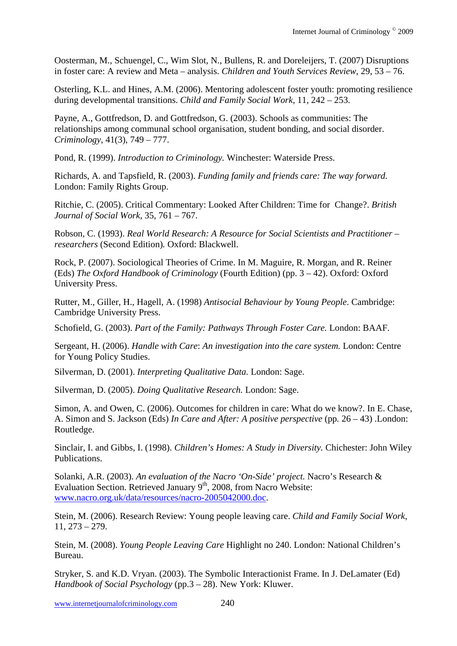Oosterman, M., Schuengel, C., Wim Slot, N., Bullens, R. and Doreleijers, T. (2007) Disruptions in foster care: A review and Meta – analysis. *Children and Youth Services Review,* 29, 53 – 76.

Osterling, K.L. and Hines, A.M. (2006). Mentoring adolescent foster youth: promoting resilience during developmental transitions. *Child and Family Social Work,* 11, 242 – 253.

Payne, A., Gottfredson, D. and Gottfredson, G. (2003). Schools as communities: The relationships among communal school organisation, student bonding, and social disorder. *Criminology,* 41(3), 749 – 777.

Pond, R. (1999). *Introduction to Criminology.* Winchester: Waterside Press.

Richards, A. and Tapsfield, R. (2003). *Funding family and friends care: The way forward.*  London: Family Rights Group.

Ritchie, C. (2005). Critical Commentary: Looked After Children: Time for Change?. *British Journal of Social Work,* 35, 761 – 767.

Robson, C. (1993). *Real World Research: A Resource for Social Scientists and Practitioner – researchers* (Second Edition)*.* Oxford: Blackwell.

Rock, P. (2007). Sociological Theories of Crime. In M. Maguire, R. Morgan, and R. Reiner (Eds) *The Oxford Handbook of Criminology* (Fourth Edition) (pp. 3 – 42). Oxford: Oxford University Press.

Rutter, M., Giller, H., Hagell, A. (1998) *Antisocial Behaviour by Young People*. Cambridge: Cambridge University Press.

Schofield, G. (2003). *Part of the Family: Pathways Through Foster Care.* London: BAAF.

Sergeant, H. (2006). *Handle with Care*: *An investigation into the care system.* London: Centre for Young Policy Studies.

Silverman, D. (2001). *Interpreting Qualitative Data.* London: Sage.

Silverman, D. (2005). *Doing Qualitative Research.* London: Sage.

Simon, A. and Owen, C. (2006). Outcomes for children in care: What do we know?. In E. Chase, A. Simon and S. Jackson (Eds) *In Care and After: A positive perspective* (pp*.* 26 – 43) .London: Routledge.

Sinclair, I. and Gibbs, I. (1998). *Children's Homes: A Study in Diversity.* Chichester: John Wiley Publications.

Solanki, A.R. (2003). *An evaluation of the Nacro 'On-Side' project.* Nacro's Research & Evaluation Section. Retrieved January  $9<sup>th</sup>$ , 2008, from Nacro Website: www.nacro.org.uk/data/resources/nacro-2005042000.doc.

Stein, M. (2006). Research Review: Young people leaving care. *Child and Family Social Work,*  11, 273 – 279.

Stein, M. (2008). *Young People Leaving Care* Highlight no 240. London: National Children's Bureau.

Stryker, S. and K.D. Vryan. (2003). The Symbolic Interactionist Frame. In J. DeLamater (Ed) *Handbook of Social Psychology* (pp.3 – 28). New York: Kluwer.